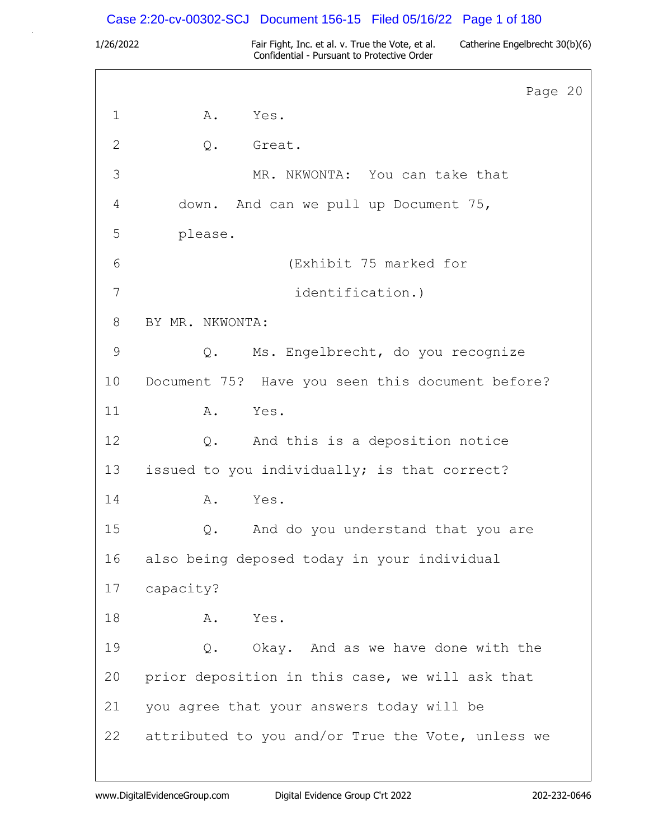# Case 2:20-cv-00302-SCJ Document 156-15 Filed 05/16/22 Page 1 of 180

|             | Page 20                                           |
|-------------|---------------------------------------------------|
| $\mathbf 1$ | Α.<br>Yes.                                        |
| 2           | Great.<br>Q.                                      |
| 3           | MR. NKWONTA: You can take that                    |
| 4           | down. And can we pull up Document 75,             |
| 5           | please.                                           |
| 6           | (Exhibit 75 marked for                            |
| 7           | identification.)                                  |
| 8           | BY MR. NKWONTA:                                   |
| 9           | Ms. Engelbrecht, do you recognize<br>$Q$ .        |
| 10          | Document 75? Have you seen this document before?  |
| 11          | Α.<br>Yes.                                        |
| 12          | And this is a deposition notice<br>$Q$ .          |
| 13          | issued to you individually; is that correct?      |
| 14          | Yes.<br>Α.                                        |
| 15          | And do you understand that you are<br>$Q$ .       |
| 16          | also being deposed today in your individual       |
| 17          | capacity?                                         |
| 18          | Α.<br>Yes.                                        |
| 19          | Q. Okay. And as we have done with the             |
| 20          | prior deposition in this case, we will ask that   |
| 21          | you agree that your answers today will be         |
| 22          | attributed to you and/or True the Vote, unless we |
|             |                                                   |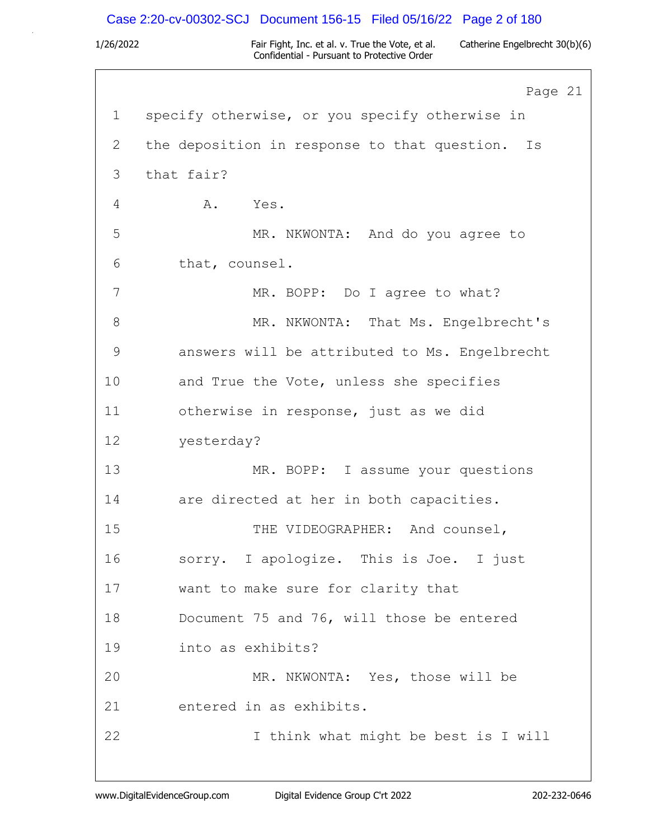### Case 2:20-cv-00302-SCJ Document 156-15 Filed 05/16/22 Page 2 of 180

1/26/2022 Fair Fight, Inc. et al. v. True the Vote, et al. Catherine Engelbrecht 30(b)(6) Confidential - Pursuant to Protective Order

Page 21 1 specify otherwise, or you specify otherwise in 2 the deposition in response to that question. Is 3 that fair? 4 A. Yes. 5 MR. NKWONTA: And do you agree to 6 that, counsel. 7 MR. BOPP: Do I agree to what? 8 MR. NKWONTA: That Ms. Engelbrecht's 9 answers will be attributed to Ms. Engelbrecht 10 and True the Vote, unless she specifies 11 otherwise in response, just as we did 12 yesterday? 13 MR. BOPP: I assume your questions 14 are directed at her in both capacities. 15 THE VIDEOGRAPHER: And counsel, 16 sorry. I apologize. This is Joe. I just 17 want to make sure for clarity that 18 Document 75 and 76, will those be entered 19 into as exhibits? 20 MR. NKWONTA: Yes, those will be 21 entered in as exhibits. 22 I think what might be best is I will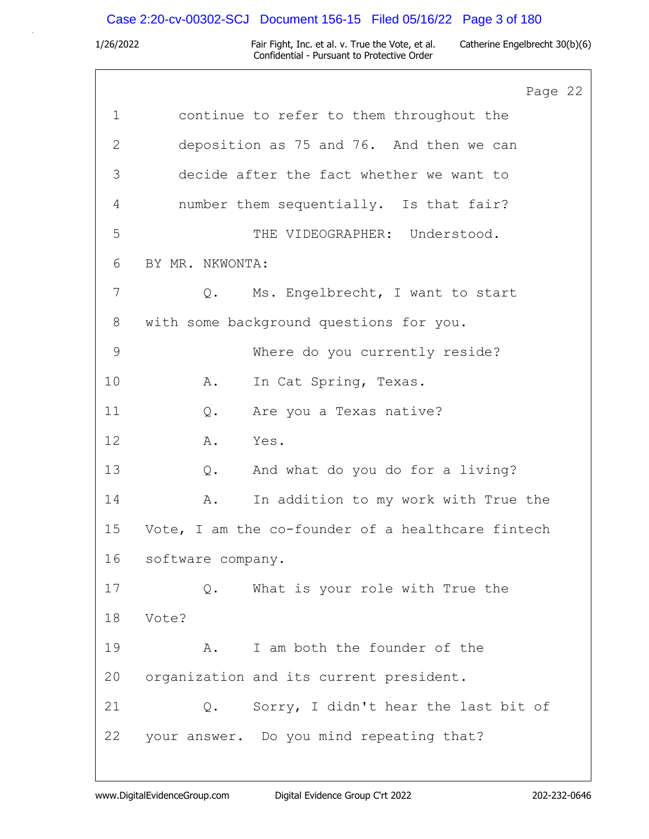# Case 2:20-cv-00302-SCJ Document 156-15 Filed 05/16/22 Page 3 of 180

|              | Page 22                                           |
|--------------|---------------------------------------------------|
| $\mathbf 1$  | continue to refer to them throughout the          |
| $\mathbf{2}$ | deposition as 75 and 76. And then we can          |
| 3            | decide after the fact whether we want to          |
| 4            | number them sequentially. Is that fair?           |
| 5            | THE VIDEOGRAPHER: Understood.                     |
| 6            | BY MR. NKWONTA:                                   |
| 7            | Ms. Engelbrecht, I want to start<br>$Q$ .         |
| 8            | with some background questions for you.           |
| $\mathsf 9$  | Where do you currently reside?                    |
| 10           | In Cat Spring, Texas.<br>Α.                       |
| 11           | Are you a Texas native?<br>$Q$ .                  |
| 12           | Α.<br>Yes.                                        |
| 13           | And what do you do for a living?<br>Q.            |
| 14           | In addition to my work with True the<br>Α.        |
| 15           | Vote, I am the co-founder of a healthcare fintech |
| 16           | software company.                                 |
| 17           | What is your role with True the<br>Q.             |
| 18           | Vote?                                             |
| 19           | I am both the founder of the<br>Α.                |
| 20           | organization and its current president.           |
| 21           | Sorry, I didn't hear the last bit of<br>Q.        |
| 22           | your answer. Do you mind repeating that?          |
|              |                                                   |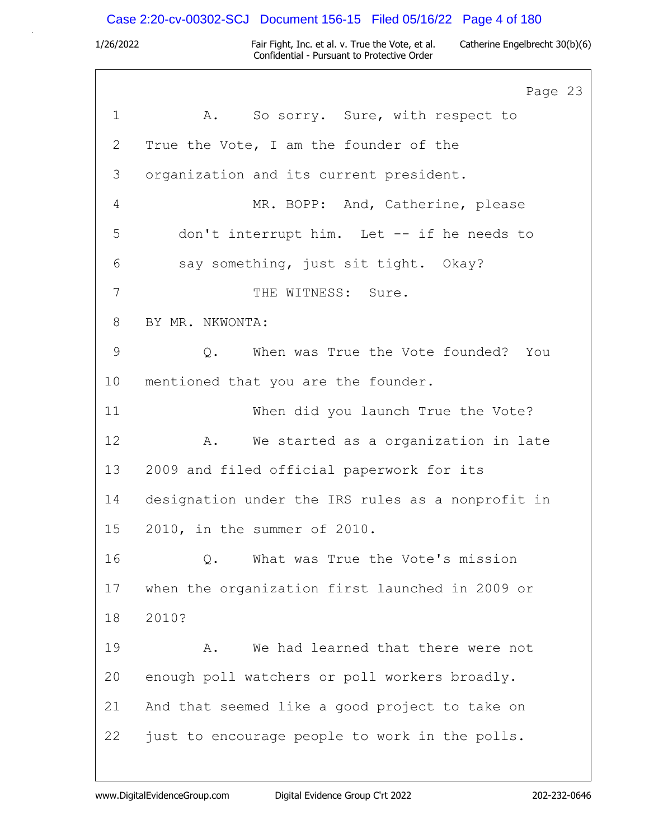# Case 2:20-cv-00302-SCJ Document 156-15 Filed 05/16/22 Page 4 of 180

|             | Page 23                                           |
|-------------|---------------------------------------------------|
| $\mathbf 1$ | A. So sorry. Sure, with respect to                |
| 2           | True the Vote, I am the founder of the            |
| 3           | organization and its current president.           |
| 4           | MR. BOPP: And, Catherine, please                  |
| 5           | don't interrupt him. Let -- if he needs to        |
| 6           | say something, just sit tight. Okay?              |
| 7           | THE WITNESS: Sure.                                |
| 8           | BY MR. NKWONTA:                                   |
| $\mathsf 9$ | When was True the Vote founded? You<br>Q.         |
| 10          | mentioned that you are the founder.               |
| 11          | When did you launch True the Vote?                |
| 12          | A. We started as a organization in late           |
| 13          | 2009 and filed official paperwork for its         |
| 14          | designation under the IRS rules as a nonprofit in |
| 15          | 2010, in the summer of 2010.                      |
| 16          | What was True the Vote's mission<br>Q.            |
| 17          | when the organization first launched in 2009 or   |
| 18          | 2010?                                             |
| 19          | We had learned that there were not<br>Α.          |
| 20          | enough poll watchers or poll workers broadly.     |
| 21          | And that seemed like a good project to take on    |
| 22          | just to encourage people to work in the polls.    |
|             |                                                   |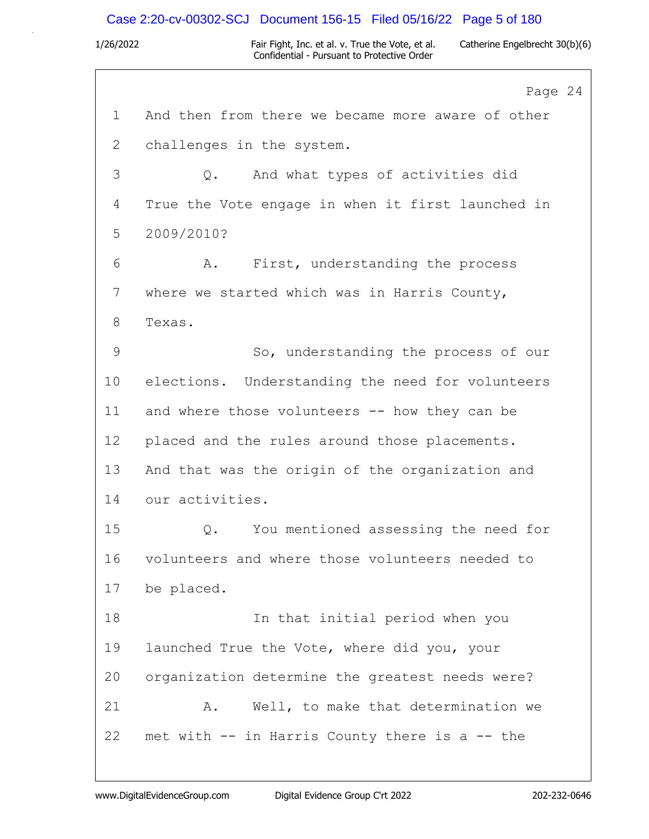### Case 2:20-cv-00302-SCJ Document 156-15 Filed 05/16/22 Page 5 of 180

1/26/2022 Fair Fight, Inc. et al. v. True the Vote, et al. Catherine Engelbrecht 30(b)(6) Confidential - Pursuant to Protective Order

Page 24 1 And then from there we became more aware of other 2 challenges in the system. 3 Q. And what types of activities did 4 True the Vote engage in when it first launched in 5 2009/2010? 6 A. First, understanding the process 7 where we started which was in Harris County, 8 Texas. 9 So, understanding the process of our 10 elections. Understanding the need for volunteers 11 and where those volunteers -- how they can be 12 placed and the rules around those placements. 13 And that was the origin of the organization and 14 our activities. 15 Q. You mentioned assessing the need for 16 volunteers and where those volunteers needed to 17 be placed. 18 In that initial period when you 19 launched True the Vote, where did you, your 20 organization determine the greatest needs were? 21 A. Well, to make that determination we 22 met with -- in Harris County there is a -- the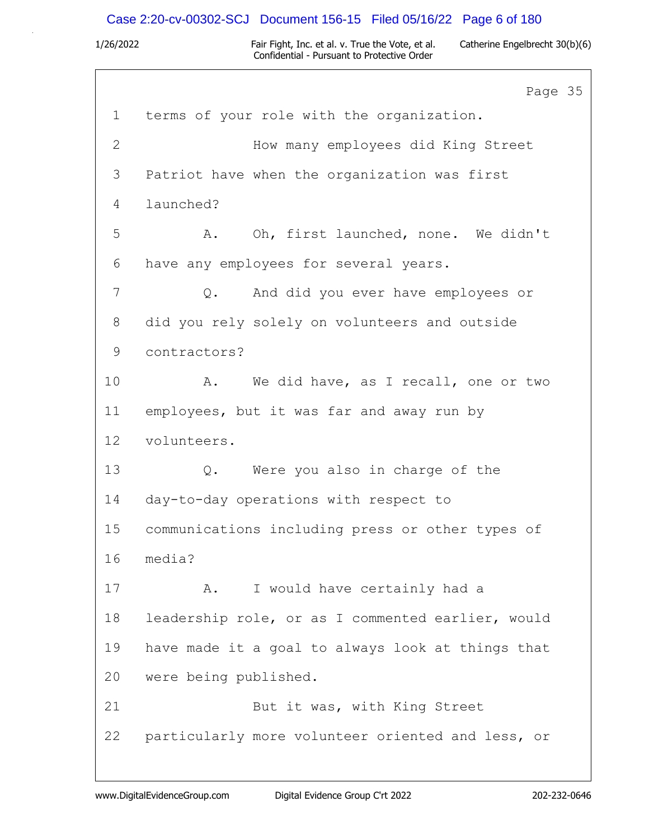# Case 2:20-cv-00302-SCJ Document 156-15 Filed 05/16/22 Page 6 of 180

|              | Page 35                                           |
|--------------|---------------------------------------------------|
| $\mathbf 1$  | terms of your role with the organization.         |
| $\mathbf{2}$ | How many employees did King Street                |
| 3            | Patriot have when the organization was first      |
| 4            | launched?                                         |
| 5            | Oh, first launched, none. We didn't<br>A.         |
| 6            | have any employees for several years.             |
| 7            | And did you ever have employees or<br>$Q$ .       |
| 8            | did you rely solely on volunteers and outside     |
| 9            | contractors?                                      |
| 10           | We did have, as I recall, one or two<br>Α.        |
| 11           | employees, but it was far and away run by         |
| 12           | volunteers.                                       |
| 13           | Were you also in charge of the<br>Q.              |
| 14           | day-to-day operations with respect to             |
| 15           | communications including press or other types of  |
| 16           | media?                                            |
| 17           | I would have certainly had a<br>Α.                |
| 18           | leadership role, or as I commented earlier, would |
| 19           | have made it a goal to always look at things that |
| 20           | were being published.                             |
| 21           | But it was, with King Street                      |
| 22           | particularly more volunteer oriented and less, or |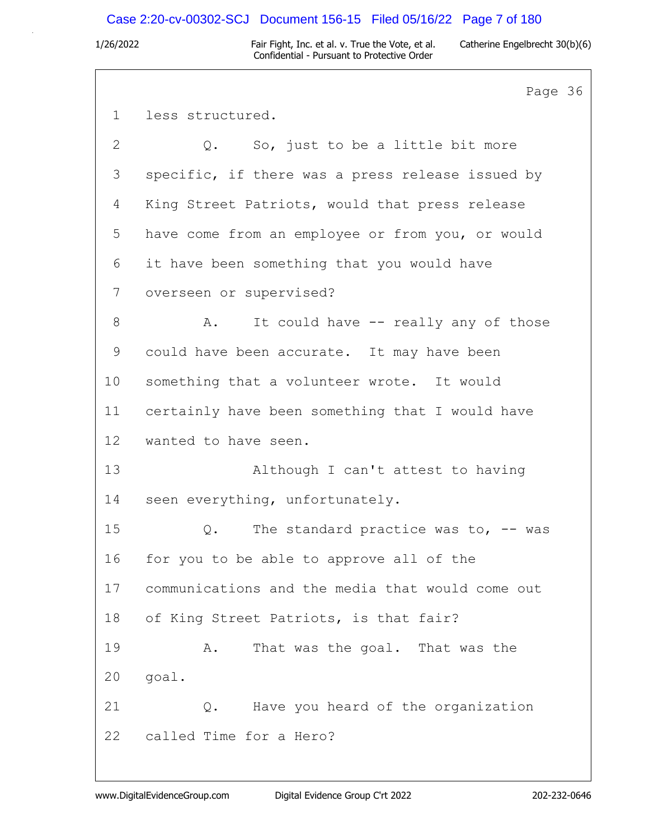## Case 2:20-cv-00302-SCJ Document 156-15 Filed 05/16/22 Page 7 of 180

1/26/2022 Fair Fight, Inc. et al. v. True the Vote, et al. Catherine Engelbrecht 30(b)(6) Confidential - Pursuant to Protective Order

Page 36 1 less structured. 2 Q. So, just to be a little bit more 3 specific, if there was a press release issued by 4 King Street Patriots, would that press release 5 have come from an employee or from you, or would 6 it have been something that you would have 7 overseen or supervised? 8 A. It could have -- really any of those 9 could have been accurate. It may have been 10 something that a volunteer wrote. It would 11 certainly have been something that I would have 12 wanted to have seen. 13 Although I can't attest to having 14 seen everything, unfortunately. 15 Q. The standard practice was to, -- was 16 for you to be able to approve all of the 17 communications and the media that would come out 18 of King Street Patriots, is that fair? 19 A. That was the goal. That was the 20 goal. 21 Q. Have you heard of the organization 22 called Time for a Hero?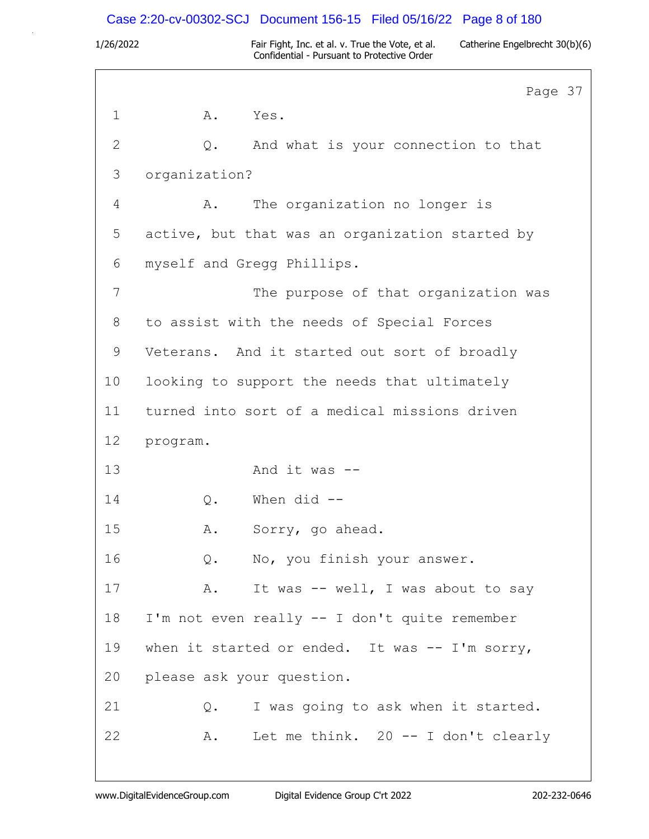# Case 2:20-cv-00302-SCJ Document 156-15 Filed 05/16/22 Page 8 of 180

| ſ<br>ı<br>∕<br>╭ |  |
|------------------|--|

1/26/2022 Fair Fight, Inc. et al. v. True the Vote, et al. Catherine Engelbrecht 30(b)(6) Confidential - Pursuant to Protective Order

 $7$ 

|              | Page 3                                          |
|--------------|-------------------------------------------------|
| $\mathbf 1$  | A.<br>Yes.                                      |
| $\mathbf{2}$ | And what is your connection to that<br>Q.       |
| 3            | organization?                                   |
| 4            | The organization no longer is<br>A.             |
| 5            | active, but that was an organization started by |
| 6            | myself and Gregg Phillips.                      |
| 7            | The purpose of that organization was            |
| 8            | to assist with the needs of Special Forces      |
| 9            | Veterans. And it started out sort of broadly    |
| 10           | looking to support the needs that ultimately    |
| 11           | turned into sort of a medical missions driven   |
| 12           | program.                                        |
| 13           | And it was $--$                                 |
| 14           | When $did$ --<br>Q.                             |
| 15           | Sorry, go ahead.<br>Α.                          |
| 16           | Q. No, you finish your answer.                  |
| 17           | It was -- well, I was about to say<br>Α.        |
| 18           | I'm not even really -- I don't quite remember   |
| 19           | when it started or ended. It was -- I'm sorry,  |
| 20           | please ask your question.                       |
| 21           | I was going to ask when it started.<br>Q.       |
| 22           | Let me think. $20 - I$ don't clearly<br>Α.      |
|              |                                                 |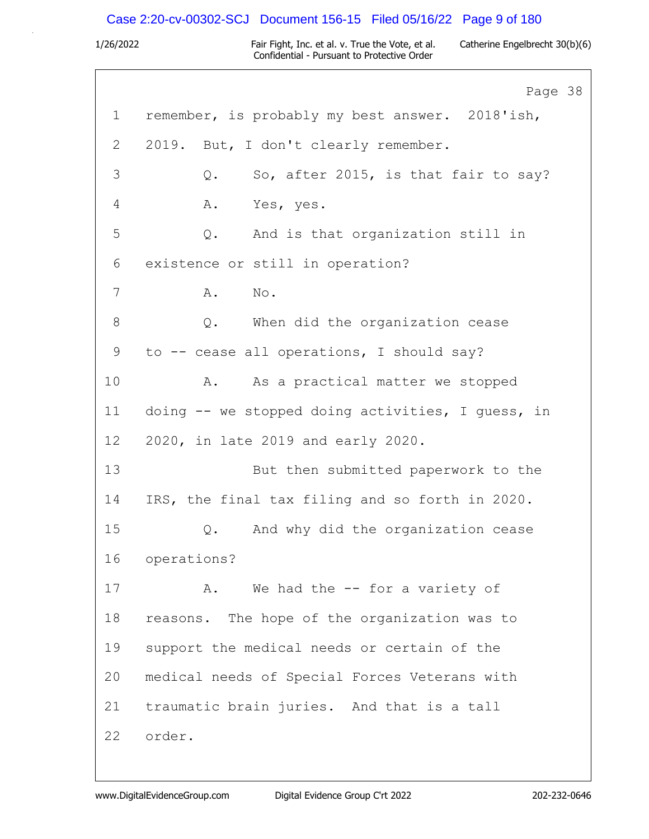# Case 2:20-cv-00302-SCJ Document 156-15 Filed 05/16/22 Page 9 of 180

|    | Page 38                                           |
|----|---------------------------------------------------|
| 1  | remember, is probably my best answer. 2018'ish,   |
| 2  | 2019. But, I don't clearly remember.              |
| 3  | So, after 2015, is that fair to say?<br>Q.        |
| 4  | Α.<br>Yes, yes.                                   |
| 5  | Q. And is that organization still in              |
| 6  | existence or still in operation?                  |
| 7  | Α.<br>No.                                         |
| 8  | Q. When did the organization cease                |
| 9  | to -- cease all operations, I should say?         |
| 10 | A. As a practical matter we stopped               |
| 11 | doing -- we stopped doing activities, I guess, in |
| 12 | 2020, in late 2019 and early 2020.                |
| 13 | But then submitted paperwork to the               |
| 14 | IRS, the final tax filing and so forth in 2020.   |
| 15 | And why did the organization cease<br>Q.          |
| 16 | operations?                                       |
| 17 | We had the $-$ for a variety of<br>Α.             |
| 18 | reasons. The hope of the organization was to      |
| 19 | support the medical needs or certain of the       |
| 20 | medical needs of Special Forces Veterans with     |
| 21 | traumatic brain juries. And that is a tall        |
| 22 | order.                                            |
|    |                                                   |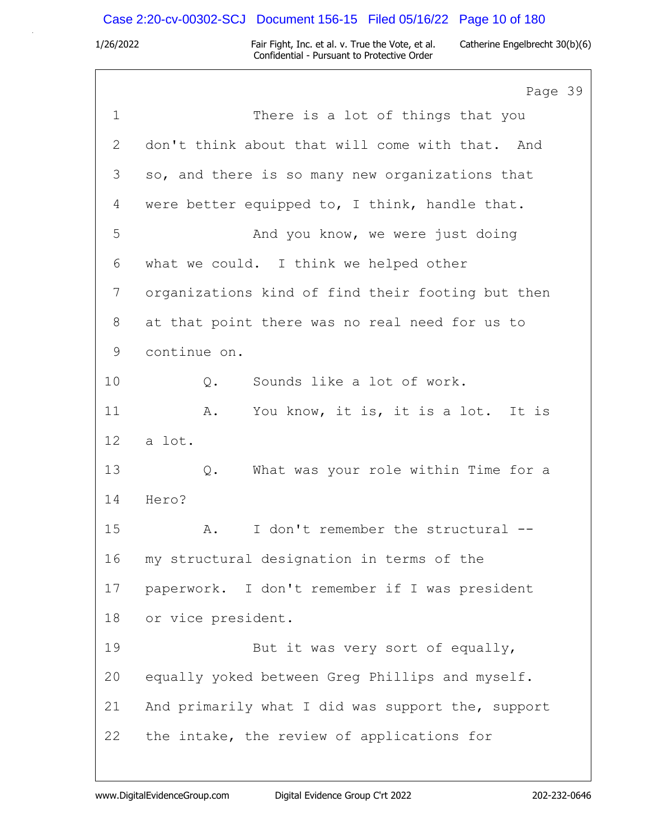# Case 2:20-cv-00302-SCJ Document 156-15 Filed 05/16/22 Page 10 of 180

|              | Page 39                                           |
|--------------|---------------------------------------------------|
| $\mathbf 1$  | There is a lot of things that you                 |
| $\mathbf{2}$ | don't think about that will come with that. And   |
| 3            | so, and there is so many new organizations that   |
| 4            | were better equipped to, I think, handle that.    |
| 5            | And you know, we were just doing                  |
| 6            | what we could. I think we helped other            |
| 7            | organizations kind of find their footing but then |
| 8            | at that point there was no real need for us to    |
| 9            | continue on.                                      |
| 10           | Sounds like a lot of work.<br>Q.                  |
| 11           | You know, it is, it is a lot. It is<br>Α.         |
| 12           | a lot.                                            |
| 13           | What was your role within Time for a<br>Q.        |
| 14           | Hero?                                             |
| 15           | I don't remember the structural --<br>Α.          |
| 16           | my structural designation in terms of the         |
| 17           | paperwork. I don't remember if I was president    |
| 18           | or vice president.                                |
| 19           | But it was very sort of equally,                  |
| 20           | equally yoked between Greg Phillips and myself.   |
| 21           | And primarily what I did was support the, support |
| 22           | the intake, the review of applications for        |
|              |                                                   |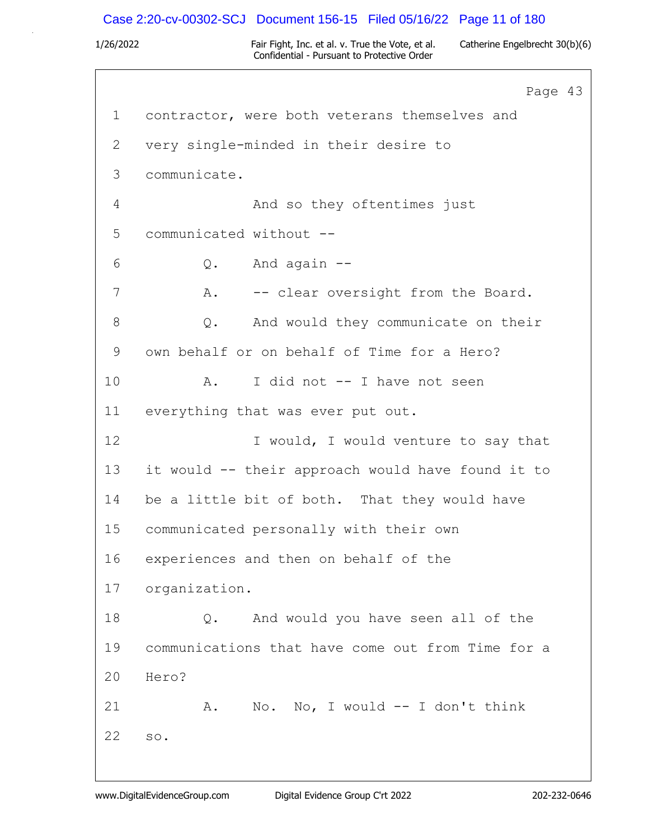## Case 2:20-cv-00302-SCJ Document 156-15 Filed 05/16/22 Page 11 of 180

1/26/2022 Fair Fight, Inc. et al. v. True the Vote, et al. Catherine Engelbrecht 30(b)(6) Confidential - Pursuant to Protective Order

Page 43 1 contractor, were both veterans themselves and 2 very single-minded in their desire to 3 communicate. 4 And so they oftentimes just 5 communicated without --  $6 \qquad Q.$  And again  $-$ 7 A. -- clear oversight from the Board. 8 Q. And would they communicate on their 9 own behalf or on behalf of Time for a Hero? 10 A. I did not -- I have not seen 11 everything that was ever put out. 12 I would, I would venture to say that 13 it would -- their approach would have found it to 14 be a little bit of both. That they would have 15 communicated personally with their own 16 experiences and then on behalf of the 17 organization. 18 Q. And would you have seen all of the 19 communications that have come out from Time for a 20 Hero? 21 A. No. No, I would -- I don't think 22 so.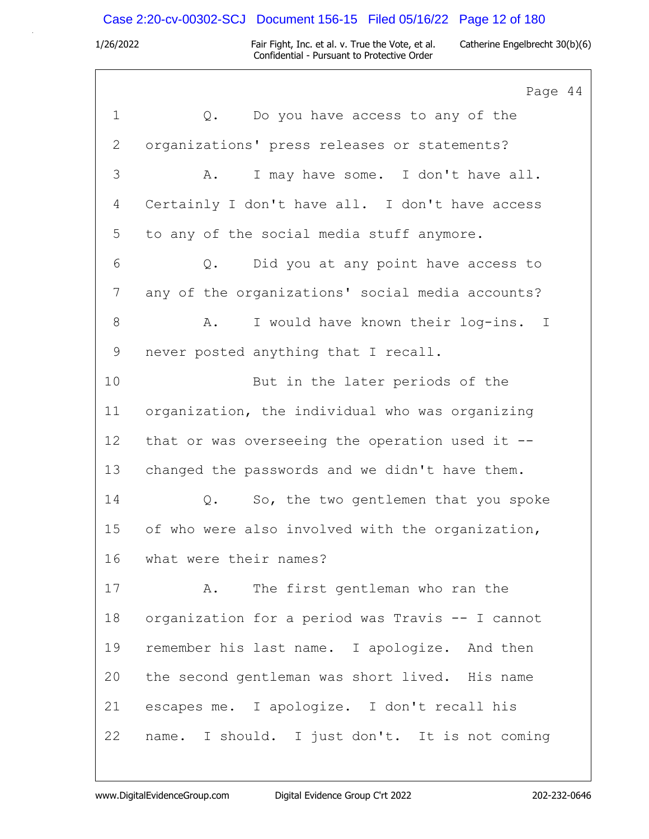# Case 2:20-cv-00302-SCJ Document 156-15 Filed 05/16/22 Page 12 of 180

|              | Page 44                                            |
|--------------|----------------------------------------------------|
| $\mathbf 1$  | Do you have access to any of the<br>Q.             |
| $\mathbf{2}$ | organizations' press releases or statements?       |
| 3            | I may have some. I don't have all.<br>Α.           |
| 4            | Certainly I don't have all. I don't have access    |
| 5            | to any of the social media stuff anymore.          |
| 6            | Did you at any point have access to<br>Q.          |
| 7            | any of the organizations' social media accounts?   |
| $8\,$        | I would have known their log-ins. I<br>Α.          |
| $\mathsf 9$  | never posted anything that I recall.               |
| 10           | But in the later periods of the                    |
| 11           | organization, the individual who was organizing    |
| 12           | that or was overseeing the operation used it $-$ - |
| 13           | changed the passwords and we didn't have them.     |
| 14           | So, the two gentlemen that you spoke<br>Q.         |
| 15           | of who were also involved with the organization,   |
| 16           | what were their names?                             |
| 17           | The first gentleman who ran the<br>Α.              |
| 18           | organization for a period was Travis -- I cannot   |
| 19           | remember his last name. I apologize. And then      |
| 20           | the second gentleman was short lived. His name     |
| 21           | escapes me. I apologize. I don't recall his        |
| 22           | name. I should. I just don't. It is not coming     |
|              |                                                    |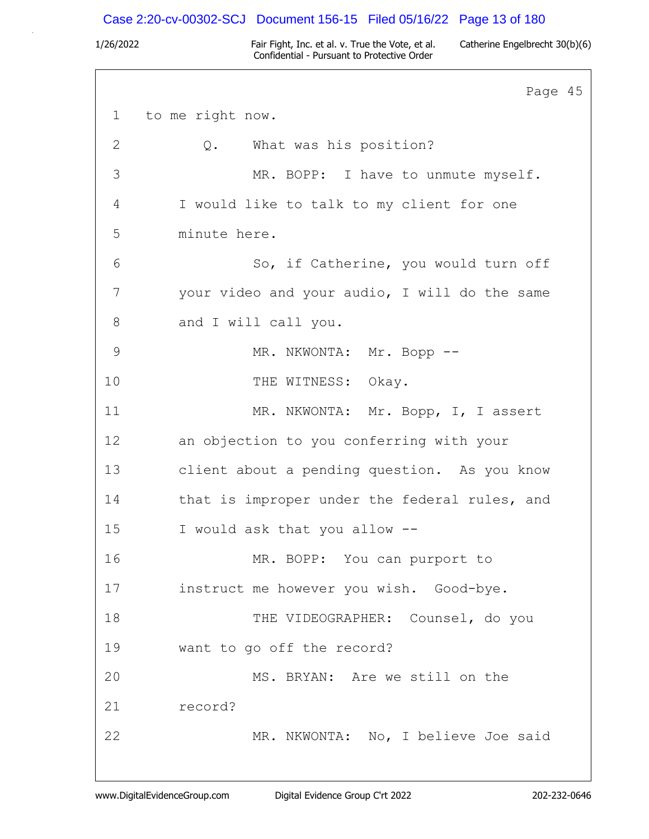## Case 2:20-cv-00302-SCJ Document 156-15 Filed 05/16/22 Page 13 of 180

1/26/2022 Fair Fight, Inc. et al. v. True the Vote, et al. Catherine Engelbrecht 30(b)(6) Confidential - Pursuant to Protective Order

Page 45 1 to me right now. 2 Q. What was his position? 3 MR. BOPP: I have to unmute myself. 4 I would like to talk to my client for one 5 minute here. 6 So, if Catherine, you would turn off 7 your video and your audio, I will do the same 8 and I will call you. 9 MR. NKWONTA: Mr. Bopp --10 THE WITNESS: Okay. 11 MR. NKWONTA: Mr. Bopp, I, I assert 12 an objection to you conferring with your 13 client about a pending question. As you know 14 that is improper under the federal rules, and 15 I would ask that you allow -- 16 MR. BOPP: You can purport to 17 instruct me however you wish. Good-bye. 18 THE VIDEOGRAPHER: Counsel, do you 19 want to go off the record? 20 MS. BRYAN: Are we still on the 21 record? 22 MR. NKWONTA: No, I believe Joe said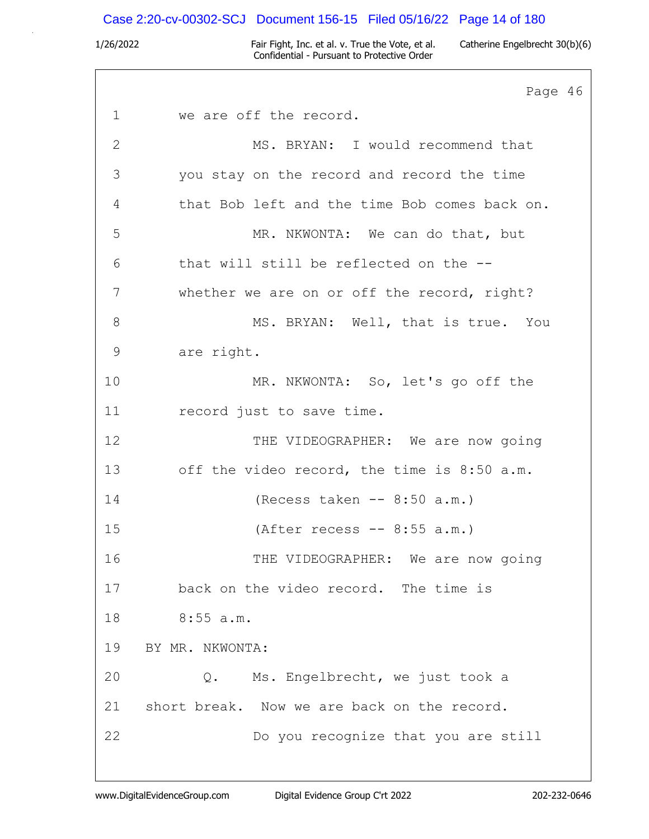### Case 2:20-cv-00302-SCJ Document 156-15 Filed 05/16/22 Page 14 of 180

1/26/2022 Fair Fight, Inc. et al. v. True the Vote, et al. Catherine Engelbrecht 30(b)(6) Confidential - Pursuant to Protective Order

Page 46 1 we are off the record. 2 MS. BRYAN: I would recommend that 3 you stay on the record and record the time 4 that Bob left and the time Bob comes back on. 5 MR. NKWONTA: We can do that, but 6 that will still be reflected on the -- 7 whether we are on or off the record, right? 8 MS. BRYAN: Well, that is true. You 9 are right. 10 MR. NKWONTA: So, let's go off the 11 record just to save time. 12 THE VIDEOGRAPHER: We are now going 13 off the video record, the time is 8:50 a.m. 14 (Recess taken -- 8:50 a.m.) 15 (After recess -- 8:55 a.m.) 16 THE VIDEOGRAPHER: We are now going 17 back on the video record. The time is 18 8:55 a.m. 19 BY MR. NKWONTA: 20 Q. Ms. Engelbrecht, we just took a 21 short break. Now we are back on the record. 22 Do you recognize that you are still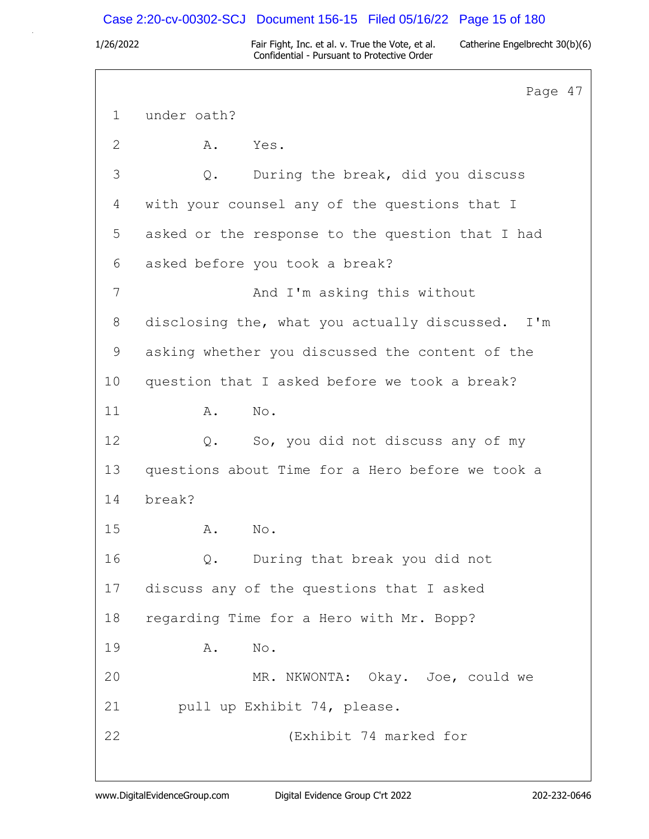## Case 2:20-cv-00302-SCJ Document 156-15 Filed 05/16/22 Page 15 of 180

1/26/2022 Fair Fight, Inc. et al. v. True the Vote, et al. Catherine Engelbrecht 30(b)(6) Confidential - Pursuant to Protective Order

Page 47 1 under oath? 2 A. Yes. 3 Q. During the break, did you discuss 4 with your counsel any of the questions that I 5 asked or the response to the question that I had 6 asked before you took a break? 7 And I'm asking this without 8 disclosing the, what you actually discussed. I'm 9 asking whether you discussed the content of the 10 question that I asked before we took a break? 11 A. No. 12 Q. So, you did not discuss any of my 13 questions about Time for a Hero before we took a 14 break? 15 A. No. 16 Q. During that break you did not 17 discuss any of the questions that I asked 18 regarding Time for a Hero with Mr. Bopp? 19 A. No. 20 MR. NKWONTA: Okay. Joe, could we 21 pull up Exhibit 74, please. 22 (Exhibit 74 marked for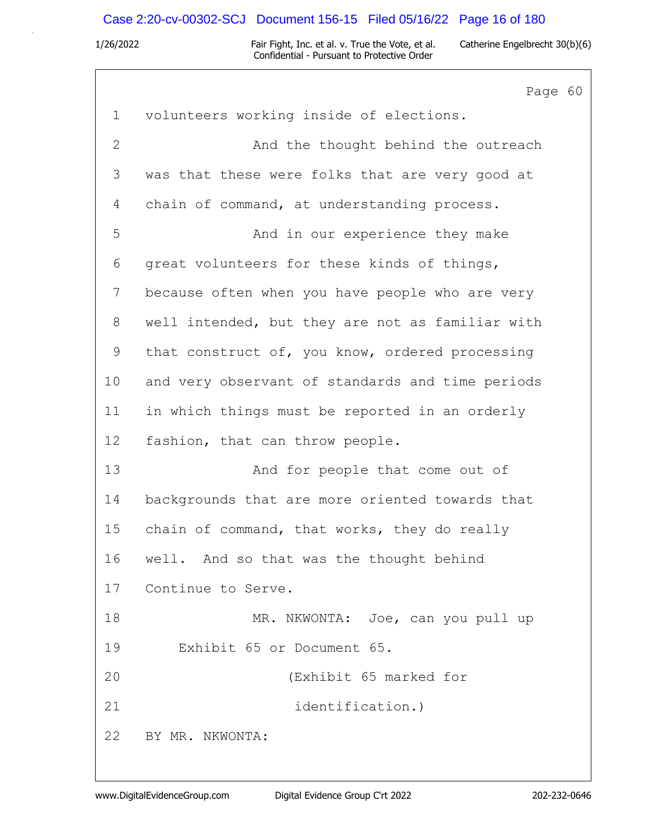## Case 2:20-cv-00302-SCJ Document 156-15 Filed 05/16/22 Page 16 of 180

1/26/2022 Fair Fight, Inc. et al. v. True the Vote, et al. Catherine Engelbrecht 30(b)(6) Confidential - Pursuant to Protective Order

Page 60 1 volunteers working inside of elections. 2 And the thought behind the outreach 3 was that these were folks that are very good at 4 chain of command, at understanding process. 5 And in our experience they make 6 great volunteers for these kinds of things, 7 because often when you have people who are very 8 well intended, but they are not as familiar with 9 that construct of, you know, ordered processing 10 and very observant of standards and time periods 11 in which things must be reported in an orderly 12 fashion, that can throw people. 13 And for people that come out of 14 backgrounds that are more oriented towards that 15 chain of command, that works, they do really 16 well. And so that was the thought behind 17 Continue to Serve. 18 MR. NKWONTA: Joe, can you pull up 19 Exhibit 65 or Document 65. 20 (Exhibit 65 marked for 21 identification.) 22 BY MR. NKWONTA: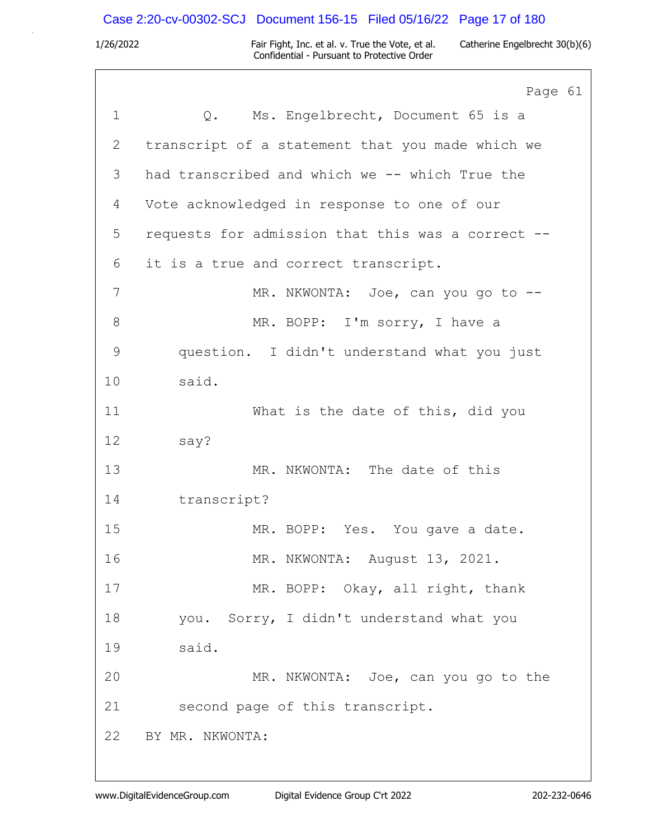# Case 2:20-cv-00302-SCJ Document 156-15 Filed 05/16/22 Page 17 of 180

|             | Page 61                                           |
|-------------|---------------------------------------------------|
| $\mathbf 1$ | Q. Ms. Engelbrecht, Document 65 is a              |
| 2           | transcript of a statement that you made which we  |
| 3           | had transcribed and which we -- which True the    |
| 4           | Vote acknowledged in response to one of our       |
| 5           | requests for admission that this was a correct -- |
| 6           | it is a true and correct transcript.              |
| 7           | MR. NKWONTA: Joe, can you go to --                |
| 8           | MR. BOPP: I'm sorry, I have a                     |
| $\mathsf 9$ | question. I didn't understand what you just       |
| 10          | said.                                             |
| 11          | What is the date of this, did you                 |
| 12          | say?                                              |
| 13          | MR. NKWONTA: The date of this                     |
| 14          | transcript?                                       |
| 15          | MR. BOPP: Yes. You gave a date.                   |
| 16          | MR. NKWONTA: August 13, 2021.                     |
| 17          | MR. BOPP: Okay, all right, thank                  |
| 18          | you. Sorry, I didn't understand what you          |
| 19          | said.                                             |
| 20          | MR. NKWONTA: Joe, can you go to the               |
| 21          | second page of this transcript.                   |
| 22          | BY MR. NKWONTA:                                   |
|             |                                                   |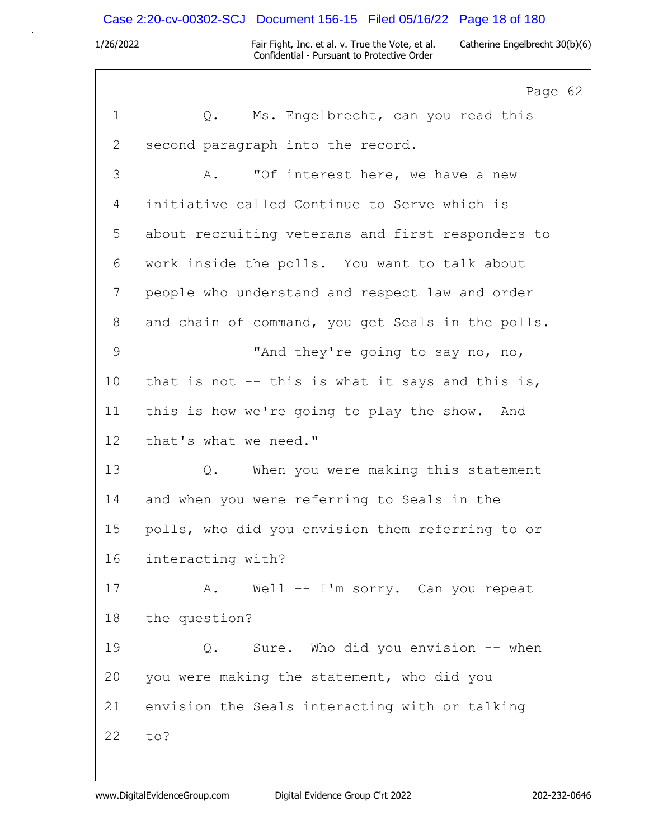### Case 2:20-cv-00302-SCJ Document 156-15 Filed 05/16/22 Page 18 of 180

1/26/2022 Fair Fight, Inc. et al. v. True the Vote, et al. Catherine Engelbrecht 30(b)(6) Confidential - Pursuant to Protective Order

Page 62 1 Q. Ms. Engelbrecht, can you read this 2 second paragraph into the record. 3 A. "Of interest here, we have a new 4 initiative called Continue to Serve which is 5 about recruiting veterans and first responders to 6 work inside the polls. You want to talk about 7 people who understand and respect law and order 8 and chain of command, you get Seals in the polls. 9 "And they're going to say no, no, 10 that is not -- this is what it says and this is, 11 this is how we're going to play the show. And 12 that's what we need." 13 Q. When you were making this statement 14 and when you were referring to Seals in the 15 polls, who did you envision them referring to or 16 interacting with? 17 A. Well -- I'm sorry. Can you repeat 18 the question? 19 Q. Sure. Who did you envision -- when 20 you were making the statement, who did you 21 envision the Seals interacting with or talking 22 to?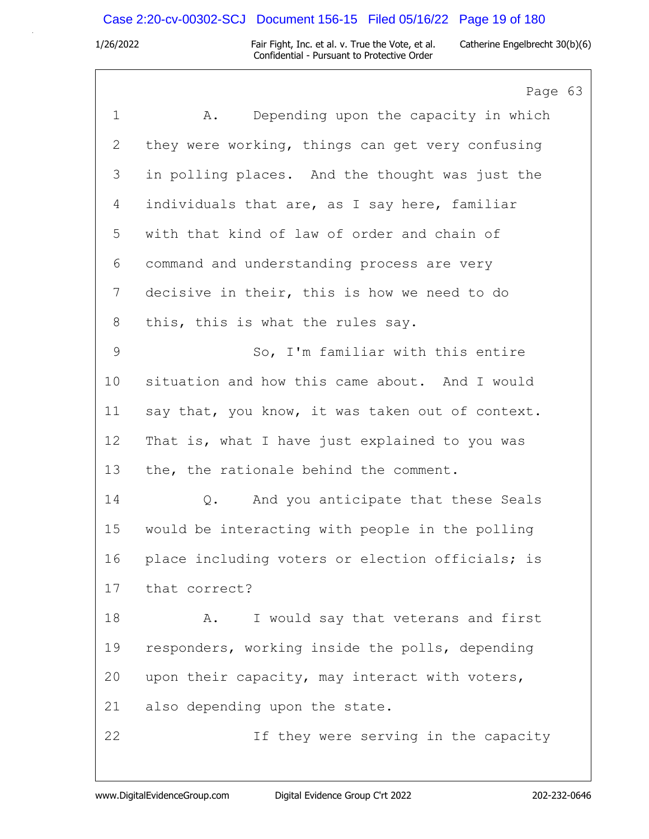# Case 2:20-cv-00302-SCJ Document 156-15 Filed 05/16/22 Page 19 of 180

|              | Page 63                                          |
|--------------|--------------------------------------------------|
| $\mathbf 1$  | Depending upon the capacity in which<br>Α.       |
| $\mathbf{2}$ | they were working, things can get very confusing |
| 3            | in polling places. And the thought was just the  |
| 4            | individuals that are, as I say here, familiar    |
| 5            | with that kind of law of order and chain of      |
| 6            | command and understanding process are very       |
| 7            | decisive in their, this is how we need to do     |
| 8            | this, this is what the rules say.                |
| $\mathsf 9$  | So, I'm familiar with this entire                |
| 10           | situation and how this came about. And I would   |
| 11           | say that, you know, it was taken out of context. |
| 12           | That is, what I have just explained to you was   |
| 13           | the, the rationale behind the comment.           |
| 14           | And you anticipate that these Seals<br>$Q$ .     |
| 15           | would be interacting with people in the polling  |
| 16           | place including voters or election officials; is |
| 17           | that correct?                                    |
| 18           | I would say that veterans and first<br>Α.        |
| 19           | responders, working inside the polls, depending  |
| 20           | upon their capacity, may interact with voters,   |
| 21           | also depending upon the state.                   |
| 22           | If they were serving in the capacity             |
|              |                                                  |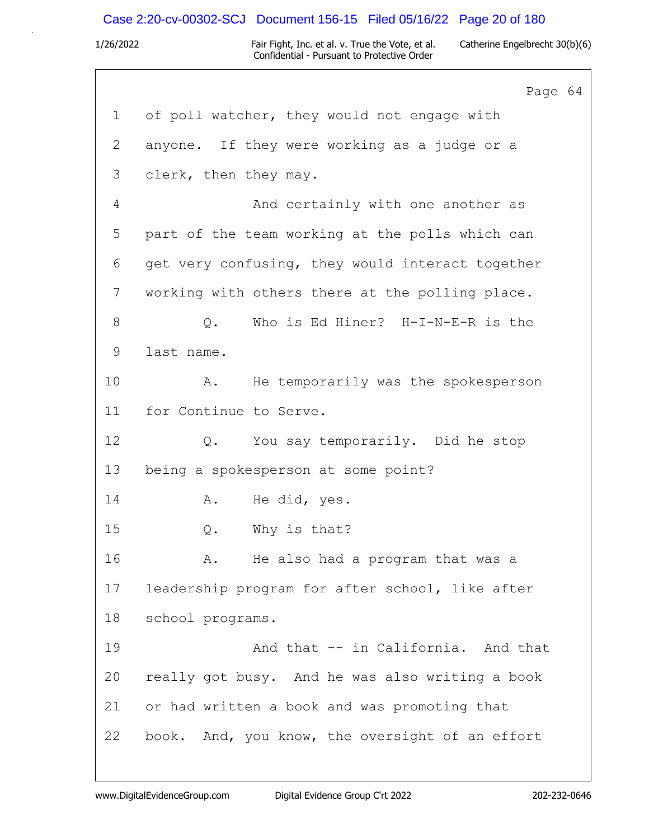### Case 2:20-cv-00302-SCJ Document 156-15 Filed 05/16/22 Page 20 of 180

1/26/2022 Fair Fight, Inc. et al. v. True the Vote, et al. Catherine Engelbrecht 30(b)(6) Confidential - Pursuant to Protective Order

Page 64 1 of poll watcher, they would not engage with 2 anyone. If they were working as a judge or a 3 clerk, then they may. 4 And certainly with one another as 5 part of the team working at the polls which can 6 get very confusing, they would interact together 7 working with others there at the polling place. 8 Q. Who is Ed Hiner? H-I-N-E-R is the 9 last name. 10 A. He temporarily was the spokesperson 11 for Continue to Serve. 12 Q. You say temporarily. Did he stop 13 being a spokesperson at some point? 14 A. He did, yes. 15 Q. Why is that? 16 A. He also had a program that was a 17 leadership program for after school, like after 18 school programs. 19 And that -- in California. And that 20 really got busy. And he was also writing a book 21 or had written a book and was promoting that 22 book. And, you know, the oversight of an effort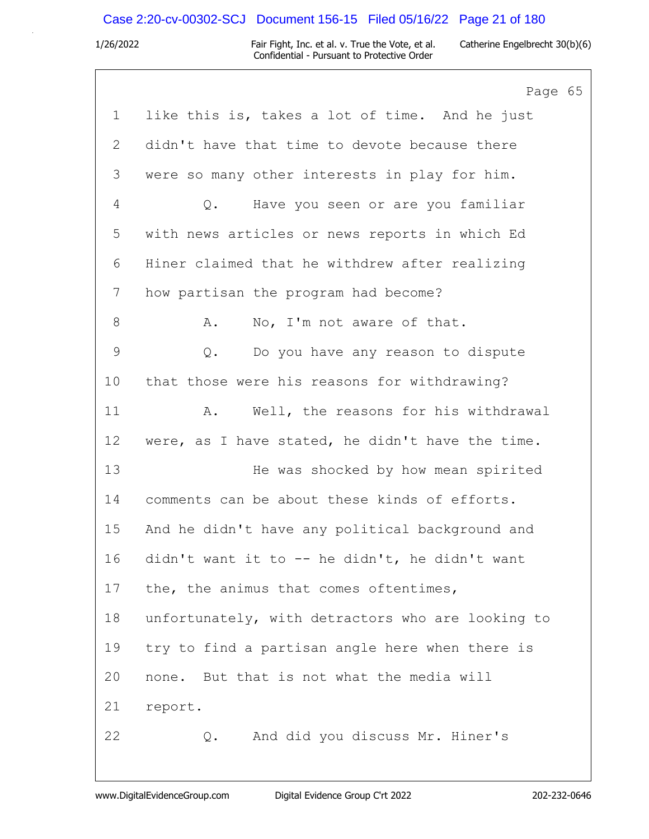# Case 2:20-cv-00302-SCJ Document 156-15 Filed 05/16/22 Page 21 of 180

|               | Page 65                                           |
|---------------|---------------------------------------------------|
| $\mathbf 1$   | like this is, takes a lot of time. And he just    |
| 2             | didn't have that time to devote because there     |
| 3             | were so many other interests in play for him.     |
| 4             | Have you seen or are you familiar<br>Q.           |
| 5             | with news articles or news reports in which Ed    |
| 6             | Hiner claimed that he withdrew after realizing    |
| 7             | how partisan the program had become?              |
| $\,8\,$       | No, I'm not aware of that.<br>Α.                  |
| $\mathcal{G}$ | Do you have any reason to dispute<br>Q.           |
| 10            | that those were his reasons for withdrawing?      |
| 11            | Well, the reasons for his withdrawal<br>A.        |
| 12            | were, as I have stated, he didn't have the time.  |
| 13            | He was shocked by how mean spirited               |
| 14            | comments can be about these kinds of efforts.     |
| 15            | And he didn't have any political background and   |
| 16            | didn't want it to -- he didn't, he didn't want    |
| 17            | the, the animus that comes oftentimes,            |
| 18            | unfortunately, with detractors who are looking to |
| 19            | try to find a partisan angle here when there is   |
| 20            | none. But that is not what the media will         |
| 21            | report.                                           |
| 22            | And did you discuss Mr. Hiner's<br>Q.             |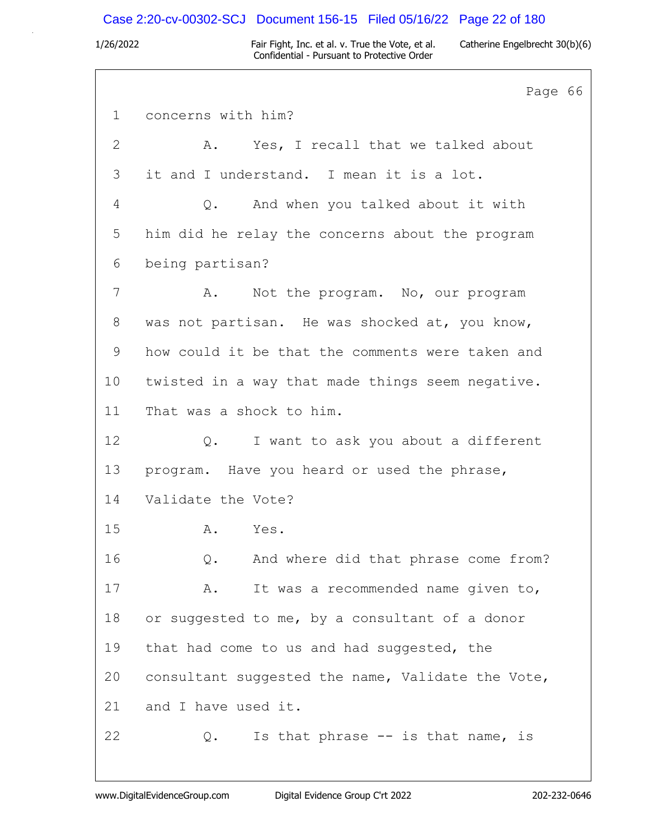## Case 2:20-cv-00302-SCJ Document 156-15 Filed 05/16/22 Page 22 of 180

1/26/2022 Fair Fight, Inc. et al. v. True the Vote, et al. Catherine Engelbrecht 30(b)(6) Confidential - Pursuant to Protective Order

Page 66 1 concerns with him? 2 A. Yes, I recall that we talked about 3 it and I understand. I mean it is a lot. 4 Q. And when you talked about it with 5 him did he relay the concerns about the program 6 being partisan? 7 A. Not the program. No, our program 8 was not partisan. He was shocked at, you know, 9 how could it be that the comments were taken and 10 twisted in a way that made things seem negative. 11 That was a shock to him. 12 Q. I want to ask you about a different 13 program. Have you heard or used the phrase, 14 Validate the Vote? 15 A. Yes. 16 Q. And where did that phrase come from? 17 A. It was a recommended name given to, 18 or suggested to me, by a consultant of a donor 19 that had come to us and had suggested, the 20 consultant suggested the name, Validate the Vote, 21 and I have used it. 22 Q. Is that phrase -- is that name, is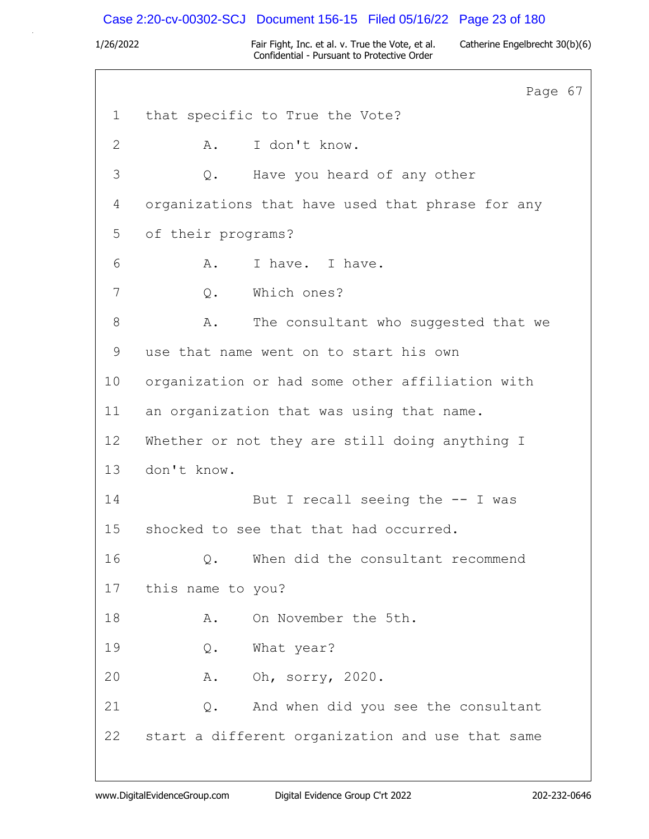## Case 2:20-cv-00302-SCJ Document 156-15 Filed 05/16/22 Page 23 of 180

1/26/2022 Fair Fight, Inc. et al. v. True the Vote, et al. Catherine Engelbrecht 30(b)(6) Confidential - Pursuant to Protective Order

Page 67 1 that specific to True the Vote? 2 A. I don't know. 3 Q. Have you heard of any other 4 organizations that have used that phrase for any 5 of their programs? 6 A. I have. I have. 7 Q. Which ones? 8 A. The consultant who suggested that we 9 use that name went on to start his own 10 organization or had some other affiliation with 11 an organization that was using that name. 12 Whether or not they are still doing anything I 13 don't know. 14 But I recall seeing the -- I was 15 shocked to see that that had occurred. 16 Q. When did the consultant recommend 17 this name to you? 18 A. On November the 5th. 19 Q. What year? 20 A. Oh, sorry, 2020. 21 Q. And when did you see the consultant 22 start a different organization and use that same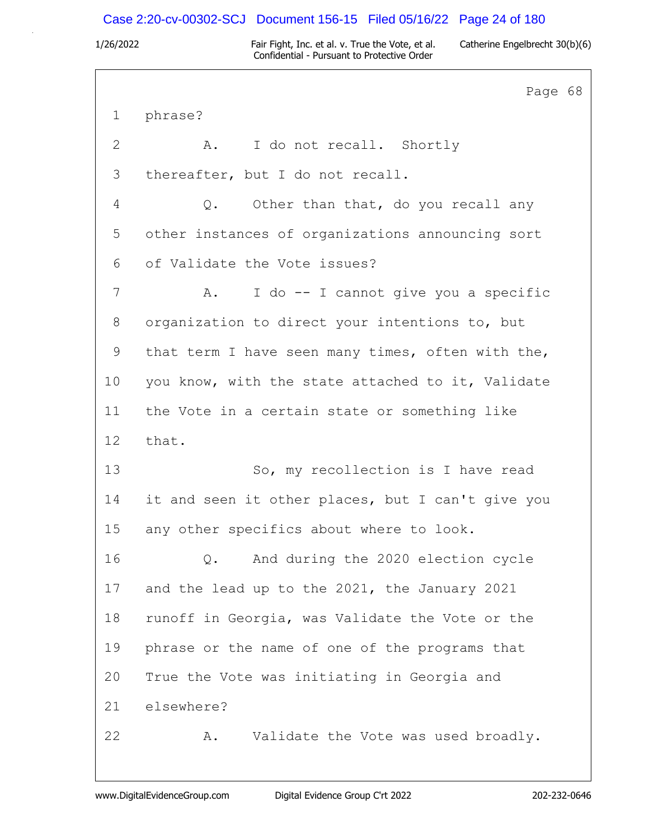## Case 2:20-cv-00302-SCJ Document 156-15 Filed 05/16/22 Page 24 of 180

1/26/2022 Fair Fight, Inc. et al. v. True the Vote, et al. Catherine Engelbrecht 30(b)(6) Confidential - Pursuant to Protective Order

Page 68 1 phrase? 2 A. I do not recall. Shortly 3 thereafter, but I do not recall. 4 Q. Other than that, do you recall any 5 other instances of organizations announcing sort 6 of Validate the Vote issues? 7 A. I do -- I cannot give you a specific 8 organization to direct your intentions to, but 9 that term I have seen many times, often with the, 10 you know, with the state attached to it, Validate 11 the Vote in a certain state or something like 12 that. 13 So, my recollection is I have read 14 it and seen it other places, but I can't give you 15 any other specifics about where to look. 16 Q. And during the 2020 election cycle 17 and the lead up to the 2021, the January 2021 18 runoff in Georgia, was Validate the Vote or the 19 phrase or the name of one of the programs that 20 True the Vote was initiating in Georgia and 21 elsewhere? 22 A. Validate the Vote was used broadly.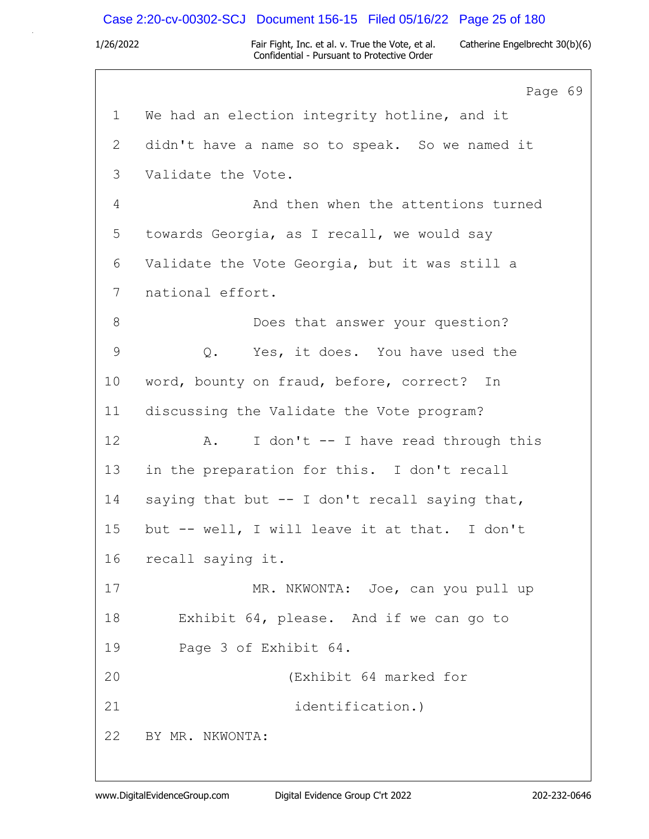## Case 2:20-cv-00302-SCJ Document 156-15 Filed 05/16/22 Page 25 of 180

1/26/2022 Fair Fight, Inc. et al. v. True the Vote, et al. Catherine Engelbrecht 30(b)(6) Confidential - Pursuant to Protective Order

Page 69 1 We had an election integrity hotline, and it 2 didn't have a name so to speak. So we named it 3 Validate the Vote. 4 And then when the attentions turned 5 towards Georgia, as I recall, we would say 6 Validate the Vote Georgia, but it was still a 7 national effort. 8 Does that answer your question? 9 0. Yes, it does. You have used the 10 word, bounty on fraud, before, correct? In 11 discussing the Validate the Vote program? 12 A. I don't -- I have read through this 13 in the preparation for this. I don't recall 14 saying that but -- I don't recall saying that, 15 but -- well, I will leave it at that. I don't 16 recall saying it. 17 MR. NKWONTA: Joe, can you pull up 18 Exhibit 64, please. And if we can go to 19 Page 3 of Exhibit 64. 20 (Exhibit 64 marked for 21 identification.) 22 BY MR. NKWONTA: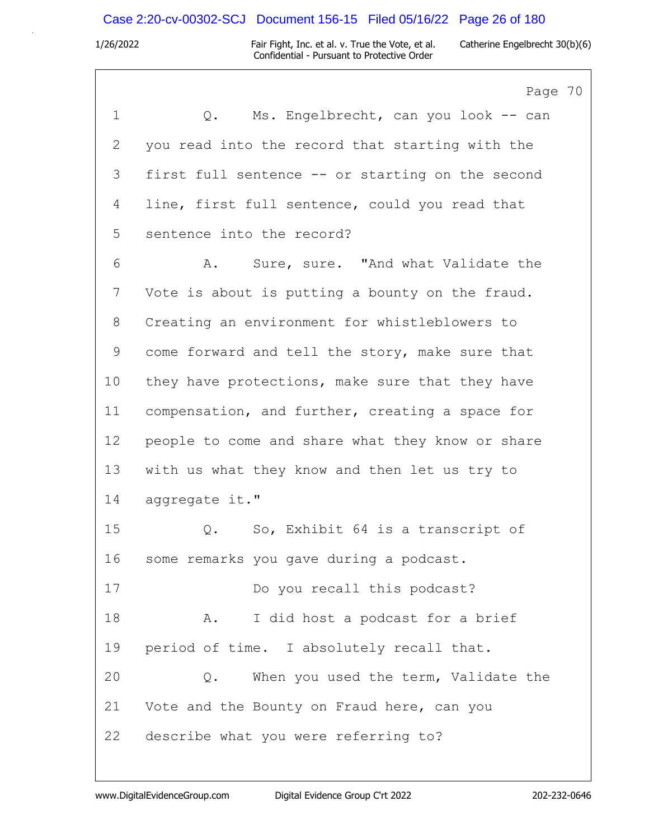### Case 2:20-cv-00302-SCJ Document 156-15 Filed 05/16/22 Page 26 of 180

1/26/2022 Fair Fight, Inc. et al. v. True the Vote, et al. Catherine Engelbrecht 30(b)(6) Confidential - Pursuant to Protective Order

Page 70 1 Q. Ms. Engelbrecht, can you look -- can 2 you read into the record that starting with the 3 first full sentence -- or starting on the second 4 line, first full sentence, could you read that 5 sentence into the record? 6 A. Sure, sure. "And what Validate the 7 Vote is about is putting a bounty on the fraud. 8 Creating an environment for whistleblowers to 9 come forward and tell the story, make sure that 10 they have protections, make sure that they have 11 compensation, and further, creating a space for 12 people to come and share what they know or share 13 with us what they know and then let us try to 14 aggregate it." 15 Q. So, Exhibit 64 is a transcript of 16 some remarks you gave during a podcast. 17 Do you recall this podcast? 18 A. I did host a podcast for a brief 19 period of time. I absolutely recall that. 20 Q. When you used the term, Validate the 21 Vote and the Bounty on Fraud here, can you 22 describe what you were referring to?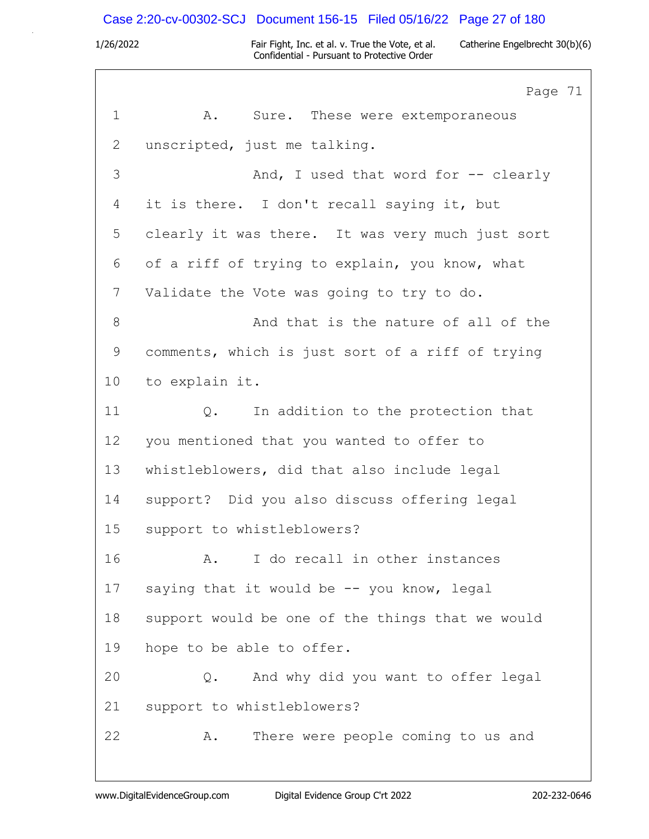# Case 2:20-cv-00302-SCJ Document 156-15 Filed 05/16/22 Page 27 of 180

|             | Page 71                                          |
|-------------|--------------------------------------------------|
| $\mathbf 1$ | Α.<br>Sure. These were extemporaneous            |
| 2           | unscripted, just me talking.                     |
| 3           | And, I used that word for -- clearly             |
| 4           | it is there. I don't recall saying it, but       |
| 5           | clearly it was there. It was very much just sort |
| 6           | of a riff of trying to explain, you know, what   |
| 7           | Validate the Vote was going to try to do.        |
| $8\,$       | And that is the nature of all of the             |
| 9           | comments, which is just sort of a riff of trying |
| 10          | to explain it.                                   |
| 11          | In addition to the protection that<br>$Q$ .      |
| 12          | you mentioned that you wanted to offer to        |
| 13          | whistleblowers, did that also include legal      |
| 14          | support? Did you also discuss offering legal     |
| 15          | support to whistleblowers?                       |
| 16          | I do recall in other instances<br>A <sub>z</sub> |
| 17          | saying that it would be -- you know, legal       |
| 18          | support would be one of the things that we would |
| 19          | hope to be able to offer.                        |
| 20          | And why did you want to offer legal<br>Q.        |
| 21          | support to whistleblowers?                       |
| 22          | There were people coming to us and<br>Α.         |
|             |                                                  |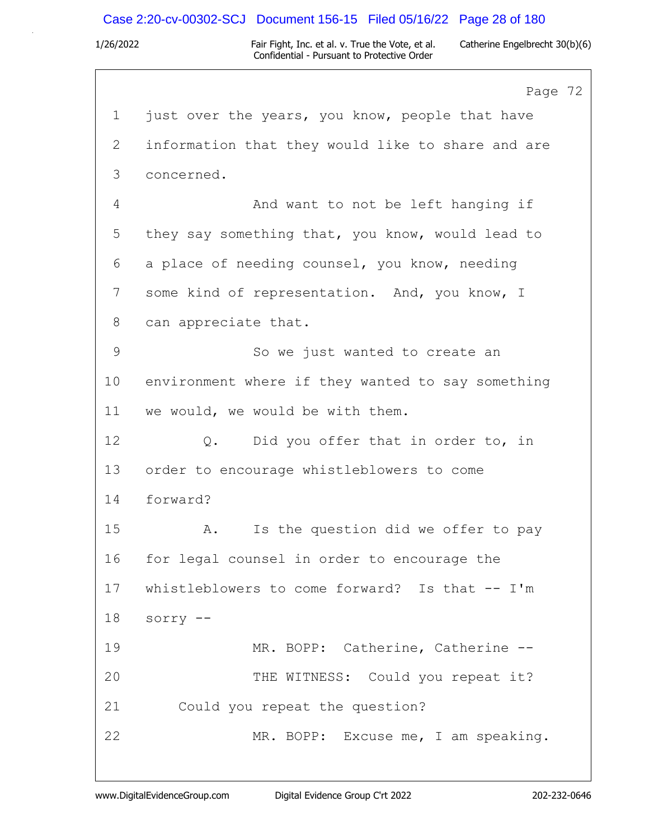### Case 2:20-cv-00302-SCJ Document 156-15 Filed 05/16/22 Page 28 of 180

1/26/2022 Fair Fight, Inc. et al. v. True the Vote, et al. Catherine Engelbrecht 30(b)(6) Confidential - Pursuant to Protective Order

Page 72 1 just over the years, you know, people that have 2 information that they would like to share and are 3 concerned. 4 And want to not be left hanging if 5 they say something that, you know, would lead to 6 a place of needing counsel, you know, needing 7 some kind of representation. And, you know, I 8 can appreciate that. 9 So we just wanted to create an 10 environment where if they wanted to say something 11 we would, we would be with them. 12 Q. Did you offer that in order to, in 13 order to encourage whistleblowers to come 14 forward? 15 A. Is the question did we offer to pay 16 for legal counsel in order to encourage the 17 whistleblowers to come forward? Is that -- I'm 18 sorry -- 19 MR. BOPP: Catherine, Catherine -- 20 THE WITNESS: Could you repeat it? 21 Could you repeat the question? 22 MR. BOPP: Excuse me, I am speaking.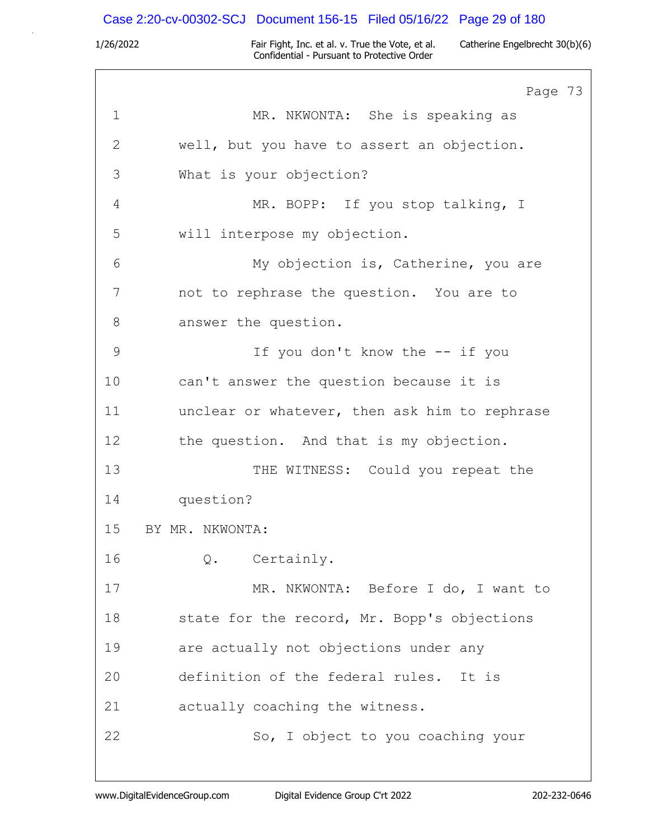# Case 2:20-cv-00302-SCJ Document 156-15 Filed 05/16/22 Page 29 of 180

|              | Page 73                                       |
|--------------|-----------------------------------------------|
| $\mathbf{1}$ | MR. NKWONTA: She is speaking as               |
| $\mathbf{2}$ | well, but you have to assert an objection.    |
| 3            | What is your objection?                       |
| 4            | MR. BOPP: If you stop talking, I              |
| 5            | will interpose my objection.                  |
| 6            | My objection is, Catherine, you are           |
| 7            | not to rephrase the question. You are to      |
| 8            | answer the question.                          |
| 9            | If you don't know the -- if you               |
| 10           | can't answer the question because it is       |
| 11           | unclear or whatever, then ask him to rephrase |
| 12           | the question. And that is my objection.       |
| 13           | THE WITNESS: Could you repeat the             |
| 14           | question?                                     |
| 15           | BY MR. NKWONTA:                               |
| 16           | Certainly.<br>Q.                              |
| 17           | MR. NKWONTA: Before I do, I want to           |
| 18           | state for the record, Mr. Bopp's objections   |
| 19           | are actually not objections under any         |
| 20           | definition of the federal rules. It is        |
| 21           | actually coaching the witness.                |
| 22           | So, I object to you coaching your             |
|              |                                               |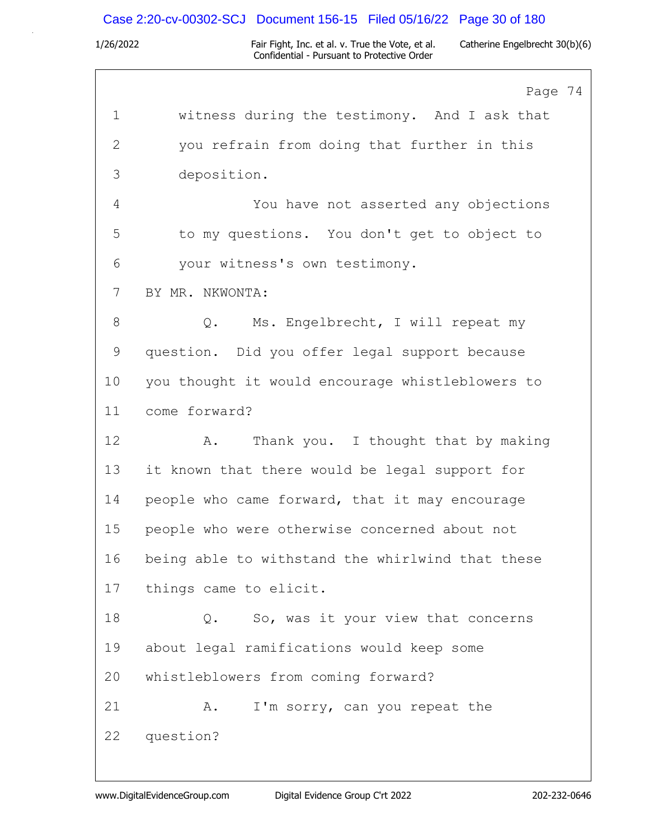# Case 2:20-cv-00302-SCJ Document 156-15 Filed 05/16/22 Page 30 of 180

|              | Page 74                                          |
|--------------|--------------------------------------------------|
| $\mathbf 1$  | witness during the testimony. And I ask that     |
| $\mathbf{2}$ | you refrain from doing that further in this      |
| 3            | deposition.                                      |
| 4            | You have not asserted any objections             |
| 5            | to my questions. You don't get to object to      |
| 6            | your witness's own testimony.                    |
| 7            | BY MR. NKWONTA:                                  |
| 8            | Ms. Engelbrecht, I will repeat my<br>$\circ$ .   |
| $\mathsf 9$  | question. Did you offer legal support because    |
| 10           | you thought it would encourage whistleblowers to |
| 11           | come forward?                                    |
| 12           | Thank you. I thought that by making<br>Α.        |
| 13           | it known that there would be legal support for   |
| 14           | people who came forward, that it may encourage   |
| 15           | people who were otherwise concerned about not    |
| 16           | being able to withstand the whirlwind that these |
| 17           | things came to elicit.                           |
| 18           | So, was it your view that concerns<br>Q.         |
| 19           | about legal ramifications would keep some        |
| 20           | whistleblowers from coming forward?              |
| 21           | I'm sorry, can you repeat the<br>Α.              |
| 22           | question?                                        |
|              |                                                  |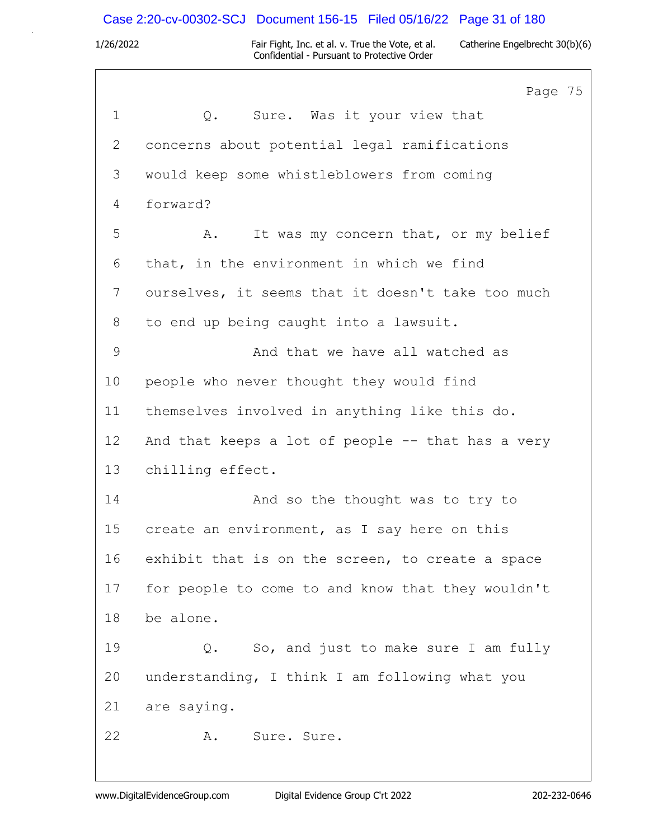### Case 2:20-cv-00302-SCJ Document 156-15 Filed 05/16/22 Page 31 of 180

1/26/2022 Fair Fight, Inc. et al. v. True the Vote, et al. Catherine Engelbrecht 30(b)(6) Confidential - Pursuant to Protective Order

Page 75 1 Q. Sure. Was it your view that 2 concerns about potential legal ramifications 3 would keep some whistleblowers from coming 4 forward? 5 A. It was my concern that, or my belief 6 that, in the environment in which we find 7 ourselves, it seems that it doesn't take too much 8 to end up being caught into a lawsuit. 9 And that we have all watched as 10 people who never thought they would find 11 themselves involved in anything like this do. 12 And that keeps a lot of people -- that has a very 13 chilling effect. 14 And so the thought was to try to 15 create an environment, as I say here on this 16 exhibit that is on the screen, to create a space 17 for people to come to and know that they wouldn't 18 be alone. 19 Q. So, and just to make sure I am fully 20 understanding, I think I am following what you 21 are saying. 22 A. Sure. Sure.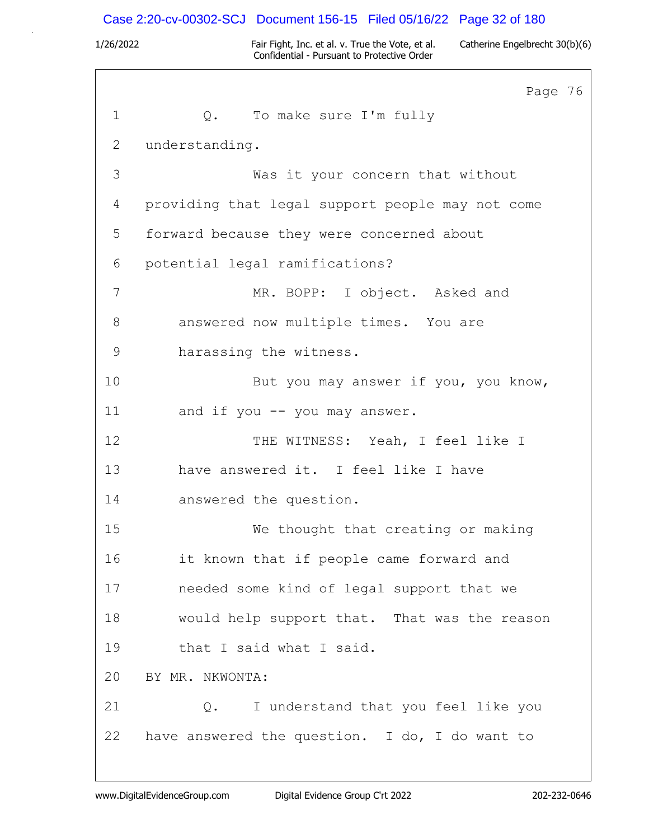### Case 2:20-cv-00302-SCJ Document 156-15 Filed 05/16/22 Page 32 of 180

1/26/2022 Fair Fight, Inc. et al. v. True the Vote, et al. Catherine Engelbrecht 30(b)(6) Confidential - Pursuant to Protective Order

Page 76 1 Q. To make sure I'm fully 2 understanding. 3 Was it your concern that without 4 providing that legal support people may not come 5 forward because they were concerned about 6 potential legal ramifications? 7 MR. BOPP: I object. Asked and 8 answered now multiple times. You are 9 harassing the witness. 10 But you may answer if you, you know, 11 and if you -- you may answer. 12 THE WITNESS: Yeah, I feel like I 13 have answered it. I feel like I have 14 answered the question. 15 We thought that creating or making 16 it known that if people came forward and 17 needed some kind of legal support that we 18 would help support that. That was the reason 19 that I said what I said. 20 BY MR. NKWONTA: 21 Q. I understand that you feel like you 22 have answered the question. I do, I do want to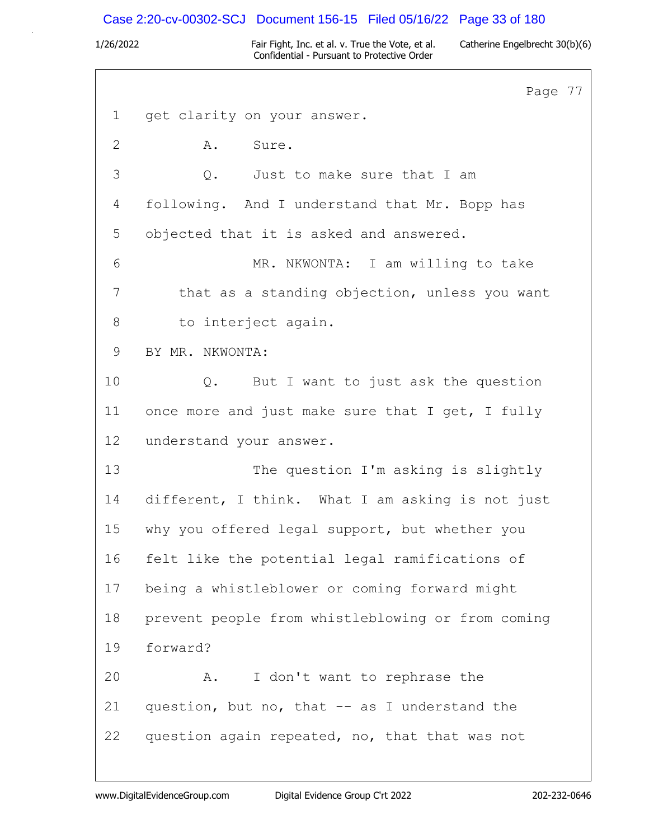## Case 2:20-cv-00302-SCJ Document 156-15 Filed 05/16/22 Page 33 of 180

1/26/2022 Fair Fight, Inc. et al. v. True the Vote, et al. Catherine Engelbrecht 30(b)(6) Confidential - Pursuant to Protective Order

Page 77 1 get clarity on your answer. 2 A. Sure. 3 Q. Just to make sure that I am 4 following. And I understand that Mr. Bopp has 5 objected that it is asked and answered. 6 MR. NKWONTA: I am willing to take 7 that as a standing objection, unless you want 8 to interject again. 9 BY MR. NKWONTA: 10 Q. But I want to just ask the question 11 once more and just make sure that I get, I fully 12 understand your answer. 13 The question I'm asking is slightly 14 different, I think. What I am asking is not just 15 why you offered legal support, but whether you 16 felt like the potential legal ramifications of 17 being a whistleblower or coming forward might 18 prevent people from whistleblowing or from coming 19 forward? 20 A. I don't want to rephrase the 21 question, but no, that -- as I understand the 22 question again repeated, no, that that was not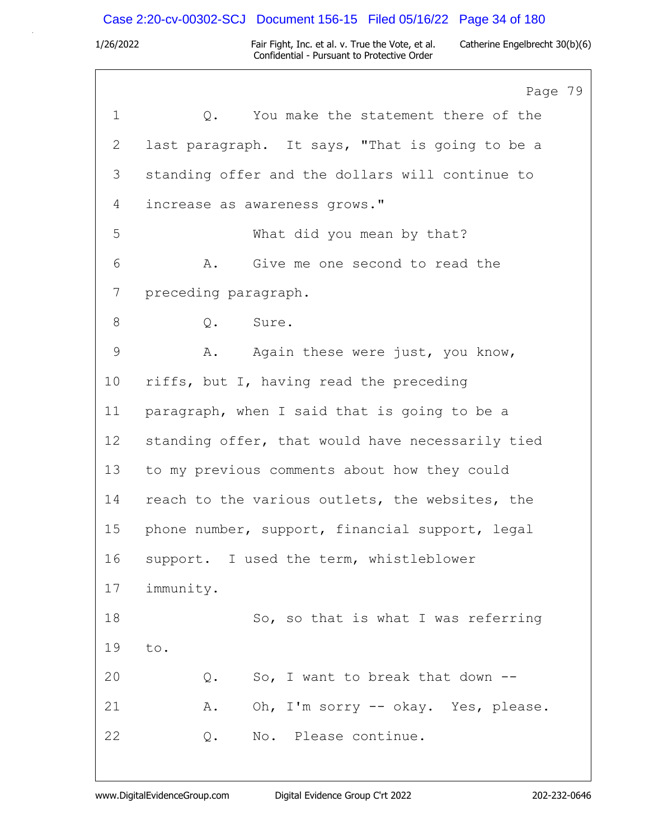# Case 2:20-cv-00302-SCJ Document 156-15 Filed 05/16/22 Page 34 of 180

|                 | Page 79                                          |
|-----------------|--------------------------------------------------|
| $\mathbf 1$     | You make the statement there of the<br>Q.        |
| 2               | last paragraph. It says, "That is going to be a  |
| 3               | standing offer and the dollars will continue to  |
| 4               | increase as awareness grows."                    |
| 5               | What did you mean by that?                       |
| 6               | A. Give me one second to read the                |
| 7               | preceding paragraph.                             |
| 8               | Q. Sure.                                         |
| 9               | Α.<br>Again these were just, you know,           |
| 10              | riffs, but I, having read the preceding          |
| 11              | paragraph, when I said that is going to be a     |
| 12 <sup>°</sup> | standing offer, that would have necessarily tied |
| 13              | to my previous comments about how they could     |
| 14              | reach to the various outlets, the websites, the  |
| 15              | phone number, support, financial support, legal  |
| 16              | support. I used the term, whistleblower          |
| 17              | immunity.                                        |
| 18              | So, so that is what I was referring              |
| 19              | to.                                              |
| 20              | $Q$ .<br>So, I want to break that down --        |
| 21              | Oh, I'm sorry -- okay. Yes, please.<br>Α.        |
| 22              | No. Please continue.<br>Q.                       |
|                 |                                                  |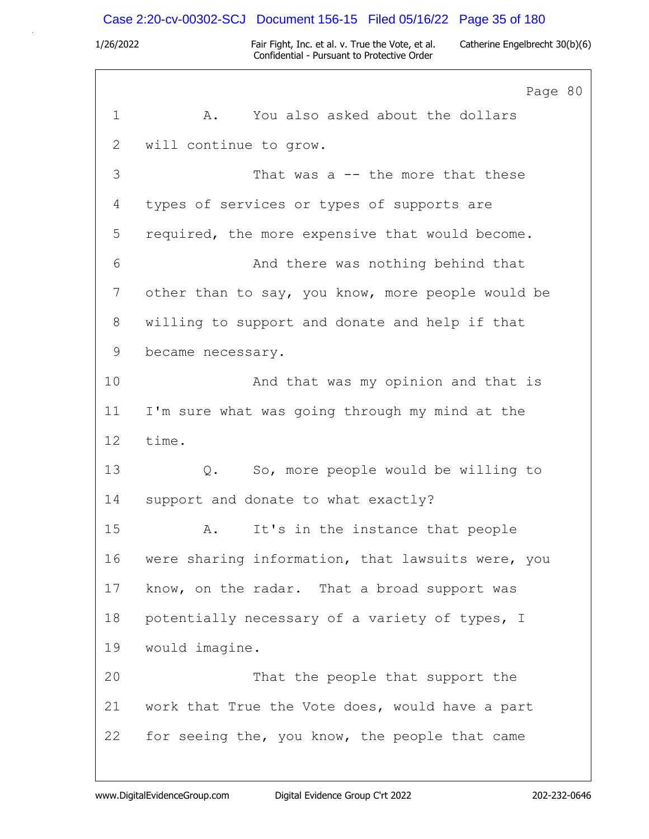### Case 2:20-cv-00302-SCJ Document 156-15 Filed 05/16/22 Page 35 of 180

1/26/2022 Fair Fight, Inc. et al. v. True the Vote, et al. Catherine Engelbrecht 30(b)(6) Confidential - Pursuant to Protective Order

Page 80 1 A. You also asked about the dollars 2 will continue to grow. 3 That was a -- the more that these 4 types of services or types of supports are 5 required, the more expensive that would become. 6 And there was nothing behind that 7 other than to say, you know, more people would be 8 willing to support and donate and help if that 9 became necessary. 10 And that was my opinion and that is 11 I'm sure what was going through my mind at the 12 time. 13 Q. So, more people would be willing to 14 support and donate to what exactly? 15 A. It's in the instance that people 16 were sharing information, that lawsuits were, you 17 know, on the radar. That a broad support was 18 potentially necessary of a variety of types, I 19 would imagine. 20 That the people that support the 21 work that True the Vote does, would have a part 22 for seeing the, you know, the people that came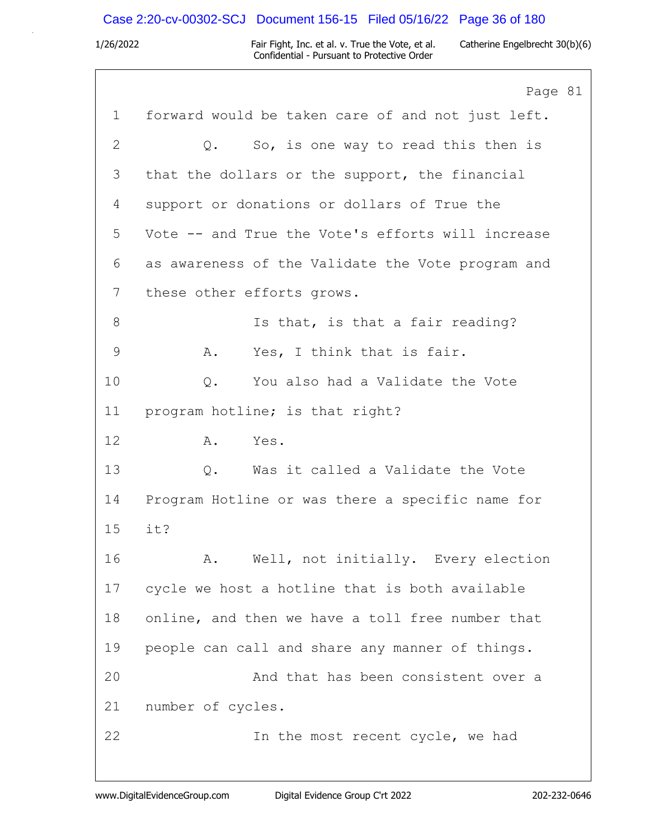# Case 2:20-cv-00302-SCJ Document 156-15 Filed 05/16/22 Page 36 of 180

|              | Page 81                                           |
|--------------|---------------------------------------------------|
| $\mathbf{1}$ | forward would be taken care of and not just left. |
| 2            | So, is one way to read this then is<br>$Q$ .      |
| 3            | that the dollars or the support, the financial    |
| 4            | support or donations or dollars of True the       |
| 5            | Vote -- and True the Vote's efforts will increase |
| 6            | as awareness of the Validate the Vote program and |
| 7            | these other efforts grows.                        |
| 8            | Is that, is that a fair reading?                  |
| 9            | Yes, I think that is fair.<br>Α.                  |
| 10           | You also had a Validate the Vote<br>Q.            |
| 11           | program hotline; is that right?                   |
| 12           | Yes.<br>Α.                                        |
| 13           | Was it called a Validate the Vote<br>Q.           |
| 14           | Program Hotline or was there a specific name for  |
| 15           | it?                                               |
| 16           | Well, not initially. Every election<br>Α.         |
| 17           | cycle we host a hotline that is both available    |
| 18           | online, and then we have a toll free number that  |
| 19           | people can call and share any manner of things.   |
| 20           | And that has been consistent over a               |
| 21           | number of cycles.                                 |
| 22           | In the most recent cycle, we had                  |
|              |                                                   |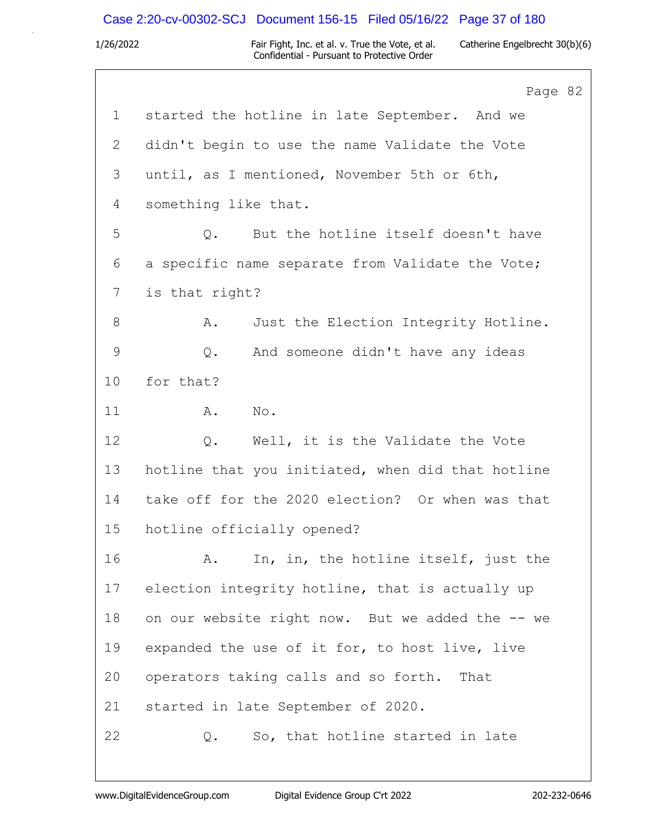## Case 2:20-cv-00302-SCJ Document 156-15 Filed 05/16/22 Page 37 of 180

|             | Page 82                                           |
|-------------|---------------------------------------------------|
| $\mathbf 1$ | started the hotline in late September. And we     |
| 2           | didn't begin to use the name Validate the Vote    |
| 3           | until, as I mentioned, November 5th or 6th,       |
| 4           | something like that.                              |
| 5           | But the hotline itself doesn't have<br>$\circ$ .  |
| 6           | a specific name separate from Validate the Vote;  |
| 7           | is that right?                                    |
| $8\,$       | Just the Election Integrity Hotline.<br>Α.        |
| $\mathsf 9$ | And someone didn't have any ideas<br>Q.           |
| 10          | for that?                                         |
| 11          | Α.<br>No.                                         |
| 12          | Well, it is the Validate the Vote<br>Q.           |
| 13          | hotline that you initiated, when did that hotline |
| 14          | take off for the 2020 election? Or when was that  |
| 15          | hotline officially opened?                        |
| 16          | In, in, the hotline itself, just the<br>Α.        |
| 17          | election integrity hotline, that is actually up   |
| 18          | on our website right now. But we added the -- we  |
| 19          | expanded the use of it for, to host live, live    |
| 20          | operators taking calls and so forth.<br>That      |
| 21          | started in late September of 2020.                |
| 22          | So, that hotline started in late<br>Q.            |
|             |                                                   |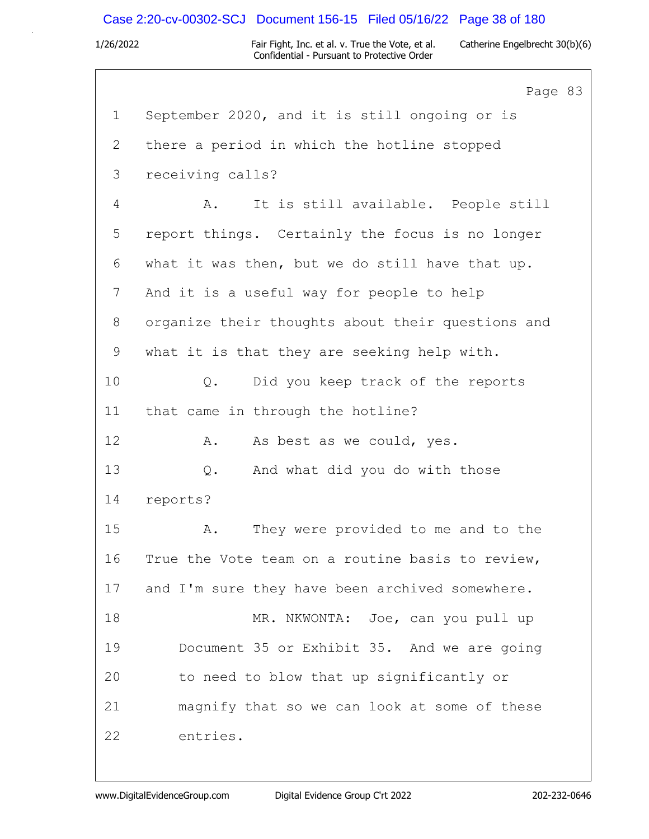## Case 2:20-cv-00302-SCJ Document 156-15 Filed 05/16/22 Page 38 of 180

|                | Page 83                                           |
|----------------|---------------------------------------------------|
| $\mathbf 1$    | September 2020, and it is still ongoing or is     |
| $\overline{2}$ | there a period in which the hotline stopped       |
| 3              | receiving calls?                                  |
| 4              | It is still available. People still<br>Α.         |
| 5              | report things. Certainly the focus is no longer   |
| 6              | what it was then, but we do still have that up.   |
| 7              | And it is a useful way for people to help         |
| 8              | organize their thoughts about their questions and |
| 9              | what it is that they are seeking help with.       |
| 10             | Did you keep track of the reports<br>$Q$ .        |
| 11             | that came in through the hotline?                 |
| 12             | As best as we could, yes.<br>Α.                   |
| 13             | And what did you do with those<br>Q.              |
| 14             | reports?                                          |
| 15             | They were provided to me and to the<br>A.         |
| 16             | True the Vote team on a routine basis to review,  |
| 17             | and I'm sure they have been archived somewhere.   |
| 18             | MR. NKWONTA: Joe, can you pull up                 |
| 19             | Document 35 or Exhibit 35. And we are going       |
| 20             | to need to blow that up significantly or          |
| 21             | magnify that so we can look at some of these      |
| 22             | entries.                                          |
|                |                                                   |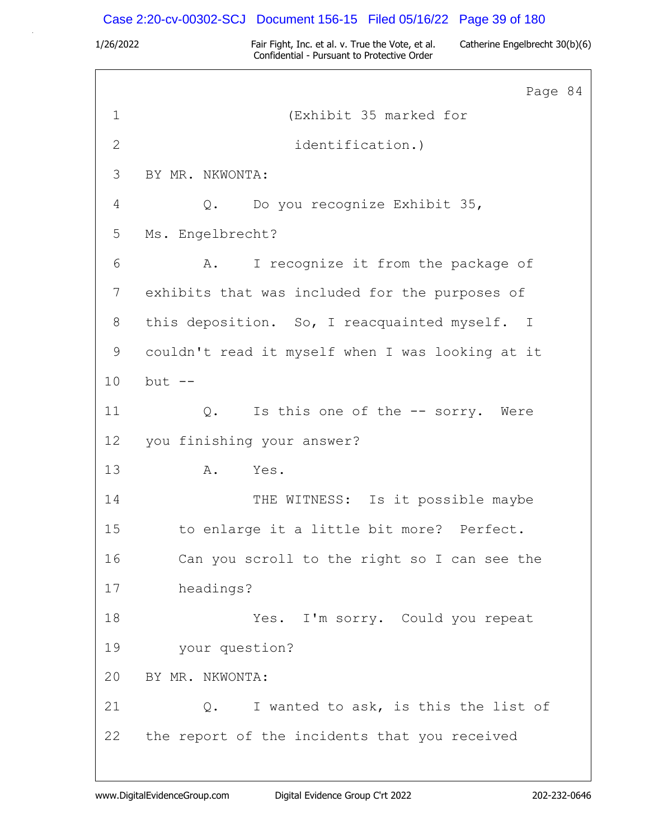### Case 2:20-cv-00302-SCJ Document 156-15 Filed 05/16/22 Page 39 of 180

1/26/2022 Fair Fight, Inc. et al. v. True the Vote, et al. Catherine Engelbrecht 30(b)(6) Confidential - Pursuant to Protective Order

Page 84 1 (Exhibit 35 marked for 2 identification.) 3 BY MR. NKWONTA: 4 Q. Do you recognize Exhibit 35, 5 Ms. Engelbrecht? 6 A. I recognize it from the package of 7 exhibits that was included for the purposes of 8 this deposition. So, I reacquainted myself. I 9 couldn't read it myself when I was looking at it 10 but -- 11 Q. Is this one of the -- sorry. Were 12 you finishing your answer? 13 A. Yes. 14 THE WITNESS: Is it possible maybe 15 to enlarge it a little bit more? Perfect. 16 Can you scroll to the right so I can see the 17 headings? 18 Yes. I'm sorry. Could you repeat 19 your question? 20 BY MR. NKWONTA: 21 Q. I wanted to ask, is this the list of 22 the report of the incidents that you received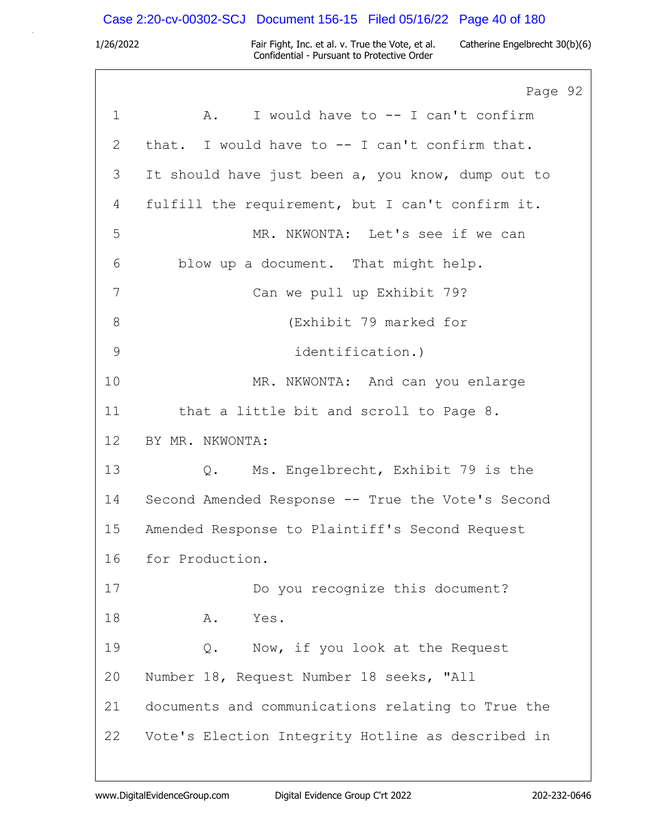## Case 2:20-cv-00302-SCJ Document 156-15 Filed 05/16/22 Page 40 of 180

|                 | Page 92                                           |
|-----------------|---------------------------------------------------|
| $\mathbf 1$     | I would have to -- I can't confirm<br>A.          |
| 2               | that. I would have to -- I can't confirm that.    |
| 3               | It should have just been a, you know, dump out to |
| 4               | fulfill the requirement, but I can't confirm it.  |
| 5               | MR. NKWONTA: Let's see if we can                  |
| 6               | blow up a document. That might help.              |
| 7               | Can we pull up Exhibit 79?                        |
| 8               | (Exhibit 79 marked for                            |
| 9               | identification.)                                  |
| 10              | MR. NKWONTA: And can you enlarge                  |
| 11              | that a little bit and scroll to Page 8.           |
| 12 <sup>°</sup> | BY MR. NKWONTA:                                   |
| 13              | Q. Ms. Engelbrecht, Exhibit 79 is the             |
| 14              | Second Amended Response -- True the Vote's Second |
| 15              | Amended Response to Plaintiff's Second Request    |
| 16              | for Production.                                   |
| 17              | Do you recognize this document?                   |
| 18              | Α.<br>Yes.                                        |
| 19              | Now, if you look at the Request<br>Q.             |
| 20              | Number 18, Request Number 18 seeks, "All          |
| 21              | documents and communications relating to True the |
| 22              | Vote's Election Integrity Hotline as described in |
|                 |                                                   |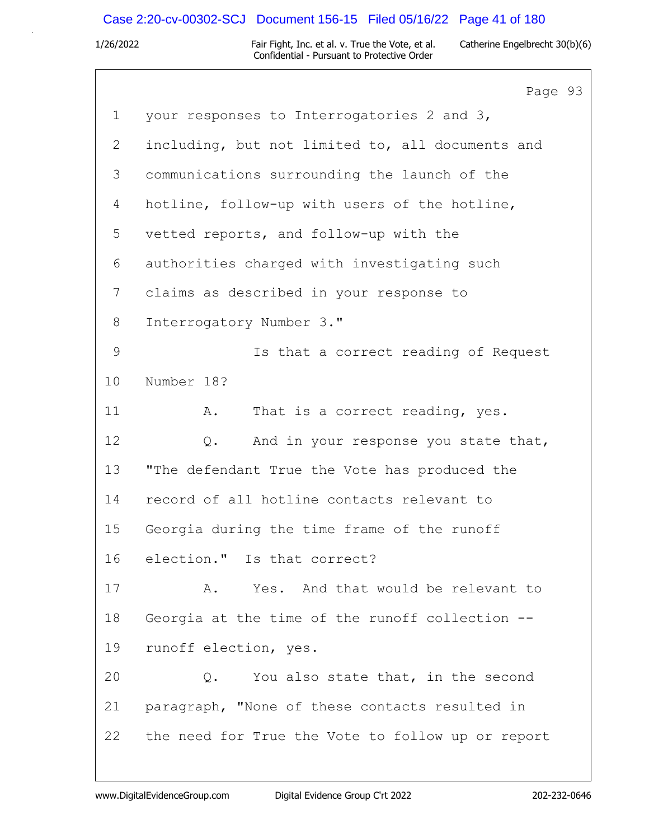## Case 2:20-cv-00302-SCJ Document 156-15 Filed 05/16/22 Page 41 of 180

|              | Page 93                                           |
|--------------|---------------------------------------------------|
| $\mathbf 1$  | your responses to Interrogatories 2 and 3,        |
| 2            | including, but not limited to, all documents and  |
| 3            | communications surrounding the launch of the      |
| 4            | hotline, follow-up with users of the hotline,     |
| 5            | vetted reports, and follow-up with the            |
| 6            | authorities charged with investigating such       |
| 7            | claims as described in your response to           |
| 8            | Interrogatory Number 3."                          |
| $\mathsf{9}$ | Is that a correct reading of Request              |
| 10           | Number 18?                                        |
| 11           | That is a correct reading, yes.<br>Α.             |
| 12           | And in your response you state that,<br>Q.        |
| 13           | "The defendant True the Vote has produced the     |
| 14           | record of all hotline contacts relevant to        |
| 15           | Georgia during the time frame of the runoff       |
| 16           | election." Is that correct?                       |
| 17           | Yes. And that would be relevant to<br>Α.          |
| 18           | Georgia at the time of the runoff collection --   |
| 19           | runoff election, yes.                             |
| 20           | You also state that, in the second<br>Q.          |
| 21           | paragraph, "None of these contacts resulted in    |
| 22           | the need for True the Vote to follow up or report |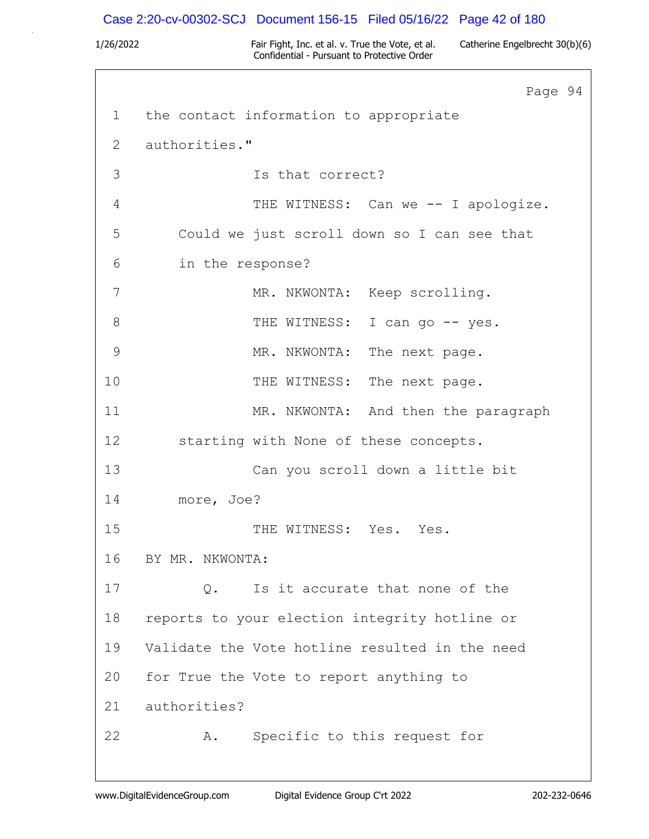## Case 2:20-cv-00302-SCJ Document 156-15 Filed 05/16/22 Page 42 of 180

|           |                  | Page 94                                        |  |
|-----------|------------------|------------------------------------------------|--|
| $1 \quad$ |                  | the contact information to appropriate         |  |
| 2         | authorities."    |                                                |  |
| 3         |                  | Is that correct?                               |  |
| 4         |                  | THE WITNESS: Can we -- I apologize.            |  |
| 5         |                  | Could we just scroll down so I can see that    |  |
| 6         | in the response? |                                                |  |
| 7         |                  | MR. NKWONTA: Keep scrolling.                   |  |
| 8         |                  | THE WITNESS: I can go -- yes.                  |  |
| 9         |                  | MR. NKWONTA: The next page.                    |  |
| 10        |                  | THE WITNESS: The next page.                    |  |
| 11        |                  | MR. NKWONTA: And then the paragraph            |  |
| 12        |                  | starting with None of these concepts.          |  |
| 13        |                  | Can you scroll down a little bit               |  |
| 14        | more, Joe?       |                                                |  |
| 15        |                  | THE WITNESS: Yes. Yes.                         |  |
| 16        | BY MR. NKWONTA:  |                                                |  |
| 17        | Q.               | Is it accurate that none of the                |  |
| 18        |                  | reports to your election integrity hotline or  |  |
| 19        |                  | Validate the Vote hotline resulted in the need |  |
| 20        |                  | for True the Vote to report anything to        |  |
| 21        | authorities?     |                                                |  |
| 22        | Α.               | Specific to this request for                   |  |
|           |                  |                                                |  |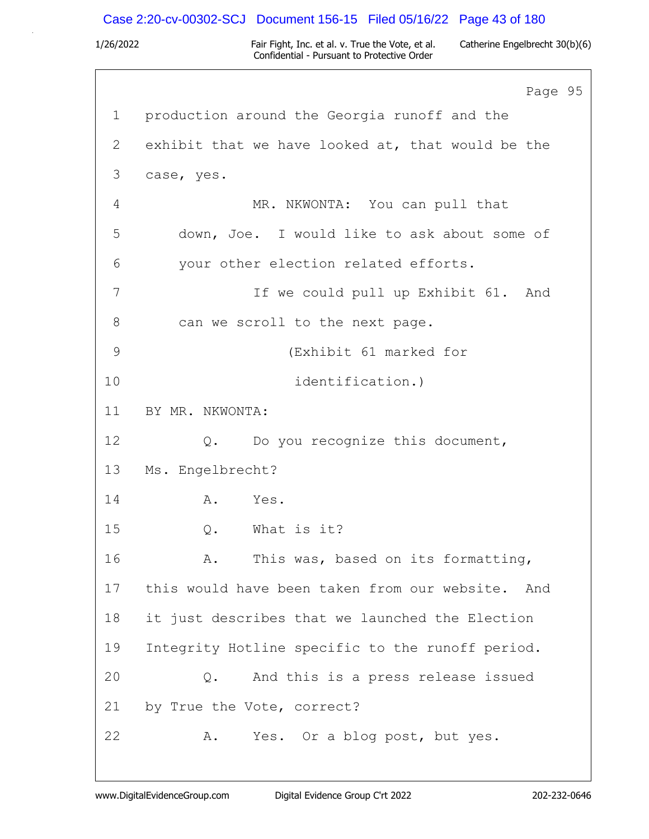## Case 2:20-cv-00302-SCJ Document 156-15 Filed 05/16/22 Page 43 of 180

|               | Page 95                                           |
|---------------|---------------------------------------------------|
| $\mathbf{1}$  | production around the Georgia runoff and the      |
| 2             | exhibit that we have looked at, that would be the |
| 3             | case, yes.                                        |
| 4             | MR. NKWONTA: You can pull that                    |
| 5             | down, Joe. I would like to ask about some of      |
| 6             | your other election related efforts.              |
| 7             | If we could pull up Exhibit 61. And               |
| 8             | can we scroll to the next page.                   |
| $\mathcal{G}$ | (Exhibit 61 marked for                            |
| 10            | identification.)                                  |
| 11            | BY MR. NKWONTA:                                   |
| 12            | Q. Do you recognize this document,                |
| 13            | Ms. Engelbrecht?                                  |
| 14            | A. Yes.                                           |
| 15            | $Q$ .<br>What is it?                              |
| 16            | Α.<br>This was, based on its formatting,          |
| 17            | this would have been taken from our website. And  |
| 18            | it just describes that we launched the Election   |
| 19            | Integrity Hotline specific to the runoff period.  |
| 20            | And this is a press release issued<br>Q.          |
| 21            | by True the Vote, correct?                        |
| 22            | Yes. Or a blog post, but yes.<br>Α.               |
|               |                                                   |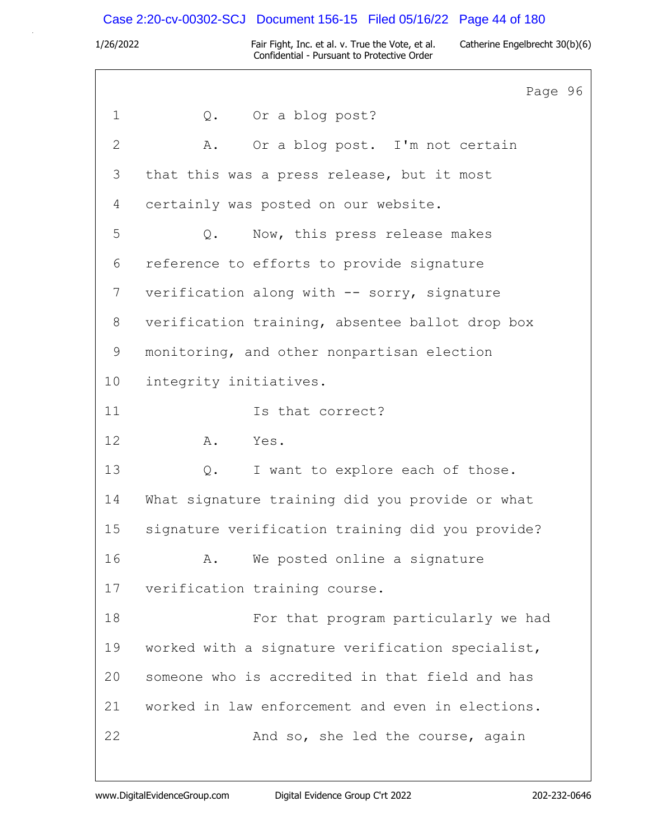## Case 2:20-cv-00302-SCJ Document 156-15 Filed 05/16/22 Page 44 of 180

|              | Page 96                                           |
|--------------|---------------------------------------------------|
| $\mathbf 1$  | Q. Or a blog post?                                |
| $\mathbf{2}$ | Or a blog post. I'm not certain<br>Α.             |
| 3            | that this was a press release, but it most        |
| 4            | certainly was posted on our website.              |
| 5            | Now, this press release makes<br>Q.               |
| 6            | reference to efforts to provide signature         |
| 7            | verification along with -- sorry, signature       |
| 8            | verification training, absentee ballot drop box   |
| 9            | monitoring, and other nonpartisan election        |
| 10           | integrity initiatives.                            |
| 11           | Is that correct?                                  |
| 12           | Yes.<br>A.                                        |
| 13           | I want to explore each of those.<br>$Q_{\bullet}$ |
| 14           | What signature training did you provide or what   |
| 15           | signature verification training did you provide?  |
| 16           | We posted online a signature<br>Α.                |
| 17           | verification training course.                     |
| 18           | For that program particularly we had              |
| 19           | worked with a signature verification specialist,  |
| 20           | someone who is accredited in that field and has   |
| 21           | worked in law enforcement and even in elections.  |
| 22           | And so, she led the course, again                 |
|              |                                                   |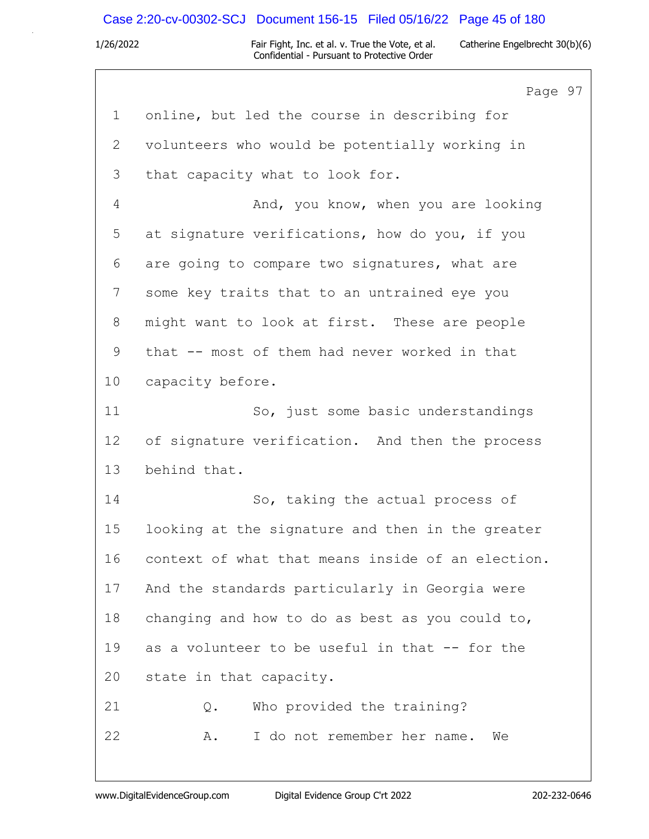## Case 2:20-cv-00302-SCJ Document 156-15 Filed 05/16/22 Page 45 of 180

|       | Page 97                                           |
|-------|---------------------------------------------------|
| 1     | online, but led the course in describing for      |
| 2     | volunteers who would be potentially working in    |
| 3     | that capacity what to look for.                   |
| 4     | And, you know, when you are looking               |
| 5     | at signature verifications, how do you, if you    |
| 6     | are going to compare two signatures, what are     |
| 7     | some key traits that to an untrained eye you      |
| $8\,$ | might want to look at first. These are people     |
| 9     | that -- most of them had never worked in that     |
| 10    | capacity before.                                  |
| 11    | So, just some basic understandings                |
| 12    | of signature verification. And then the process   |
| 13    | behind that.                                      |
| 14    | So, taking the actual process of                  |
| 15    | looking at the signature and then in the greater  |
| 16    | context of what that means inside of an election. |
| 17    | And the standards particularly in Georgia were    |
| 18    | changing and how to do as best as you could to,   |
| 19    | as a volunteer to be useful in that -- for the    |
| 20    | state in that capacity.                           |
| 21    | Who provided the training?<br>Q.                  |
| 22    | I do not remember her name.<br>We<br>Α.           |
|       |                                                   |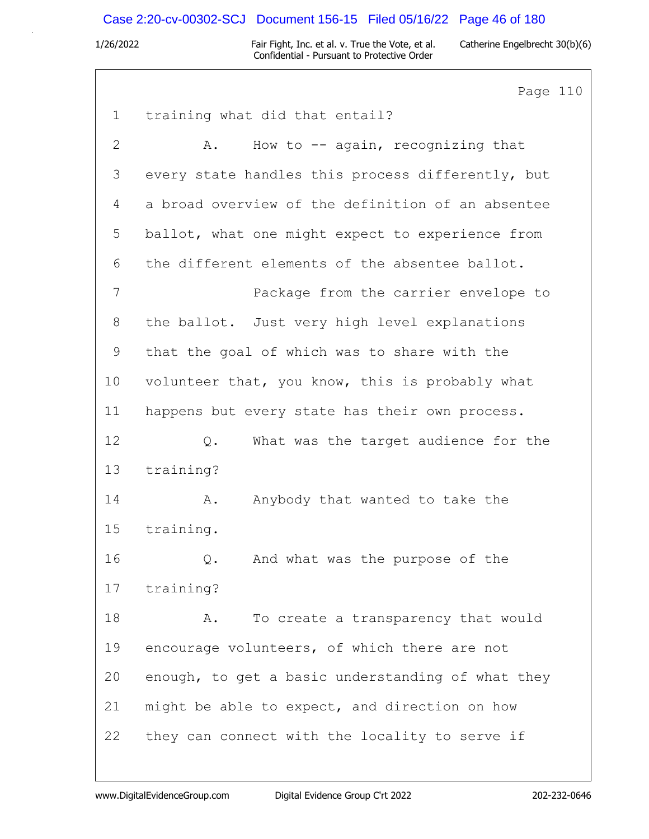### Case 2:20-cv-00302-SCJ Document 156-15 Filed 05/16/22 Page 46 of 180

1/26/2022 Fair Fight, Inc. et al. v. True the Vote, et al. Catherine Engelbrecht 30(b)(6) Confidential - Pursuant to Protective Order

Page 110 1 training what did that entail? 2 A. How to -- again, recognizing that 3 every state handles this process differently, but 4 a broad overview of the definition of an absentee 5 ballot, what one might expect to experience from 6 the different elements of the absentee ballot. 7 Package from the carrier envelope to 8 the ballot. Just very high level explanations 9 that the goal of which was to share with the 10 volunteer that, you know, this is probably what 11 happens but every state has their own process. 12 0. What was the target audience for the 13 training? 14 A. Anybody that wanted to take the 15 training. 16 Q. And what was the purpose of the 17 training? 18 A. To create a transparency that would 19 encourage volunteers, of which there are not 20 enough, to get a basic understanding of what they 21 might be able to expect, and direction on how 22 they can connect with the locality to serve if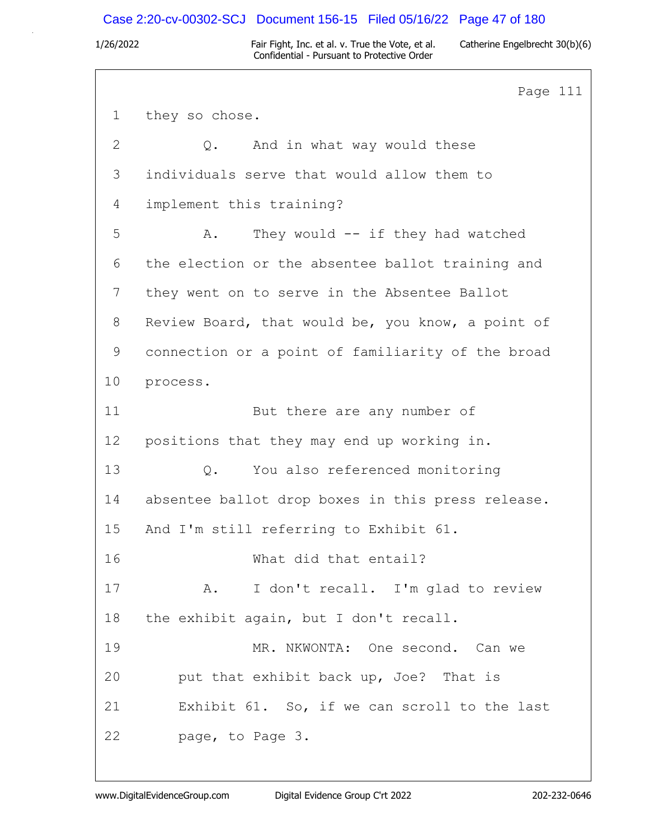### Case 2:20-cv-00302-SCJ Document 156-15 Filed 05/16/22 Page 47 of 180

1/26/2022 Fair Fight, Inc. et al. v. True the Vote, et al. Catherine Engelbrecht 30(b)(6) Confidential - Pursuant to Protective Order

Page 111 1 they so chose. 2 Q. And in what way would these 3 individuals serve that would allow them to 4 implement this training? 5 A. They would -- if they had watched 6 the election or the absentee ballot training and 7 they went on to serve in the Absentee Ballot 8 Review Board, that would be, you know, a point of 9 connection or a point of familiarity of the broad 10 process. 11 But there are any number of 12 positions that they may end up working in. 13 Q. You also referenced monitoring 14 absentee ballot drop boxes in this press release. 15 And I'm still referring to Exhibit 61. 16 What did that entail? 17 A. I don't recall. I'm glad to review 18 the exhibit again, but I don't recall. 19 MR. NKWONTA: One second. Can we 20 put that exhibit back up, Joe? That is 21 Exhibit 61. So, if we can scroll to the last 22 page, to Page 3.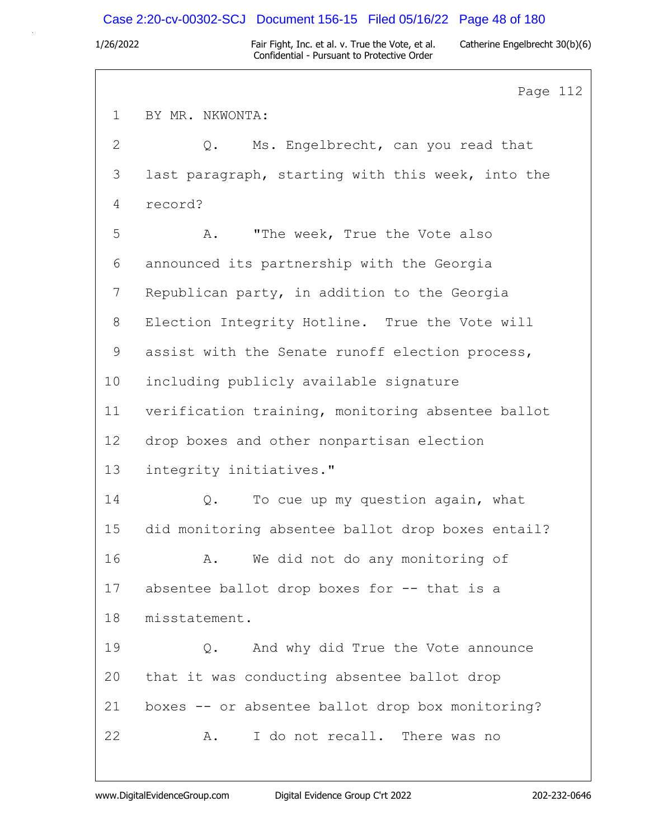### Case 2:20-cv-00302-SCJ Document 156-15 Filed 05/16/22 Page 48 of 180

1/26/2022 Fair Fight, Inc. et al. v. True the Vote, et al. Catherine Engelbrecht 30(b)(6) Confidential - Pursuant to Protective Order

Page 112 1 BY MR. NKWONTA: 2 Q. Ms. Engelbrecht, can you read that 3 last paragraph, starting with this week, into the 4 record? 5 A. "The week, True the Vote also 6 announced its partnership with the Georgia 7 Republican party, in addition to the Georgia 8 Election Integrity Hotline. True the Vote will 9 assist with the Senate runoff election process, 10 including publicly available signature 11 verification training, monitoring absentee ballot 12 drop boxes and other nonpartisan election 13 integrity initiatives." 14 Q. To cue up my question again, what 15 did monitoring absentee ballot drop boxes entail? 16 A. We did not do any monitoring of 17 absentee ballot drop boxes for -- that is a 18 misstatement. 19 Q. And why did True the Vote announce 20 that it was conducting absentee ballot drop 21 boxes -- or absentee ballot drop box monitoring? 22 A. I do not recall. There was no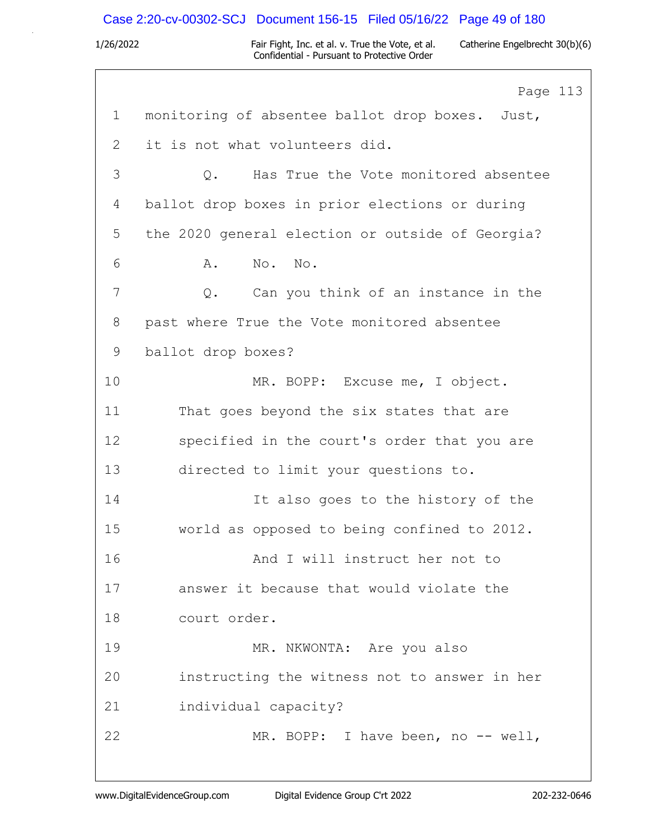### Case 2:20-cv-00302-SCJ Document 156-15 Filed 05/16/22 Page 49 of 180

1/26/2022 Fair Fight, Inc. et al. v. True the Vote, et al. Catherine Engelbrecht 30(b)(6) Confidential - Pursuant to Protective Order

Page 113 1 monitoring of absentee ballot drop boxes. Just, 2 it is not what volunteers did. 3 Q. Has True the Vote monitored absentee 4 ballot drop boxes in prior elections or during 5 the 2020 general election or outside of Georgia? 6 A. No. No. 7 Q. Can you think of an instance in the 8 past where True the Vote monitored absentee 9 ballot drop boxes? 10 MR. BOPP: Excuse me, I object. 11 That goes beyond the six states that are 12 specified in the court's order that you are 13 directed to limit your questions to. 14 It also goes to the history of the 15 world as opposed to being confined to 2012. 16 And I will instruct her not to 17 answer it because that would violate the 18 court order. 19 MR. NKWONTA: Are you also 20 instructing the witness not to answer in her 21 individual capacity? 22 MR. BOPP: I have been, no -- well,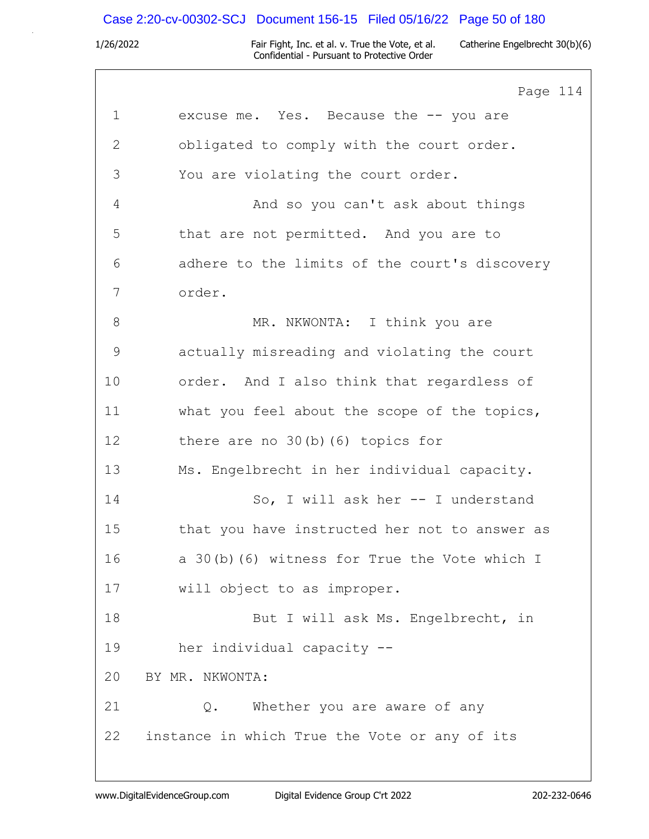## Case 2:20-cv-00302-SCJ Document 156-15 Filed 05/16/22 Page 50 of 180

|               | Page 114                                      |
|---------------|-----------------------------------------------|
| $\mathbf 1$   | excuse me. Yes. Because the -- you are        |
| $\mathbf{2}$  | obligated to comply with the court order.     |
| 3             | You are violating the court order.            |
| 4             | And so you can't ask about things             |
| 5             | that are not permitted. And you are to        |
| 6             | adhere to the limits of the court's discovery |
| 7             | order.                                        |
| 8             | MR. NKWONTA: I think you are                  |
| $\mathcal{G}$ | actually misreading and violating the court   |
| 10            | order. And I also think that regardless of    |
| 11            | what you feel about the scope of the topics,  |
| 12            | there are no $30(b)$ (6) topics for           |
| 13            | Ms. Engelbrecht in her individual capacity.   |
| 14            | So, I will ask her -- I understand            |
| 15            | that you have instructed her not to answer as |
| 16            | a 30(b)(6) witness for True the Vote which I  |
| 17            | will object to as improper.                   |
| 18            | But I will ask Ms. Engelbrecht, in            |
| 19            | her individual capacity --                    |
| 20            | BY MR. NKWONTA:                               |
| 21            | Whether you are aware of any<br>Q.            |
| 22            | instance in which True the Vote or any of its |
|               |                                               |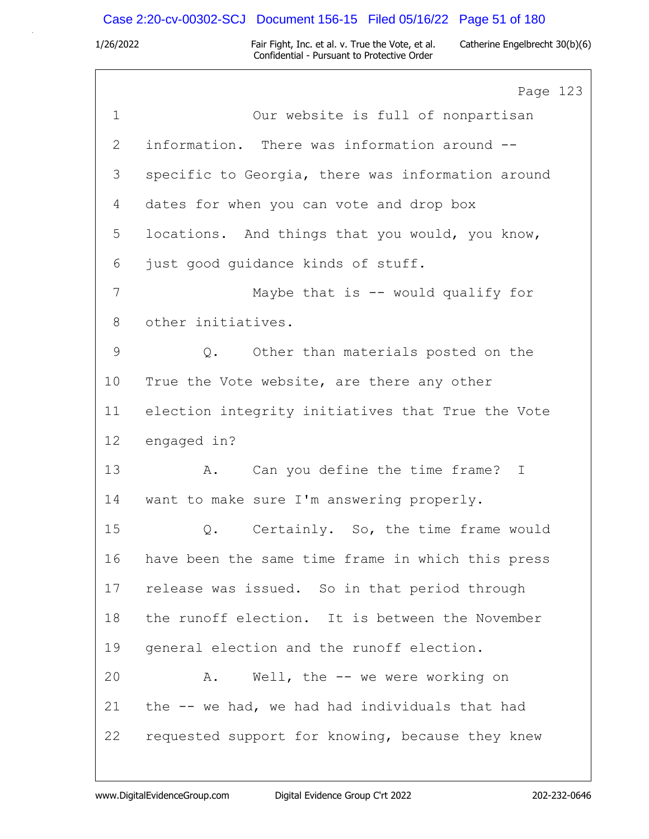# Case 2:20-cv-00302-SCJ Document 156-15 Filed 05/16/22 Page 51 of 180

|               | Page 123                                          |
|---------------|---------------------------------------------------|
| $\mathbf 1$   | Our website is full of nonpartisan                |
| $\mathbf{2}$  | information. There was information around --      |
| 3             | specific to Georgia, there was information around |
| 4             | dates for when you can vote and drop box          |
| 5             | locations. And things that you would, you know,   |
| 6             | just good guidance kinds of stuff.                |
| 7             | Maybe that is $--$ would qualify for              |
| 8             | other initiatives.                                |
| $\mathcal{G}$ | Q. Other than materials posted on the             |
| 10            | True the Vote website, are there any other        |
| 11            | election integrity initiatives that True the Vote |
| 12            | engaged in?                                       |
| 13            | Can you define the time frame? I<br>A.            |
| 14            | want to make sure I'm answering properly.         |
| 15            | Certainly. So, the time frame would<br>Q.         |
| 16            | have been the same time frame in which this press |
| 17            | release was issued. So in that period through     |
| 18            | the runoff election. It is between the November   |
| 19            | general election and the runoff election.         |
| 20            | Well, the $--$ we were working on<br>Α.           |
| 21            | the -- we had, we had had individuals that had    |
| 22            | requested support for knowing, because they knew  |
|               |                                                   |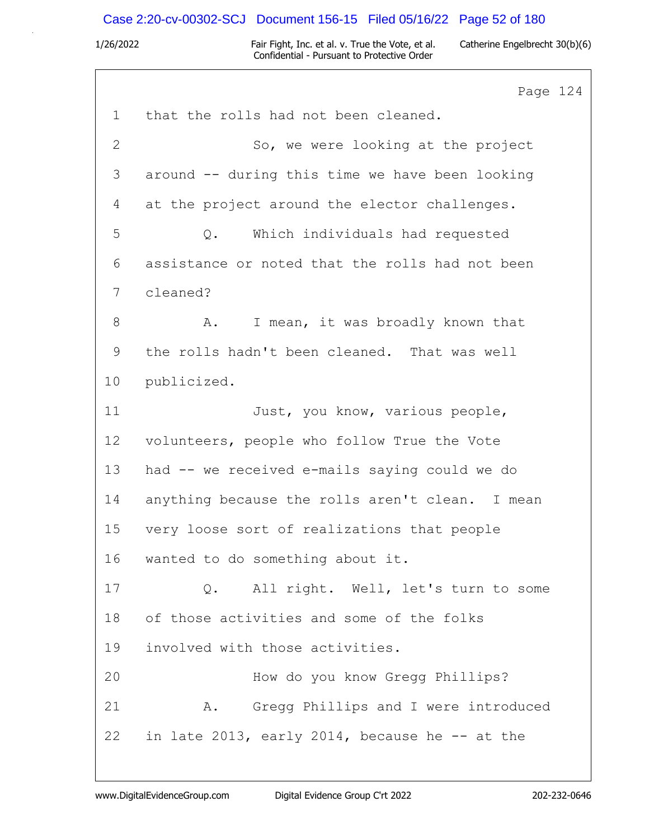# Case 2:20-cv-00302-SCJ Document 156-15 Filed 05/16/22 Page 52 of 180

|                | Page 124                                        |
|----------------|-------------------------------------------------|
| $\mathbf 1$    | that the rolls had not been cleaned.            |
| $\mathbf{2}$   | So, we were looking at the project              |
| $\mathfrak{Z}$ | around -- during this time we have been looking |
| 4              | at the project around the elector challenges.   |
| 5              | Which individuals had requested<br>Q.           |
| 6              | assistance or noted that the rolls had not been |
| 7              | cleaned?                                        |
| $8\,$          | I mean, it was broadly known that<br>Α.         |
| 9              | the rolls hadn't been cleaned. That was well    |
| 10             | publicized.                                     |
| 11             | Just, you know, various people,                 |
| 12             | volunteers, people who follow True the Vote     |
| 13             | had -- we received e-mails saying could we do   |
| 14             | anything because the rolls aren't clean. I mean |
| 15             | very loose sort of realizations that people     |
| 16             | wanted to do something about it.                |
| 17             | Q. All right. Well, let's turn to some          |
| 18             | of those activities and some of the folks       |
| 19             | involved with those activities.                 |
| 20             | How do you know Gregg Phillips?                 |
| 21             | A. Gregg Phillips and I were introduced         |
| 22             | in late 2013, early 2014, because he $-$ at the |
|                |                                                 |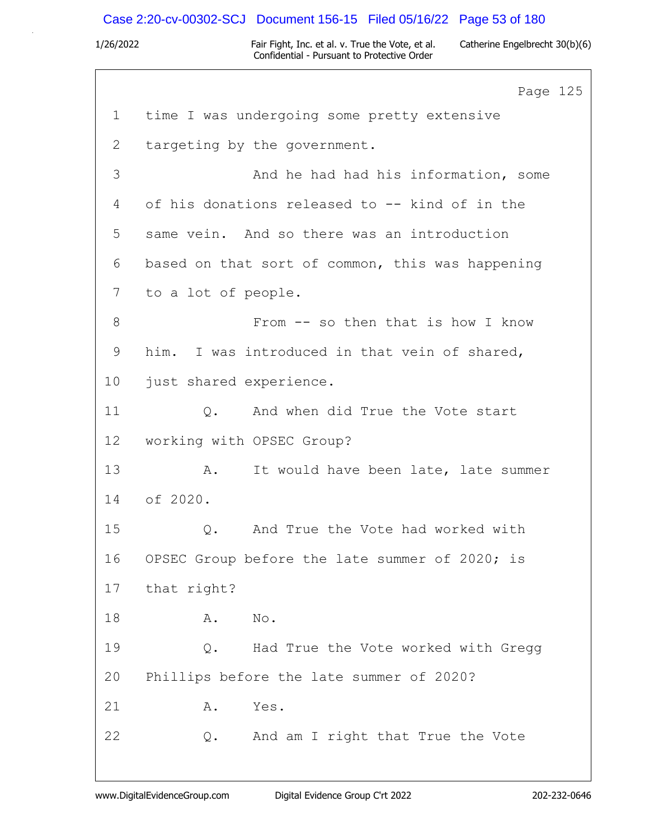# Case 2:20-cv-00302-SCJ Document 156-15 Filed 05/16/22 Page 53 of 180

|                 | Page 125                                         |
|-----------------|--------------------------------------------------|
| $\mathbf{1}$    | time I was undergoing some pretty extensive      |
| $\mathbf{2}$    | targeting by the government.                     |
| 3               | And he had had his information, some             |
| 4               | of his donations released to -- kind of in the   |
| 5               | same vein. And so there was an introduction      |
| 6               | based on that sort of common, this was happening |
| 7               | to a lot of people.                              |
| 8               | From -- so then that is how I know               |
| 9               | him. I was introduced in that vein of shared,    |
| 10              | just shared experience.                          |
| 11              | Q. And when did True the Vote start              |
| 12 <sup>°</sup> | working with OPSEC Group?                        |
| 13              | Α.<br>It would have been late, late summer       |
| 14              | of 2020.                                         |
| 15              | And True the Vote had worked with<br>Q.          |
| 16              | OPSEC Group before the late summer of 2020; is   |
| 17              | that right?                                      |
| 18              | Α.<br>No.                                        |
| 19              | Had True the Vote worked with Gregg<br>Q.        |
| 20              | Phillips before the late summer of 2020?         |
| 21              | Yes.<br>Α.                                       |
| 22              | And am I right that True the Vote<br>Q.          |
|                 |                                                  |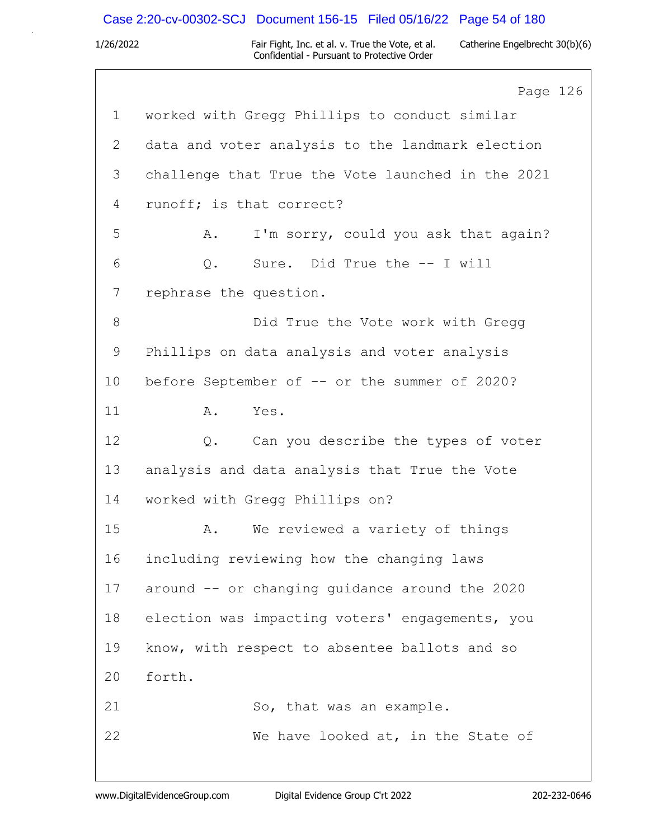## Case 2:20-cv-00302-SCJ Document 156-15 Filed 05/16/22 Page 54 of 180

|                 | Page 126                                          |  |
|-----------------|---------------------------------------------------|--|
| $\mathbf{1}$    | worked with Gregg Phillips to conduct similar     |  |
| 2               | data and voter analysis to the landmark election  |  |
| 3               | challenge that True the Vote launched in the 2021 |  |
| 4               | runoff; is that correct?                          |  |
| 5               | I'm sorry, could you ask that again?<br>Α.        |  |
| 6               | Sure. Did True the -- I will<br>$Q$ .             |  |
| 7               | rephrase the question.                            |  |
| 8               | Did True the Vote work with Gregg                 |  |
| 9               | Phillips on data analysis and voter analysis      |  |
| 10 <sub>o</sub> | before September of -- or the summer of 2020?     |  |
| 11              | Yes.<br>Α.                                        |  |
| 12              | Can you describe the types of voter<br>Q.         |  |
| 13              | analysis and data analysis that True the Vote     |  |
| 14              | worked with Gregg Phillips on?                    |  |
| 15              | We reviewed a variety of things<br>Α.             |  |
| 16              | including reviewing how the changing laws         |  |
| 17              | around -- or changing guidance around the 2020    |  |
| 18              | election was impacting voters' engagements, you   |  |
| 19              | know, with respect to absentee ballots and so     |  |
| 20              | forth.                                            |  |
| 21              | So, that was an example.                          |  |
| 22              | We have looked at, in the State of                |  |
|                 |                                                   |  |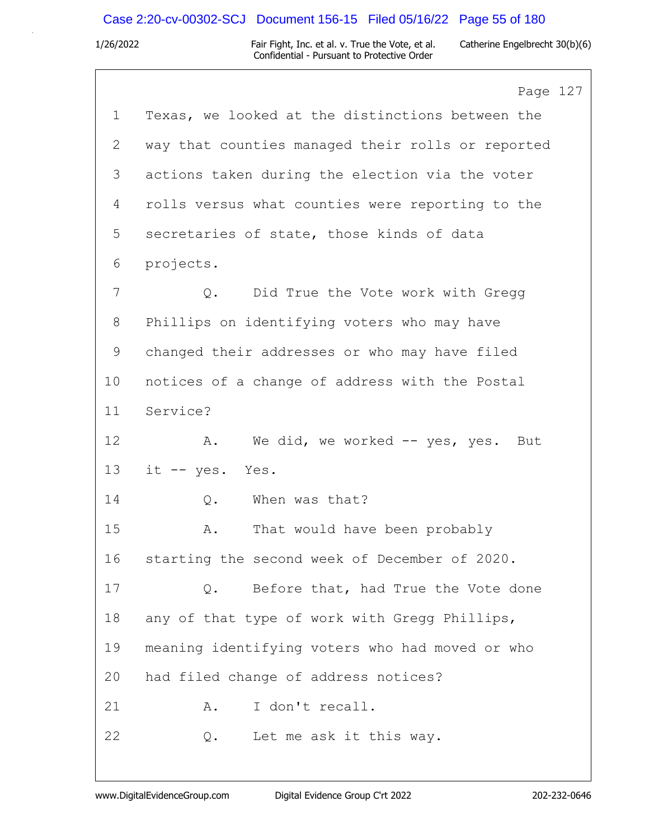## Case 2:20-cv-00302-SCJ Document 156-15 Filed 05/16/22 Page 55 of 180

|             | Page 127                                          |
|-------------|---------------------------------------------------|
| $\mathbf 1$ | Texas, we looked at the distinctions between the  |
| 2           | way that counties managed their rolls or reported |
| 3           | actions taken during the election via the voter   |
| 4           | rolls versus what counties were reporting to the  |
| 5           | secretaries of state, those kinds of data         |
| 6           | projects.                                         |
| 7           | Did True the Vote work with Gregg<br>Q.           |
| 8           | Phillips on identifying voters who may have       |
| 9           | changed their addresses or who may have filed     |
| 10          | notices of a change of address with the Postal    |
| 11          | Service?                                          |
| 12          | We did, we worked -- yes, yes. But<br>Α.          |
| 13          | it -- yes. Yes.                                   |
| 14          | When was that?<br>Q.                              |
| 15          | That would have been probably<br>Α.               |
| 16          | starting the second week of December of 2020.     |
| 17          | Before that, had True the Vote done<br>Q.         |
| 18          | any of that type of work with Gregg Phillips,     |
| 19          | meaning identifying voters who had moved or who   |
| 20          | had filed change of address notices?              |
| 21          | I don't recall.<br>Α.                             |
| 22          | Let me ask it this way.<br>Q.                     |
|             |                                                   |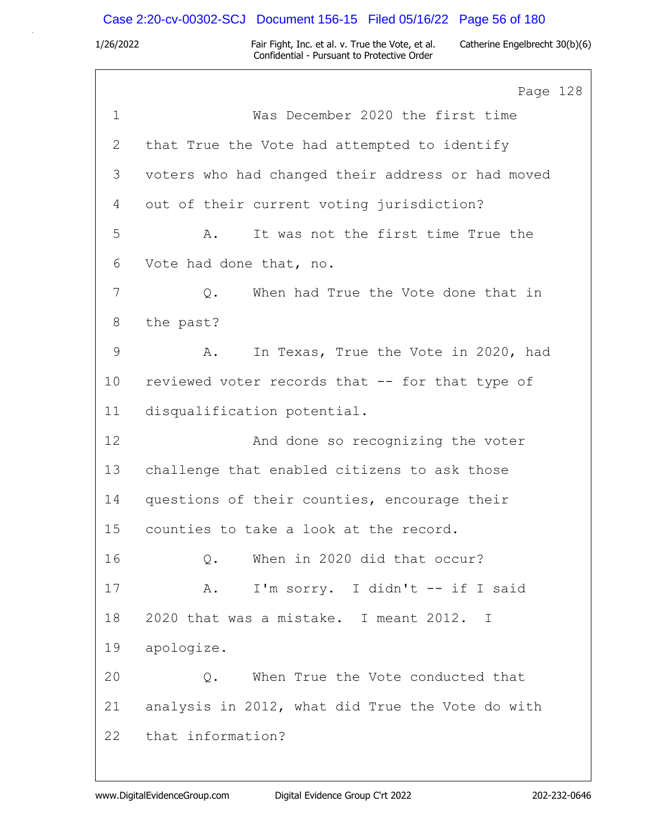## Case 2:20-cv-00302-SCJ Document 156-15 Filed 05/16/22 Page 56 of 180

|               | Page 128                                          |
|---------------|---------------------------------------------------|
| $\mathbf 1$   | Was December 2020 the first time                  |
| 2             | that True the Vote had attempted to identify      |
| 3             | voters who had changed their address or had moved |
| 4             | out of their current voting jurisdiction?         |
| 5             | It was not the first time True the<br>Α.          |
| 6             | Vote had done that, no.                           |
| 7             | When had True the Vote done that in<br>Q.         |
| 8             | the past?                                         |
| $\mathcal{G}$ | In Texas, True the Vote in 2020, had<br>Α.        |
| 10            | reviewed voter records that -- for that type of   |
| 11            | disqualification potential.                       |
| 12            | And done so recognizing the voter                 |
| 13            | challenge that enabled citizens to ask those      |
| 14            | questions of their counties, encourage their      |
| 15            | counties to take a look at the record.            |
| 16            | When in 2020 did that occur?<br>$Q$ .             |
| 17            | I'm sorry. I didn't -- if I said<br>A.            |
| 18            | 2020 that was a mistake. I meant 2012. I          |
| 19            | apologize.                                        |
| 20            | When True the Vote conducted that<br>Q.           |
| 21            | analysis in 2012, what did True the Vote do with  |
| 22            | that information?                                 |
|               |                                                   |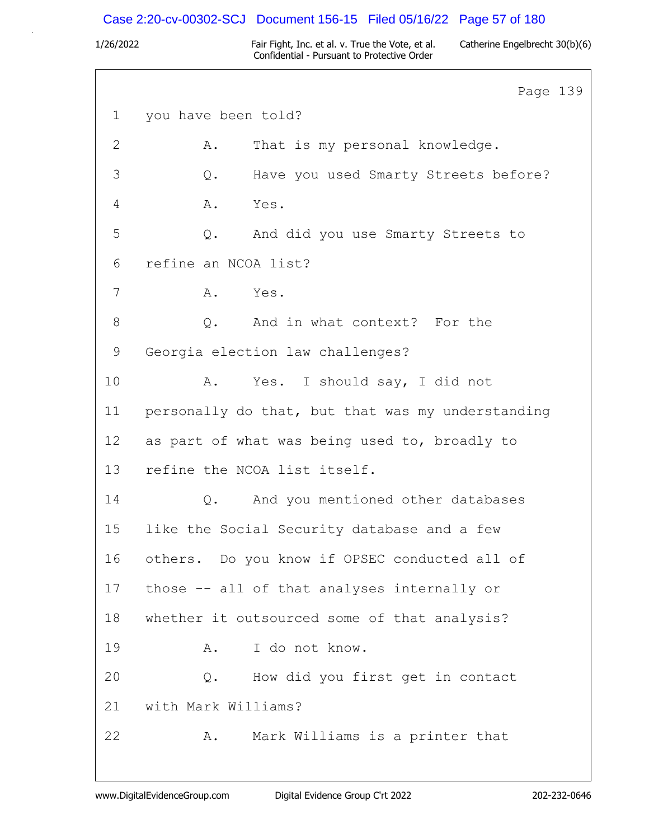## Case 2:20-cv-00302-SCJ Document 156-15 Filed 05/16/22 Page 57 of 180

|              | Page 139                                          |  |
|--------------|---------------------------------------------------|--|
| $\mathbf 1$  | you have been told?                               |  |
| $\mathbf{2}$ | That is my personal knowledge.<br>Α.              |  |
| 3            | Have you used Smarty Streets before?<br>Q.        |  |
| 4            | Yes.<br>Α.                                        |  |
| 5            | And did you use Smarty Streets to<br>$Q$ .        |  |
| 6            | refine an NCOA list?                              |  |
| 7            | A. Yes.                                           |  |
| 8            | Q. And in what context? For the                   |  |
| 9            | Georgia election law challenges?                  |  |
| 10           | Yes. I should say, I did not<br>Α.                |  |
| 11           | personally do that, but that was my understanding |  |
| 12           | as part of what was being used to, broadly to     |  |
| 13           | refine the NCOA list itself.                      |  |
| 14           | Q. And you mentioned other databases              |  |
| 15           | like the Social Security database and a few       |  |
| 16           | others. Do you know if OPSEC conducted all of     |  |
| 17           | those -- all of that analyses internally or       |  |
| 18           | whether it outsourced some of that analysis?      |  |
| 19           | I do not know.<br>Α.                              |  |
| 20           | How did you first get in contact<br>Q.            |  |
| 21           | with Mark Williams?                               |  |
| 22           | Mark Williams is a printer that<br>Α.             |  |
|              |                                                   |  |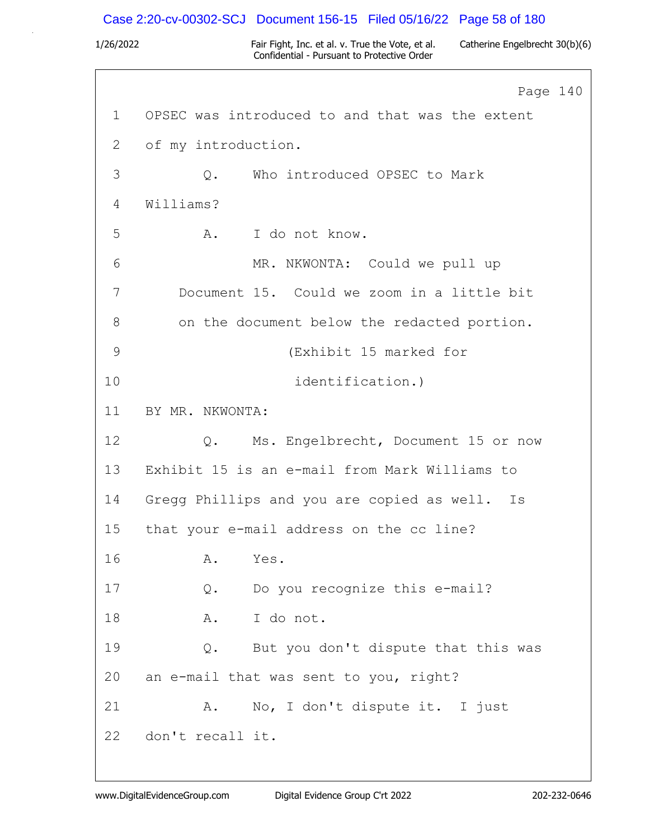### Case 2:20-cv-00302-SCJ Document 156-15 Filed 05/16/22 Page 58 of 180

1/26/2022 Fair Fight, Inc. et al. v. True the Vote, et al. Catherine Engelbrecht 30(b)(6) Confidential - Pursuant to Protective Order

Page 140 1 OPSEC was introduced to and that was the extent 2 of my introduction. 3 Q. Who introduced OPSEC to Mark 4 Williams? 5 A. I do not know. 6 MR. NKWONTA: Could we pull up 7 Document 15. Could we zoom in a little bit 8 on the document below the redacted portion. 9 (Exhibit 15 marked for 10 identification.) 11 BY MR. NKWONTA: 12 Q. Ms. Engelbrecht, Document 15 or now 13 Exhibit 15 is an e-mail from Mark Williams to 14 Gregg Phillips and you are copied as well. Is 15 that your e-mail address on the cc line? 16 A. Yes. 17 Q. Do you recognize this e-mail? 18 A. I do not. 19 Q. But you don't dispute that this was 20 an e-mail that was sent to you, right? 21 A. No, I don't dispute it. I just 22 don't recall it.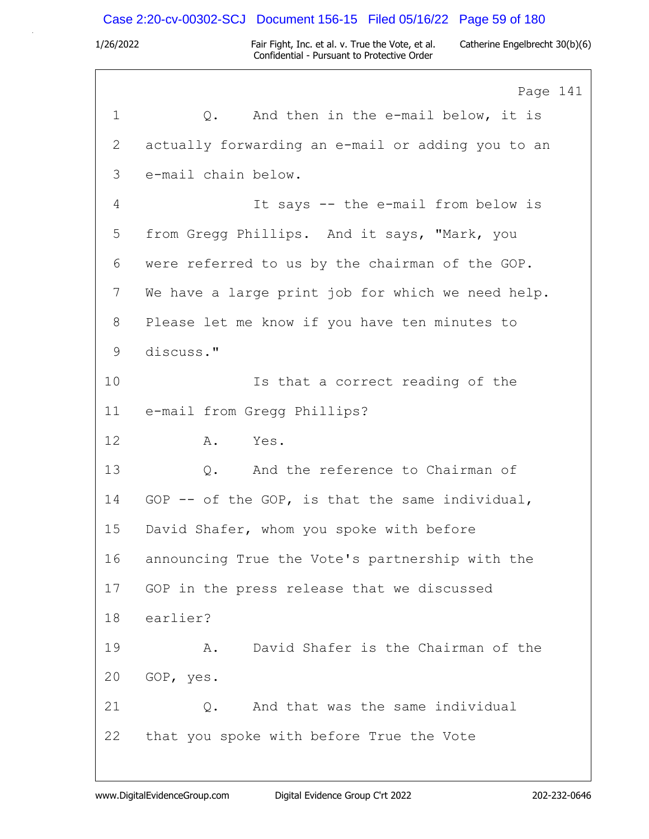## Case 2:20-cv-00302-SCJ Document 156-15 Filed 05/16/22 Page 59 of 180

|             | Page 141                                          |
|-------------|---------------------------------------------------|
| $\mathbf 1$ | Q. And then in the e-mail below, it is            |
| 2           | actually forwarding an e-mail or adding you to an |
| 3           | e-mail chain below.                               |
| 4           | It says -- the e-mail from below is               |
| 5           | from Gregg Phillips. And it says, "Mark, you      |
| 6           | were referred to us by the chairman of the GOP.   |
| 7           | We have a large print job for which we need help. |
| 8           | Please let me know if you have ten minutes to     |
| 9           | discuss."                                         |
| 10          | Is that a correct reading of the                  |
| 11          | e-mail from Gregg Phillips?                       |
| 12          | A.<br>Yes.                                        |
| 13          | Q. And the reference to Chairman of               |
| 14          | GOP -- of the GOP, is that the same individual,   |
| 15          | David Shafer, whom you spoke with before          |
| 16          | announcing True the Vote's partnership with the   |
| 17          | GOP in the press release that we discussed        |
| 18          | earlier?                                          |
| 19          | David Shafer is the Chairman of the<br>Α.         |
| 20          | GOP, yes.                                         |
| 21          | And that was the same individual<br>Q.            |
| 22          | that you spoke with before True the Vote          |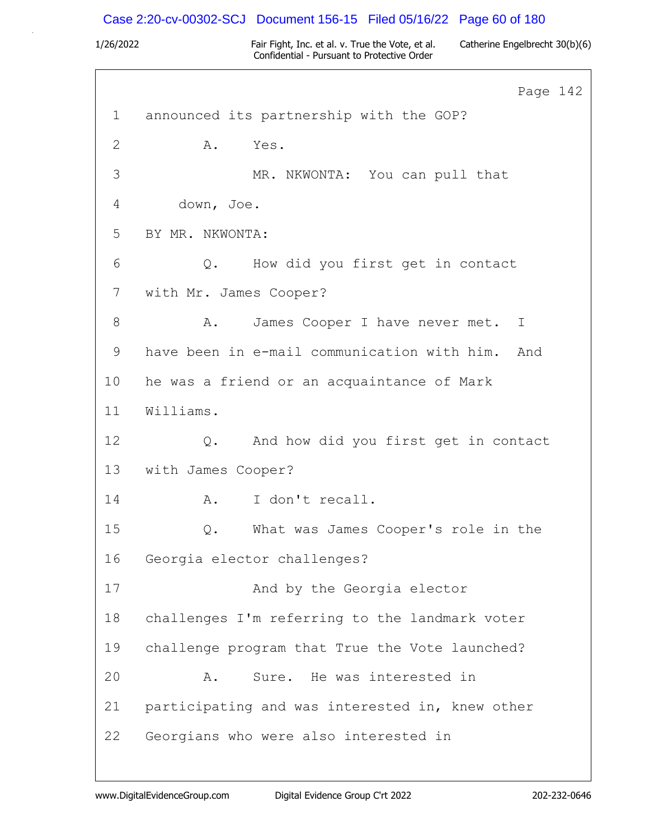## Case 2:20-cv-00302-SCJ Document 156-15 Filed 05/16/22 Page 60 of 180

|             | Page 142                                        |
|-------------|-------------------------------------------------|
| $\mathbf 1$ | announced its partnership with the GOP?         |
| 2           | Yes.<br>Α.                                      |
| 3           | MR. NKWONTA: You can pull that                  |
| 4           | down, Joe.                                      |
| 5           | BY MR. NKWONTA:                                 |
| 6           | Q. How did you first get in contact             |
| 7           | with Mr. James Cooper?                          |
| 8           | James Cooper I have never met. I<br>Α.          |
| 9           | have been in e-mail communication with him. And |
| 10          | he was a friend or an acquaintance of Mark      |
| 11          | Williams.                                       |
| 12          | And how did you first get in contact<br>$Q$ .   |
| 13          | with James Cooper?                              |
| 14          | I don't recall.<br>A.                           |
| 15          | What was James Cooper's role in the<br>Q.       |
| 16          | Georgia elector challenges?                     |
| 17          | And by the Georgia elector                      |
| 18          | challenges I'm referring to the landmark voter  |
| 19          | challenge program that True the Vote launched?  |
| 20          | Sure. He was interested in<br>Α.                |
| 21          | participating and was interested in, knew other |
| 22          | Georgians who were also interested in           |
|             |                                                 |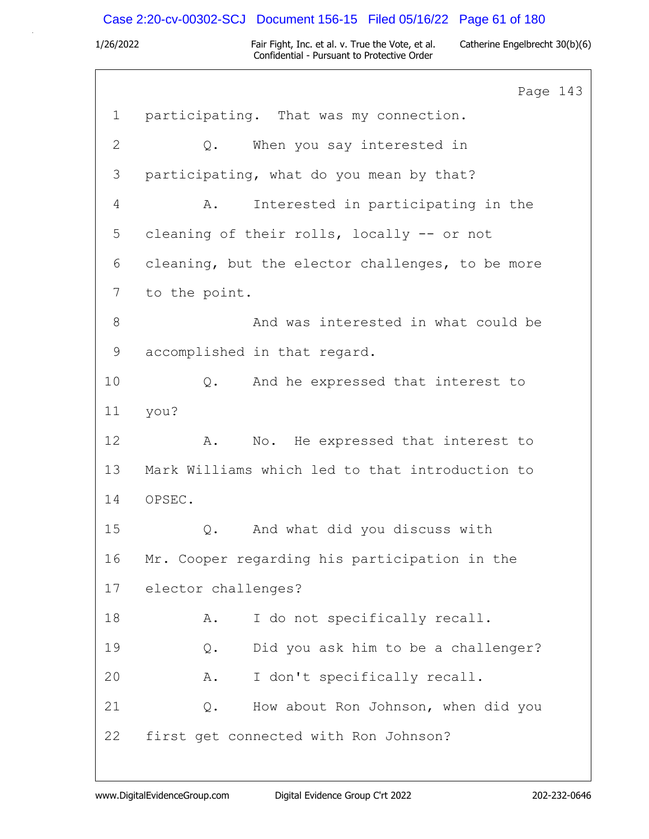# Case 2:20-cv-00302-SCJ Document 156-15 Filed 05/16/22 Page 61 of 180

|                | Page 143                                              |
|----------------|-------------------------------------------------------|
| $\mathbf 1$    | participating. That was my connection.                |
| $\mathbf{2}$   | When you say interested in<br>$Q_{\bullet}$           |
| 3              | participating, what do you mean by that?              |
| $\overline{4}$ | Interested in participating in the<br>Α.              |
| 5              | cleaning of their rolls, locally -- or not            |
| 6              | cleaning, but the elector challenges, to be more      |
| $7\phantom{.}$ | to the point.                                         |
| $8\,$          | And was interested in what could be                   |
| $\mathsf 9$    | accomplished in that regard.                          |
| 10             | And he expressed that interest to<br>Q.               |
| 11             | you?                                                  |
| 12             | No. He expressed that interest to<br>Α.               |
| 13             | Mark Williams which led to that introduction to       |
| 14             | OPSEC.                                                |
| 15             | And what did you discuss with<br>Q.                   |
| 16             | Mr. Cooper regarding his participation in the         |
| 17             | elector challenges?                                   |
| 18             | I do not specifically recall.<br>Α.                   |
| 19             | Did you ask him to be a challenger?<br>$Q$ .          |
| 20             | I don't specifically recall.<br>Α.                    |
| 21             | How about Ron Johnson, when did you<br>$\mathsf{Q}$ . |
| 22             | first get connected with Ron Johnson?                 |
|                |                                                       |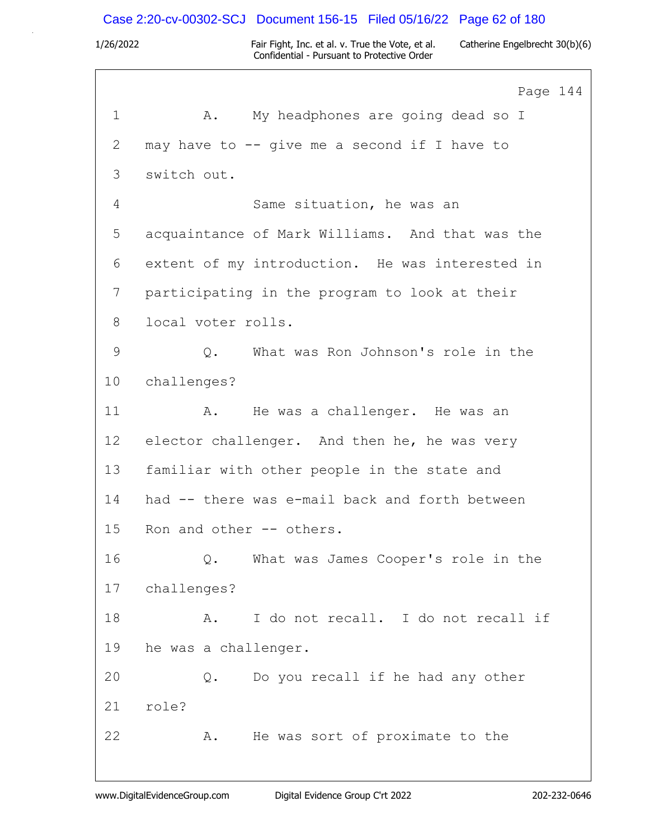### Case 2:20-cv-00302-SCJ Document 156-15 Filed 05/16/22 Page 62 of 180

1/26/2022 Fair Fight, Inc. et al. v. True the Vote, et al. Catherine Engelbrecht 30(b)(6) Confidential - Pursuant to Protective Order

Page 144 1 A. My headphones are going dead so I 2 may have to -- give me a second if I have to 3 switch out. 4 Same situation, he was an 5 acquaintance of Mark Williams. And that was the 6 extent of my introduction. He was interested in 7 participating in the program to look at their 8 local voter rolls. 9 Q. What was Ron Johnson's role in the 10 challenges? 11 A. He was a challenger. He was an 12 elector challenger. And then he, he was very 13 familiar with other people in the state and 14 had -- there was e-mail back and forth between 15 Ron and other -- others. 16 Q. What was James Cooper's role in the 17 challenges? 18 A. I do not recall. I do not recall if 19 he was a challenger. 20 Q. Do you recall if he had any other 21 role? 22 A. He was sort of proximate to the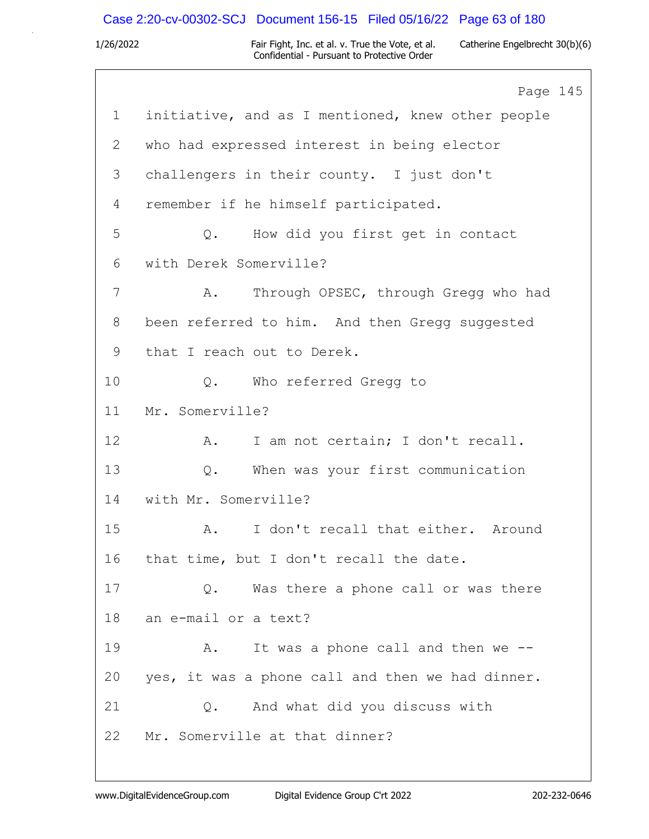### Case 2:20-cv-00302-SCJ Document 156-15 Filed 05/16/22 Page 63 of 180

1/26/2022 Fair Fight, Inc. et al. v. True the Vote, et al. Catherine Engelbrecht 30(b)(6) Confidential - Pursuant to Protective Order

Page 145 1 initiative, and as I mentioned, knew other people 2 who had expressed interest in being elector 3 challengers in their county. I just don't 4 remember if he himself participated. 5 Q. How did you first get in contact 6 with Derek Somerville? 7 A. Through OPSEC, through Gregg who had 8 been referred to him. And then Gregg suggested 9 that I reach out to Derek. 10 0. Who referred Gregg to 11 Mr. Somerville? 12 A. I am not certain; I don't recall. 13 Q. When was your first communication 14 with Mr. Somerville? 15 A. I don't recall that either. Around 16 that time, but I don't recall the date. 17 Q. Was there a phone call or was there 18 an e-mail or a text? 19 A. It was a phone call and then we -- 20 yes, it was a phone call and then we had dinner. 21 Q. And what did you discuss with 22 Mr. Somerville at that dinner?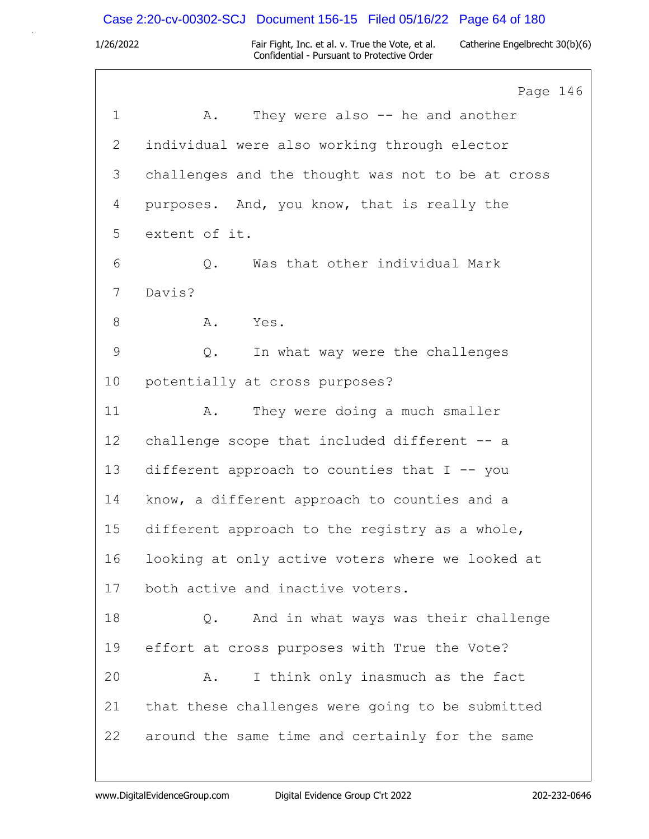## Case 2:20-cv-00302-SCJ Document 156-15 Filed 05/16/22 Page 64 of 180

|              | Page 146                                          |
|--------------|---------------------------------------------------|
| $\mathbf 1$  | They were also $-$ he and another<br>Α.           |
| $\mathbf{2}$ | individual were also working through elector      |
| 3            | challenges and the thought was not to be at cross |
| 4            | purposes. And, you know, that is really the       |
| 5            | extent of it.                                     |
| 6            | Was that other individual Mark<br>Q.              |
| 7            | Davis?                                            |
| 8            | Yes.<br>A.                                        |
| 9            | In what way were the challenges<br>Q.             |
| 10           | potentially at cross purposes?                    |
| 11           | They were doing a much smaller<br>Α.              |
| 12           | challenge scope that included different -- a      |
| 13           | different approach to counties that $I$ -- you    |
| 14           | know, a different approach to counties and a      |
| 15           | different approach to the registry as a whole,    |
| 16           | looking at only active voters where we looked at  |
| 17           | both active and inactive voters.                  |
| 18           | And in what ways was their challenge<br>Q.        |
| 19           | effort at cross purposes with True the Vote?      |
| 20           | I think only inasmuch as the fact<br>Α.           |
| 21           | that these challenges were going to be submitted  |
| 22           | around the same time and certainly for the same   |
|              |                                                   |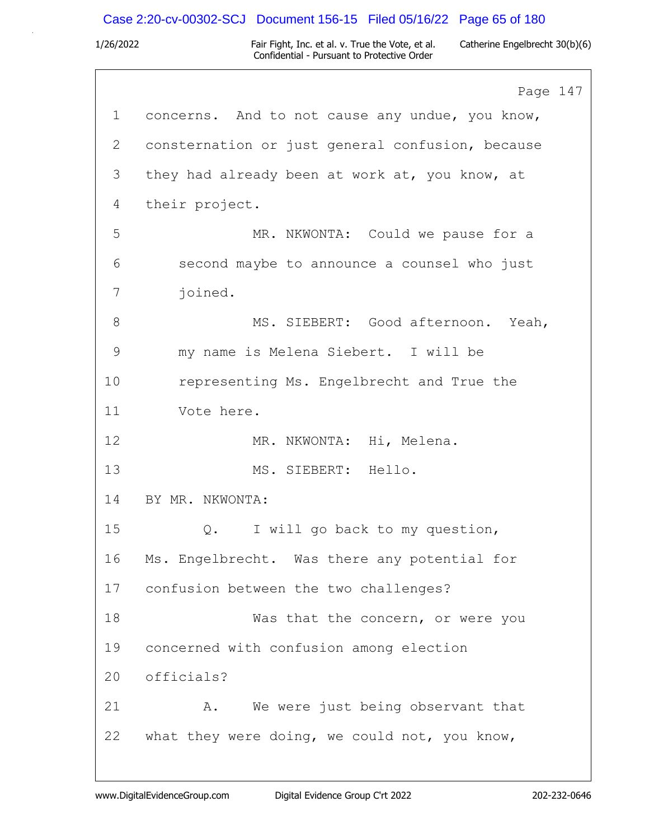# Case 2:20-cv-00302-SCJ Document 156-15 Filed 05/16/22 Page 65 of 180

|       | Page 147                                         |
|-------|--------------------------------------------------|
| 1     | concerns. And to not cause any undue, you know,  |
| 2     | consternation or just general confusion, because |
| 3     | they had already been at work at, you know, at   |
| 4     | their project.                                   |
| 5     | MR. NKWONTA: Could we pause for a                |
| 6     | second maybe to announce a counsel who just      |
| 7     | joined.                                          |
| $8\,$ | MS. SIEBERT: Good afternoon. Yeah,               |
| 9     | my name is Melena Siebert. I will be             |
| 10    | representing Ms. Engelbrecht and True the        |
| 11    | Vote here.                                       |
| 12    | MR. NKWONTA: Hi, Melena.                         |
| 13    | MS. SIEBERT: Hello.                              |
| 14    | BY MR. NKWONTA:                                  |
| 15    | I will go back to my question,<br>$Q$ .          |
| 16    | Ms. Engelbrecht. Was there any potential for     |
| 17    | confusion between the two challenges?            |
| 18    | Was that the concern, or were you                |
| 19    | concerned with confusion among election          |
| 20    | officials?                                       |
| 21    | We were just being observant that<br>Α.          |
| 22    | what they were doing, we could not, you know,    |
|       |                                                  |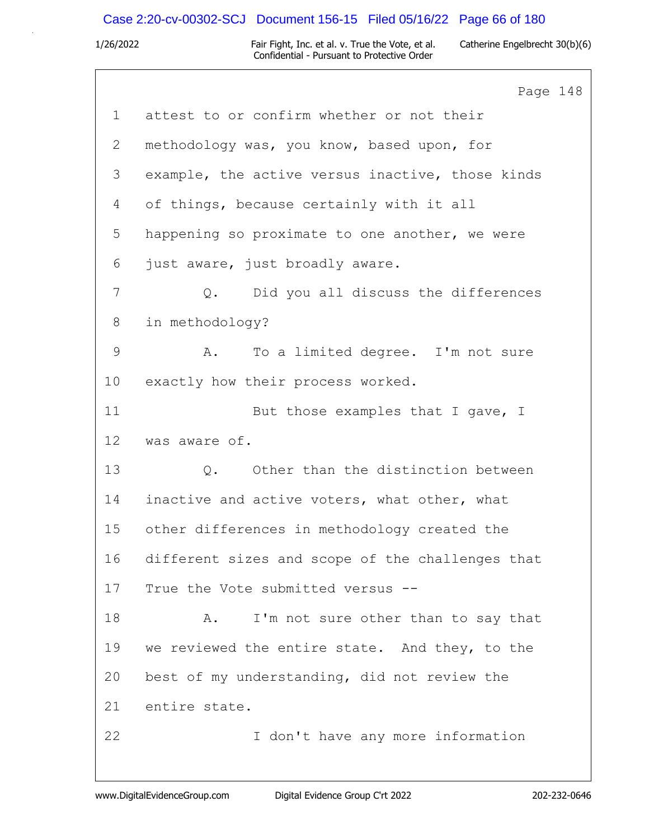## Case 2:20-cv-00302-SCJ Document 156-15 Filed 05/16/22 Page 66 of 180

|    | Page 148                                         |
|----|--------------------------------------------------|
| 1  | attest to or confirm whether or not their        |
| 2  | methodology was, you know, based upon, for       |
| 3  | example, the active versus inactive, those kinds |
| 4  | of things, because certainly with it all         |
| 5  | happening so proximate to one another, we were   |
| 6  | just aware, just broadly aware.                  |
| 7  | Did you all discuss the differences<br>Q.        |
| 8  | in methodology?                                  |
| 9  | To a limited degree. I'm not sure<br>Α.          |
| 10 | exactly how their process worked.                |
| 11 | But those examples that I gave, I                |
| 12 | was aware of.                                    |
| 13 | Q. Other than the distinction between            |
| 14 | inactive and active voters, what other, what     |
| 15 | other differences in methodology created the     |
| 16 | different sizes and scope of the challenges that |
| 17 | True the Vote submitted versus --                |
| 18 | I'm not sure other than to say that<br>Α.        |
| 19 | we reviewed the entire state. And they, to the   |
| 20 | best of my understanding, did not review the     |
| 21 | entire state.                                    |
| 22 | I don't have any more information                |
|    |                                                  |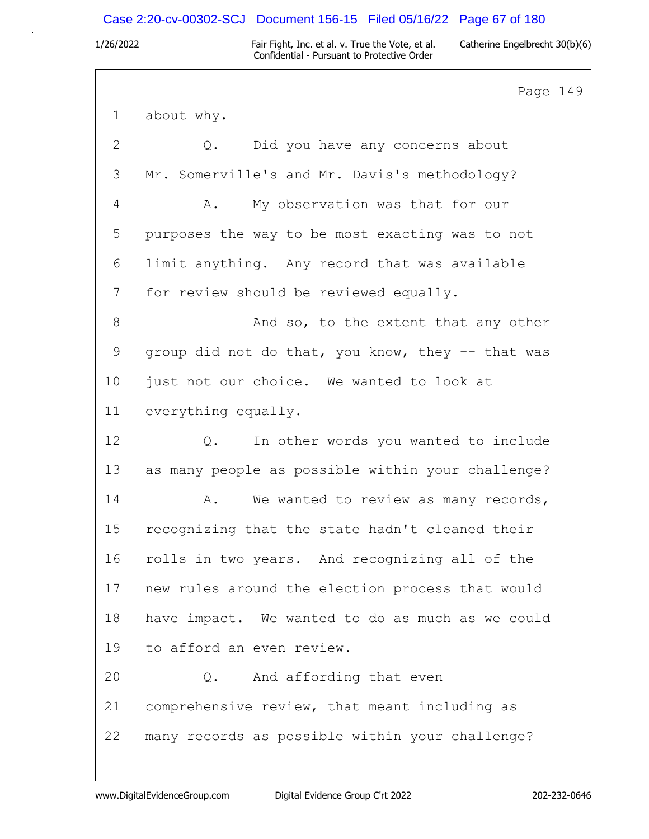### Case 2:20-cv-00302-SCJ Document 156-15 Filed 05/16/22 Page 67 of 180

1/26/2022 Fair Fight, Inc. et al. v. True the Vote, et al. Catherine Engelbrecht 30(b)(6) Confidential - Pursuant to Protective Order

Page 149 1 about why. 2 Q. Did you have any concerns about 3 Mr. Somerville's and Mr. Davis's methodology? 4 A. My observation was that for our 5 purposes the way to be most exacting was to not 6 limit anything. Any record that was available 7 for review should be reviewed equally. 8 And so, to the extent that any other 9 group did not do that, you know, they -- that was 10 just not our choice. We wanted to look at 11 everything equally. 12 Q. In other words you wanted to include 13 as many people as possible within your challenge? 14 A. We wanted to review as many records, 15 recognizing that the state hadn't cleaned their 16 rolls in two years. And recognizing all of the 17 new rules around the election process that would 18 have impact. We wanted to do as much as we could 19 to afford an even review. 20 Q. And affording that even 21 comprehensive review, that meant including as 22 many records as possible within your challenge?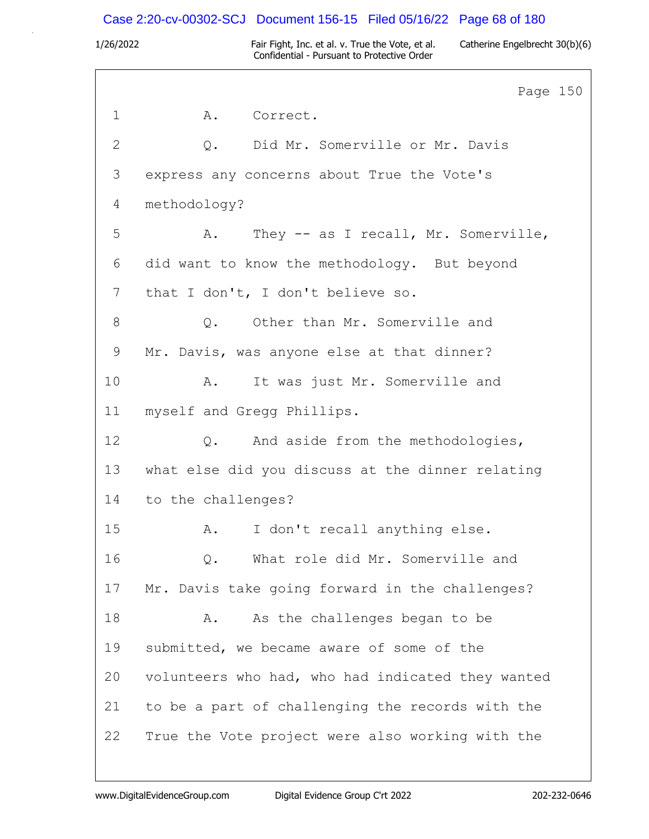### Case 2:20-cv-00302-SCJ Document 156-15 Filed 05/16/22 Page 68 of 180

1/26/2022 Fair Fight, Inc. et al. v. True the Vote, et al. Catherine Engelbrecht 30(b)(6) Confidential - Pursuant to Protective Order

Page 150 1 A. Correct. 2 Q. Did Mr. Somerville or Mr. Davis 3 express any concerns about True the Vote's 4 methodology? 5 A. They -- as I recall, Mr. Somerville, 6 did want to know the methodology. But beyond 7 that I don't, I don't believe so. 8 0. Other than Mr. Somerville and 9 Mr. Davis, was anyone else at that dinner? 10 A. It was just Mr. Somerville and 11 myself and Gregg Phillips. 12 Q. And aside from the methodologies, 13 what else did you discuss at the dinner relating 14 to the challenges? 15 A. I don't recall anything else. 16 Q. What role did Mr. Somerville and 17 Mr. Davis take going forward in the challenges? 18 A. As the challenges began to be 19 submitted, we became aware of some of the 20 volunteers who had, who had indicated they wanted 21 to be a part of challenging the records with the 22 True the Vote project were also working with the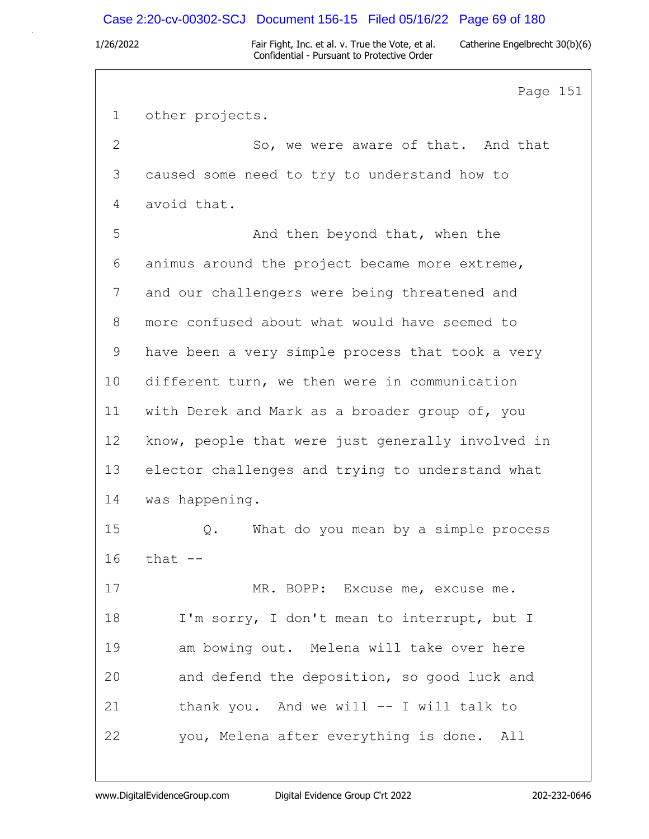### Case 2:20-cv-00302-SCJ Document 156-15 Filed 05/16/22 Page 69 of 180

1/26/2022 Fair Fight, Inc. et al. v. True the Vote, et al. Catherine Engelbrecht 30(b)(6) Confidential - Pursuant to Protective Order

Page 151 1 other projects. 2 So, we were aware of that. And that 3 caused some need to try to understand how to 4 avoid that. 5 And then beyond that, when the 6 animus around the project became more extreme, 7 and our challengers were being threatened and 8 more confused about what would have seemed to 9 have been a very simple process that took a very 10 different turn, we then were in communication 11 with Derek and Mark as a broader group of, you 12 know, people that were just generally involved in 13 elector challenges and trying to understand what 14 was happening. 15 Q. What do you mean by a simple process 16 that -- 17 MR. BOPP: Excuse me, excuse me. 18 I'm sorry, I don't mean to interrupt, but I 19 am bowing out. Melena will take over here 20 and defend the deposition, so good luck and 21 thank you. And we will -- I will talk to 22 you, Melena after everything is done. All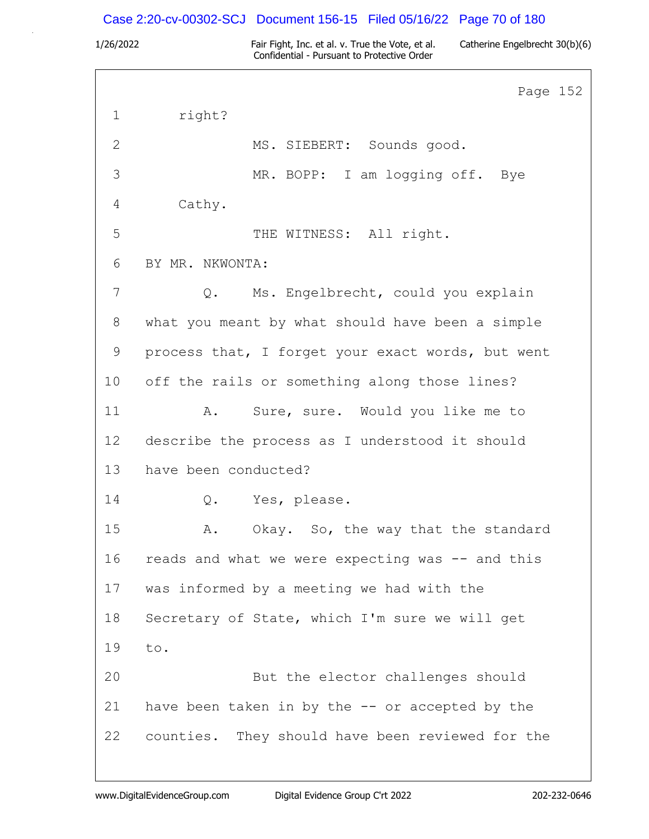### Case 2:20-cv-00302-SCJ Document 156-15 Filed 05/16/22 Page 70 of 180

1/26/2022 Fair Fight, Inc. et al. v. True the Vote, et al. Catherine Engelbrecht 30(b)(6) Confidential - Pursuant to Protective Order

Page 152 1 right? 2 MS. SIEBERT: Sounds good. 3 MR. BOPP: I am logging off. Bye 4 Cathy. 5 THE WITNESS: All right. 6 BY MR. NKWONTA: 7 Q. Ms. Engelbrecht, could you explain 8 what you meant by what should have been a simple 9 process that, I forget your exact words, but went 10 off the rails or something along those lines? 11 A. Sure, sure. Would you like me to 12 describe the process as I understood it should 13 have been conducted? 14 Q. Yes, please. 15 A. Okay. So, the way that the standard 16 reads and what we were expecting was -- and this 17 was informed by a meeting we had with the 18 Secretary of State, which I'm sure we will get 19 to. 20 But the elector challenges should 21 have been taken in by the -- or accepted by the 22 counties. They should have been reviewed for the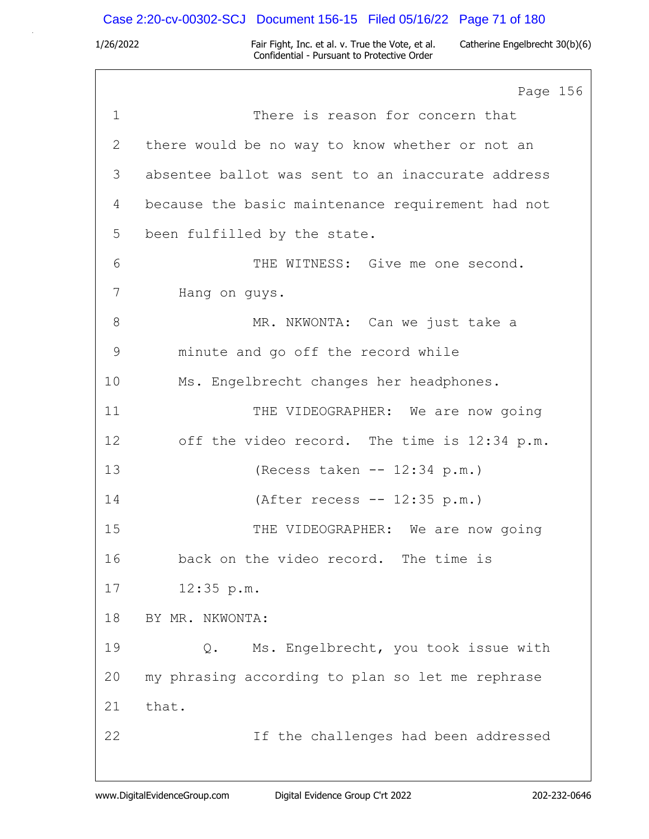## Case 2:20-cv-00302-SCJ Document 156-15 Filed 05/16/22 Page 71 of 180

|             | Page 156                                          |
|-------------|---------------------------------------------------|
| $\mathbf 1$ | There is reason for concern that                  |
| 2           | there would be no way to know whether or not an   |
| 3           | absentee ballot was sent to an inaccurate address |
| 4           | because the basic maintenance requirement had not |
| 5           | been fulfilled by the state.                      |
| 6           | THE WITNESS: Give me one second.                  |
| 7           | Hang on guys.                                     |
| 8           | MR. NKWONTA: Can we just take a                   |
| 9           | minute and go off the record while                |
| 10          | Ms. Engelbrecht changes her headphones.           |
| 11          | THE VIDEOGRAPHER: We are now going                |
| 12          | off the video record. The time is 12:34 p.m.      |
| 13          | (Recess taken $-- 12:34$ p.m.)                    |
| 14          | (After recess $-- 12:35 p.m.$ )                   |
| 15          | THE VIDEOGRAPHER: We are now going                |
| 16          | back on the video record. The time is             |
| 17          | 12:35 p.m.                                        |
| 18          | BY MR. NKWONTA:                                   |
| 19          | Ms. Engelbrecht, you took issue with<br>Q.        |
| 20          | my phrasing according to plan so let me rephrase  |
| 21          | that.                                             |
| 22          | If the challenges had been addressed              |
|             |                                                   |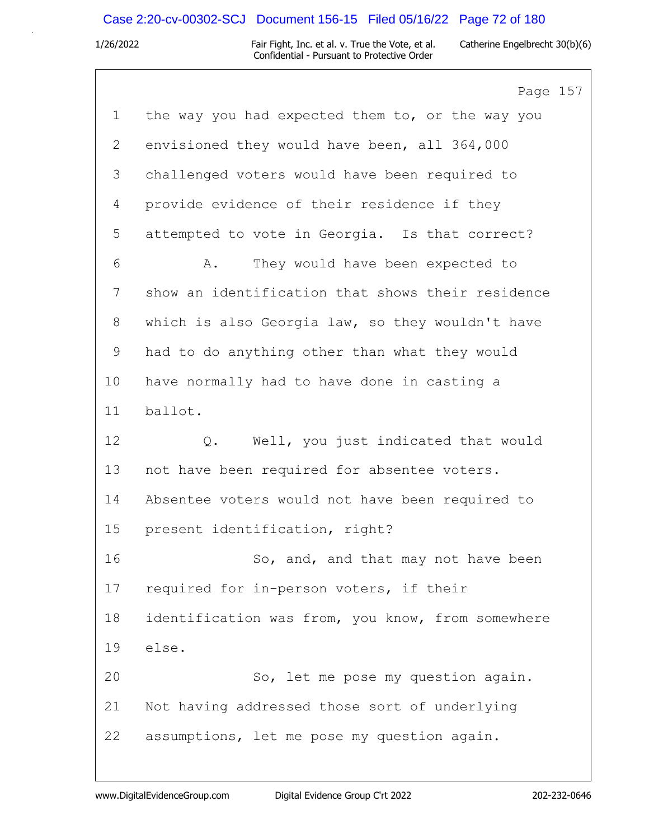### Case 2:20-cv-00302-SCJ Document 156-15 Filed 05/16/22 Page 72 of 180

1/26/2022 Fair Fight, Inc. et al. v. True the Vote, et al. Catherine Engelbrecht 30(b)(6) Confidential - Pursuant to Protective Order

Page 157 1 the way you had expected them to, or the way you 2 envisioned they would have been, all 364,000 3 challenged voters would have been required to 4 provide evidence of their residence if they 5 attempted to vote in Georgia. Is that correct? 6 A. They would have been expected to 7 show an identification that shows their residence 8 which is also Georgia law, so they wouldn't have 9 had to do anything other than what they would 10 have normally had to have done in casting a 11 ballot. 12 Q. Well, you just indicated that would 13 not have been required for absentee voters. 14 Absentee voters would not have been required to 15 present identification, right? 16 So, and, and that may not have been 17 required for in-person voters, if their 18 identification was from, you know, from somewhere 19 else. 20 So, let me pose my question again. 21 Not having addressed those sort of underlying 22 assumptions, let me pose my question again.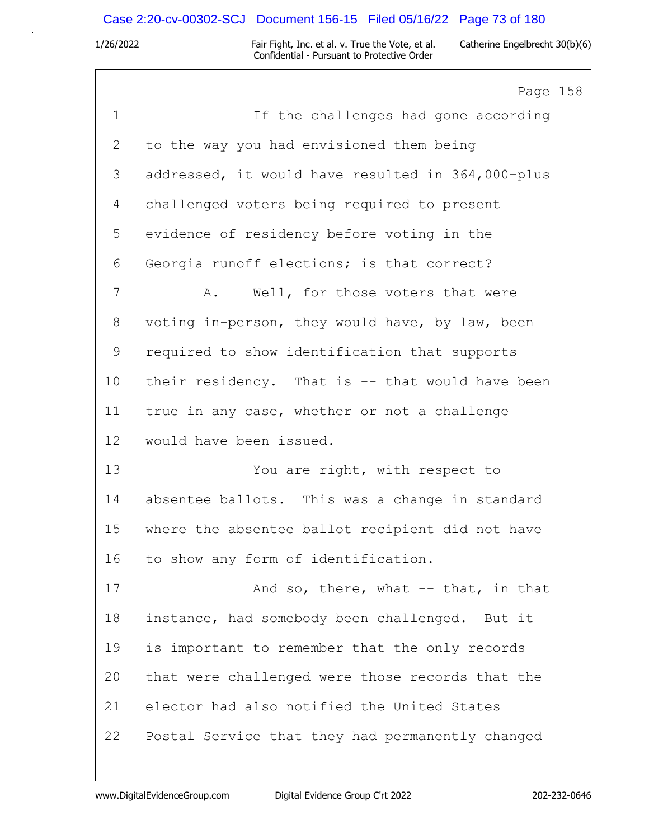## Case 2:20-cv-00302-SCJ Document 156-15 Filed 05/16/22 Page 73 of 180

1/26/2022 Fair Fight, Inc. et al. v. True the Vote, et al. Catherine Engelbrecht 30(b)(6) Confidential - Pursuant to Protective Order

Page 158 1 If the challenges had gone according 2 to the way you had envisioned them being 3 addressed, it would have resulted in 364,000-plus 4 challenged voters being required to present 5 evidence of residency before voting in the 6 Georgia runoff elections; is that correct? 7 A. Well, for those voters that were 8 voting in-person, they would have, by law, been 9 required to show identification that supports 10 their residency. That is -- that would have been 11 true in any case, whether or not a challenge 12 would have been issued. 13 You are right, with respect to 14 absentee ballots. This was a change in standard 15 where the absentee ballot recipient did not have 16 to show any form of identification. 17 And so, there, what -- that, in that 18 instance, had somebody been challenged. But it 19 is important to remember that the only records 20 that were challenged were those records that the 21 elector had also notified the United States 22 Postal Service that they had permanently changed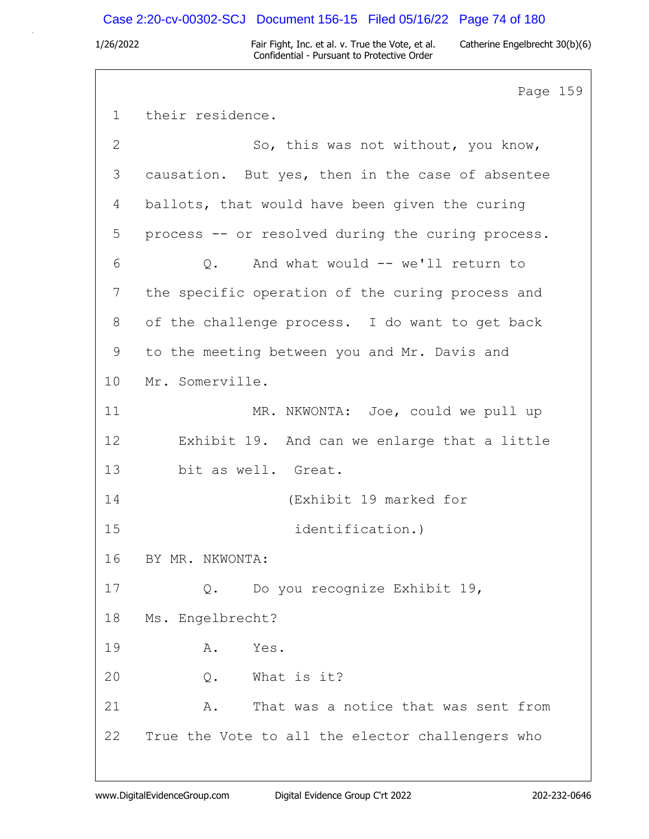## Case 2:20-cv-00302-SCJ Document 156-15 Filed 05/16/22 Page 74 of 180

1/26/2022 Fair Fight, Inc. et al. v. True the Vote, et al. Catherine Engelbrecht 30(b)(6) Confidential - Pursuant to Protective Order

Page 159 1 their residence. 2 So, this was not without, you know, 3 causation. But yes, then in the case of absentee 4 ballots, that would have been given the curing 5 process -- or resolved during the curing process. 6 Q. And what would -- we'll return to 7 the specific operation of the curing process and 8 of the challenge process. I do want to get back 9 to the meeting between you and Mr. Davis and 10 Mr. Somerville. 11 MR. NKWONTA: Joe, could we pull up 12 Exhibit 19. And can we enlarge that a little 13 bit as well. Great. 14 (Exhibit 19 marked for 15 identification.) 16 BY MR. NKWONTA: 17 Q. Do you recognize Exhibit 19, 18 Ms. Engelbrecht? 19 A. Yes. 20 Q. What is it? 21 A. That was a notice that was sent from 22 True the Vote to all the elector challengers who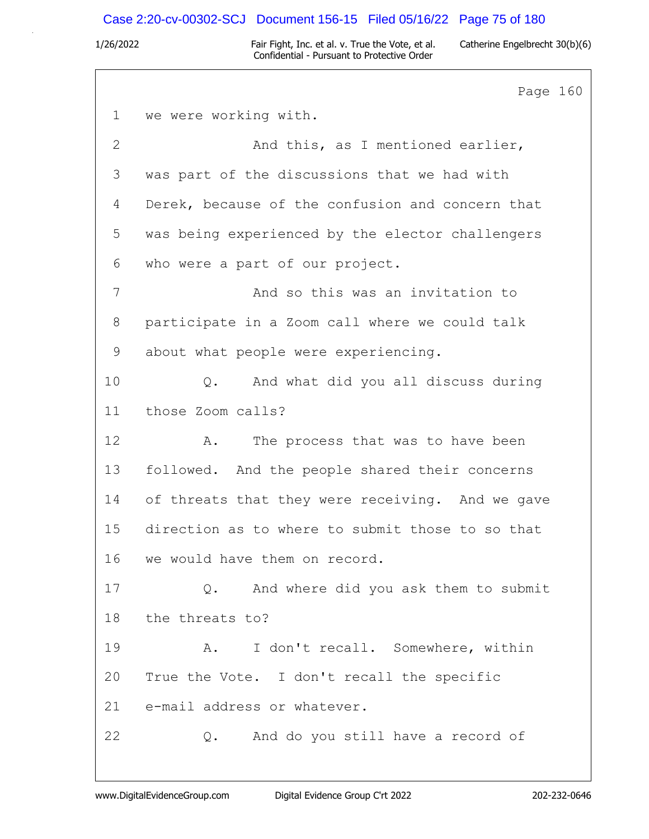### Case 2:20-cv-00302-SCJ Document 156-15 Filed 05/16/22 Page 75 of 180

1/26/2022 Fair Fight, Inc. et al. v. True the Vote, et al. Catherine Engelbrecht 30(b)(6) Confidential - Pursuant to Protective Order

Page 160 1 we were working with. 2 And this, as I mentioned earlier, 3 was part of the discussions that we had with 4 Derek, because of the confusion and concern that 5 was being experienced by the elector challengers 6 who were a part of our project. 7 And so this was an invitation to 8 participate in a Zoom call where we could talk 9 about what people were experiencing. 10 Q. And what did you all discuss during 11 those Zoom calls? 12 A. The process that was to have been 13 followed. And the people shared their concerns 14 of threats that they were receiving. And we gave 15 direction as to where to submit those to so that 16 we would have them on record. 17 Q. And where did you ask them to submit 18 the threats to? 19 A. I don't recall. Somewhere, within 20 True the Vote. I don't recall the specific 21 e-mail address or whatever. 22 Q. And do you still have a record of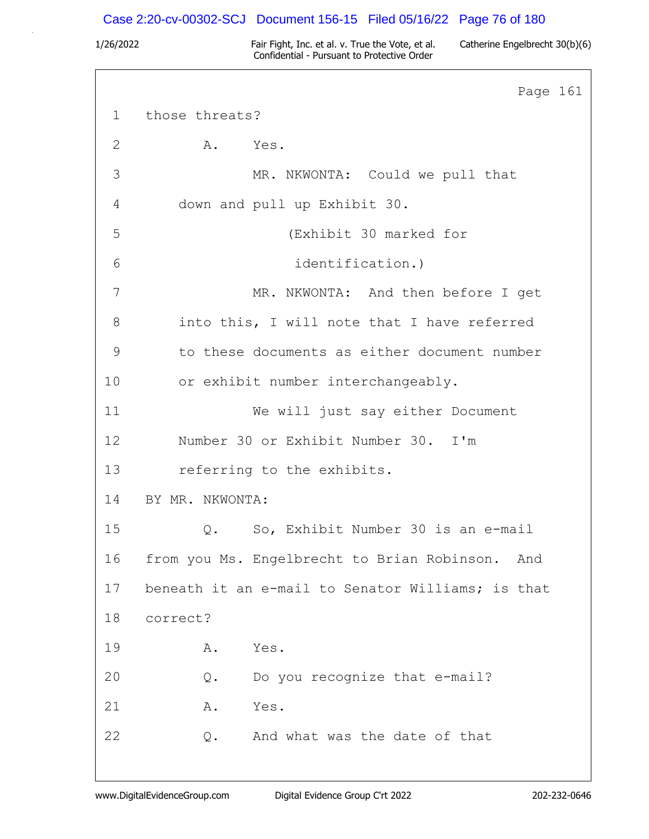## Case 2:20-cv-00302-SCJ Document 156-15 Filed 05/16/22 Page 76 of 180

1/26/2022 Fair Fight, Inc. et al. v. True the Vote, et al. Catherine Engelbrecht 30(b)(6) Confidential - Pursuant to Protective Order

Page 161 1 those threats? 2 A. Yes. 3 MR. NKWONTA: Could we pull that 4 down and pull up Exhibit 30. 5 (Exhibit 30 marked for 6 identification.) 7 MR. NKWONTA: And then before I get 8 into this, I will note that I have referred 9 to these documents as either document number 10 or exhibit number interchangeably. 11 We will just say either Document 12 Number 30 or Exhibit Number 30. I'm 13 referring to the exhibits. 14 BY MR. NKWONTA: 15 Q. So, Exhibit Number 30 is an e-mail 16 from you Ms. Engelbrecht to Brian Robinson. And 17 beneath it an e-mail to Senator Williams; is that 18 correct? 19 A. Yes. 20 Q. Do you recognize that e-mail? 21 A. Yes. 22 O. And what was the date of that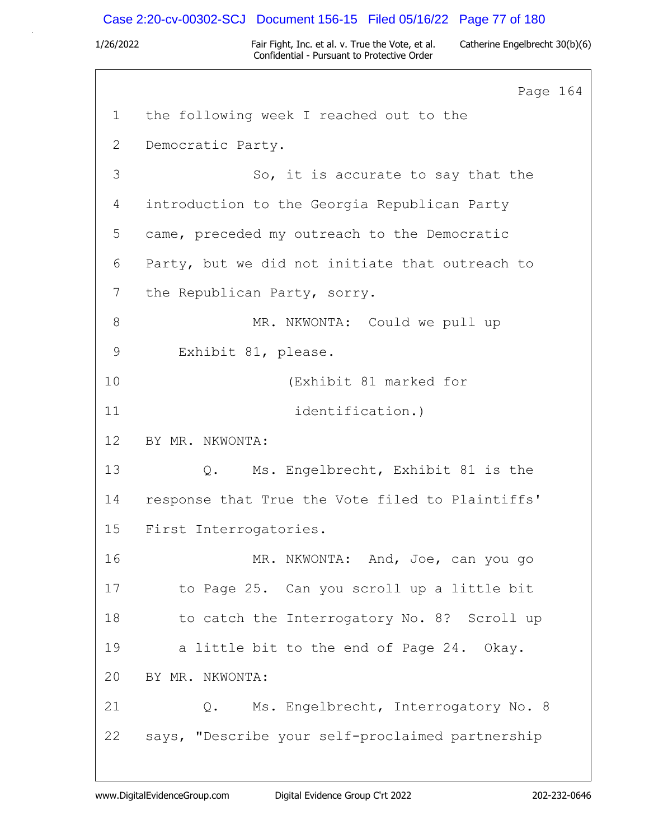## Case 2:20-cv-00302-SCJ Document 156-15 Filed 05/16/22 Page 77 of 180

1/26/2022 Fair Fight, Inc. et al. v. True the Vote, et al. Catherine Engelbrecht 30(b)(6) Confidential - Pursuant to Protective Order

Page 164 1 the following week I reached out to the 2 Democratic Party. 3 So, it is accurate to say that the 4 introduction to the Georgia Republican Party 5 came, preceded my outreach to the Democratic 6 Party, but we did not initiate that outreach to 7 the Republican Party, sorry. 8 MR. NKWONTA: Could we pull up 9 Exhibit 81, please. 10 (Exhibit 81 marked for 11 identification.) 12 BY MR. NKWONTA: 13 Q. Ms. Engelbrecht, Exhibit 81 is the 14 response that True the Vote filed to Plaintiffs' 15 First Interrogatories. 16 MR. NKWONTA: And, Joe, can you go 17 to Page 25. Can you scroll up a little bit 18 to catch the Interrogatory No. 8? Scroll up 19 a little bit to the end of Page 24. Okay. 20 BY MR. NKWONTA: 21 Q. Ms. Engelbrecht, Interrogatory No. 8 22 says, "Describe your self-proclaimed partnership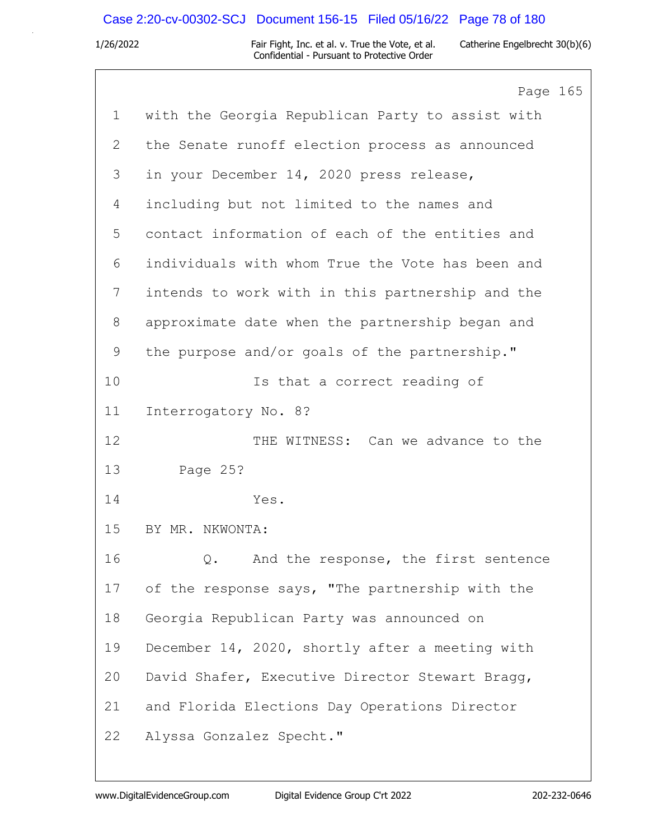# Case 2:20-cv-00302-SCJ Document 156-15 Filed 05/16/22 Page 78 of 180

|             | Page 165                                         |
|-------------|--------------------------------------------------|
| $\mathbf 1$ | with the Georgia Republican Party to assist with |
| 2           | the Senate runoff election process as announced  |
| 3           | in your December 14, 2020 press release,         |
| 4           | including but not limited to the names and       |
| 5           | contact information of each of the entities and  |
| 6           | individuals with whom True the Vote has been and |
| 7           | intends to work with in this partnership and the |
| 8           | approximate date when the partnership began and  |
| 9           | the purpose and/or goals of the partnership."    |
| 10          | Is that a correct reading of                     |
| 11          | Interrogatory No. 8?                             |
| 12          | THE WITNESS: Can we advance to the               |
| 13          | Page 25?                                         |
| 14          | Yes.                                             |
| 15          | BY MR. NKWONTA:                                  |
| 16          | And the response, the first sentence<br>Q.       |
| 17          | of the response says, "The partnership with the  |
| 18          | Georgia Republican Party was announced on        |
| 19          | December 14, 2020, shortly after a meeting with  |
| 20          | David Shafer, Executive Director Stewart Bragg,  |
| 21          | and Florida Elections Day Operations Director    |
| 22          | Alyssa Gonzalez Specht."                         |
|             |                                                  |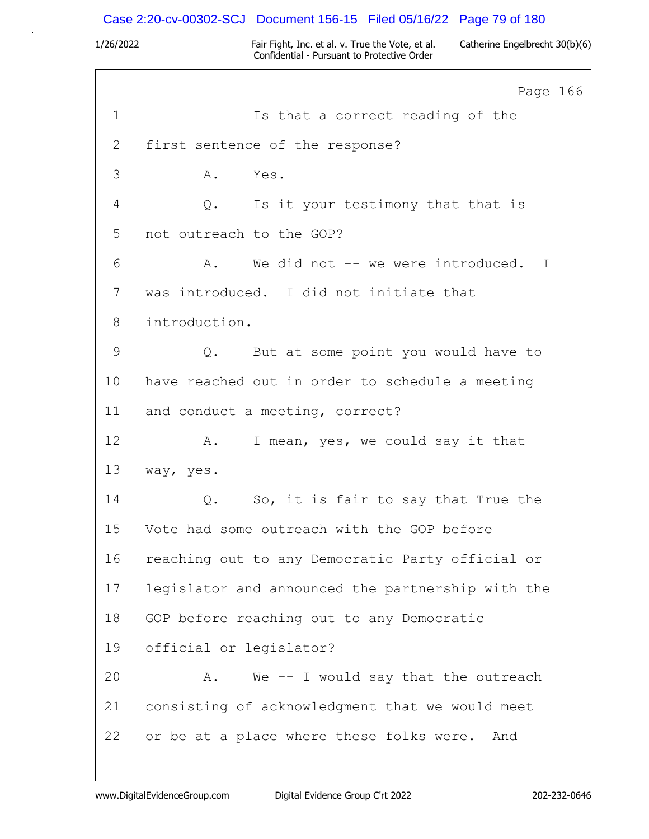## Case 2:20-cv-00302-SCJ Document 156-15 Filed 05/16/22 Page 79 of 180

1/26/2022 Fair Fight, Inc. et al. v. True the Vote, et al. Catherine Engelbrecht 30(b)(6) Confidential - Pursuant to Protective Order

Page 166 1 Is that a correct reading of the 2 first sentence of the response? 3 A. Yes. 4 Q. Is it your testimony that that is 5 not outreach to the GOP? 6 A. We did not -- we were introduced. I 7 was introduced. I did not initiate that 8 introduction. 9 Q. But at some point you would have to 10 have reached out in order to schedule a meeting 11 and conduct a meeting, correct? 12 A. I mean, yes, we could say it that 13 way, yes. 14 Q. So, it is fair to say that True the 15 Vote had some outreach with the GOP before 16 reaching out to any Democratic Party official or 17 legislator and announced the partnership with the 18 GOP before reaching out to any Democratic 19 official or legislator? 20 A. We -- I would say that the outreach 21 consisting of acknowledgment that we would meet 22 or be at a place where these folks were. And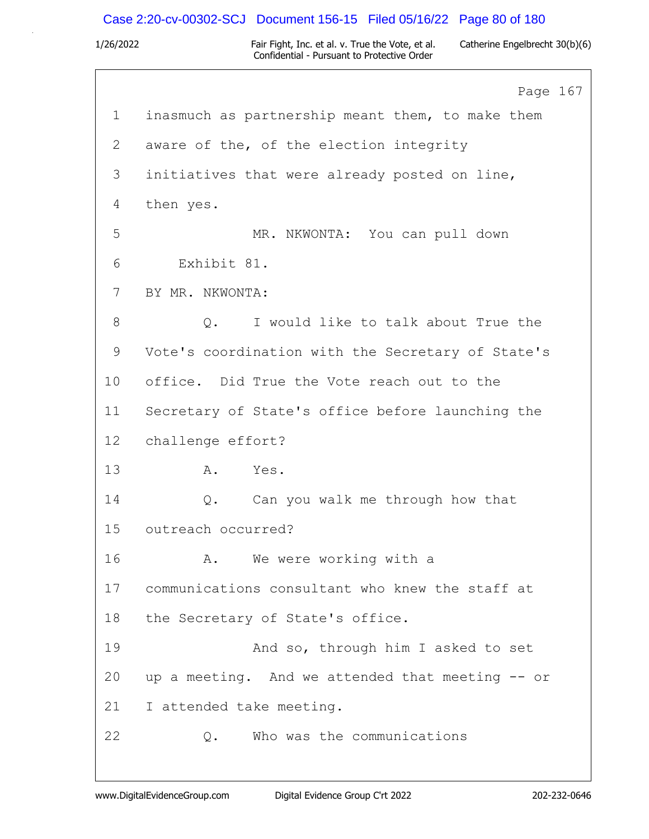## Case 2:20-cv-00302-SCJ Document 156-15 Filed 05/16/22 Page 80 of 180

1/26/2022 Fair Fight, Inc. et al. v. True the Vote, et al. Catherine Engelbrecht 30(b)(6) Confidential - Pursuant to Protective Order

Page 167 1 inasmuch as partnership meant them, to make them 2 aware of the, of the election integrity 3 initiatives that were already posted on line, 4 then yes. 5 MR. NKWONTA: You can pull down 6 Exhibit 81. 7 BY MR. NKWONTA: 8 0. I would like to talk about True the 9 Vote's coordination with the Secretary of State's 10 office. Did True the Vote reach out to the 11 Secretary of State's office before launching the 12 challenge effort? 13 A. Yes. 14 Q. Can you walk me through how that 15 outreach occurred? 16 A. We were working with a 17 communications consultant who knew the staff at 18 the Secretary of State's office. 19 And so, through him I asked to set 20 up a meeting. And we attended that meeting -- or 21 I attended take meeting. 22 Q. Who was the communications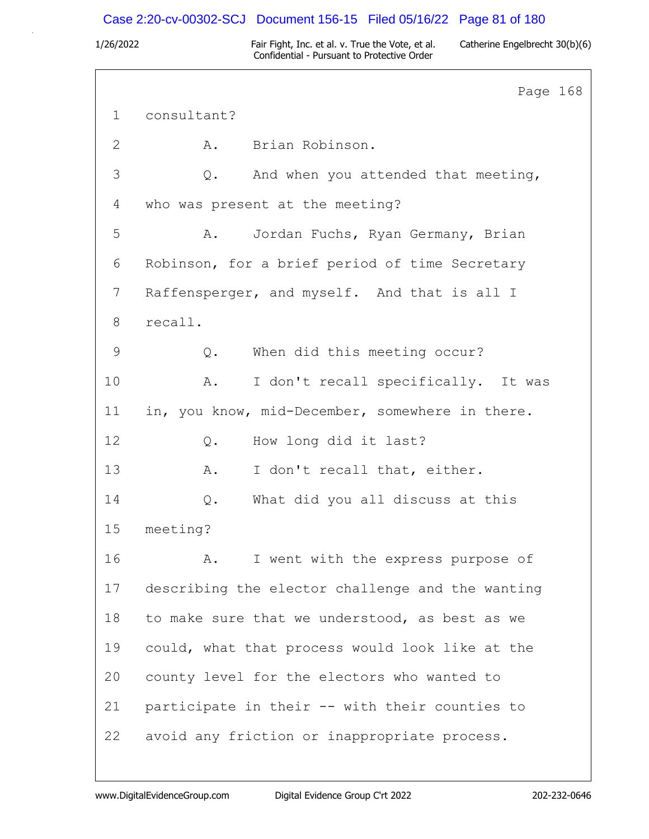## Case 2:20-cv-00302-SCJ Document 156-15 Filed 05/16/22 Page 81 of 180

1/26/2022 Fair Fight, Inc. et al. v. True the Vote, et al. Catherine Engelbrecht 30(b)(6) Confidential - Pursuant to Protective Order

Page 168 1 consultant? 2 A. Brian Robinson. 3 Q. And when you attended that meeting, 4 who was present at the meeting? 5 A. Jordan Fuchs, Ryan Germany, Brian 6 Robinson, for a brief period of time Secretary 7 Raffensperger, and myself. And that is all I 8 recall. 9 Q. When did this meeting occur? 10 A. I don't recall specifically. It was 11 in, you know, mid-December, somewhere in there. 12 0. How long did it last? 13 A. I don't recall that, either. 14 Q. What did you all discuss at this 15 meeting? 16 A. I went with the express purpose of 17 describing the elector challenge and the wanting 18 to make sure that we understood, as best as we 19 could, what that process would look like at the 20 county level for the electors who wanted to 21 participate in their -- with their counties to 22 avoid any friction or inappropriate process.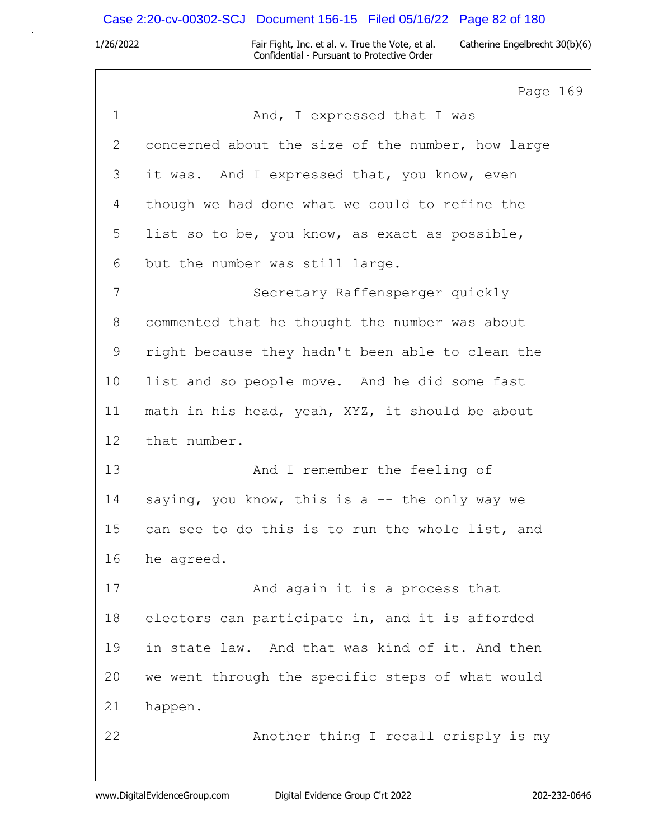# Case 2:20-cv-00302-SCJ Document 156-15 Filed 05/16/22 Page 82 of 180

|                | Page 169                                          |
|----------------|---------------------------------------------------|
| $\mathbf 1$    | And, I expressed that I was                       |
| $\overline{2}$ | concerned about the size of the number, how large |
| 3              | it was. And I expressed that, you know, even      |
| 4              | though we had done what we could to refine the    |
| 5              | list so to be, you know, as exact as possible,    |
| 6              | but the number was still large.                   |
| 7              | Secretary Raffensperger quickly                   |
| 8              | commented that he thought the number was about    |
| 9              | right because they hadn't been able to clean the  |
| 10             | list and so people move. And he did some fast     |
| 11             | math in his head, yeah, XYZ, it should be about   |
| 12             | that number.                                      |
| 13             | And I remember the feeling of                     |
| 14             | saying, you know, this is a $-$ the only way we   |
| 15             | can see to do this is to run the whole list, and  |
| 16             | he agreed.                                        |
| 17             | And again it is a process that                    |
| 18             | electors can participate in, and it is afforded   |
| 19             | in state law. And that was kind of it. And then   |
| 20             | we went through the specific steps of what would  |
| 21             | happen.                                           |
| 22             | Another thing I recall crisply is my              |
|                |                                                   |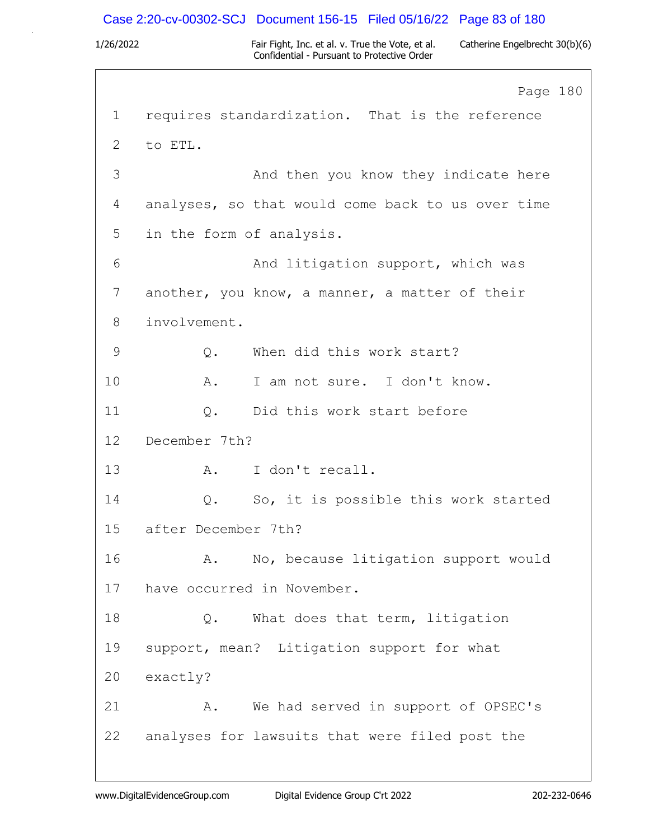### Case 2:20-cv-00302-SCJ Document 156-15 Filed 05/16/22 Page 83 of 180

1/26/2022 Fair Fight, Inc. et al. v. True the Vote, et al. Catherine Engelbrecht 30(b)(6) Confidential - Pursuant to Protective Order

Page 180 1 requires standardization. That is the reference 2 to ETL. 3 And then you know they indicate here 4 analyses, so that would come back to us over time 5 in the form of analysis. 6 And litigation support, which was 7 another, you know, a manner, a matter of their 8 involvement. 9 Q. When did this work start? 10 A. I am not sure. I don't know. 11 0. Did this work start before 12 December 7th? 13 A. I don't recall. 14 Q. So, it is possible this work started 15 after December 7th? 16 A. No, because litigation support would 17 have occurred in November. 18 0. What does that term, litigation 19 support, mean? Litigation support for what 20 exactly? 21 A. We had served in support of OPSEC's 22 analyses for lawsuits that were filed post the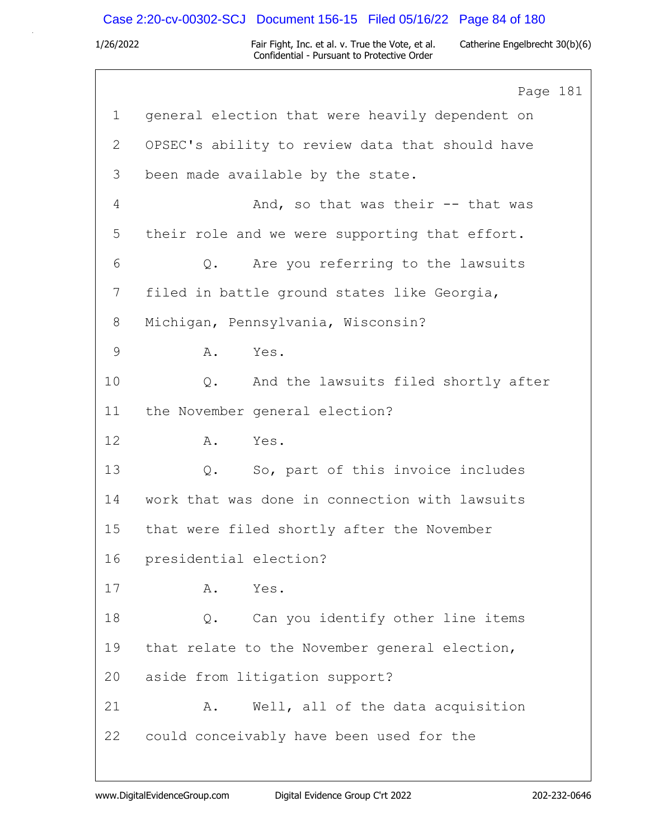# Case 2:20-cv-00302-SCJ Document 156-15 Filed 05/16/22 Page 84 of 180

|             | Page 181                                        |
|-------------|-------------------------------------------------|
| $\mathbf 1$ | general election that were heavily dependent on |
| 2           | OPSEC's ability to review data that should have |
| 3           | been made available by the state.               |
| 4           | And, so that was their -- that was              |
| 5           | their role and we were supporting that effort.  |
| 6           | Are you referring to the lawsuits<br>$Q$ .      |
| 7           | filed in battle ground states like Georgia,     |
| 8           | Michigan, Pennsylvania, Wisconsin?              |
| 9           | Α.<br>Yes.                                      |
| 10          | And the lawsuits filed shortly after<br>Q.      |
| 11          | the November general election?                  |
| 12          | Α.<br>Yes.                                      |
| 13          | So, part of this invoice includes<br>Q.         |
| 14          | work that was done in connection with lawsuits  |
| 15          | that were filed shortly after the November      |
| 16          | presidential election?                          |
| 17          | Α.<br>Yes.                                      |
| 18          | Can you identify other line items<br>Q.         |
| 19          | that relate to the November general election,   |
| 20          | aside from litigation support?                  |
| 21          | Well, all of the data acquisition<br>Α.         |
| 22          | could conceivably have been used for the        |
|             |                                                 |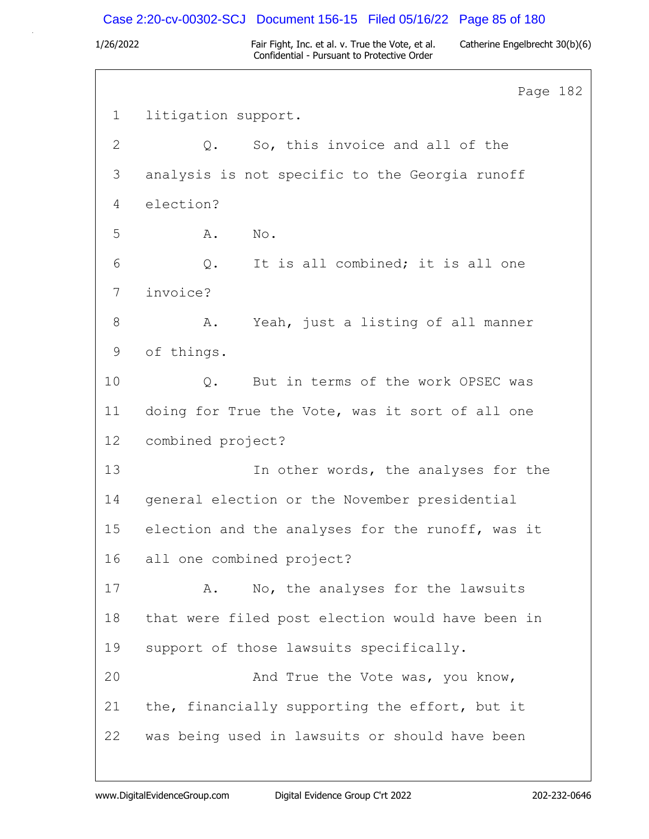### Case 2:20-cv-00302-SCJ Document 156-15 Filed 05/16/22 Page 85 of 180

1/26/2022 Fair Fight, Inc. et al. v. True the Vote, et al. Catherine Engelbrecht 30(b)(6) Confidential - Pursuant to Protective Order

Page 182 1 litigation support. 2 Q. So, this invoice and all of the 3 analysis is not specific to the Georgia runoff 4 election? 5 A. No. 6 Q. It is all combined; it is all one 7 invoice? 8 A. Yeah, just a listing of all manner 9 of things. 10 0. But in terms of the work OPSEC was 11 doing for True the Vote, was it sort of all one 12 combined project? 13 In other words, the analyses for the 14 general election or the November presidential 15 election and the analyses for the runoff, was it 16 all one combined project? 17 A. No, the analyses for the lawsuits 18 that were filed post election would have been in 19 support of those lawsuits specifically. 20 And True the Vote was, you know, 21 the, financially supporting the effort, but it 22 was being used in lawsuits or should have been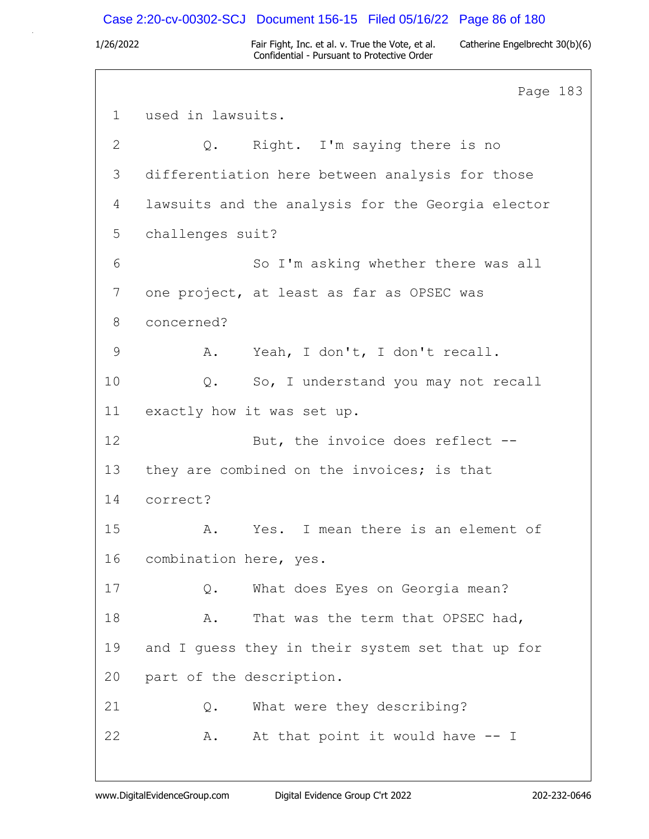### Case 2:20-cv-00302-SCJ Document 156-15 Filed 05/16/22 Page 86 of 180

1/26/2022 Fair Fight, Inc. et al. v. True the Vote, et al. Catherine Engelbrecht 30(b)(6) Confidential - Pursuant to Protective Order

Page 183 1 used in lawsuits. 2 Q. Right. I'm saying there is no 3 differentiation here between analysis for those 4 lawsuits and the analysis for the Georgia elector 5 challenges suit? 6 So I'm asking whether there was all 7 one project, at least as far as OPSEC was 8 concerned? 9 A. Yeah, I don't, I don't recall. 10 Q. So, I understand you may not recall 11 exactly how it was set up. 12 But, the invoice does reflect --13 they are combined on the invoices; is that 14 correct? 15 A. Yes. I mean there is an element of 16 combination here, yes. 17 Q. What does Eyes on Georgia mean? 18 A. That was the term that OPSEC had, 19 and I guess they in their system set that up for 20 part of the description. 21 Q. What were they describing? 22 A. At that point it would have -- I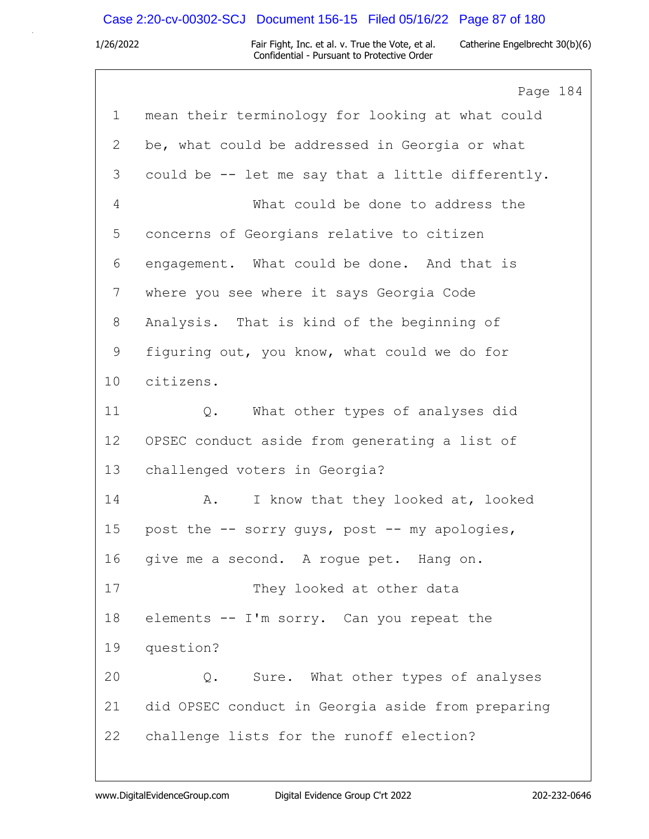# Case 2:20-cv-00302-SCJ Document 156-15 Filed 05/16/22 Page 87 of 180

|                | Page 184                                          |
|----------------|---------------------------------------------------|
| $\mathbf 1$    | mean their terminology for looking at what could  |
| $\overline{2}$ | be, what could be addressed in Georgia or what    |
| 3              | could be -- let me say that a little differently. |
| $\overline{4}$ | What could be done to address the                 |
| 5              | concerns of Georgians relative to citizen         |
| 6              | engagement. What could be done. And that is       |
| $7\phantom{.}$ | where you see where it says Georgia Code          |
| 8              | Analysis. That is kind of the beginning of        |
| 9              | figuring out, you know, what could we do for      |
| 10             | citizens.                                         |
| 11             | What other types of analyses did<br>$Q$ .         |
| 12             | OPSEC conduct aside from generating a list of     |
| 13             | challenged voters in Georgia?                     |
| 14             | I know that they looked at, looked<br>A.          |
| 15             | post the -- sorry guys, post -- my apologies,     |
| 16             | give me a second. A rogue pet. Hang on.           |
| 17             | They looked at other data                         |
| 18             | elements -- I'm sorry. Can you repeat the         |
| 19             | question?                                         |
| 20             | Sure. What other types of analyses<br>Q.          |
| 21             | did OPSEC conduct in Georgia aside from preparing |
| 22             | challenge lists for the runoff election?          |
|                |                                                   |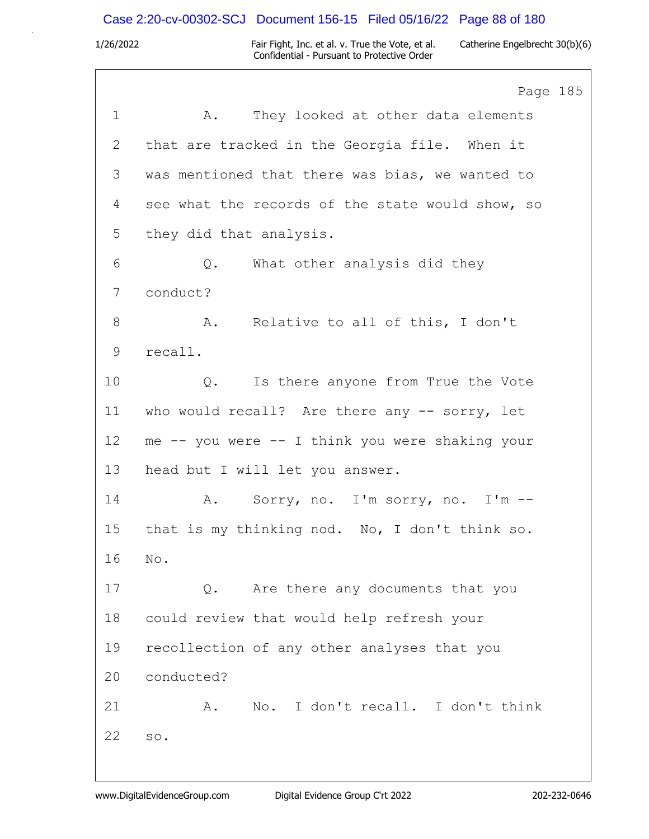# Case 2:20-cv-00302-SCJ Document 156-15 Filed 05/16/22 Page 88 of 180

|                | Page 185                                         |
|----------------|--------------------------------------------------|
| $\mathbf{1}$   | They looked at other data elements<br>A.         |
| $\mathbf{2}$   | that are tracked in the Georgia file. When it    |
| 3              | was mentioned that there was bias, we wanted to  |
| 4              | see what the records of the state would show, so |
| 5              | they did that analysis.                          |
| 6              | What other analysis did they<br>Q.               |
| $7\phantom{.}$ | conduct?                                         |
| 8              | A. Relative to all of this, I don't              |
| 9              | recall.                                          |
| 10             | Is there anyone from True the Vote<br>$Q$ .      |
| 11             | who would recall? Are there any -- sorry, let    |
| 12             | me -- you were -- I think you were shaking your  |
| 13             | head but I will let you answer.                  |
| 14             | Sorry, no. I'm sorry, no. I'm --<br>A.           |
| 15             | that is my thinking nod. No, I don't think so.   |
| 16             | No.                                              |
| 17             | Are there any documents that you<br>Q.           |
| 18             | could review that would help refresh your        |
| 19             | recollection of any other analyses that you      |
| 20             | conducted?                                       |
| 21             | No. I don't recall. I don't think<br>Α.          |
| 22             | SO.                                              |
|                |                                                  |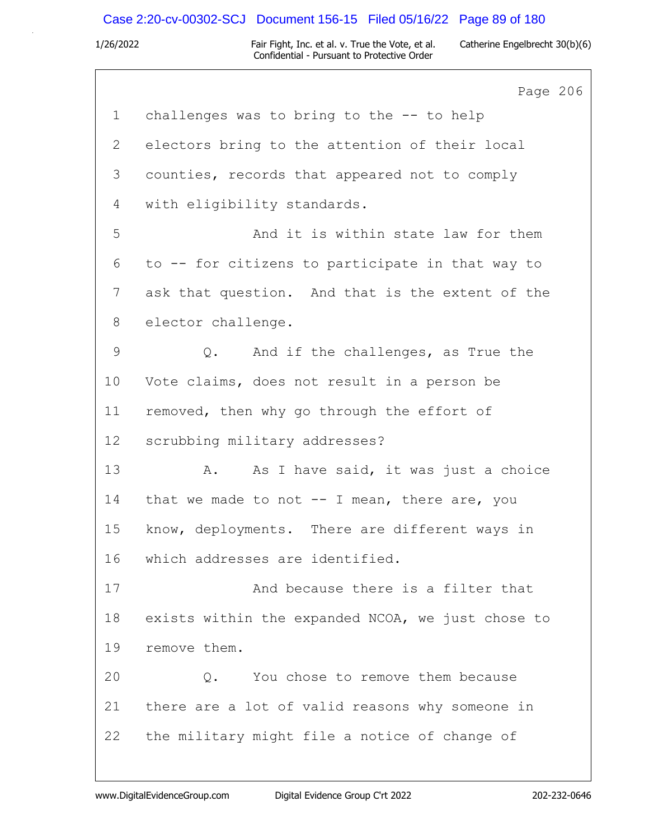# Case 2:20-cv-00302-SCJ Document 156-15 Filed 05/16/22 Page 89 of 180

|               | Page 206                                          |
|---------------|---------------------------------------------------|
| $\mathbf 1$   | challenges was to bring to the -- to help         |
| $\mathbf{2}$  | electors bring to the attention of their local    |
| 3             | counties, records that appeared not to comply     |
| 4             | with eligibility standards.                       |
| 5             | And it is within state law for them               |
| 6             | to -- for citizens to participate in that way to  |
| 7             | ask that question. And that is the extent of the  |
| 8             | elector challenge.                                |
| $\mathcal{G}$ | Q. And if the challenges, as True the             |
| 10            | Vote claims, does not result in a person be       |
| 11            | removed, then why go through the effort of        |
| 12            | scrubbing military addresses?                     |
| 13            | As I have said, it was just a choice<br>Α.        |
| 14            | that we made to not -- I mean, there are, you     |
| 15            | know, deployments. There are different ways in    |
| 16            | which addresses are identified.                   |
| 17            | And because there is a filter that                |
| 18            | exists within the expanded NCOA, we just chose to |
| 19            | remove them.                                      |
| 20            | You chose to remove them because<br>$Q$ .         |
| 21            | there are a lot of valid reasons why someone in   |
| 22            | the military might file a notice of change of     |
|               |                                                   |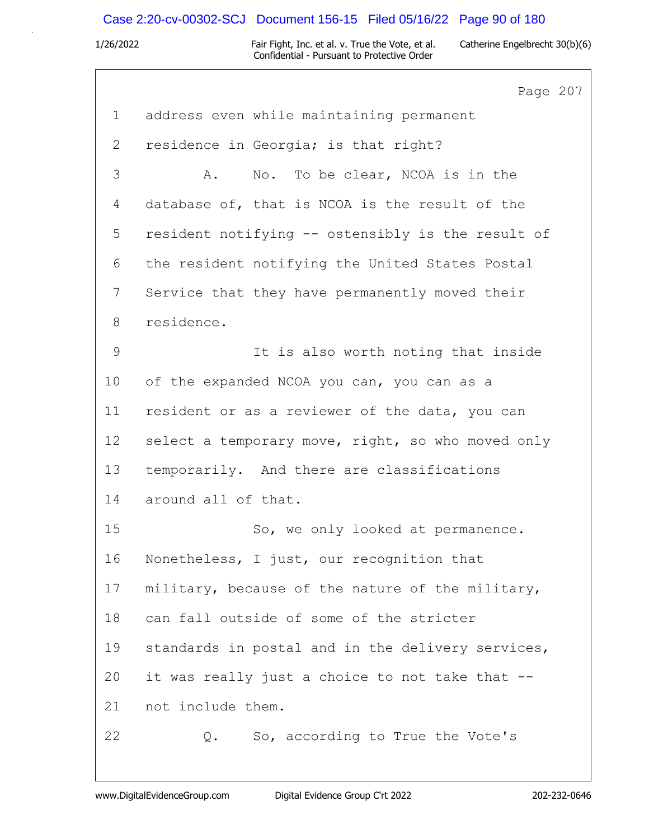## Case 2:20-cv-00302-SCJ Document 156-15 Filed 05/16/22 Page 90 of 180

1/26/2022 Fair Fight, Inc. et al. v. True the Vote, et al. Catherine Engelbrecht 30(b)(6) Confidential - Pursuant to Protective Order

Page 207 1 address even while maintaining permanent 2 residence in Georgia; is that right? 3 A. No. To be clear, NCOA is in the 4 database of, that is NCOA is the result of the 5 resident notifying -- ostensibly is the result of 6 the resident notifying the United States Postal 7 Service that they have permanently moved their 8 residence. 9 It is also worth noting that inside 10 of the expanded NCOA you can, you can as a 11 resident or as a reviewer of the data, you can 12 select a temporary move, right, so who moved only 13 temporarily. And there are classifications 14 around all of that. 15 So, we only looked at permanence. 16 Nonetheless, I just, our recognition that 17 military, because of the nature of the military, 18 can fall outside of some of the stricter 19 standards in postal and in the delivery services, 20 it was really just a choice to not take that -- 21 not include them. 22 Q. So, according to True the Vote's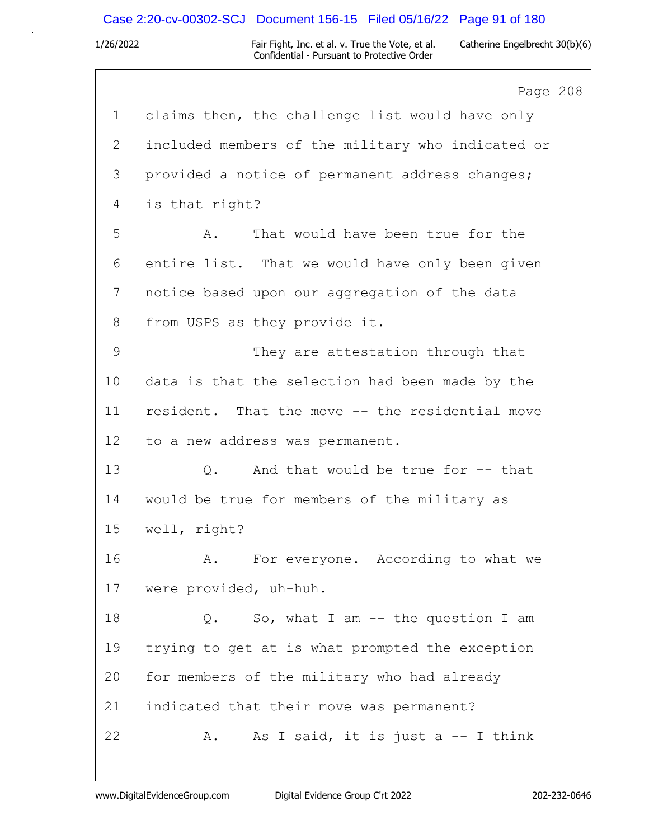# Case 2:20-cv-00302-SCJ Document 156-15 Filed 05/16/22 Page 91 of 180

|                 | Page 208                                          |
|-----------------|---------------------------------------------------|
| $\mathbf 1$     | claims then, the challenge list would have only   |
| 2               | included members of the military who indicated or |
| 3               | provided a notice of permanent address changes;   |
| 4               | is that right?                                    |
| 5               | That would have been true for the<br>Α.           |
| 6               | entire list. That we would have only been given   |
| 7               | notice based upon our aggregation of the data     |
| 8               | from USPS as they provide it.                     |
| 9               | They are attestation through that                 |
| 10              | data is that the selection had been made by the   |
| 11              | resident. That the move -- the residential move   |
| 12 <sup>°</sup> | to a new address was permanent.                   |
| 13              | And that would be true for -- that<br>$Q$ .       |
| 14              | would be true for members of the military as      |
| 15              | well, right?                                      |
| 16              | For everyone. According to what we<br>Α.          |
| 17              | were provided, uh-huh.                            |
| 18              | So, what I am $--$ the question I am<br>$Q$ .     |
| 19              | trying to get at is what prompted the exception   |
| 20              | for members of the military who had already       |
| 21              | indicated that their move was permanent?          |
| 22              | As I said, it is just a -- I think<br>Α.          |
|                 |                                                   |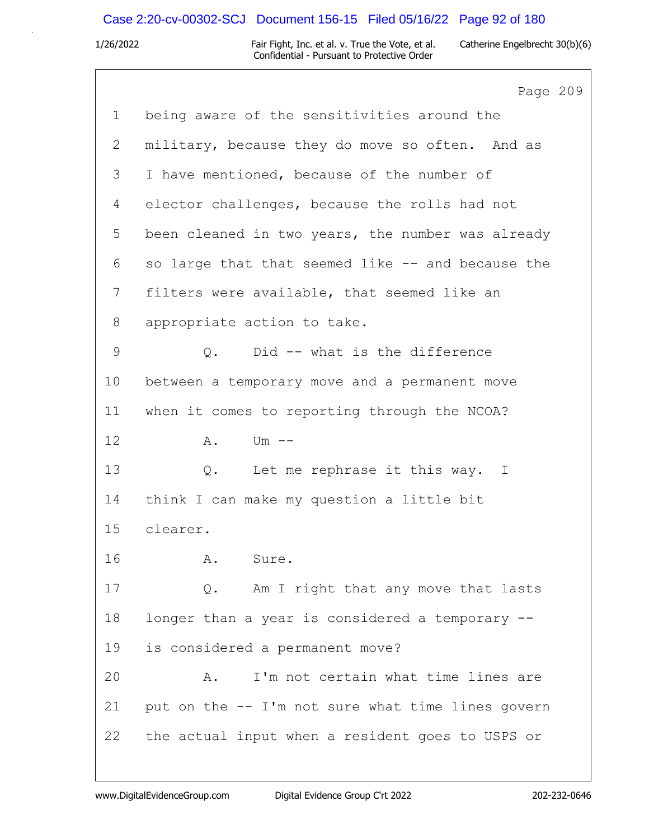# Case 2:20-cv-00302-SCJ Document 156-15 Filed 05/16/22 Page 92 of 180

|             | Page 209                                          |
|-------------|---------------------------------------------------|
| $\mathbf 1$ | being aware of the sensitivities around the       |
| 2           | military, because they do move so often. And as   |
| 3           | I have mentioned, because of the number of        |
| 4           | elector challenges, because the rolls had not     |
| 5           | been cleaned in two years, the number was already |
| 6           | so large that that seemed like -- and because the |
| 7           | filters were available, that seemed like an       |
| 8           | appropriate action to take.                       |
| 9           | Q. Did -- what is the difference                  |
| 10          | between a temporary move and a permanent move     |
| 11          | when it comes to reporting through the NCOA?      |
| 12          | $Um$ $--$<br>Α.                                   |
| 13          | Q. Let me rephrase it this way. I                 |
| 14          | think I can make my question a little bit         |
| 15          | clearer.                                          |
| 16          | Sure.<br>A.                                       |
| 17          | Am I right that any move that lasts<br>Q.         |
| 18          | longer than a year is considered a temporary --   |
| 19          | is considered a permanent move?                   |
| 20          | I'm not certain what time lines are<br>Α.         |
| 21          | put on the -- I'm not sure what time lines govern |
| 22          | the actual input when a resident goes to USPS or  |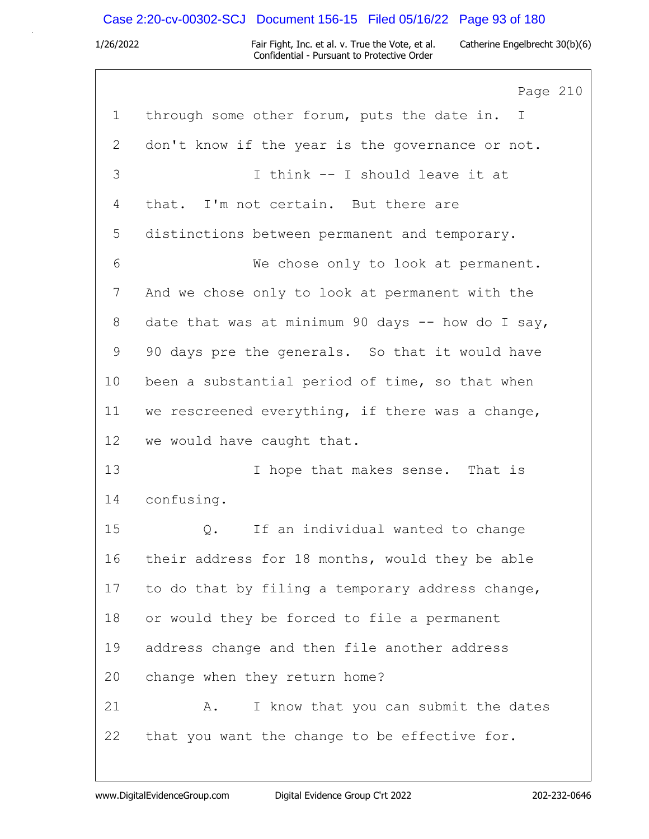# Case 2:20-cv-00302-SCJ Document 156-15 Filed 05/16/22 Page 93 of 180

|             | Page 210                                          |
|-------------|---------------------------------------------------|
| $\mathbf 1$ | through some other forum, puts the date in. I     |
| 2           | don't know if the year is the governance or not.  |
| 3           | I think -- I should leave it at                   |
| 4           | that. I'm not certain. But there are              |
| 5           | distinctions between permanent and temporary.     |
| 6           | We chose only to look at permanent.               |
| 7           | And we chose only to look at permanent with the   |
| 8           | date that was at minimum 90 days -- how do I say, |
| 9           | 90 days pre the generals. So that it would have   |
| 10          | been a substantial period of time, so that when   |
| 11          | we rescreened everything, if there was a change,  |
| 12          | we would have caught that.                        |
| 13          | I hope that makes sense. That is                  |
| 14          | confusing.                                        |
| 15          | If an individual wanted to change<br>Q.           |
| 16          | their address for 18 months, would they be able   |
| 17          | to do that by filing a temporary address change,  |
| 18          | or would they be forced to file a permanent       |
| 19          | address change and then file another address      |
| 20          | change when they return home?                     |
| 21          | I know that you can submit the dates<br>Α.        |
| 22          | that you want the change to be effective for.     |
|             |                                                   |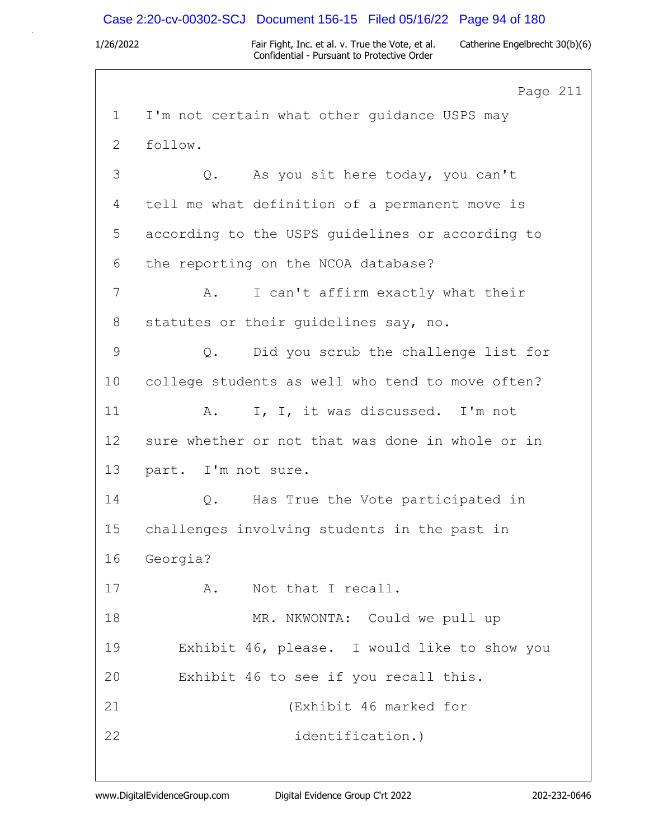## Case 2:20-cv-00302-SCJ Document 156-15 Filed 05/16/22 Page 94 of 180

1/26/2022 Fair Fight, Inc. et al. v. True the Vote, et al. Catherine Engelbrecht 30(b)(6) Confidential - Pursuant to Protective Order

Page 211 1 I'm not certain what other guidance USPS may 2 follow. 3 Q. As you sit here today, you can't 4 tell me what definition of a permanent move is 5 according to the USPS guidelines or according to 6 the reporting on the NCOA database? 7 A. I can't affirm exactly what their 8 statutes or their guidelines say, no. 9 Q. Did you scrub the challenge list for 10 college students as well who tend to move often? 11 A. I, I, it was discussed. I'm not 12 sure whether or not that was done in whole or in 13 part. I'm not sure. 14 Q. Has True the Vote participated in 15 challenges involving students in the past in 16 Georgia? 17 A. Not that I recall. 18 MR. NKWONTA: Could we pull up 19 Exhibit 46, please. I would like to show you 20 Exhibit 46 to see if you recall this. 21 (Exhibit 46 marked for 22 identification.)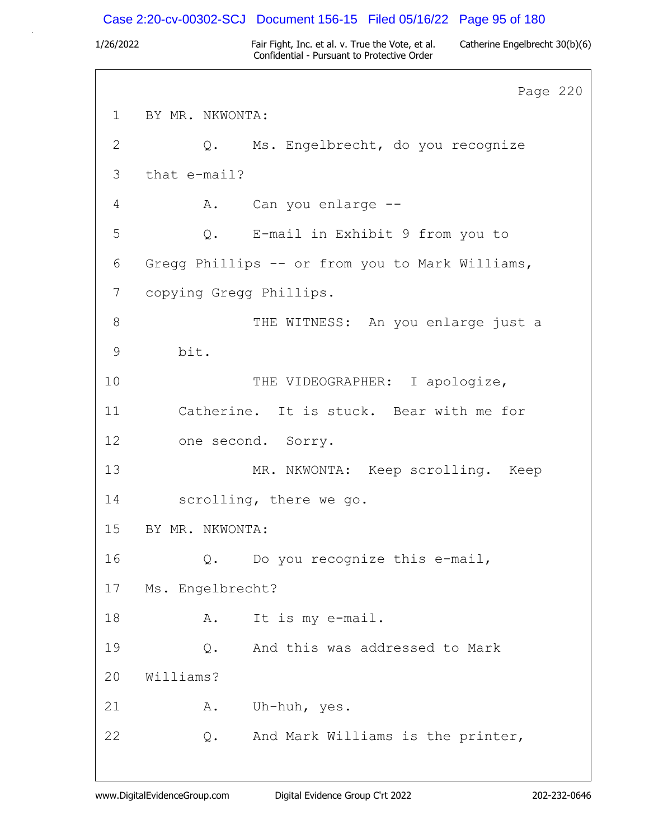## Case 2:20-cv-00302-SCJ Document 156-15 Filed 05/16/22 Page 95 of 180

1/26/2022 Fair Fight, Inc. et al. v. True the Vote, et al. Catherine Engelbrecht 30(b)(6) Confidential - Pursuant to Protective Order

Page 220 1 BY MR. NKWONTA: 2 Q. Ms. Engelbrecht, do you recognize 3 that e-mail? 4 A. Can you enlarge -- 5 Q. E-mail in Exhibit 9 from you to 6 Gregg Phillips -- or from you to Mark Williams, 7 copying Gregg Phillips. 8 THE WITNESS: An you enlarge just a 9 bit. 10 THE VIDEOGRAPHER: I apologize, 11 Catherine. It is stuck. Bear with me for 12 one second. Sorry. 13 MR. NKWONTA: Keep scrolling. Keep 14 scrolling, there we go. 15 BY MR. NKWONTA: 16 Q. Do you recognize this e-mail, 17 Ms. Engelbrecht? 18 A. It is my e-mail. 19 Q. And this was addressed to Mark 20 Williams? 21 A. Uh-huh, yes. 22 Q. And Mark Williams is the printer,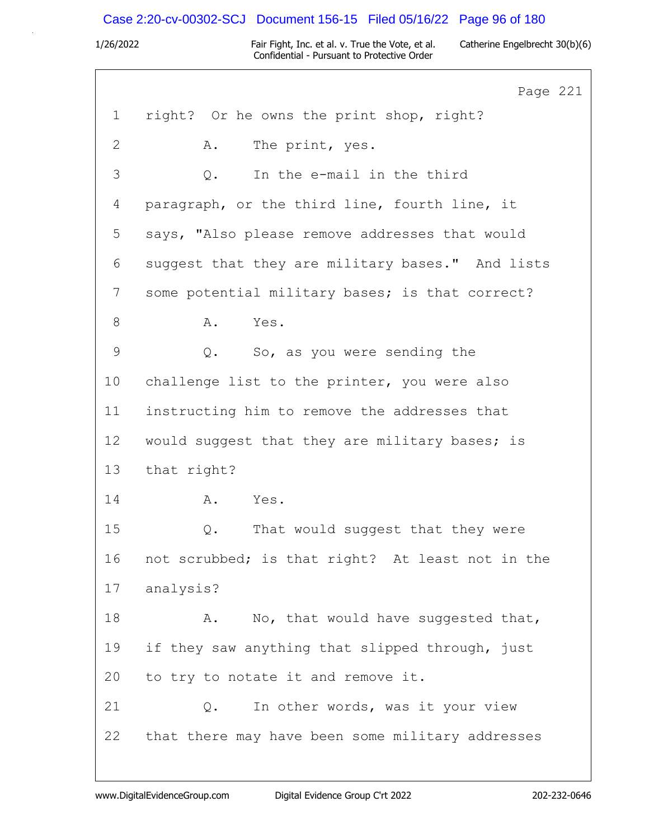# Case 2:20-cv-00302-SCJ Document 156-15 Filed 05/16/22 Page 96 of 180

|              | Page 221                                         |
|--------------|--------------------------------------------------|
| $\mathbf{1}$ | right? Or he owns the print shop, right?         |
| $\mathbf{2}$ | The print, yes.<br>Α.                            |
| 3            | In the e-mail in the third<br>$Q$ .              |
| 4            | paragraph, or the third line, fourth line, it    |
| 5            | says, "Also please remove addresses that would   |
| 6            | suggest that they are military bases." And lists |
| 7            | some potential military bases; is that correct?  |
| $8\,$        | Yes.<br>Α.                                       |
| $\mathsf 9$  | So, as you were sending the<br>Q.                |
| 10           | challenge list to the printer, you were also     |
| 11           | instructing him to remove the addresses that     |
| 12           | would suggest that they are military bases; is   |
| 13           | that right?                                      |
| 14           | A.<br>Yes.                                       |
| 15           | That would suggest that they were<br>Q.          |
| 16           | not scrubbed; is that right? At least not in the |
| 17           | analysis?                                        |
| 18           | No, that would have suggested that,<br>Α.        |
| 19           | if they saw anything that slipped through, just  |
| 20           | to try to notate it and remove it.               |
| 21           | In other words, was it your view<br>Q.           |
| 22           | that there may have been some military addresses |
|              |                                                  |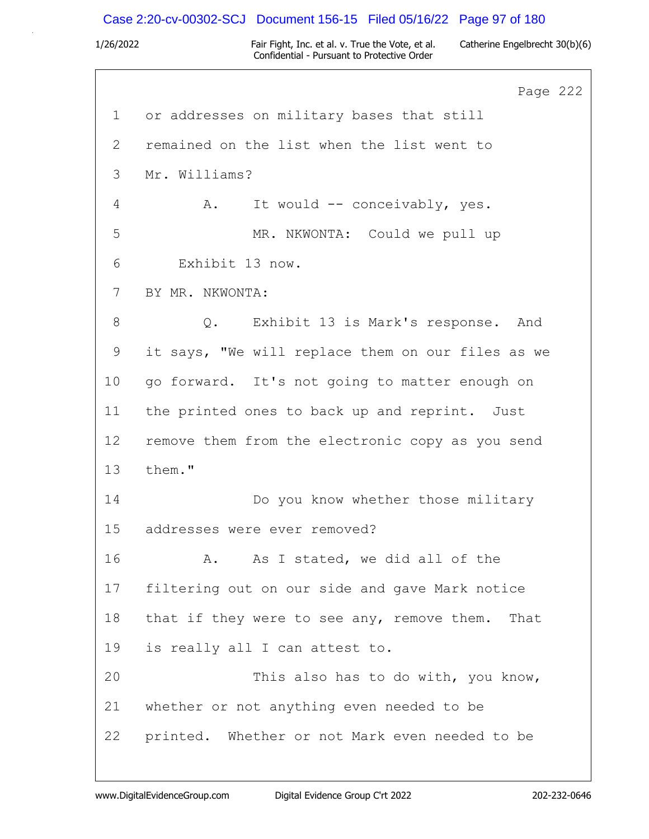### Case 2:20-cv-00302-SCJ Document 156-15 Filed 05/16/22 Page 97 of 180

1/26/2022 Fair Fight, Inc. et al. v. True the Vote, et al. Catherine Engelbrecht 30(b)(6) Confidential - Pursuant to Protective Order

Page 222 1 or addresses on military bases that still 2 remained on the list when the list went to 3 Mr. Williams? 4 A. It would -- conceivably, yes. 5 MR. NKWONTA: Could we pull up 6 Exhibit 13 now. 7 BY MR. NKWONTA: 8 Q. Exhibit 13 is Mark's response. And 9 it says, "We will replace them on our files as we 10 go forward. It's not going to matter enough on 11 the printed ones to back up and reprint. Just 12 remove them from the electronic copy as you send 13 them." 14 Do you know whether those military 15 addresses were ever removed? 16 A. As I stated, we did all of the 17 filtering out on our side and gave Mark notice 18 that if they were to see any, remove them. That 19 is really all I can attest to. 20 This also has to do with, you know, 21 whether or not anything even needed to be 22 printed. Whether or not Mark even needed to be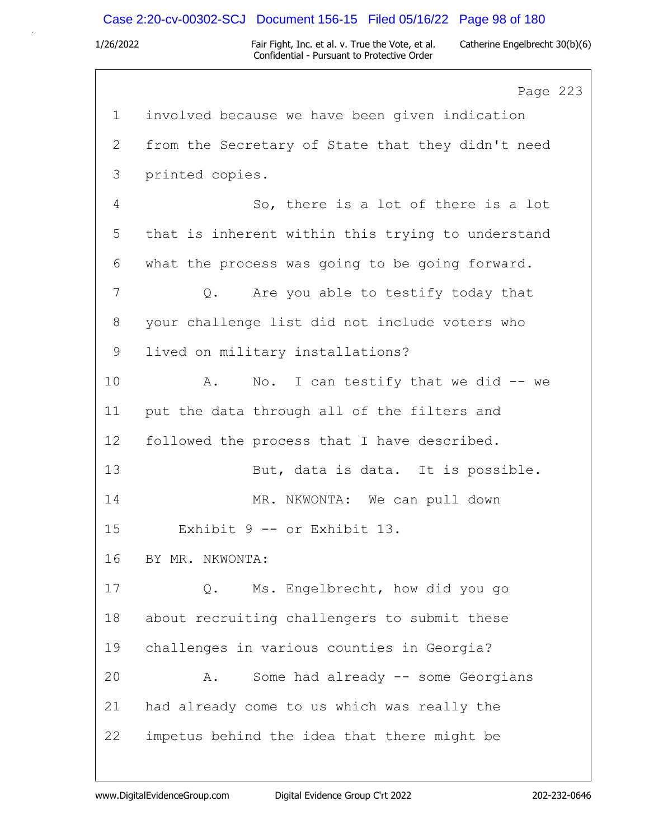## Case 2:20-cv-00302-SCJ Document 156-15 Filed 05/16/22 Page 98 of 180

1/26/2022 Fair Fight, Inc. et al. v. True the Vote, et al. Catherine Engelbrecht 30(b)(6) Confidential - Pursuant to Protective Order

Page 223 1 involved because we have been given indication 2 from the Secretary of State that they didn't need 3 printed copies. 4 So, there is a lot of there is a lot 5 that is inherent within this trying to understand 6 what the process was going to be going forward. 7 Q. Are you able to testify today that 8 your challenge list did not include voters who 9 lived on military installations? 10 A. No. I can testify that we did -- we 11 put the data through all of the filters and 12 followed the process that I have described. 13 But, data is data. It is possible. 14 MR. NKWONTA: We can pull down 15 Exhibit 9 -- or Exhibit 13. 16 BY MR. NKWONTA: 17 Q. Ms. Engelbrecht, how did you go 18 about recruiting challengers to submit these 19 challenges in various counties in Georgia? 20 A. Some had already -- some Georgians 21 had already come to us which was really the 22 impetus behind the idea that there might be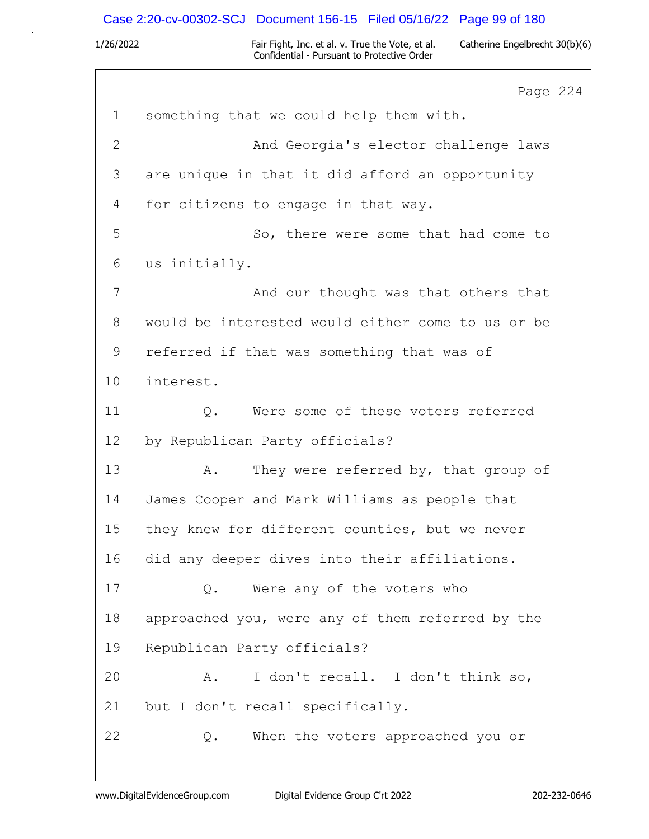# Case 2:20-cv-00302-SCJ Document 156-15 Filed 05/16/22 Page 99 of 180

|              | Page 224                                          |
|--------------|---------------------------------------------------|
| $\mathbf 1$  | something that we could help them with.           |
| $\mathbf{2}$ | And Georgia's elector challenge laws              |
| 3            | are unique in that it did afford an opportunity   |
| 4            | for citizens to engage in that way.               |
| 5            | So, there were some that had come to              |
| 6            | us initially.                                     |
| 7            | And our thought was that others that              |
| 8            | would be interested would either come to us or be |
| 9            | referred if that was something that was of        |
| 10           | interest.                                         |
| 11           | Were some of these voters referred<br>Q.          |
| 12           | by Republican Party officials?                    |
| 13           | They were referred by, that group of<br>Α.        |
| 14           | James Cooper and Mark Williams as people that     |
| 15           | they knew for different counties, but we never    |
| 16           | did any deeper dives into their affiliations.     |
| 17           | Were any of the voters who<br>Q.                  |
| 18           | approached you, were any of them referred by the  |
| 19           | Republican Party officials?                       |
| 20           | I don't recall. I don't think so,<br>Α.           |
| 21           | but I don't recall specifically.                  |
| 22           | When the voters approached you or<br>Q.           |
|              |                                                   |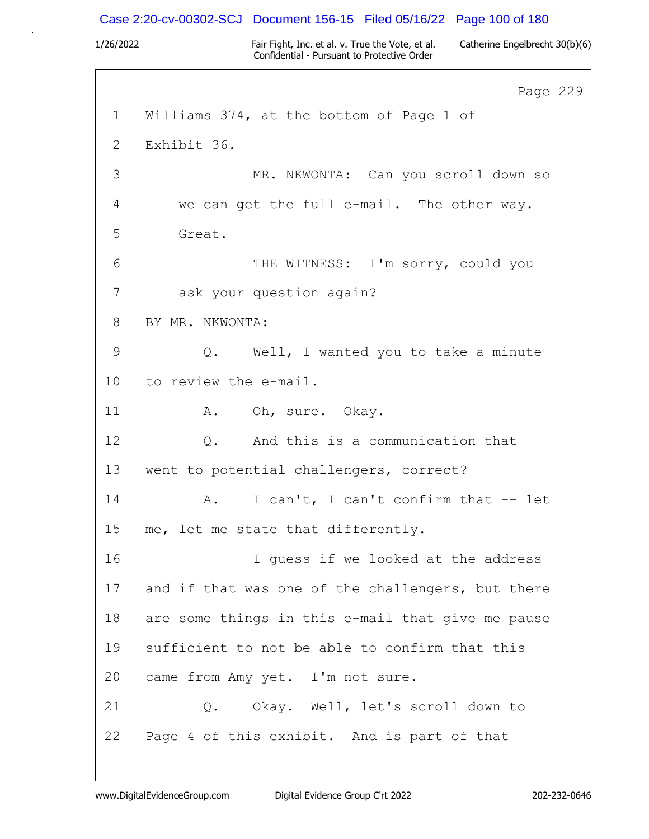### Case 2:20-cv-00302-SCJ Document 156-15 Filed 05/16/22 Page 100 of 180

1/26/2022 Fair Fight, Inc. et al. v. True the Vote, et al. Catherine Engelbrecht 30(b)(6) Confidential - Pursuant to Protective Order

Page 229 1 Williams 374, at the bottom of Page 1 of 2 Exhibit 36. 3 MR. NKWONTA: Can you scroll down so 4 we can get the full e-mail. The other way. 5 Great. 6 THE WITNESS: I'm sorry, could you 7 ask your question again? 8 BY MR. NKWONTA: 9 Q. Well, I wanted you to take a minute 10 to review the e-mail. 11 A. Oh, sure. Okay. 12 Q. And this is a communication that 13 went to potential challengers, correct? 14 A. I can't, I can't confirm that -- let 15 me, let me state that differently. 16 I guess if we looked at the address 17 and if that was one of the challengers, but there 18 are some things in this e-mail that give me pause 19 sufficient to not be able to confirm that this 20 came from Amy yet. I'm not sure. 21 Q. Okay. Well, let's scroll down to 22 Page 4 of this exhibit. And is part of that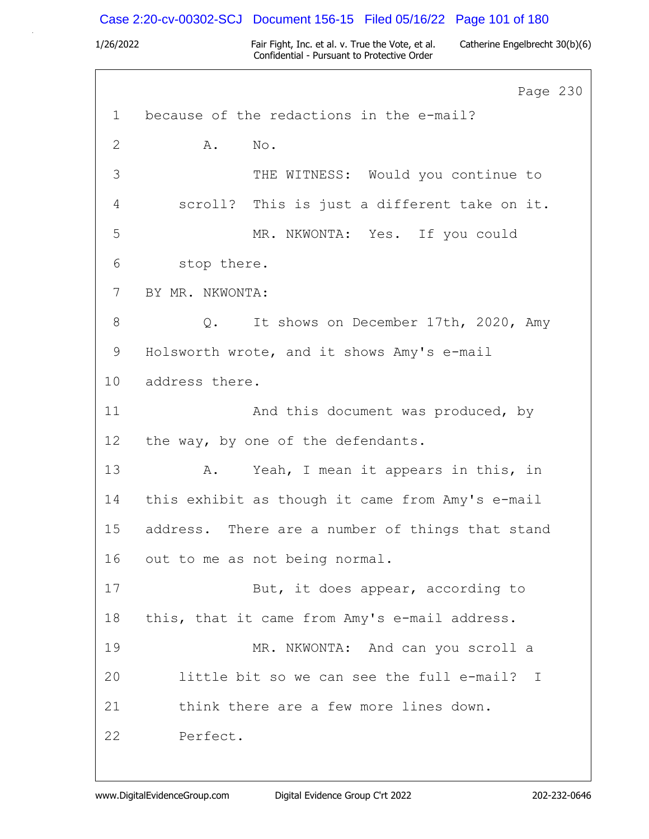# Case 2:20-cv-00302-SCJ Document 156-15 Filed 05/16/22 Page 101 of 180

|             | Page 230                                          |
|-------------|---------------------------------------------------|
| $\mathbf 1$ | because of the redactions in the e-mail?          |
| 2           | No.<br>Α.                                         |
| 3           | THE WITNESS: Would you continue to                |
| 4           | scroll? This is just a different take on it.      |
| 5           | MR. NKWONTA: Yes. If you could                    |
| 6           | stop there.                                       |
| 7           | BY MR. NKWONTA:                                   |
| 8           | It shows on December 17th, 2020, Amy<br>$\circ$ . |
| 9           | Holsworth wrote, and it shows Amy's e-mail        |
| 10          | address there.                                    |
| 11          | And this document was produced, by                |
| 12          | the way, by one of the defendants.                |
| 13          | Yeah, I mean it appears in this, in<br>A.         |
| 14          | this exhibit as though it came from Amy's e-mail  |
| 15          | address. There are a number of things that stand  |
| 16          | out to me as not being normal.                    |
| 17          | But, it does appear, according to                 |
| 18          | this, that it came from Amy's e-mail address.     |
| 19          | MR. NKWONTA: And can you scroll a                 |
| 20          | little bit so we can see the full e-mail? I       |
| 21          | think there are a few more lines down.            |
| 22          | Perfect.                                          |
|             |                                                   |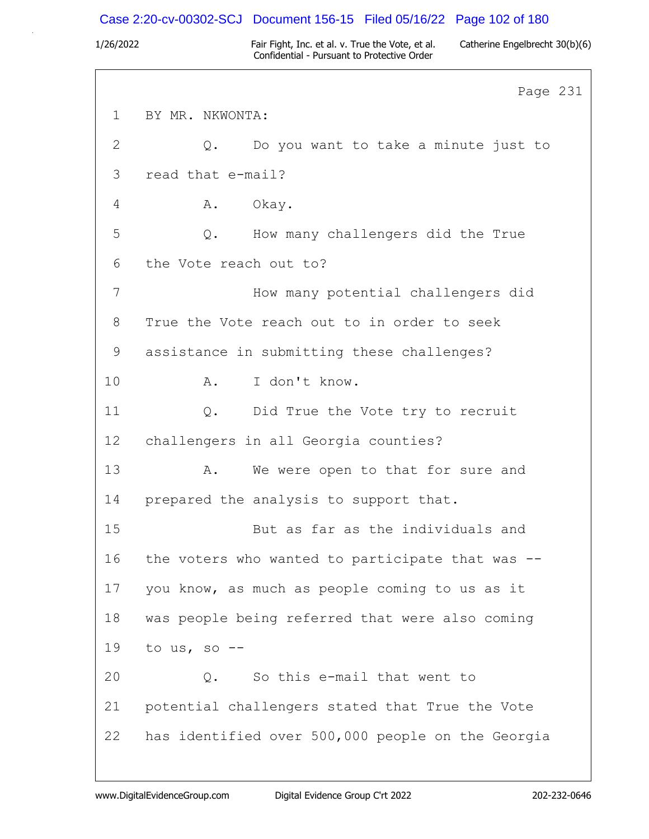### Case 2:20-cv-00302-SCJ Document 156-15 Filed 05/16/22 Page 102 of 180

1/26/2022 Fair Fight, Inc. et al. v. True the Vote, et al. Catherine Engelbrecht 30(b)(6) Confidential - Pursuant to Protective Order

Page 231 1 BY MR. NKWONTA: 2 Q. Do you want to take a minute just to 3 read that e-mail? 4 A. Okay. 5 Q. How many challengers did the True 6 the Vote reach out to? 7 How many potential challengers did 8 True the Vote reach out to in order to seek 9 assistance in submitting these challenges? 10 A. I don't know. 11 Q. Did True the Vote try to recruit 12 challengers in all Georgia counties? 13 A. We were open to that for sure and 14 prepared the analysis to support that. 15 But as far as the individuals and 16 the voters who wanted to participate that was -- 17 you know, as much as people coming to us as it 18 was people being referred that were also coming 19 to us, so -- 20 Q. So this e-mail that went to 21 potential challengers stated that True the Vote 22 has identified over 500,000 people on the Georgia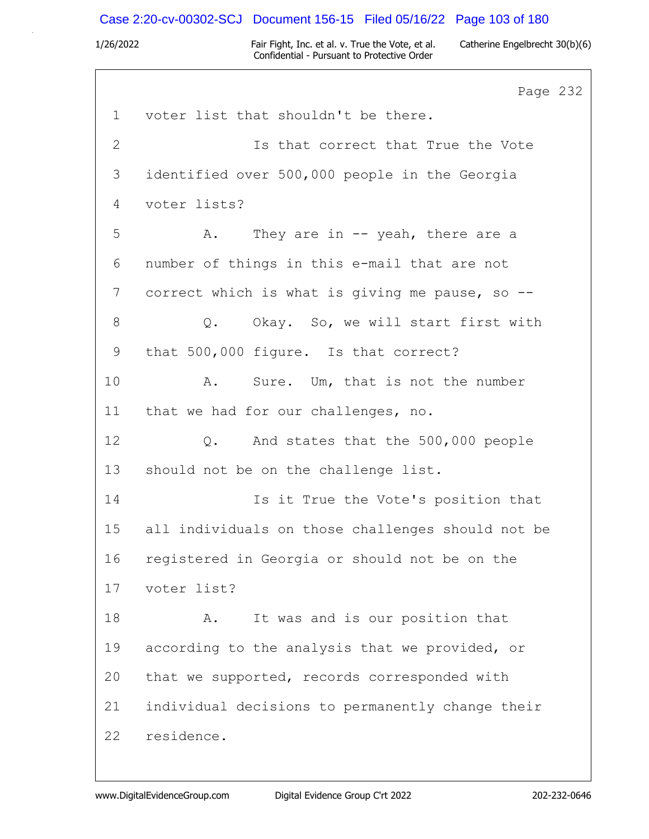### Case 2:20-cv-00302-SCJ Document 156-15 Filed 05/16/22 Page 103 of 180

1/26/2022 Fair Fight, Inc. et al. v. True the Vote, et al. Catherine Engelbrecht 30(b)(6) Confidential - Pursuant to Protective Order

Page 232 1 voter list that shouldn't be there. 2 Is that correct that True the Vote 3 identified over 500,000 people in the Georgia 4 voter lists? 5 A. They are in -- yeah, there are a 6 number of things in this e-mail that are not 7 correct which is what is giving me pause, so -- 8 0. Okay. So, we will start first with 9 that 500,000 figure. Is that correct? 10 A. Sure. Um, that is not the number 11 that we had for our challenges, no. 12 Q. And states that the 500,000 people 13 should not be on the challenge list. 14 Is it True the Vote's position that 15 all individuals on those challenges should not be 16 registered in Georgia or should not be on the 17 voter list? 18 A. It was and is our position that 19 according to the analysis that we provided, or 20 that we supported, records corresponded with 21 individual decisions to permanently change their 22 residence.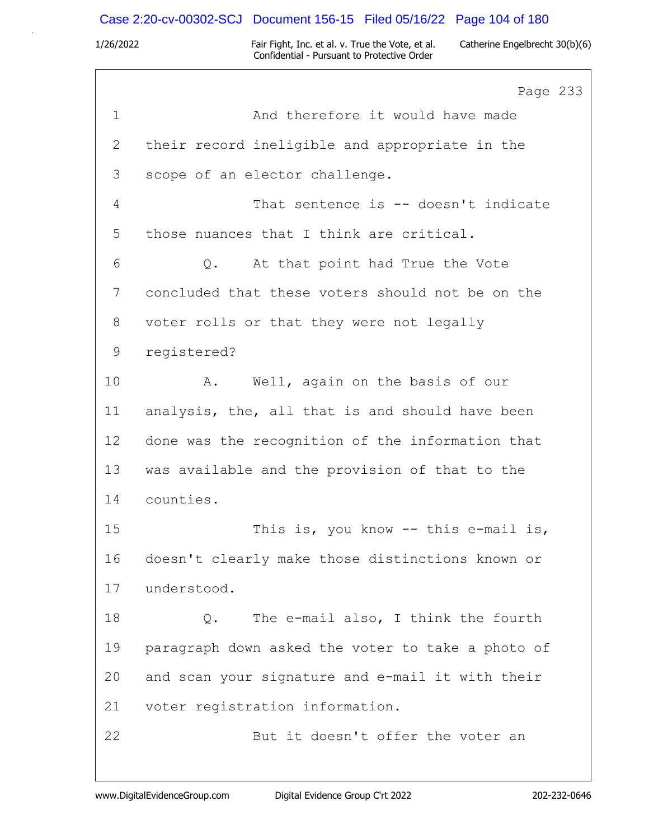# Case 2:20-cv-00302-SCJ Document 156-15 Filed 05/16/22 Page 104 of 180

|             | Page 233                                          |
|-------------|---------------------------------------------------|
| $\mathbf 1$ | And therefore it would have made                  |
| 2           | their record ineligible and appropriate in the    |
| 3           | scope of an elector challenge.                    |
| 4           | That sentence is -- doesn't indicate              |
| 5           | those nuances that I think are critical.          |
| 6           | At that point had True the Vote<br>$Q$ .          |
| 7           | concluded that these voters should not be on the  |
| 8           | voter rolls or that they were not legally         |
| 9           | registered?                                       |
| 10          | Well, again on the basis of our<br>Α.             |
| 11          | analysis, the, all that is and should have been   |
| 12          | done was the recognition of the information that  |
| 13          | was available and the provision of that to the    |
| 14          | counties.                                         |
| 15          | This is, you know $--$ this e-mail is,            |
| 16          | doesn't clearly make those distinctions known or  |
| 17          | understood.                                       |
| 18          | The e-mail also, I think the fourth<br>Q.         |
| 19          | paragraph down asked the voter to take a photo of |
| 20          | and scan your signature and e-mail it with their  |
| 21          | voter registration information.                   |
| 22          | But it doesn't offer the voter an                 |
|             |                                                   |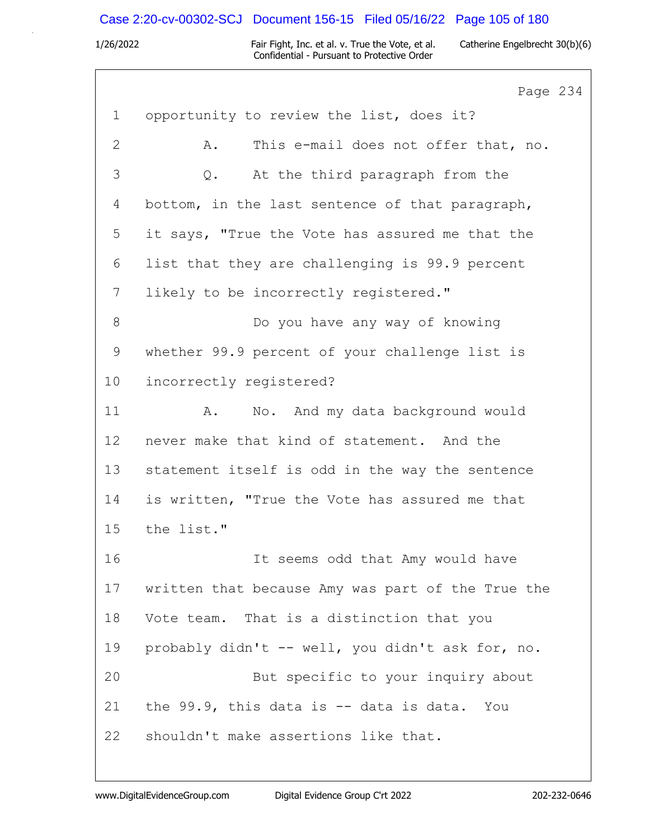# Case 2:20-cv-00302-SCJ Document 156-15 Filed 05/16/22 Page 105 of 180

1/26/2022 Fair Fight, Inc. et al. v. True the Vote, et al. Catherine Engelbrecht 30(b)(6) Confidential - Pursuant to Protective Order

 $\overline{4}$ 

|                | Page 23                                           |
|----------------|---------------------------------------------------|
| $\mathbf{1}$   | opportunity to review the list, does it?          |
| $\mathbf{2}$   | This e-mail does not offer that, no.<br>Α.        |
| $\mathfrak{Z}$ | At the third paragraph from the<br>Q.             |
| 4              | bottom, in the last sentence of that paragraph,   |
| 5              | it says, "True the Vote has assured me that the   |
| 6              | list that they are challenging is 99.9 percent    |
| 7              | likely to be incorrectly registered."             |
| $8\,$          | Do you have any way of knowing                    |
| $\mathsf 9$    | whether 99.9 percent of your challenge list is    |
| 10             | incorrectly registered?                           |
| 11             | No. And my data background would<br>Α.            |
| 12             | never make that kind of statement. And the        |
| 13             | statement itself is odd in the way the sentence   |
| 14             | is written, "True the Vote has assured me that    |
| 15             | the list."                                        |
| 16             | It seems odd that Amy would have                  |
| 17             | written that because Amy was part of the True the |
| 18             | Vote team. That is a distinction that you         |
| 19             | probably didn't -- well, you didn't ask for, no.  |
| 20             | But specific to your inquiry about                |
| 21             | the 99.9, this data is -- data is data. You       |
| 22             | shouldn't make assertions like that.              |
|                |                                                   |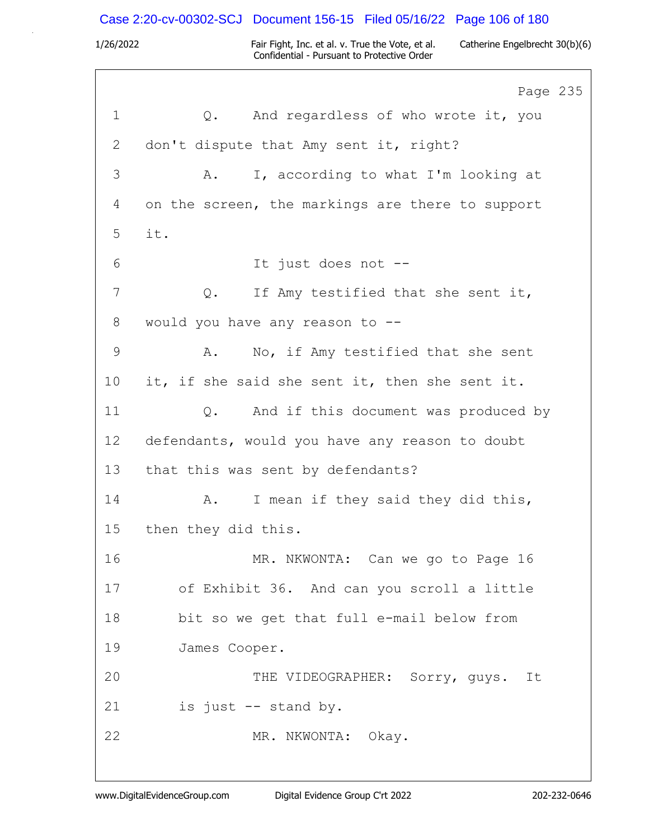1/26/2022 Fair Fight, Inc. et al. v. True the Vote, et al. Catherine Engelbrecht 30(b)(6) Confidential - Pursuant to Protective Order Page 235 1 Q. And regardless of who wrote it, you 2 don't dispute that Amy sent it, right? 3 A. I, according to what I'm looking at 4 on the screen, the markings are there to support 5 it. 6 It just does not -- 7 0. If Amy testified that she sent it, 8 would you have any reason to -- 9 A. No, if Amy testified that she sent 10 it, if she said she sent it, then she sent it. 11 Q. And if this document was produced by 12 defendants, would you have any reason to doubt 13 that this was sent by defendants? 14 A. I mean if they said they did this, 15 then they did this. 16 MR. NKWONTA: Can we go to Page 16 17 of Exhibit 36. And can you scroll a little 18 bit so we get that full e-mail below from 19 James Cooper. 20 THE VIDEOGRAPHER: Sorry, guys. It 21 is just -- stand by. 22 MR. NKWONTA: Okay. Case 2:20-cv-00302-SCJ Document 156-15 Filed 05/16/22 Page 106 of 180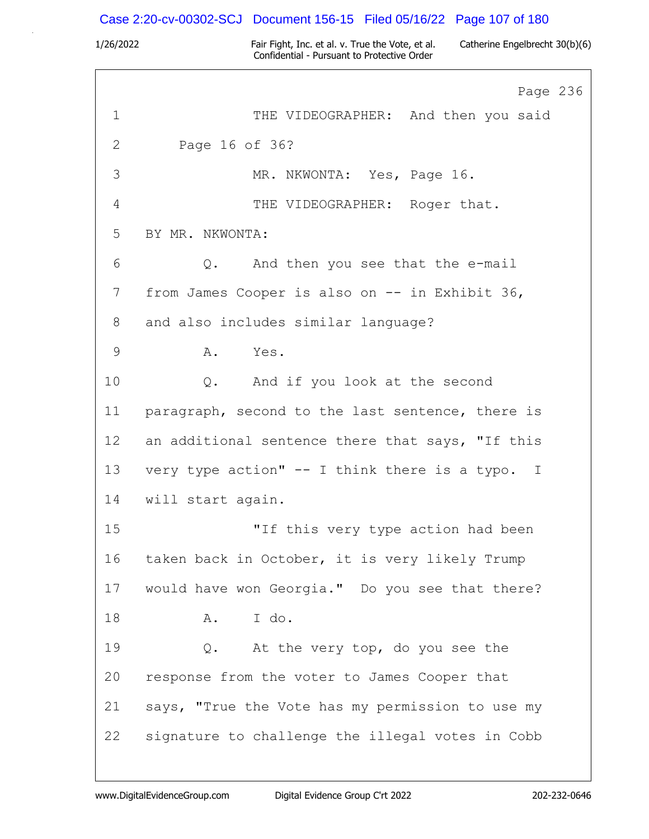### Case 2:20-cv-00302-SCJ Document 156-15 Filed 05/16/22 Page 107 of 180

1/26/2022 Fair Fight, Inc. et al. v. True the Vote, et al. Catherine Engelbrecht 30(b)(6) Confidential - Pursuant to Protective Order

Page 236 1 THE VIDEOGRAPHER: And then you said 2 Page 16 of 36? 3 MR. NKWONTA: Yes, Page 16. 4 THE VIDEOGRAPHER: Roger that. 5 BY MR. NKWONTA: 6 Q. And then you see that the e-mail 7 from James Cooper is also on -- in Exhibit 36, 8 and also includes similar language? 9 A. Yes. 10 Q. And if you look at the second 11 paragraph, second to the last sentence, there is 12 an additional sentence there that says, "If this 13 very type action" -- I think there is a typo. I 14 will start again. 15 "If this very type action had been 16 taken back in October, it is very likely Trump 17 would have won Georgia." Do you see that there? 18 A. I do. 19 Q. At the very top, do you see the 20 response from the voter to James Cooper that 21 says, "True the Vote has my permission to use my 22 signature to challenge the illegal votes in Cobb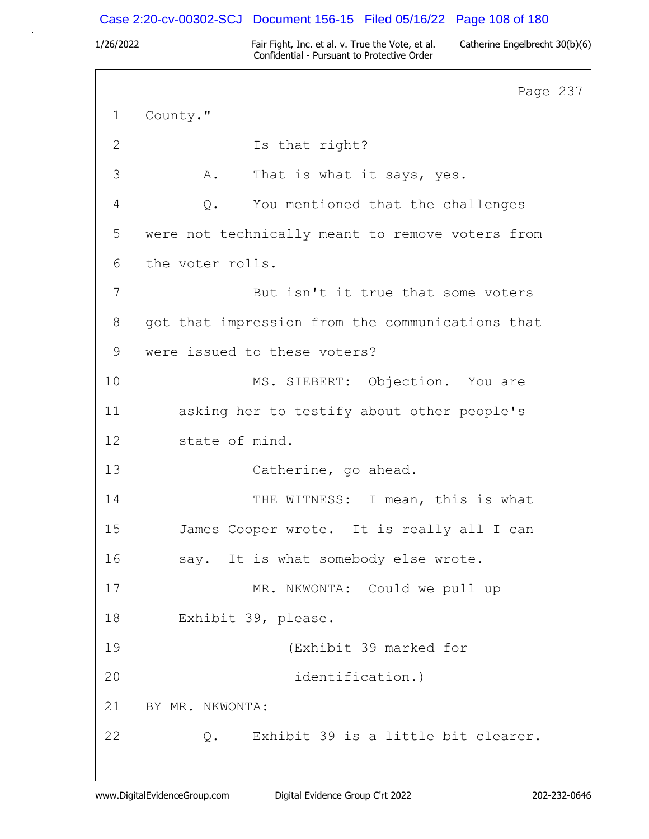## Case 2:20-cv-00302-SCJ Document 156-15 Filed 05/16/22 Page 108 of 180

1/26/2022 Fair Fight, Inc. et al. v. True the Vote, et al. Catherine Engelbrecht 30(b)(6) Confidential - Pursuant to Protective Order

Page 237 1 County." 2 Is that right? 3 A. That is what it says, yes. 4 Q. You mentioned that the challenges 5 were not technically meant to remove voters from 6 the voter rolls. 7 But isn't it true that some voters 8 got that impression from the communications that 9 were issued to these voters? 10 MS. SIEBERT: Objection. You are 11 asking her to testify about other people's 12 state of mind. 13 Catherine, go ahead. 14 THE WITNESS: I mean, this is what 15 James Cooper wrote. It is really all I can 16 say. It is what somebody else wrote. 17 MR. NKWONTA: Could we pull up 18 Exhibit 39, please. 19 (Exhibit 39 marked for 20 identification.) 21 BY MR. NKWONTA: 22 Q. Exhibit 39 is a little bit clearer.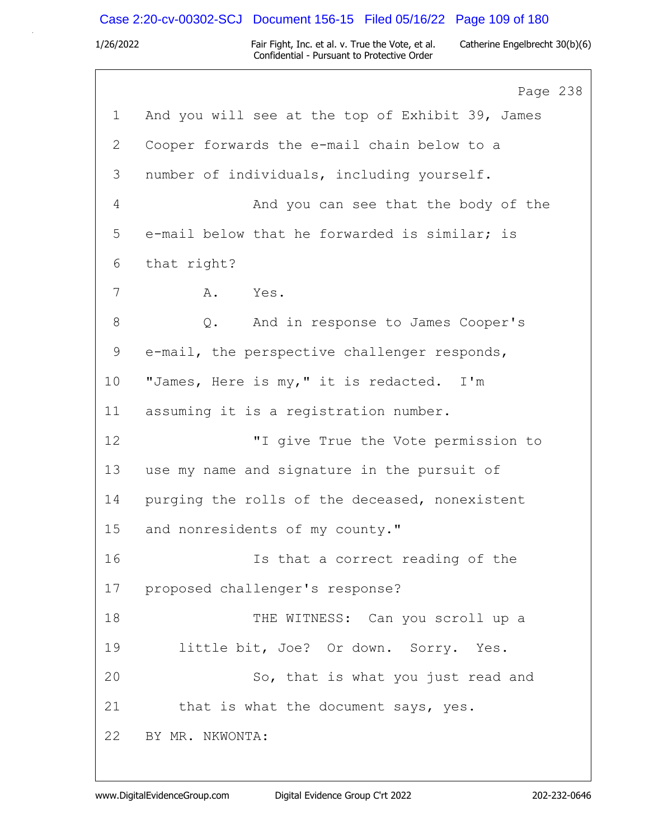# Case 2:20-cv-00302-SCJ Document 156-15 Filed 05/16/22 Page 109 of 180

|              | Page 238                                         |
|--------------|--------------------------------------------------|
| 1            | And you will see at the top of Exhibit 39, James |
| $\mathbf{2}$ | Cooper forwards the e-mail chain below to a      |
| 3            | number of individuals, including yourself.       |
| 4            | And you can see that the body of the             |
| 5            | e-mail below that he forwarded is similar; is    |
| 6            | that right?                                      |
| 7            | Yes.<br>A.                                       |
| $8\,$        | Q. And in response to James Cooper's             |
| 9            | e-mail, the perspective challenger responds,     |
| 10           | "James, Here is my," it is redacted. I'm         |
| 11           | assuming it is a registration number.            |
| 12           | "I give True the Vote permission to              |
| 13           | use my name and signature in the pursuit of      |
| 14           | purging the rolls of the deceased, nonexistent   |
| 15           | and nonresidents of my county."                  |
| 16           | Is that a correct reading of the                 |
| 17           | proposed challenger's response?                  |
| 18           | THE WITNESS: Can you scroll up a                 |
| 19           | little bit, Joe? Or down. Sorry. Yes.            |
| 20           | So, that is what you just read and               |
| 21           | that is what the document says, yes.             |
| 22           | BY MR. NKWONTA:                                  |
|              |                                                  |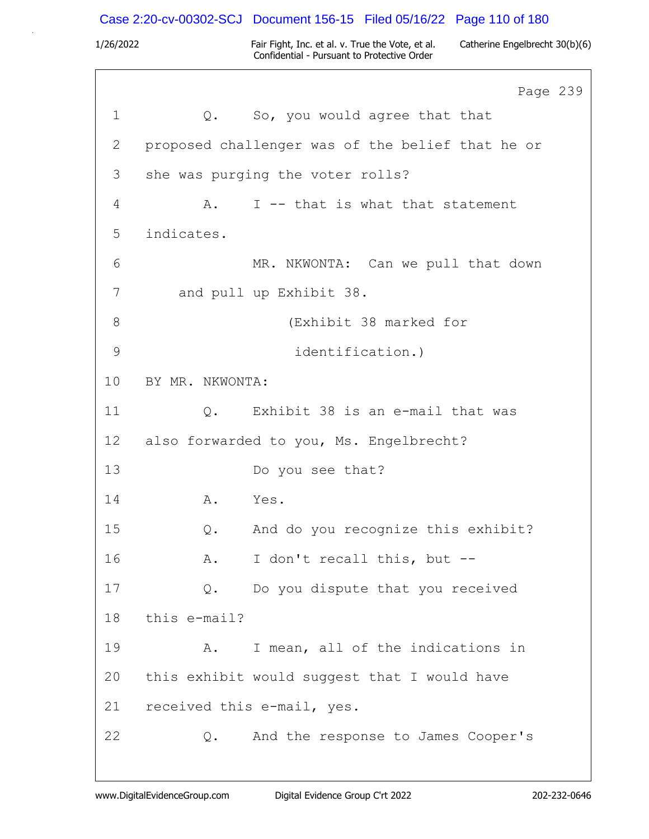Case 2:20-cv-00302-SCJ Document 156-15 Filed 05/16/22 Page 110 of 180

1/26/2022 Fair Fight, Inc. et al. v. True the Vote, et al. Catherine Engelbrecht 30(b)(6) Confidential - Pursuant to Protective Order

Page 239 1 Q. So, you would agree that that 2 proposed challenger was of the belief that he or 3 she was purging the voter rolls? 4 A. I -- that is what that statement 5 indicates. 6 MR. NKWONTA: Can we pull that down 7 and pull up Exhibit 38. 8 (Exhibit 38 marked for 9 identification.) 10 BY MR. NKWONTA: 11 Q. Exhibit 38 is an e-mail that was 12 also forwarded to you, Ms. Engelbrecht? 13 Do you see that? 14 A. Yes. 15 Q. And do you recognize this exhibit? 16 A. I don't recall this, but -- 17 Q. Do you dispute that you received 18 this e-mail? 19 A. I mean, all of the indications in 20 this exhibit would suggest that I would have 21 received this e-mail, yes. 22 Q. And the response to James Cooper's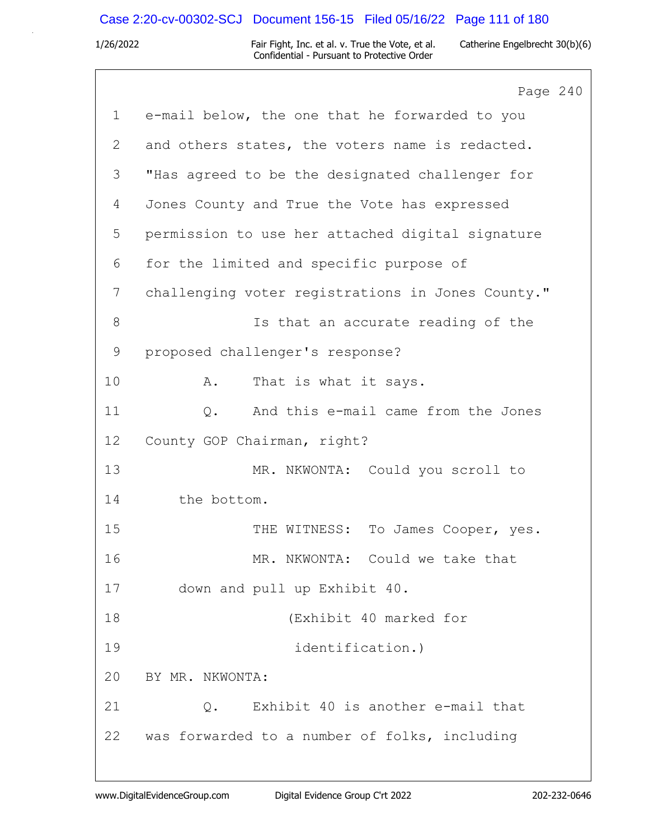# Case 2:20-cv-00302-SCJ Document 156-15 Filed 05/16/22 Page 111 of 180

|                | Page 240                                          |
|----------------|---------------------------------------------------|
| $\mathbf{1}$   | e-mail below, the one that he forwarded to you    |
| 2              | and others states, the voters name is redacted.   |
| 3              | "Has agreed to be the designated challenger for   |
| 4              | Jones County and True the Vote has expressed      |
| 5              | permission to use her attached digital signature  |
| 6              | for the limited and specific purpose of           |
| $7\phantom{.}$ | challenging voter registrations in Jones County." |
| 8              | Is that an accurate reading of the                |
| 9              | proposed challenger's response?                   |
| 10             | That is what it says.<br>Α.                       |
| 11             | And this e-mail came from the Jones<br>$Q$ .      |
| 12             | County GOP Chairman, right?                       |
| 13             | MR. NKWONTA: Could you scroll to                  |
| 14             | the bottom.                                       |
| 15             | THE WITNESS: To James Cooper, yes.                |
| 16             | MR. NKWONTA: Could we take that                   |
| 17             | down and pull up Exhibit 40.                      |
| 18             | (Exhibit 40 marked for                            |
| 19             | identification.)                                  |
| 20             | BY MR. NKWONTA:                                   |
| 21             | Exhibit 40 is another e-mail that<br>Q.           |
| 22             | was forwarded to a number of folks, including     |
|                |                                                   |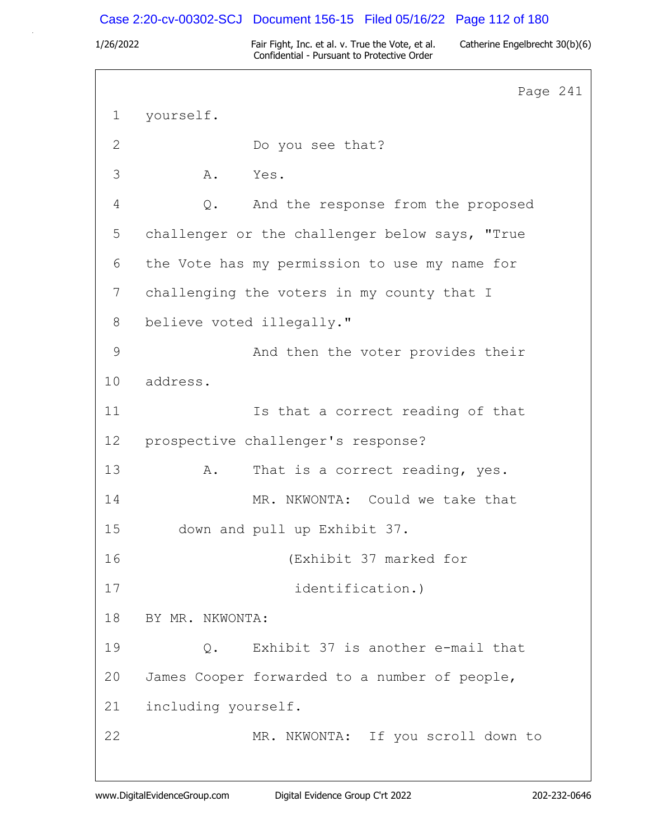### Case 2:20-cv-00302-SCJ Document 156-15 Filed 05/16/22 Page 112 of 180

1/26/2022 Fair Fight, Inc. et al. v. True the Vote, et al. Catherine Engelbrecht 30(b)(6) Confidential - Pursuant to Protective Order

Page 241 1 yourself. 2 Do you see that? 3 A. Yes. 4 Q. And the response from the proposed 5 challenger or the challenger below says, "True 6 the Vote has my permission to use my name for 7 challenging the voters in my county that I 8 believe voted illegally." 9 And then the voter provides their 10 address. 11 Is that a correct reading of that 12 prospective challenger's response? 13 A. That is a correct reading, yes. 14 MR. NKWONTA: Could we take that 15 down and pull up Exhibit 37. 16 (Exhibit 37 marked for 17 identification.) 18 BY MR. NKWONTA: 19 Q. Exhibit 37 is another e-mail that 20 James Cooper forwarded to a number of people, 21 including yourself. 22 MR. NKWONTA: If you scroll down to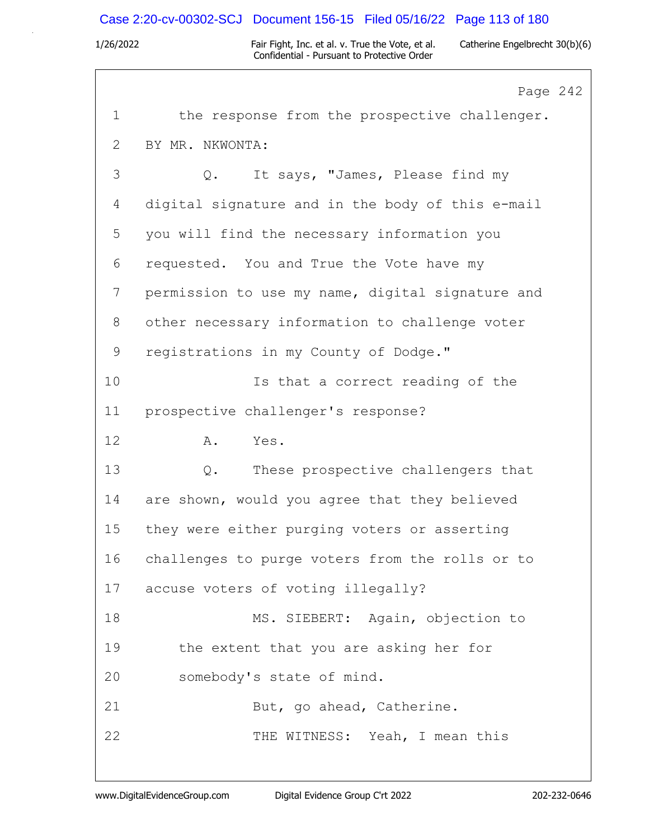### Case 2:20-cv-00302-SCJ Document 156-15 Filed 05/16/22 Page 113 of 180

1/26/2022 Fair Fight, Inc. et al. v. True the Vote, et al. Catherine Engelbrecht 30(b)(6) Confidential - Pursuant to Protective Order

Page 242 1 the response from the prospective challenger. 2 BY MR. NKWONTA: 3 Q. It says, "James, Please find my 4 digital signature and in the body of this e-mail 5 you will find the necessary information you 6 requested. You and True the Vote have my 7 permission to use my name, digital signature and 8 other necessary information to challenge voter 9 registrations in my County of Dodge." 10 Is that a correct reading of the 11 prospective challenger's response? 12 A. Yes. 13 Q. These prospective challengers that 14 are shown, would you agree that they believed 15 they were either purging voters or asserting 16 challenges to purge voters from the rolls or to 17 accuse voters of voting illegally? 18 MS. SIEBERT: Again, objection to 19 the extent that you are asking her for 20 somebody's state of mind. 21 But, go ahead, Catherine. 22 THE WITNESS: Yeah, I mean this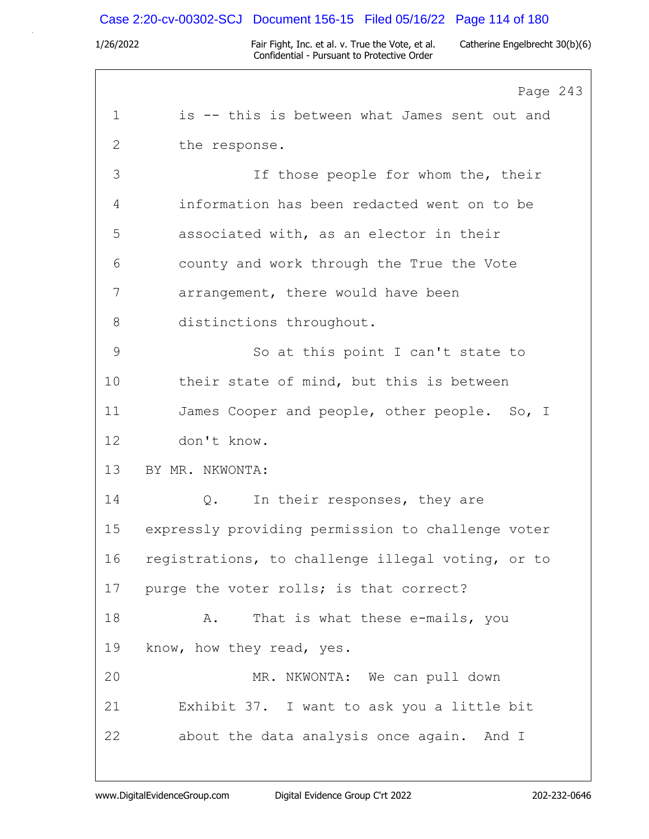# Case 2:20-cv-00302-SCJ Document 156-15 Filed 05/16/22 Page 114 of 180

|              | Page 243                                          |
|--------------|---------------------------------------------------|
| $\mathbf 1$  | is -- this is between what James sent out and     |
| $\mathbf{2}$ | the response.                                     |
| 3            | If those people for whom the, their               |
| 4            | information has been redacted went on to be       |
| 5            | associated with, as an elector in their           |
| 6            | county and work through the True the Vote         |
| 7            | arrangement, there would have been                |
| 8            | distinctions throughout.                          |
| $\mathsf{9}$ | So at this point I can't state to                 |
| 10           | their state of mind, but this is between          |
| 11           | James Cooper and people, other people. So, I      |
| 12           | don't know.                                       |
| 13           | BY MR. NKWONTA:                                   |
| 14           | In their responses, they are<br>$Q$ .             |
| 15           | expressly providing permission to challenge voter |
| 16           | registrations, to challenge illegal voting, or to |
| 17           | purge the voter rolls; is that correct?           |
| 18           | That is what these e-mails, you<br>Α.             |
| 19           | know, how they read, yes.                         |
| 20           | MR. NKWONTA: We can pull down                     |
| 21           | Exhibit 37. I want to ask you a little bit        |
| 22           | about the data analysis once again. And I         |
|              |                                                   |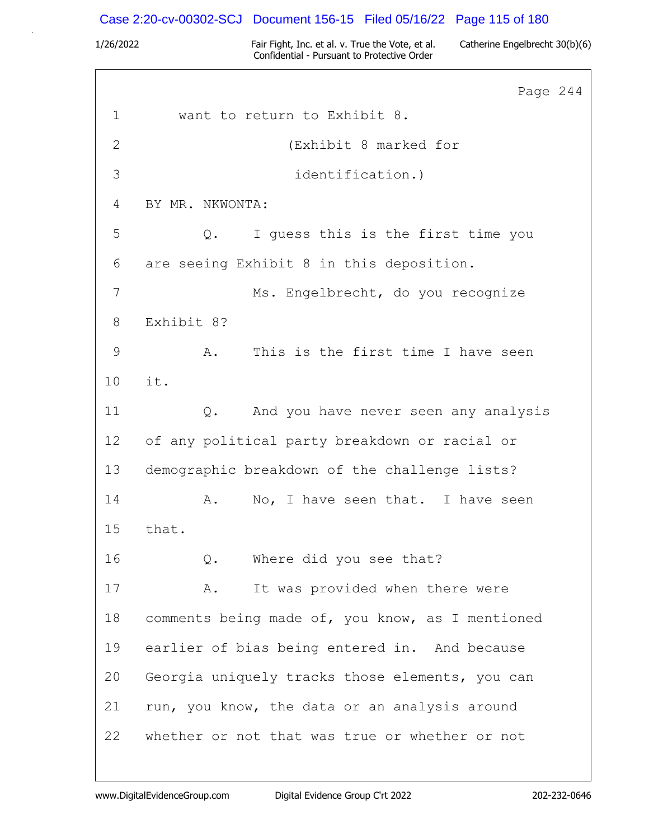# Case 2:20-cv-00302-SCJ Document 156-15 Filed 05/16/22 Page 115 of 180

|               | Page 244                                         |
|---------------|--------------------------------------------------|
| $\mathbf 1$   | want to return to Exhibit 8.                     |
| $\mathbf{2}$  | (Exhibit 8 marked for                            |
| 3             | identification.)                                 |
| 4             | BY MR. NKWONTA:                                  |
| 5             | I guess this is the first time you<br>$Q$ .      |
| 6             | are seeing Exhibit 8 in this deposition.         |
| 7             | Ms. Engelbrecht, do you recognize                |
| 8             | Exhibit 8?                                       |
| $\mathcal{G}$ | This is the first time I have seen<br>Α.         |
| 10            | it.                                              |
| 11            | And you have never seen any analysis<br>$Q$ .    |
| 12            | of any political party breakdown or racial or    |
| 13            | demographic breakdown of the challenge lists?    |
| 14            | No, I have seen that. I have seen<br>Α.          |
| 15            | that.                                            |
| 16            | Where did you see that?<br>Q.                    |
| 17            | It was provided when there were<br>Α.            |
| 18            | comments being made of, you know, as I mentioned |
| 19            | earlier of bias being entered in. And because    |
| 20            | Georgia uniquely tracks those elements, you can  |
| 21            | run, you know, the data or an analysis around    |
| 22            | whether or not that was true or whether or not   |
|               |                                                  |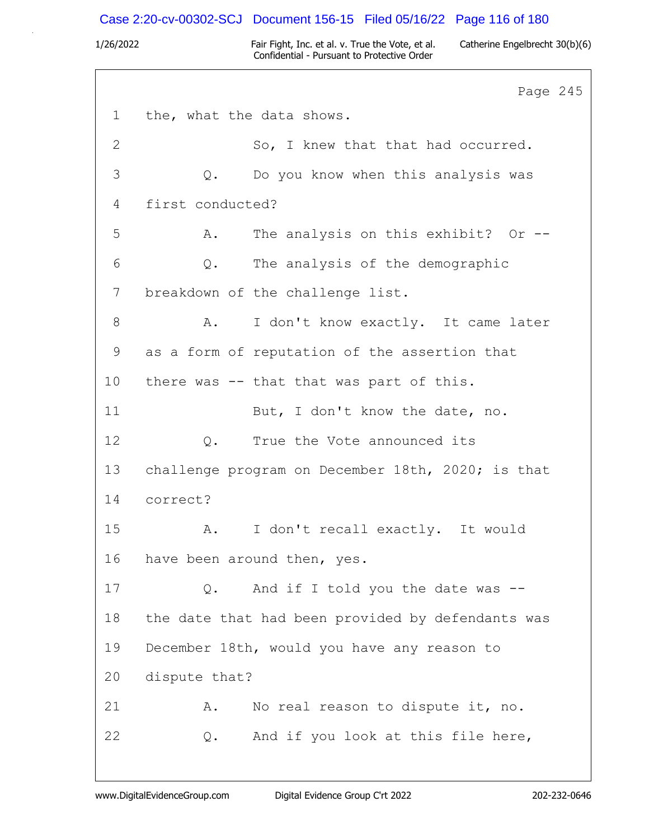### Case 2:20-cv-00302-SCJ Document 156-15 Filed 05/16/22 Page 116 of 180

1/26/2022 Fair Fight, Inc. et al. v. True the Vote, et al. Catherine Engelbrecht 30(b)(6) Confidential - Pursuant to Protective Order

Page 245 1 the, what the data shows. 2 So, I knew that that had occurred. 3 Q. Do you know when this analysis was 4 first conducted? 5 A. The analysis on this exhibit? Or -- 6 Q. The analysis of the demographic 7 breakdown of the challenge list. 8 A. I don't know exactly. It came later 9 as a form of reputation of the assertion that 10 there was -- that that was part of this. 11 But, I don't know the date, no. 12 0. True the Vote announced its 13 challenge program on December 18th, 2020; is that 14 correct? 15 A. I don't recall exactly. It would 16 have been around then, yes. 17 Q. And if I told you the date was --18 the date that had been provided by defendants was 19 December 18th, would you have any reason to 20 dispute that? 21 A. No real reason to dispute it, no. 22 Q. And if you look at this file here,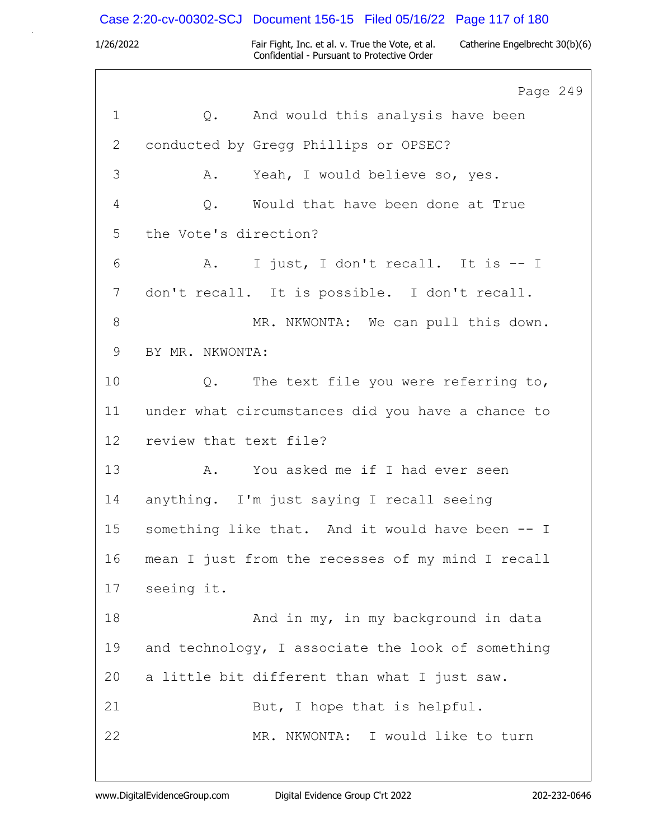# Case 2:20-cv-00302-SCJ Document 156-15 Filed 05/16/22 Page 117 of 180

|                | Page 249                                              |
|----------------|-------------------------------------------------------|
| $\mathbf 1$    | Q. And would this analysis have been                  |
| 2              | conducted by Gregg Phillips or OPSEC?                 |
| $\mathfrak{Z}$ | Yeah, I would believe so, yes.<br>Α.                  |
| 4              | Would that have been done at True<br>Q.               |
| 5              | the Vote's direction?                                 |
| 6              | I just, I don't recall. It is -- I<br>A.              |
| 7              | don't recall. It is possible. I don't recall.         |
| $8\,$          | MR. NKWONTA: We can pull this down.                   |
| 9              | BY MR. NKWONTA:                                       |
| 10             | The text file you were referring to,<br>$Q_{\bullet}$ |
| 11             | under what circumstances did you have a chance to     |
| 12             | review that text file?                                |
| 13             | A. You asked me if I had ever seen                    |
| 14             | anything. I'm just saying I recall seeing             |
| 15             | something like that. And it would have been -- I      |
| 16             | mean I just from the recesses of my mind I recall     |
| 17             | seeing it.                                            |
| 18             | And in my, in my background in data                   |
| 19             | and technology, I associate the look of something     |
| 20             | a little bit different than what I just saw.          |
| 21             | But, I hope that is helpful.                          |
| 22             | MR. NKWONTA: I would like to turn                     |
|                |                                                       |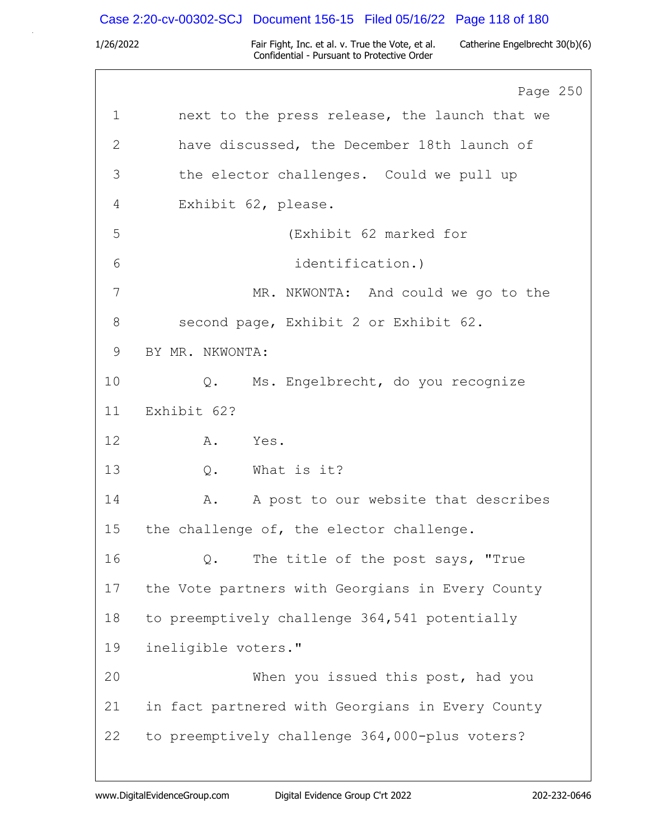# Case 2:20-cv-00302-SCJ Document 156-15 Filed 05/16/22 Page 118 of 180

|    | Page 250                                         |
|----|--------------------------------------------------|
| 1  | next to the press release, the launch that we    |
| 2  | have discussed, the December 18th launch of      |
| 3  | the elector challenges. Could we pull up         |
| 4  | Exhibit 62, please.                              |
| 5  | (Exhibit 62 marked for                           |
| 6  | identification.)                                 |
| 7  | MR. NKWONTA: And could we go to the              |
| 8  | second page, Exhibit 2 or Exhibit 62.            |
| 9  | BY MR. NKWONTA:                                  |
| 10 | Q. Ms. Engelbrecht, do you recognize             |
| 11 | Exhibit 62?                                      |
| 12 | A. Yes.                                          |
| 13 | $Q$ .<br>What is it?                             |
| 14 | A post to our website that describes<br>A.       |
| 15 | the challenge of, the elector challenge.         |
| 16 | The title of the post says, "True<br>Q.          |
| 17 | the Vote partners with Georgians in Every County |
| 18 | to preemptively challenge 364,541 potentially    |
| 19 | ineligible voters."                              |
| 20 | When you issued this post, had you               |
| 21 | in fact partnered with Georgians in Every County |
| 22 | to preemptively challenge 364,000-plus voters?   |
|    |                                                  |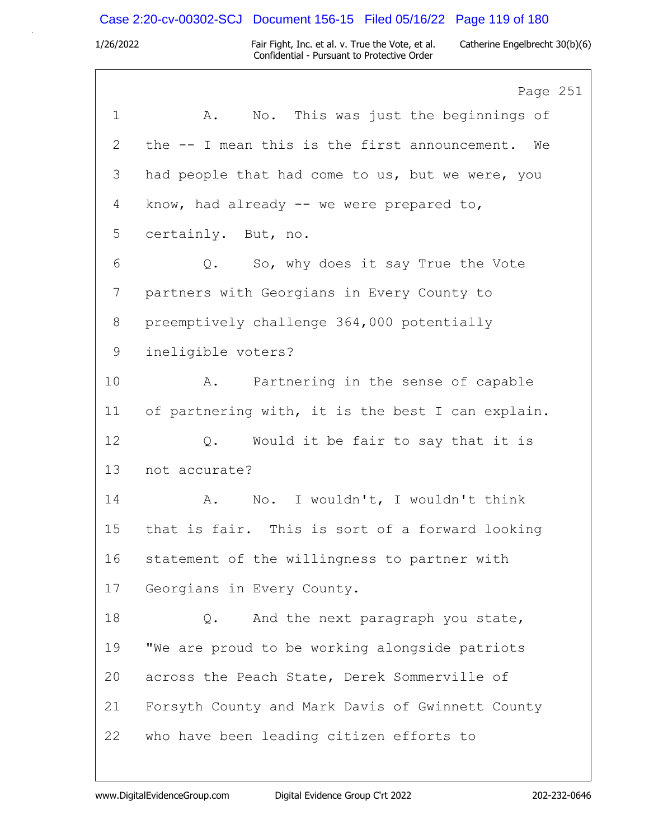# Case 2:20-cv-00302-SCJ Document 156-15 Filed 05/16/22 Page 119 of 180

|              | Page 251                                          |
|--------------|---------------------------------------------------|
| $\mathbf 1$  | No. This was just the beginnings of<br>Α.         |
| $\mathbf{2}$ | the -- I mean this is the first announcement. We  |
| 3            | had people that had come to us, but we were, you  |
| 4            | know, had already $-$ we were prepared to,        |
| 5            | certainly. But, no.                               |
| 6            | So, why does it say True the Vote<br>$Q$ .        |
| 7            | partners with Georgians in Every County to        |
| 8            | preemptively challenge 364,000 potentially        |
| 9            | ineligible voters?                                |
| 10           | Partnering in the sense of capable<br>Α.          |
| 11           | of partnering with, it is the best I can explain. |
| 12           | Would it be fair to say that it is<br>Q.          |
| 13           | not accurate?                                     |
| 14           | No. I wouldn't, I wouldn't think<br>A.            |
| 15           | that is fair. This is sort of a forward looking   |
| 16           | statement of the willingness to partner with      |
| 17           | Georgians in Every County.                        |
| 18           | And the next paragraph you state,<br>Q.           |
| 19           | "We are proud to be working alongside patriots    |
| 20           | across the Peach State, Derek Sommerville of      |
| 21           | Forsyth County and Mark Davis of Gwinnett County  |
| 22           | who have been leading citizen efforts to          |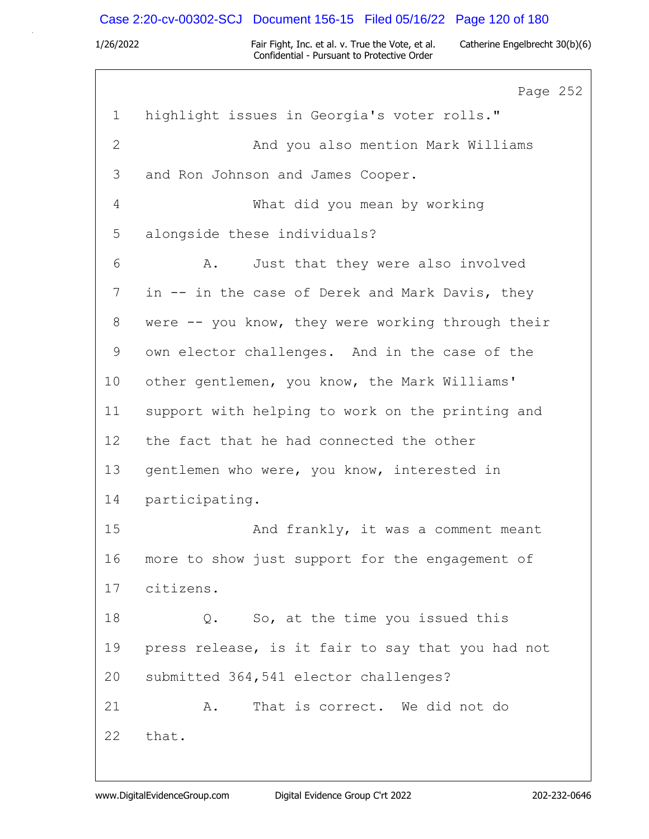# Case 2:20-cv-00302-SCJ Document 156-15 Filed 05/16/22 Page 120 of 180

|                 | Page 252                                          |
|-----------------|---------------------------------------------------|
| $\mathbf 1$     | highlight issues in Georgia's voter rolls."       |
| $\mathbf{2}$    | And you also mention Mark Williams                |
| 3               | and Ron Johnson and James Cooper.                 |
| 4               | What did you mean by working                      |
| 5               | alongside these individuals?                      |
| 6               | Just that they were also involved<br>A.           |
| 7               | in -- in the case of Derek and Mark Davis, they   |
| 8               | were -- you know, they were working through their |
| 9               | own elector challenges. And in the case of the    |
| 10              | other gentlemen, you know, the Mark Williams'     |
| 11              | support with helping to work on the printing and  |
| 12 <sup>°</sup> | the fact that he had connected the other          |
| 13              | gentlemen who were, you know, interested in       |
| 14              | participating.                                    |
| 15              | And frankly, it was a comment meant               |
| 16              | more to show just support for the engagement of   |
| 17              | citizens.                                         |
| 18              | Q. So, at the time you issued this                |
| 19              | press release, is it fair to say that you had not |
| 20              | submitted 364,541 elector challenges?             |
| 21              | That is correct. We did not do<br>Α.              |
| 22              | that.                                             |
|                 |                                                   |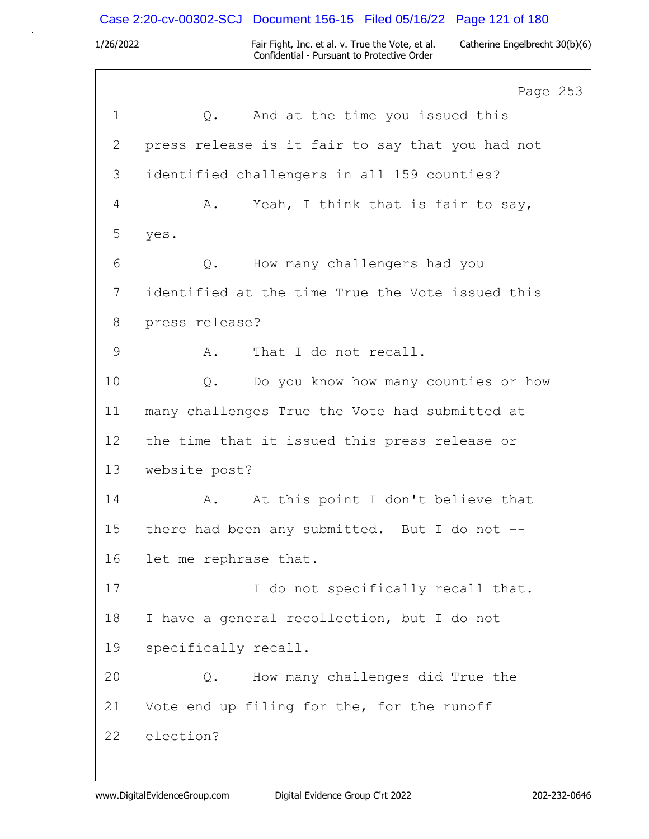# Case 2:20-cv-00302-SCJ Document 156-15 Filed 05/16/22 Page 121 of 180

|             | Page 253                                         |
|-------------|--------------------------------------------------|
| $\mathbf 1$ | And at the time you issued this<br>$Q$ .         |
| 2           | press release is it fair to say that you had not |
| 3           | identified challengers in all 159 counties?      |
| 4           | Yeah, I think that is fair to say,<br>Α.         |
| 5           | yes.                                             |
| 6           | How many challengers had you<br>Q.               |
| 7           | identified at the time True the Vote issued this |
| 8           | press release?                                   |
| 9           | That I do not recall.<br>Α.                      |
| 10          | Do you know how many counties or how<br>Q.       |
| 11          | many challenges True the Vote had submitted at   |
| 12          | the time that it issued this press release or    |
| 13          | website post?                                    |
| 14          | At this point I don't believe that<br>Α.         |
| 15          | there had been any submitted. But I do not --    |
| 16          | let me rephrase that.                            |
| 17          | I do not specifically recall that.               |
| 18          | I have a general recollection, but I do not      |
| 19          | specifically recall.                             |
| 20          | How many challenges did True the<br>Q.           |
| 21          | Vote end up filing for the, for the runoff       |
| 22          | election?                                        |
|             |                                                  |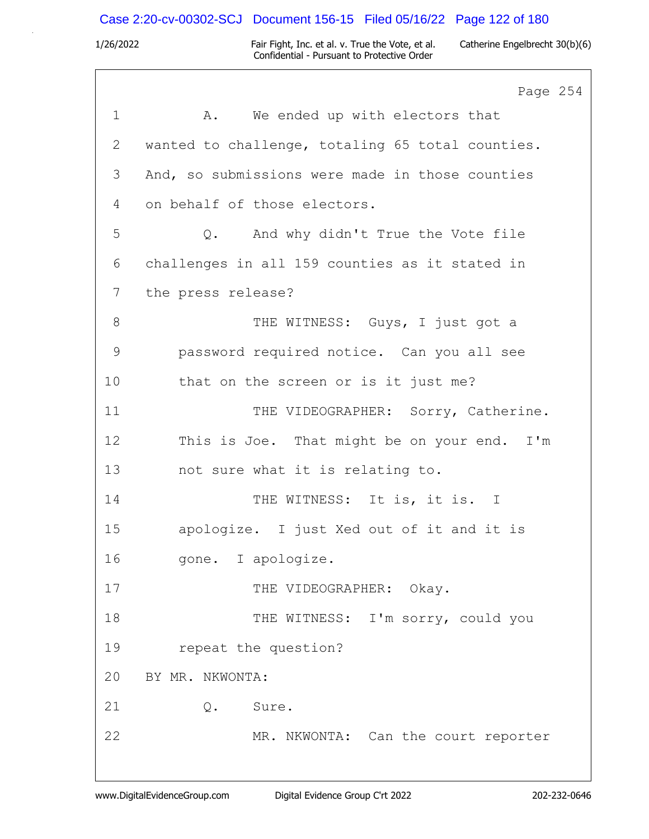# Case 2:20-cv-00302-SCJ Document 156-15 Filed 05/16/22 Page 122 of 180

|                | Page 254                                           |
|----------------|----------------------------------------------------|
| $\mathbf 1$    | We ended up with electors that<br>A.               |
| $\overline{2}$ | wanted to challenge, totaling 65 total counties.   |
| 3              | And, so submissions were made in those counties    |
| 4              | on behalf of those electors.                       |
| 5              | And why didn't True the Vote file<br>$Q_{\bullet}$ |
| 6              | challenges in all 159 counties as it stated in     |
| 7              | the press release?                                 |
| 8              | THE WITNESS: Guys, I just got a                    |
| $\mathcal{G}$  | password required notice. Can you all see          |
| 10             | that on the screen or is it just me?               |
| 11             | THE VIDEOGRAPHER: Sorry, Catherine.                |
| 12             | This is Joe. That might be on your end. I'm        |
| 13             | not sure what it is relating to.                   |
| 14             | THE WITNESS: It is, it is. I                       |
| 15             | apologize. I just Xed out of it and it is          |
| 16             | gone. I apologize.                                 |
| 17             | THE VIDEOGRAPHER: Okay.                            |
| 18             | THE WITNESS: I'm sorry, could you                  |
| 19             | repeat the question?                               |
| 20             | BY MR. NKWONTA:                                    |
| 21             | Q. Sure.                                           |
| 22             | MR. NKWONTA: Can the court reporter                |
|                |                                                    |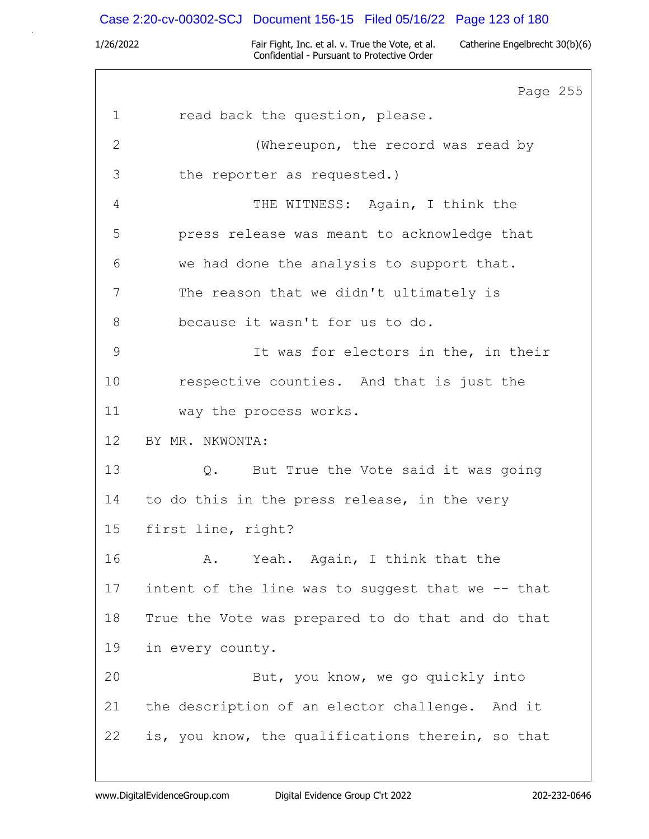# Case 2:20-cv-00302-SCJ Document 156-15 Filed 05/16/22 Page 123 of 180

|               | Page 255                                          |
|---------------|---------------------------------------------------|
| $\mathbf 1$   | read back the question, please.                   |
| $\mathbf{2}$  | (Whereupon, the record was read by                |
| 3             | the reporter as requested.)                       |
| 4             | THE WITNESS: Again, I think the                   |
| 5             | press release was meant to acknowledge that       |
| 6             | we had done the analysis to support that.         |
| 7             | The reason that we didn't ultimately is           |
| 8             | because it wasn't for us to do.                   |
| $\mathcal{G}$ | It was for electors in the, in their              |
| 10            | respective counties. And that is just the         |
| 11            | way the process works.                            |
| 12            | BY MR. NKWONTA:                                   |
| 13            | Q. But True the Vote said it was going            |
| 14            | to do this in the press release, in the very      |
| 15            | first line, right?                                |
| 16            | Yeah. Again, I think that the<br>Α.               |
| 17            | intent of the line was to suggest that we -- that |
| 18            | True the Vote was prepared to do that and do that |
| 19            | in every county.                                  |
| 20            | But, you know, we go quickly into                 |
| 21            | the description of an elector challenge. And it   |
| 22            | is, you know, the qualifications therein, so that |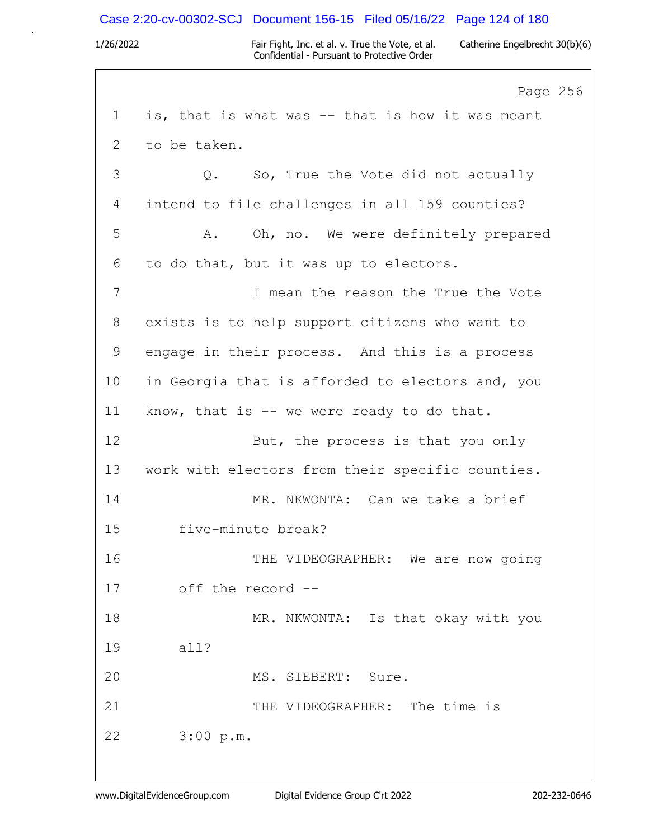### Case 2:20-cv-00302-SCJ Document 156-15 Filed 05/16/22 Page 124 of 180

1/26/2022 Fair Fight, Inc. et al. v. True the Vote, et al. Catherine Engelbrecht 30(b)(6) Confidential - Pursuant to Protective Order

Page 256 1 is, that is what was -- that is how it was meant 2 to be taken. 3 Q. So, True the Vote did not actually 4 intend to file challenges in all 159 counties? 5 A. Oh, no. We were definitely prepared 6 to do that, but it was up to electors. 7 I mean the reason the True the Vote 8 exists is to help support citizens who want to 9 engage in their process. And this is a process 10 in Georgia that is afforded to electors and, you 11 know, that is -- we were ready to do that. 12 But, the process is that you only 13 work with electors from their specific counties. 14 MR. NKWONTA: Can we take a brief 15 five-minute break? 16 THE VIDEOGRAPHER: We are now going 17 off the record -- 18 MR. NKWONTA: Is that okay with you 19 all? 20 MS. SIEBERT: Sure. 21 THE VIDEOGRAPHER: The time is 22 3:00 p.m.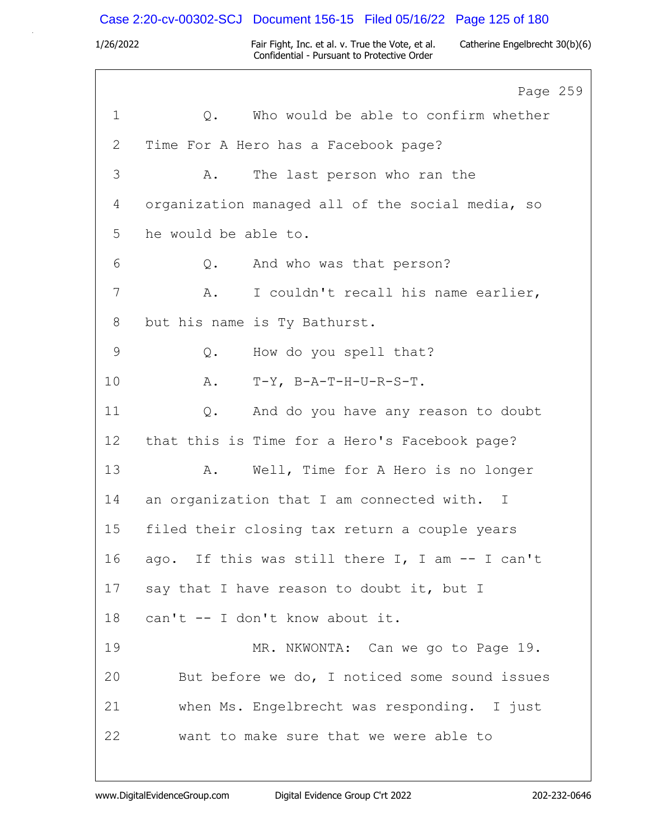# Case 2:20-cv-00302-SCJ Document 156-15 Filed 05/16/22 Page 125 of 180

1/26/2022 Fair Fight, Inc. et al. v. True the Vote, et al. Catherine Engelbrecht 30(b)(6) Confidential - Pursuant to Protective Order

٦

|             | Page 259                                         |
|-------------|--------------------------------------------------|
| $\mathbf 1$ | Who would be able to confirm whether<br>$Q$ .    |
| 2           | Time For A Hero has a Facebook page?             |
| 3           | The last person who ran the<br>Α.                |
| 4           | organization managed all of the social media, so |
| 5           | he would be able to.                             |
| 6           | And who was that person?<br>$Q$ .                |
| 7           | I couldn't recall his name earlier,<br>Α.        |
| 8           | but his name is Ty Bathurst.                     |
| 9           | How do you spell that?<br>$Q$ .                  |
| 10          | $T-Y$ , $B-A-T-H-U-R-S-T$ .<br>Α.                |
| 11          | And do you have any reason to doubt<br>$Q$ .     |
| 12          | that this is Time for a Hero's Facebook page?    |
| 13          | Well, Time for A Hero is no longer<br>Α.         |
| 14          | an organization that I am connected with. I      |
| 15          | filed their closing tax return a couple years    |
| 16          | ago. If this was still there I, I am -- I can't  |
| 17          | say that I have reason to doubt it, but I        |
| 18          | can't -- I don't know about it.                  |
| 19          | MR. NKWONTA: Can we go to Page 19.               |
| 20          | But before we do, I noticed some sound issues    |
| 21          | when Ms. Engelbrecht was responding. I just      |
| 22          | want to make sure that we were able to           |
|             |                                                  |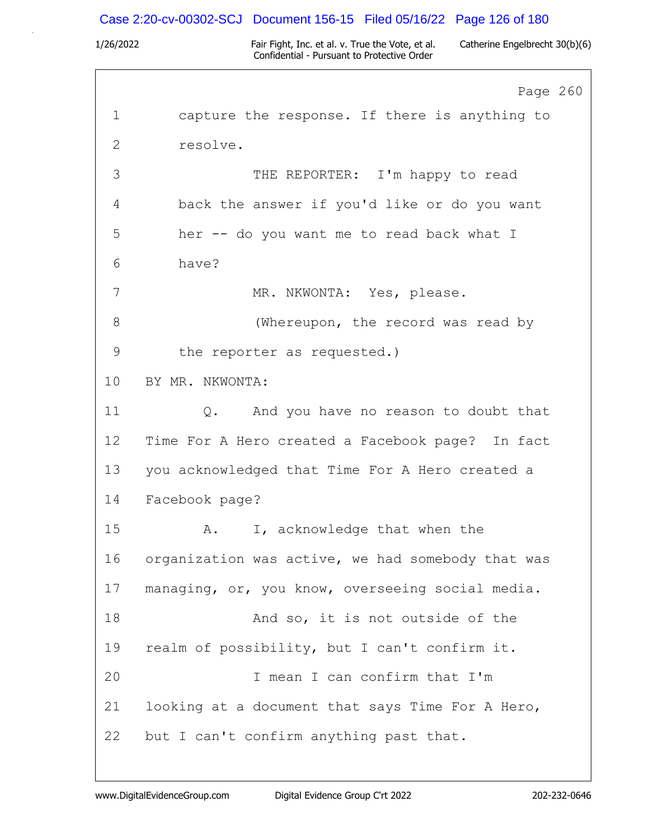### Case 2:20-cv-00302-SCJ Document 156-15 Filed 05/16/22 Page 126 of 180

1/26/2022 Fair Fight, Inc. et al. v. True the Vote, et al. Catherine Engelbrecht 30(b)(6) Confidential - Pursuant to Protective Order

Page 260 1 capture the response. If there is anything to 2 resolve. 3 THE REPORTER: I'm happy to read 4 back the answer if you'd like or do you want 5 her -- do you want me to read back what I 6 have? 7 MR. NKWONTA: Yes, please. 8 (Whereupon, the record was read by 9 the reporter as requested.) 10 BY MR. NKWONTA: 11 Q. And you have no reason to doubt that 12 Time For A Hero created a Facebook page? In fact 13 you acknowledged that Time For A Hero created a 14 Facebook page? 15 A. I, acknowledge that when the 16 organization was active, we had somebody that was 17 managing, or, you know, overseeing social media. 18 And so, it is not outside of the 19 realm of possibility, but I can't confirm it. 20 I mean I can confirm that I'm 21 looking at a document that says Time For A Hero, 22 but I can't confirm anything past that.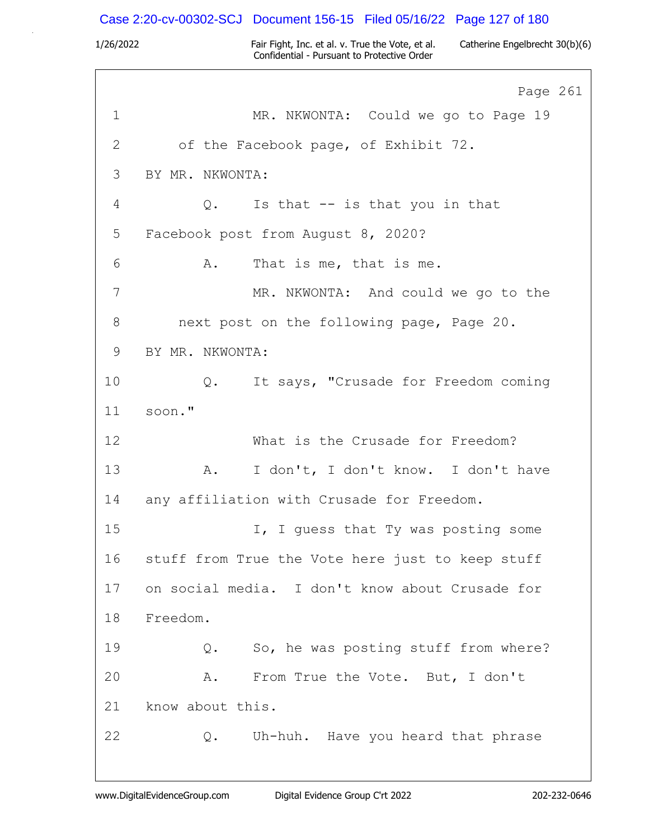### Case 2:20-cv-00302-SCJ Document 156-15 Filed 05/16/22 Page 127 of 180

1/26/2022 Fair Fight, Inc. et al. v. True the Vote, et al. Catherine Engelbrecht 30(b)(6) Confidential - Pursuant to Protective Order

Page 261 1 MR. NKWONTA: Could we go to Page 19 2 of the Facebook page, of Exhibit 72. 3 BY MR. NKWONTA: 4 Q. Is that -- is that you in that 5 Facebook post from August 8, 2020? 6 A. That is me, that is me. 7 MR. NKWONTA: And could we go to the 8 next post on the following page, Page 20. 9 BY MR. NKWONTA: 10 Q. It says, "Crusade for Freedom coming 11 soon." 12 What is the Crusade for Freedom? 13 A. I don't, I don't know. I don't have 14 any affiliation with Crusade for Freedom. 15 I, I quess that Ty was posting some 16 stuff from True the Vote here just to keep stuff 17 on social media. I don't know about Crusade for 18 Freedom. 19 Q. So, he was posting stuff from where? 20 A. From True the Vote. But, I don't 21 know about this. 22 Q. Uh-huh. Have you heard that phrase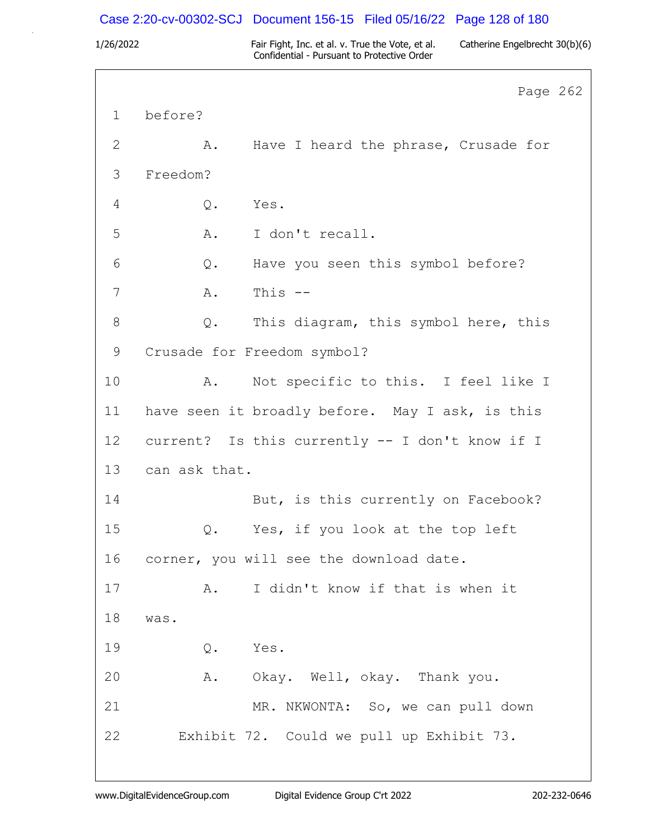### Case 2:20-cv-00302-SCJ Document 156-15 Filed 05/16/22 Page 128 of 180

1/26/2022 Fair Fight, Inc. et al. v. True the Vote, et al. Catherine Engelbrecht 30(b)(6) Confidential - Pursuant to Protective Order

Page 262 1 before? 2 A. Have I heard the phrase, Crusade for 3 Freedom? 4 Q. Yes. 5 A. I don't recall. 6 Q. Have you seen this symbol before? 7 A. This -- 8 Q. This diagram, this symbol here, this 9 Crusade for Freedom symbol? 10 A. Not specific to this. I feel like I 11 have seen it broadly before. May I ask, is this 12 current? Is this currently -- I don't know if I 13 can ask that. 14 But, is this currently on Facebook? 15 Q. Yes, if you look at the top left 16 corner, you will see the download date. 17 A. I didn't know if that is when it 18 was. 19 Q. Yes. 20 A. Okay. Well, okay. Thank you. 21 MR. NKWONTA: So, we can pull down 22 Exhibit 72. Could we pull up Exhibit 73.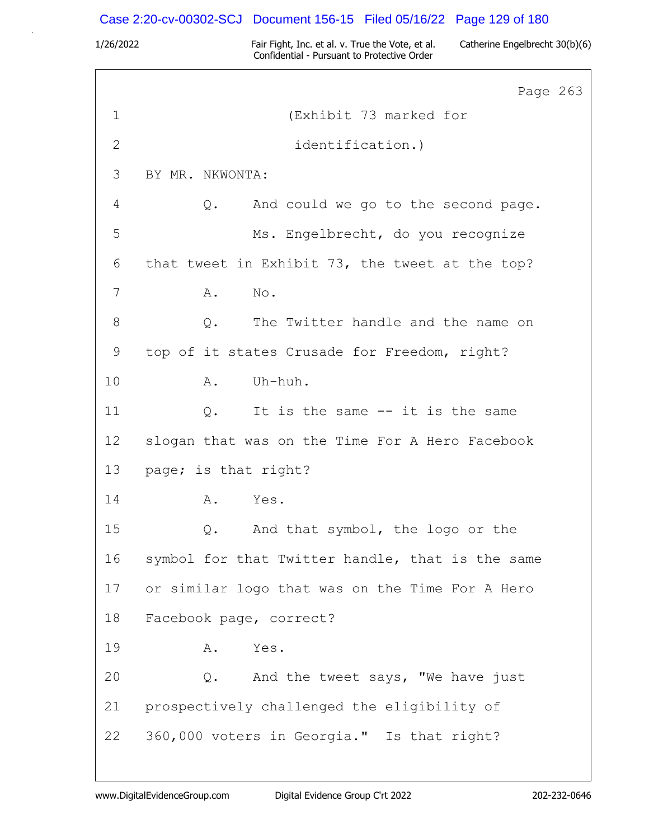### Case 2:20-cv-00302-SCJ Document 156-15 Filed 05/16/22 Page 129 of 180

1/26/2022 Fair Fight, Inc. et al. v. True the Vote, et al. Catherine Engelbrecht 30(b)(6) Confidential - Pursuant to Protective Order

Page 263 1 (Exhibit 73 marked for 2 identification.) 3 BY MR. NKWONTA: 4 Q. And could we go to the second page. 5 Ms. Engelbrecht, do you recognize 6 that tweet in Exhibit 73, the tweet at the top? 7 A. No. 8 0. The Twitter handle and the name on 9 top of it states Crusade for Freedom, right? 10 A. Uh-huh. 11 Q. It is the same -- it is the same 12 slogan that was on the Time For A Hero Facebook 13 page; is that right? 14 A. Yes. 15 Q. And that symbol, the logo or the 16 symbol for that Twitter handle, that is the same 17 or similar logo that was on the Time For A Hero 18 Facebook page, correct? 19 A. Yes. 20 Q. And the tweet says, "We have just 21 prospectively challenged the eligibility of 22 360,000 voters in Georgia." Is that right?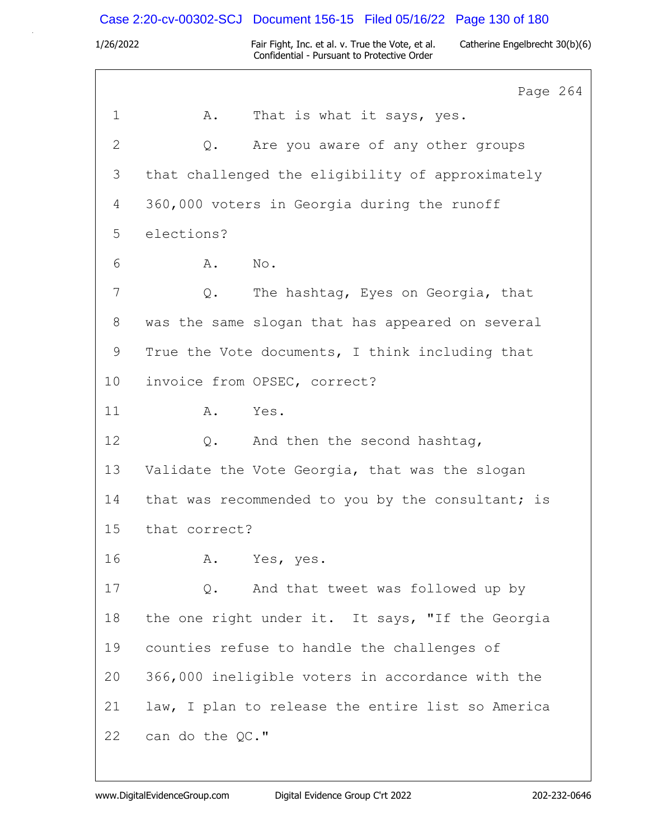Case 2:20-cv-00302-SCJ Document 156-15 Filed 05/16/22 Page 130 of 180

|                | Page 264                                          |
|----------------|---------------------------------------------------|
| 1              | That is what it says, yes.<br>Α.                  |
| $\overline{2}$ | Are you aware of any other groups<br>Q.           |
| 3              | that challenged the eligibility of approximately  |
| 4              | 360,000 voters in Georgia during the runoff       |
| 5              | elections?                                        |
| 6              | Α.<br>No.                                         |
| 7              | The hashtag, Eyes on Georgia, that<br>Q.          |
| 8              | was the same slogan that has appeared on several  |
| 9              | True the Vote documents, I think including that   |
| 10             | invoice from OPSEC, correct?                      |
| 11             | Yes.<br>Α.                                        |
| 12             | And then the second hashtag,<br>Q.                |
| 13             | Validate the Vote Georgia, that was the slogan    |
| 14             | that was recommended to you by the consultant; is |
| 15             | that correct?                                     |
| 16             | A. Yes, yes.                                      |
| 17             | And that tweet was followed up by<br>$Q$ .        |
| 18             | the one right under it. It says, "If the Georgia  |
| 19             | counties refuse to handle the challenges of       |
| 20             | 366,000 ineligible voters in accordance with the  |
| 21             | law, I plan to release the entire list so America |
| 22             | can do the QC."                                   |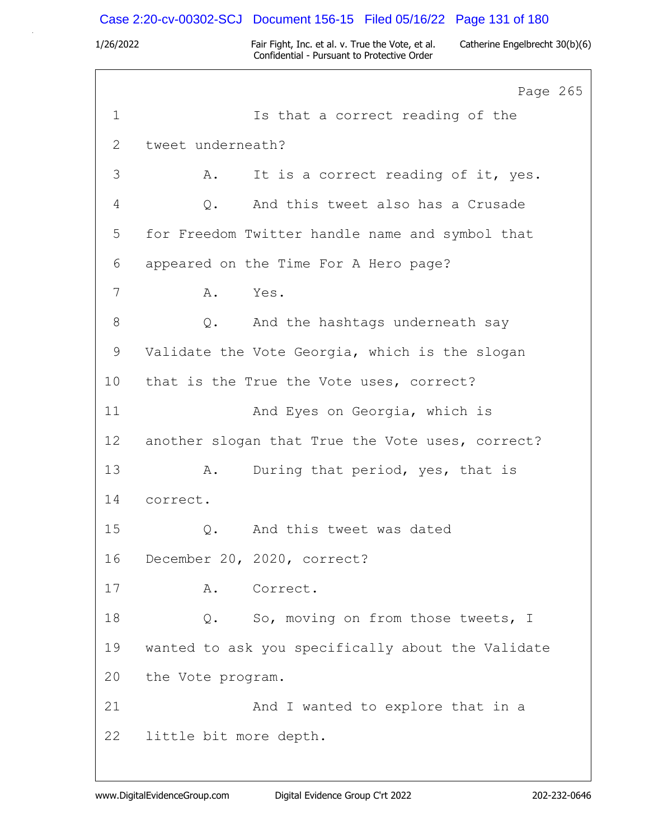### Case 2:20-cv-00302-SCJ Document 156-15 Filed 05/16/22 Page 131 of 180

1/26/2022 Fair Fight, Inc. et al. v. True the Vote, et al. Catherine Engelbrecht 30(b)(6) Confidential - Pursuant to Protective Order

Page 265 1 Is that a correct reading of the 2 tweet underneath? 3 A. It is a correct reading of it, yes. 4 Q. And this tweet also has a Crusade 5 for Freedom Twitter handle name and symbol that 6 appeared on the Time For A Hero page? 7 A. Yes. 8 Q. And the hashtags underneath say 9 Validate the Vote Georgia, which is the slogan 10 that is the True the Vote uses, correct? 11 **And Eyes on Georgia, which is** 12 another slogan that True the Vote uses, correct? 13 A. During that period, yes, that is 14 correct. 15 Q. And this tweet was dated 16 December 20, 2020, correct? 17 A. Correct. 18 0. So, moving on from those tweets, I 19 wanted to ask you specifically about the Validate 20 the Vote program. 21 And I wanted to explore that in a 22 little bit more depth.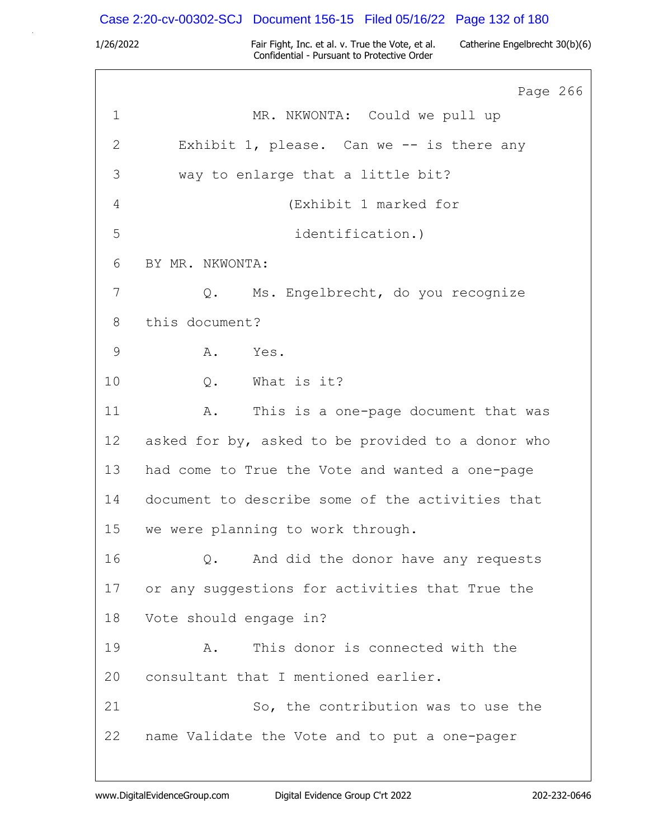| Case 2:20-cv-00302-SCJ Document 156-15 Filed 05/16/22 Page 132 of 180 |  |  |
|-----------------------------------------------------------------------|--|--|
|                                                                       |  |  |

|             | Page 266                                          |
|-------------|---------------------------------------------------|
| $\mathbf 1$ | MR. NKWONTA: Could we pull up                     |
| 2           | Exhibit 1, please. Can we -- is there any         |
| 3           | way to enlarge that a little bit?                 |
| 4           | (Exhibit 1 marked for                             |
| 5           | identification.)                                  |
| 6           | BY MR. NKWONTA:                                   |
| 7           | Q. Ms. Engelbrecht, do you recognize              |
| 8           | this document?                                    |
| 9           | A. Yes.                                           |
| 10          | Q. What is it?                                    |
| 11          | This is a one-page document that was<br>Α.        |
| 12          | asked for by, asked to be provided to a donor who |
| 13          | had come to True the Vote and wanted a one-page   |
| 14          | document to describe some of the activities that  |
| 15          | we were planning to work through.                 |
| 16          | And did the donor have any requests<br>Q.         |
| 17          | or any suggestions for activities that True the   |
| 18          | Vote should engage in?                            |
| 19          | This donor is connected with the<br>Α.            |
| 20          | consultant that I mentioned earlier.              |
| 21          | So, the contribution was to use the               |
| 22          | name Validate the Vote and to put a one-pager     |
|             |                                                   |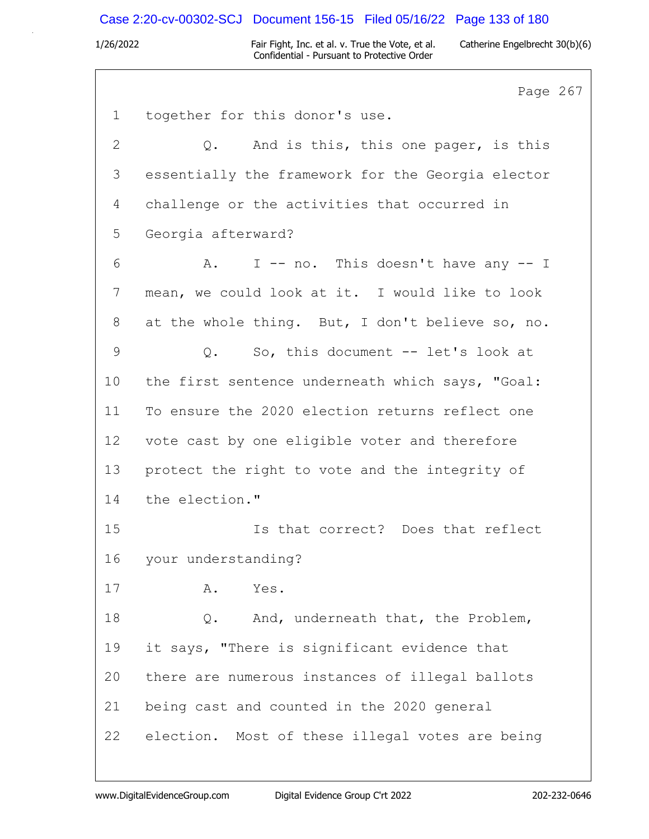# Case 2:20-cv-00302-SCJ Document 156-15 Filed 05/16/22 Page 133 of 180

|              | Page 267                                          |
|--------------|---------------------------------------------------|
| $\mathbf 1$  | together for this donor's use.                    |
| $\mathbf{2}$ | Q. And is this, this one pager, is this           |
| 3            | essentially the framework for the Georgia elector |
| 4            | challenge or the activities that occurred in      |
| 5            | Georgia afterward?                                |
| 6            | I -- no. This doesn't have any -- I<br>A.         |
| 7            | mean, we could look at it. I would like to look   |
| 8            | at the whole thing. But, I don't believe so, no.  |
| $\mathsf 9$  | So, this document -- let's look at<br>$\circ$ .   |
| 10           | the first sentence underneath which says, "Goal:  |
| 11           | To ensure the 2020 election returns reflect one   |
| 12           | vote cast by one eligible voter and therefore     |
| 13           | protect the right to vote and the integrity of    |
| 14           | the election."                                    |
| 15           | Is that correct? Does that reflect                |
| 16           | your understanding?                               |
| 17           | Yes.<br>Α.                                        |
| 18           | And, underneath that, the Problem,<br>Q.          |
| 19           | it says, "There is significant evidence that      |
| 20           | there are numerous instances of illegal ballots   |
| 21           | being cast and counted in the 2020 general        |
| 22           | election. Most of these illegal votes are being   |
|              |                                                   |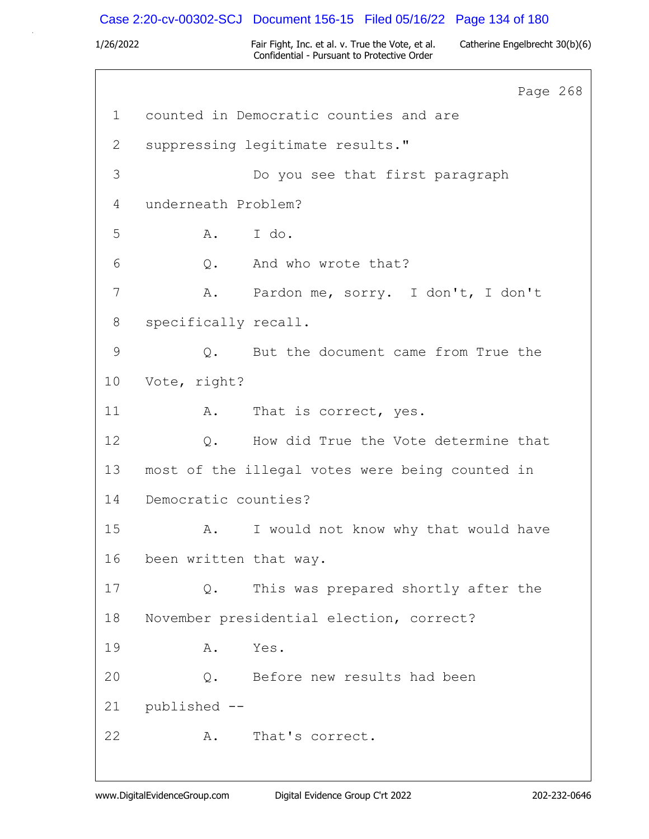# Case 2:20-cv-00302-SCJ Document 156-15 Filed 05/16/22 Page 134 of 180

|               |                        |                                                 | Page 268 |  |
|---------------|------------------------|-------------------------------------------------|----------|--|
| $\mathbf 1$   |                        | counted in Democratic counties and are          |          |  |
| 2             |                        | suppressing legitimate results."                |          |  |
| 3             |                        | Do you see that first paragraph                 |          |  |
| 4             | underneath Problem?    |                                                 |          |  |
| 5             | A. I do.               |                                                 |          |  |
| 6             |                        | Q. And who wrote that?                          |          |  |
| 7             |                        | A. Pardon me, sorry. I don't, I don't           |          |  |
| 8             | specifically recall.   |                                                 |          |  |
| $\mathcal{G}$ | Q.                     | But the document came from True the             |          |  |
| 10            | Vote, right?           |                                                 |          |  |
| 11            | A.                     | That is correct, yes.                           |          |  |
| 12            |                        | Q. How did True the Vote determine that         |          |  |
| 13            |                        | most of the illegal votes were being counted in |          |  |
| 14            | Democratic counties?   |                                                 |          |  |
| 15            | A.                     | I would not know why that would have            |          |  |
| 16            | been written that way. |                                                 |          |  |
| 17            | Q.                     | This was prepared shortly after the             |          |  |
| 18            |                        | November presidential election, correct?        |          |  |
| 19            | Α.                     | Yes.                                            |          |  |
| 20            |                        | Q. Before new results had been                  |          |  |
| 21            | published --           |                                                 |          |  |
| 22            | A.                     | That's correct.                                 |          |  |
|               |                        |                                                 |          |  |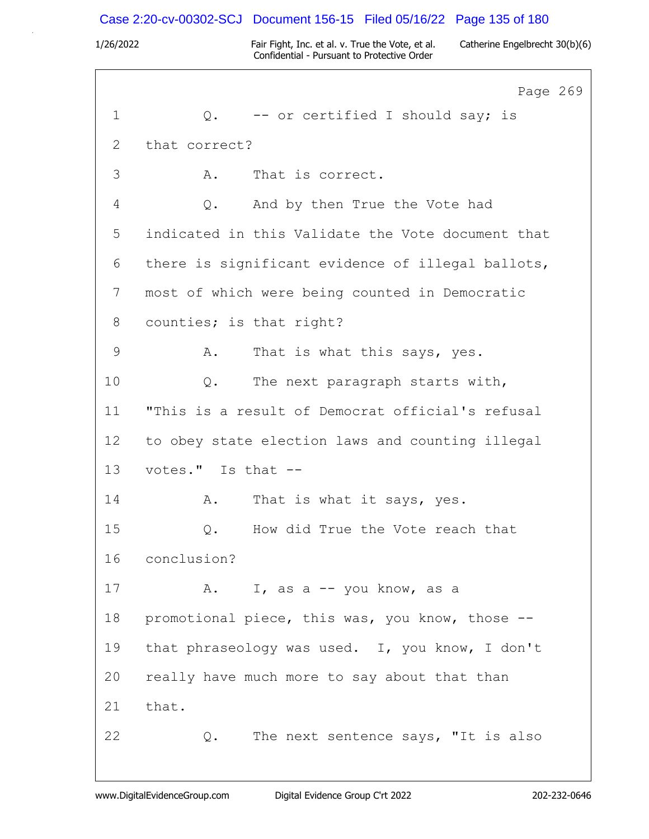### Case 2:20-cv-00302-SCJ Document 156-15 Filed 05/16/22 Page 135 of 180

1/26/2022 Fair Fight, Inc. et al. v. True the Vote, et al. Catherine Engelbrecht 30(b)(6) Confidential - Pursuant to Protective Order

Page 269 1  $Q.$  -- or certified I should say; is 2 that correct? 3 A. That is correct. 4 Q. And by then True the Vote had 5 indicated in this Validate the Vote document that 6 there is significant evidence of illegal ballots, 7 most of which were being counted in Democratic 8 counties; is that right? 9 A. That is what this says, yes. 10 Q. The next paragraph starts with, 11 "This is a result of Democrat official's refusal 12 to obey state election laws and counting illegal 13 votes." Is that -- 14 A. That is what it says, yes. 15 Q. How did True the Vote reach that 16 conclusion? 17 A. I, as a -- you know, as a 18 promotional piece, this was, you know, those -- 19 that phraseology was used. I, you know, I don't 20 really have much more to say about that than 21 that. 22 Q. The next sentence says, "It is also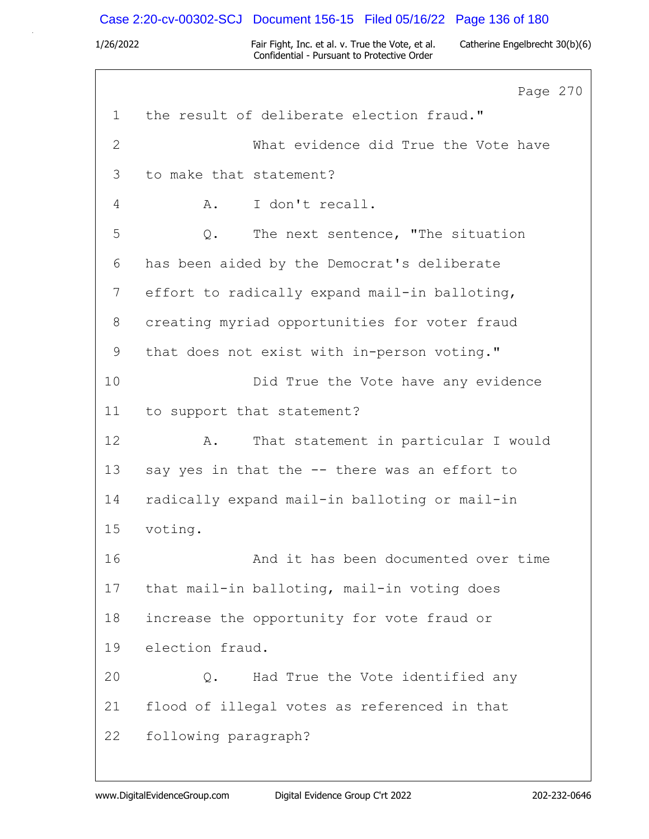### Case 2:20-cv-00302-SCJ Document 156-15 Filed 05/16/22 Page 136 of 180

1/26/2022 Fair Fight, Inc. et al. v. True the Vote, et al. Catherine Engelbrecht 30(b)(6) Confidential - Pursuant to Protective Order

Page 270 1 the result of deliberate election fraud." 2 What evidence did True the Vote have 3 to make that statement? 4 A. I don't recall. 5 Q. The next sentence, "The situation 6 has been aided by the Democrat's deliberate 7 effort to radically expand mail-in balloting, 8 creating myriad opportunities for voter fraud 9 that does not exist with in-person voting." 10 Did True the Vote have any evidence 11 to support that statement? 12 A. That statement in particular I would 13 say yes in that the -- there was an effort to 14 radically expand mail-in balloting or mail-in 15 voting. 16 And it has been documented over time 17 that mail-in balloting, mail-in voting does 18 increase the opportunity for vote fraud or 19 election fraud. 20 Q. Had True the Vote identified any 21 flood of illegal votes as referenced in that 22 following paragraph?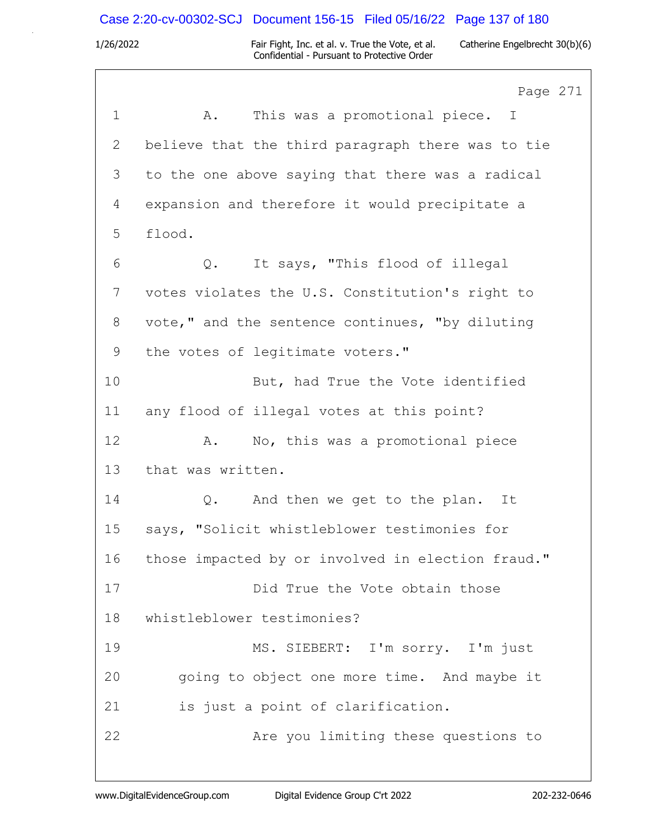### Case 2:20-cv-00302-SCJ Document 156-15 Filed 05/16/22 Page 137 of 180

1/26/2022 Fair Fight, Inc. et al. v. True the Vote, et al. Catherine Engelbrecht 30(b)(6) Confidential - Pursuant to Protective Order

Page 271 1 A. This was a promotional piece. I 2 believe that the third paragraph there was to tie 3 to the one above saying that there was a radical 4 expansion and therefore it would precipitate a 5 flood. 6 Q. It says, "This flood of illegal 7 votes violates the U.S. Constitution's right to 8 vote," and the sentence continues, "by diluting 9 the votes of legitimate voters." 10 But, had True the Vote identified 11 any flood of illegal votes at this point? 12 A. No, this was a promotional piece 13 that was written. 14 Q. And then we get to the plan. It 15 says, "Solicit whistleblower testimonies for 16 those impacted by or involved in election fraud." 17 Did True the Vote obtain those 18 whistleblower testimonies? 19 MS. SIEBERT: I'm sorry. I'm just 20 going to object one more time. And maybe it 21 is just a point of clarification. 22 Are you limiting these questions to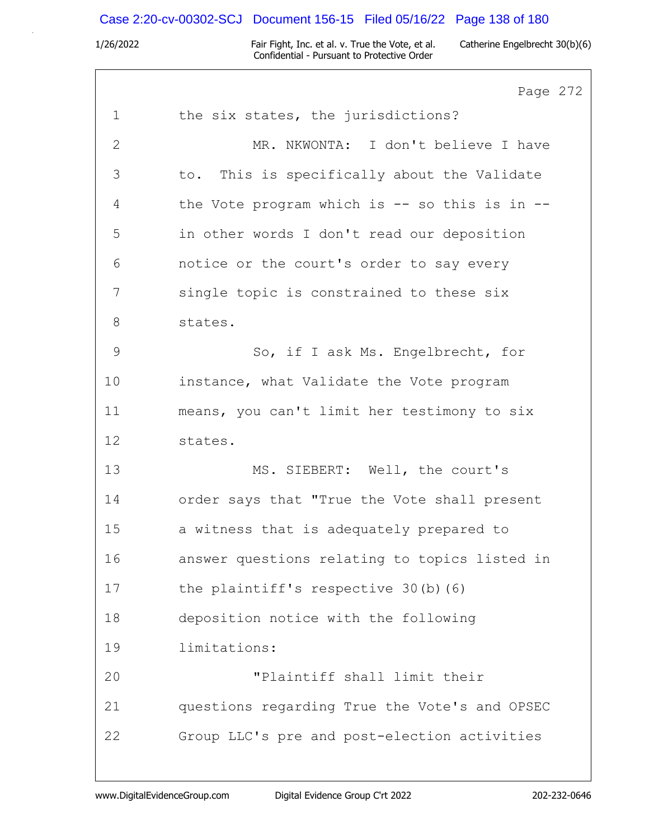# Case 2:20-cv-00302-SCJ Document 156-15 Filed 05/16/22 Page 138 of 180

|               | Page 272                                      |
|---------------|-----------------------------------------------|
| $\mathbf 1$   | the six states, the jurisdictions?            |
| $\mathbf{2}$  | MR. NKWONTA: I don't believe I have           |
| 3             | to. This is specifically about the Validate   |
| 4             | the Vote program which is -- so this is in -- |
| 5             | in other words I don't read our deposition    |
| 6             | notice or the court's order to say every      |
| 7             | single topic is constrained to these six      |
| 8             | states.                                       |
| $\mathcal{G}$ | So, if I ask Ms. Engelbrecht, for             |
| 10            | instance, what Validate the Vote program      |
| 11            | means, you can't limit her testimony to six   |
| 12            | states.                                       |
| 13            | MS. SIEBERT: Well, the court's                |
| 14            | order says that "True the Vote shall present  |
| 15            | a witness that is adequately prepared to      |
| 16            | answer questions relating to topics listed in |
| 17            | the plaintiff's respective 30(b)(6)           |
| 18            | deposition notice with the following          |
| 19            | limitations:                                  |
| 20            | "Plaintiff shall limit their                  |
| 21            | questions regarding True the Vote's and OPSEC |
| 22            | Group LLC's pre and post-election activities  |
|               |                                               |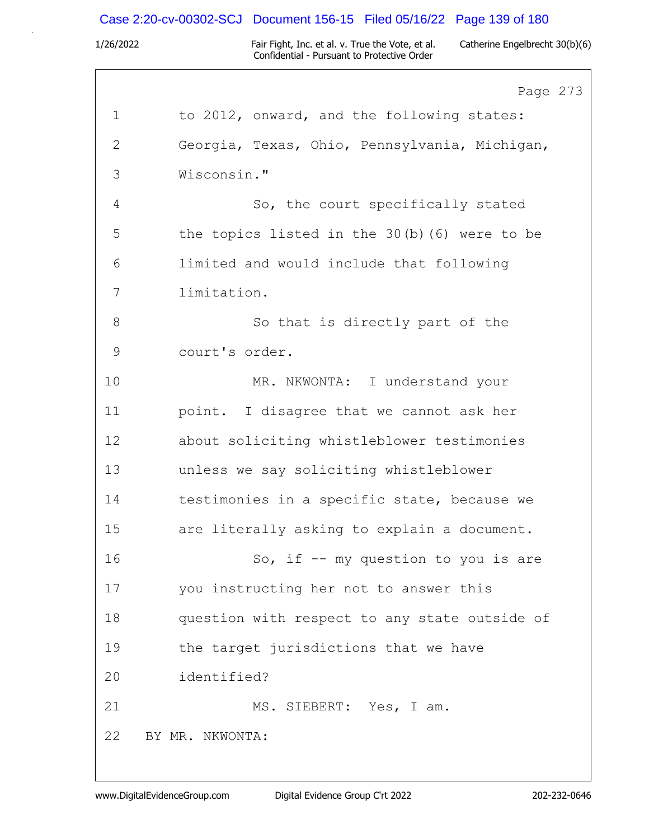# Case 2:20-cv-00302-SCJ Document 156-15 Filed 05/16/22 Page 139 of 180

|              | Page 273                                      |
|--------------|-----------------------------------------------|
| $\mathbf 1$  | to 2012, onward, and the following states:    |
| $\mathbf{2}$ | Georgia, Texas, Ohio, Pennsylvania, Michigan, |
| 3            | Wisconsin."                                   |
| 4            | So, the court specifically stated             |
| 5            | the topics listed in the 30(b)(6) were to be  |
| 6            | limited and would include that following      |
| 7            | limitation.                                   |
| 8            | So that is directly part of the               |
| 9            | court's order.                                |
| 10           | MR. NKWONTA: I understand your                |
| 11           | point. I disagree that we cannot ask her      |
| 12           | about soliciting whistleblower testimonies    |
| 13           | unless we say soliciting whistleblower        |
| 14           | testimonies in a specific state, because we   |
| 15           | are literally asking to explain a document.   |
| 16           | So, if -- my question to you is are           |
| 17           | you instructing her not to answer this        |
| 18           | question with respect to any state outside of |
| 19           | the target jurisdictions that we have         |
| 20           | identified?                                   |
| 21           | MS. SIEBERT: Yes, I am.                       |
| 22           | BY MR. NKWONTA:                               |
|              |                                               |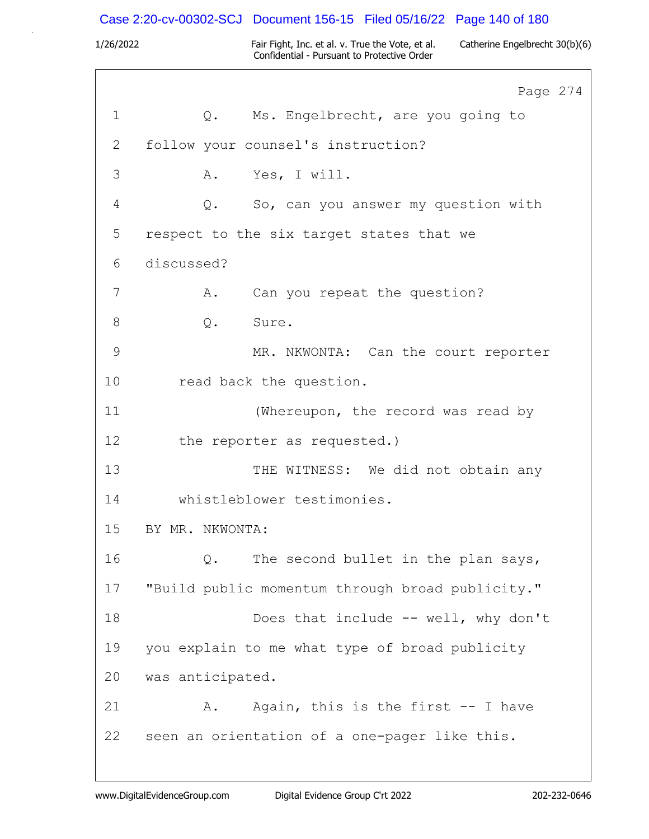|             |                  | Case 2:20-cv-00302-SCJ Document 156-15 Filed 05/16/22 Page 140 of 180                           |                                |
|-------------|------------------|-------------------------------------------------------------------------------------------------|--------------------------------|
| 1/26/2022   |                  | Fair Fight, Inc. et al. v. True the Vote, et al.<br>Confidential - Pursuant to Protective Order | Catherine Engelbrecht 30(b)(6) |
|             |                  |                                                                                                 | Page 274                       |
| $\mathbf 1$ | Q.               | Ms. Engelbrecht, are you going to                                                               |                                |
| 2           |                  | follow your counsel's instruction?                                                              |                                |
| 3           | Α.               | Yes, I will.                                                                                    |                                |
| 4           | Q.               | So, can you answer my question with                                                             |                                |
| 5           |                  | respect to the six target states that we                                                        |                                |
| 6           | discussed?       |                                                                                                 |                                |
| 7           | Α.               | Can you repeat the question?                                                                    |                                |
| 8           | $Q$ .            | Sure.                                                                                           |                                |
| 9           |                  | MR. NKWONTA: Can the court reporter                                                             |                                |
| 10          |                  | read back the question.                                                                         |                                |
| 11          |                  | (Whereupon, the record was read by                                                              |                                |
| 12          |                  | the reporter as requested.)                                                                     |                                |
| 13          |                  | THE WITNESS: We did not obtain any                                                              |                                |
| 14          |                  | whistleblower testimonies.                                                                      |                                |
| 15          | BY MR. NKWONTA:  |                                                                                                 |                                |
| 16          | Q.               | The second bullet in the plan says,                                                             |                                |
| 17          |                  | "Build public momentum through broad publicity."                                                |                                |
| 18          |                  | Does that include -- well, why don't                                                            |                                |
| 19          |                  | you explain to me what type of broad publicity                                                  |                                |
| 20          | was anticipated. |                                                                                                 |                                |
| 21          | Α.               | Again, this is the first -- I have                                                              |                                |
| 22          |                  | seen an orientation of a one-pager like this.                                                   |                                |
|             |                  |                                                                                                 |                                |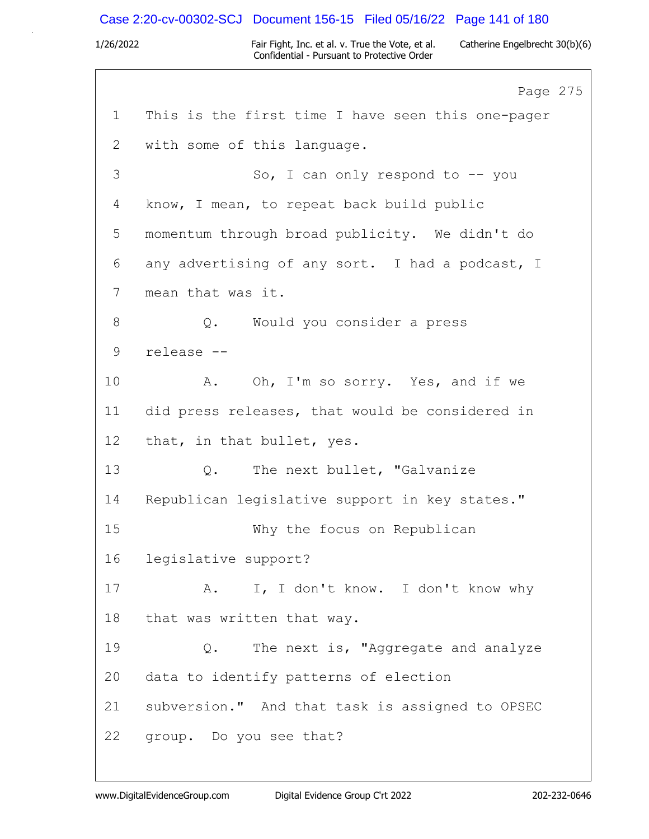### Case 2:20-cv-00302-SCJ Document 156-15 Filed 05/16/22 Page 141 of 180

1/26/2022 Fair Fight, Inc. et al. v. True the Vote, et al. Catherine Engelbrecht 30(b)(6) Confidential - Pursuant to Protective Order

Page 275 1 This is the first time I have seen this one-pager 2 with some of this language. 3 So, I can only respond to -- you 4 know, I mean, to repeat back build public 5 momentum through broad publicity. We didn't do 6 any advertising of any sort. I had a podcast, I 7 mean that was it. 8 Q. Would you consider a press 9 release -- 10 A. Oh, I'm so sorry. Yes, and if we 11 did press releases, that would be considered in 12 that, in that bullet, yes. 13 Q. The next bullet, "Galvanize 14 Republican legislative support in key states." 15 Why the focus on Republican 16 legislative support? 17 A. I, I don't know. I don't know why 18 that was written that way. 19 Q. The next is, "Aggregate and analyze 20 data to identify patterns of election 21 subversion." And that task is assigned to OPSEC 22 group. Do you see that?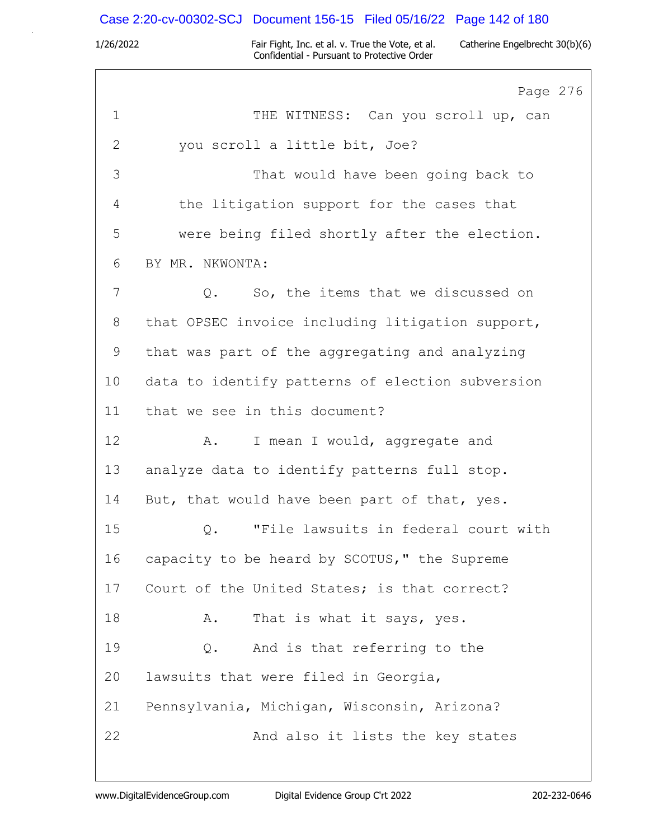# Case 2:20-cv-00302-SCJ Document 156-15 Filed 05/16/22 Page 142 of 180

|             | Page 276                                            |
|-------------|-----------------------------------------------------|
| $\mathbf 1$ | THE WITNESS: Can you scroll up, can                 |
| 2           | you scroll a little bit, Joe?                       |
| 3           | That would have been going back to                  |
| 4           | the litigation support for the cases that           |
| 5           | were being filed shortly after the election.        |
| 6           | BY MR. NKWONTA:                                     |
| 7           | So, the items that we discussed on<br>$Q_{\bullet}$ |
| 8           | that OPSEC invoice including litigation support,    |
| 9           | that was part of the aggregating and analyzing      |
| 10          | data to identify patterns of election subversion    |
| 11          | that we see in this document?                       |
| 12          | I mean I would, aggregate and<br>Α.                 |
| 13          | analyze data to identify patterns full stop.        |
| 14          | But, that would have been part of that, yes.        |
| 15          | "File lawsuits in federal court with<br>Q.          |
| 16          | capacity to be heard by SCOTUS," the Supreme        |
| 17          | Court of the United States; is that correct?        |
| 18          | That is what it says, yes.<br>Α.                    |
| 19          | And is that referring to the<br>$Q$ .               |
| 20          | lawsuits that were filed in Georgia,                |
| 21          | Pennsylvania, Michigan, Wisconsin, Arizona?         |
| 22          | And also it lists the key states                    |
|             |                                                     |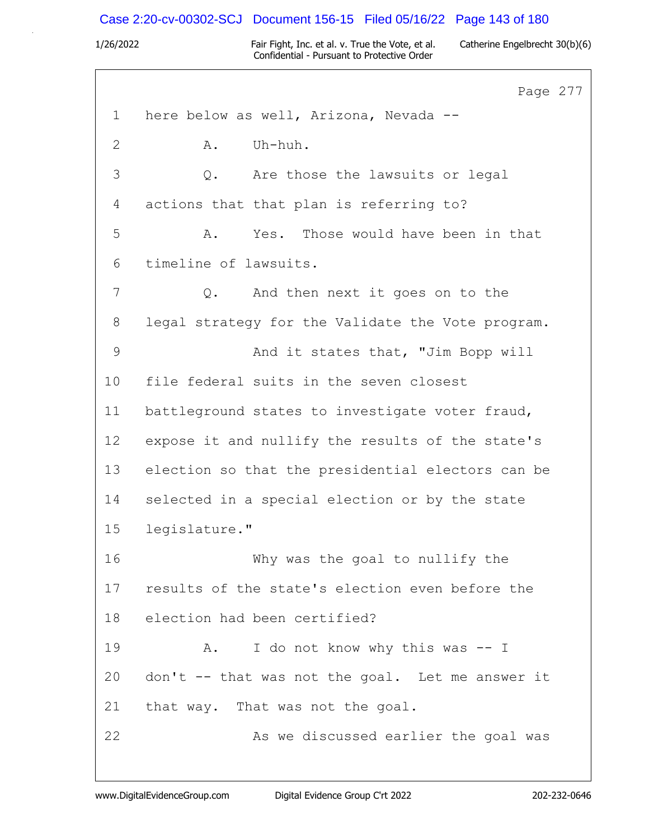### Case 2:20-cv-00302-SCJ Document 156-15 Filed 05/16/22 Page 143 of 180

1/26/2022 Fair Fight, Inc. et al. v. True the Vote, et al. Catherine Engelbrecht 30(b)(6) Confidential - Pursuant to Protective Order

Page 277 1 here below as well, Arizona, Nevada -- 2 A. Uh-huh. 3 Q. Are those the lawsuits or legal 4 actions that that plan is referring to? 5 A. Yes. Those would have been in that 6 timeline of lawsuits. 7 0. And then next it goes on to the 8 legal strategy for the Validate the Vote program. 9 And it states that, "Jim Bopp will 10 file federal suits in the seven closest 11 battleground states to investigate voter fraud, 12 expose it and nullify the results of the state's 13 election so that the presidential electors can be 14 selected in a special election or by the state 15 legislature." 16 Why was the goal to nullify the 17 results of the state's election even before the 18 election had been certified? 19 A. I do not know why this was -- I 20 don't -- that was not the goal. Let me answer it 21 that way. That was not the goal. 22 As we discussed earlier the goal was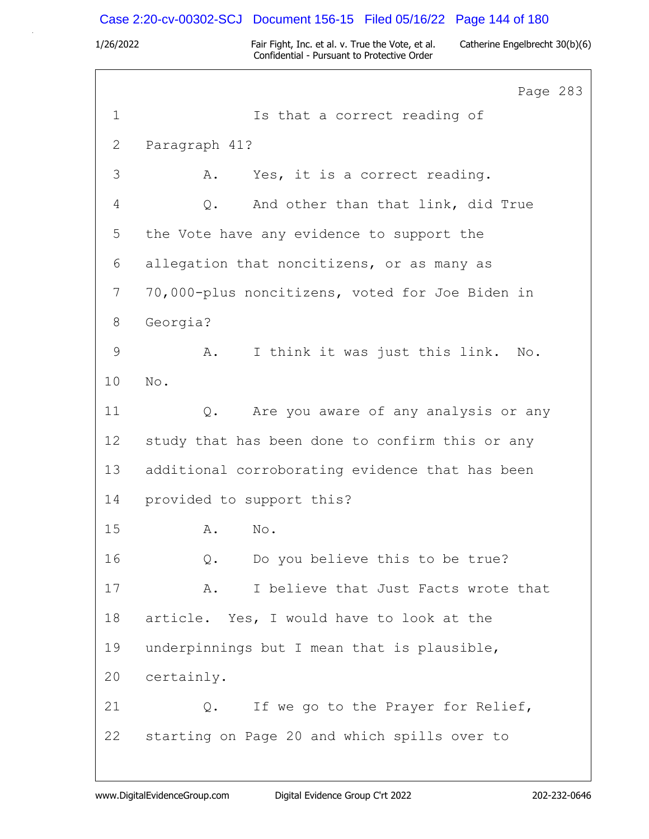### Case 2:20-cv-00302-SCJ Document 156-15 Filed 05/16/22 Page 144 of 180

1/26/2022 Fair Fight, Inc. et al. v. True the Vote, et al. Catherine Engelbrecht 30(b)(6) Confidential - Pursuant to Protective Order

Page 283 1 Is that a correct reading of 2 Paragraph 41? 3 A. Yes, it is a correct reading. 4 Q. And other than that link, did True 5 the Vote have any evidence to support the 6 allegation that noncitizens, or as many as 7 70,000-plus noncitizens, voted for Joe Biden in 8 Georgia? 9 A. I think it was just this link. No. 10 No. 11 Q. Are you aware of any analysis or any 12 study that has been done to confirm this or any 13 additional corroborating evidence that has been 14 provided to support this? 15 A. No. 16 Q. Do you believe this to be true? 17 A. I believe that Just Facts wrote that 18 article. Yes, I would have to look at the 19 underpinnings but I mean that is plausible, 20 certainly. 21 Q. If we go to the Prayer for Relief, 22 starting on Page 20 and which spills over to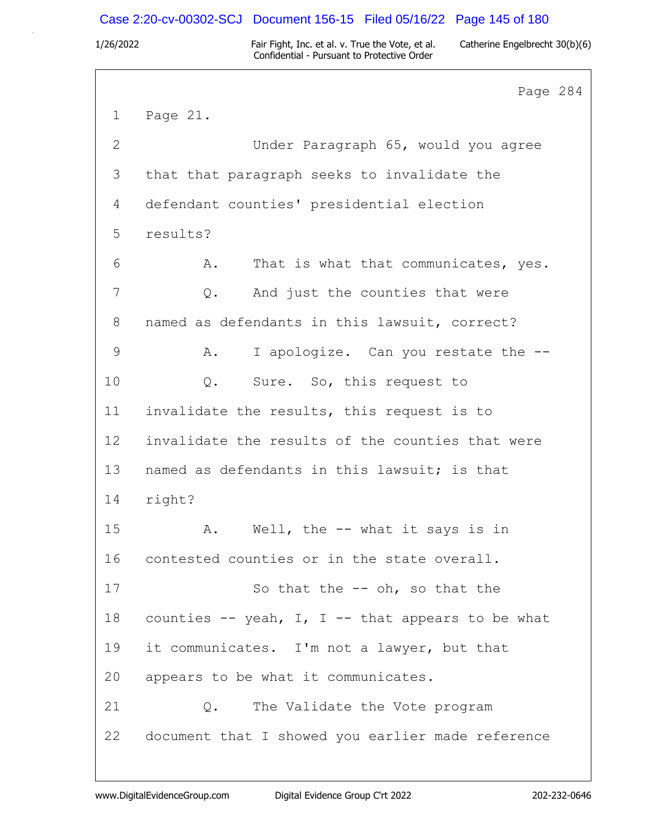### Case 2:20-cv-00302-SCJ Document 156-15 Filed 05/16/22 Page 145 of 180

1/26/2022 Fair Fight, Inc. et al. v. True the Vote, et al. Catherine Engelbrecht 30(b)(6) Confidential - Pursuant to Protective Order

Page 284 1 Page 21. 2 Under Paragraph 65, would you agree 3 that that paragraph seeks to invalidate the 4 defendant counties' presidential election 5 results? 6 A. That is what that communicates, yes. 7 0. And just the counties that were 8 named as defendants in this lawsuit, correct? 9 A. I apologize. Can you restate the --10 Q. Sure. So, this request to 11 invalidate the results, this request is to 12 invalidate the results of the counties that were 13 named as defendants in this lawsuit; is that 14 right? 15 A. Well, the -- what it says is in 16 contested counties or in the state overall. 17 So that the -- oh, so that the 18 counties  $-$  yeah, I, I  $-$  that appears to be what 19 it communicates. I'm not a lawyer, but that 20 appears to be what it communicates. 21 Q. The Validate the Vote program 22 document that I showed you earlier made reference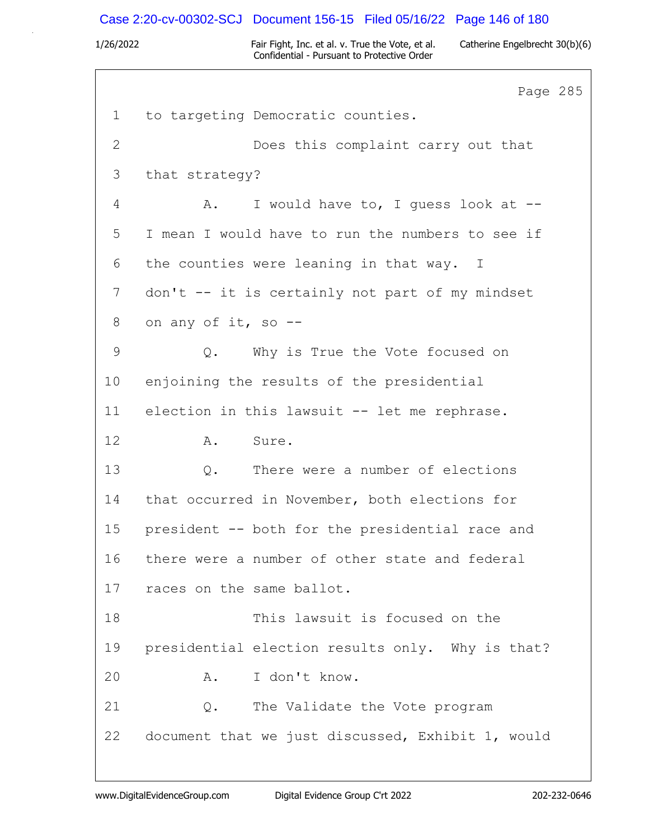# Case 2:20-cv-00302-SCJ Document 156-15 Filed 05/16/22 Page 146 of 180

|                | Page 285                                          |
|----------------|---------------------------------------------------|
| $\mathbf{1}$   | to targeting Democratic counties.                 |
| $\overline{2}$ | Does this complaint carry out that                |
| 3              | that strategy?                                    |
| 4              | I would have to, I guess look at --<br>A.         |
| 5              | I mean I would have to run the numbers to see if  |
| 6              | the counties were leaning in that way. I          |
| 7              | don't -- it is certainly not part of my mindset   |
| $8\,$          | on any of it, so --                               |
| 9              | Why is True the Vote focused on<br>$Q$ .          |
| 10             | enjoining the results of the presidential         |
| 11             | election in this lawsuit -- let me rephrase.      |
| 12             | Sure.<br>A.                                       |
| 13             | There were a number of elections<br>$Q$ .         |
| 14             | that occurred in November, both elections for     |
| 15             | president -- both for the presidential race and   |
| 16             | there were a number of other state and federal    |
| 17             | races on the same ballot.                         |
| 18             | This lawsuit is focused on the                    |
| 19             | presidential election results only. Why is that?  |
| 20             | I don't know.<br>Α.                               |
| 21             | The Validate the Vote program<br>Q.               |
| 22             | document that we just discussed, Exhibit 1, would |
|                |                                                   |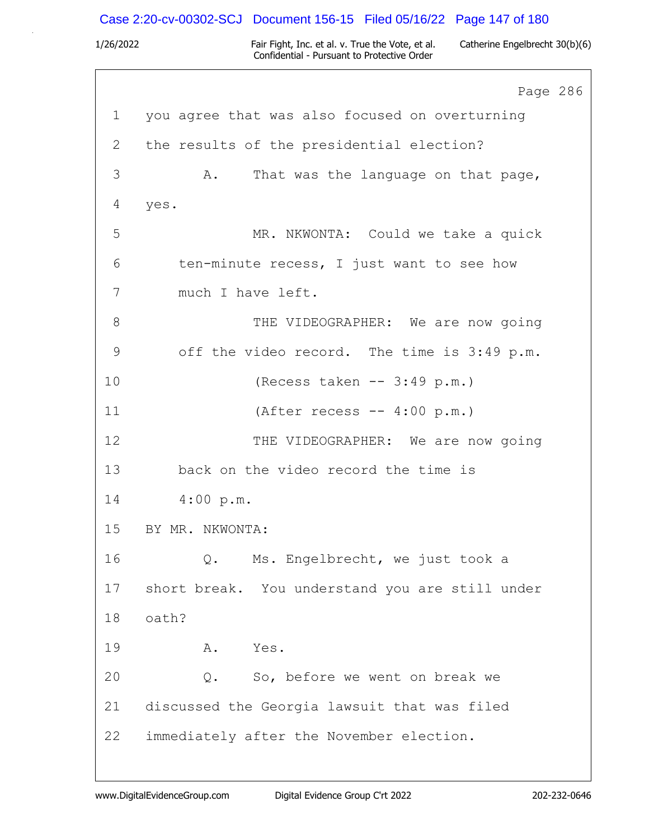### Case 2:20-cv-00302-SCJ Document 156-15 Filed 05/16/22 Page 147 of 180

1/26/2022 Fair Fight, Inc. et al. v. True the Vote, et al. Catherine Engelbrecht 30(b)(6) Confidential - Pursuant to Protective Order

Page 286 1 you agree that was also focused on overturning 2 the results of the presidential election? 3 A. That was the language on that page, 4 yes. 5 MR. NKWONTA: Could we take a quick 6 ten-minute recess, I just want to see how 7 much I have left. 8 THE VIDEOGRAPHER: We are now going 9 off the video record. The time is 3:49 p.m. 10 (Recess taken -- 3:49 p.m.) 11 (After recess -- 4:00 p.m.) 12 THE VIDEOGRAPHER: We are now going 13 back on the video record the time is 14 4:00 p.m. 15 BY MR. NKWONTA: 16 Q. Ms. Engelbrecht, we just took a 17 short break. You understand you are still under 18 oath? 19 A. Yes. 20 Q. So, before we went on break we 21 discussed the Georgia lawsuit that was filed 22 immediately after the November election.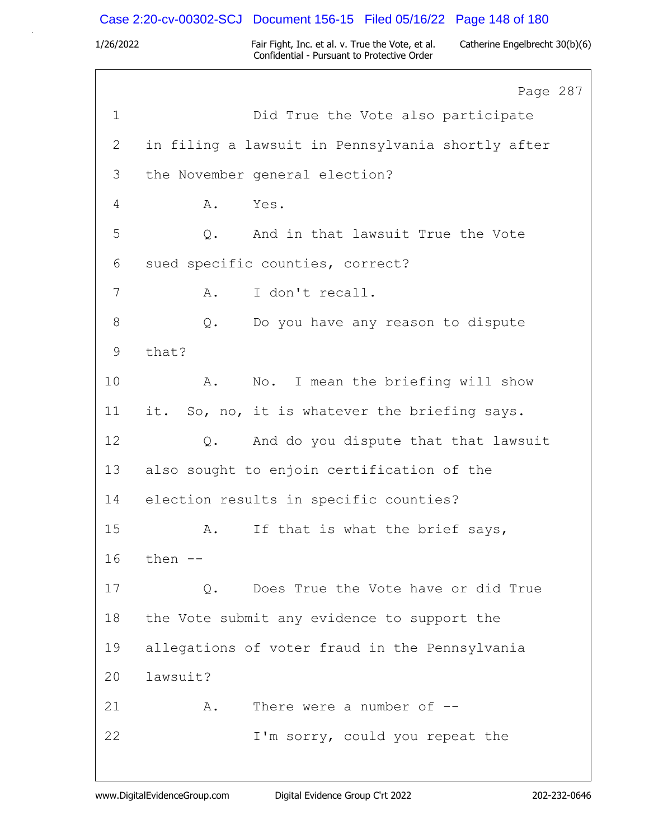### Case 2:20-cv-00302-SCJ Document 156-15 Filed 05/16/22 Page 148 of 180

1/26/2022 Fair Fight, Inc. et al. v. True the Vote, et al. Catherine Engelbrecht 30(b)(6) Confidential - Pursuant to Protective Order

Page 287 1 Did True the Vote also participate 2 in filing a lawsuit in Pennsylvania shortly after 3 the November general election? 4 A. Yes. 5 Q. And in that lawsuit True the Vote 6 sued specific counties, correct? 7 A. I don't recall. 8 Q. Do you have any reason to dispute 9 that? 10 A. No. I mean the briefing will show 11 it. So, no, it is whatever the briefing says. 12 Q. And do you dispute that that lawsuit 13 also sought to enjoin certification of the 14 election results in specific counties? 15 A. If that is what the brief says, 16 then -- 17 Q. Does True the Vote have or did True 18 the Vote submit any evidence to support the 19 allegations of voter fraud in the Pennsylvania 20 lawsuit? 21 A. There were a number of  $-$ 22 I'm sorry, could you repeat the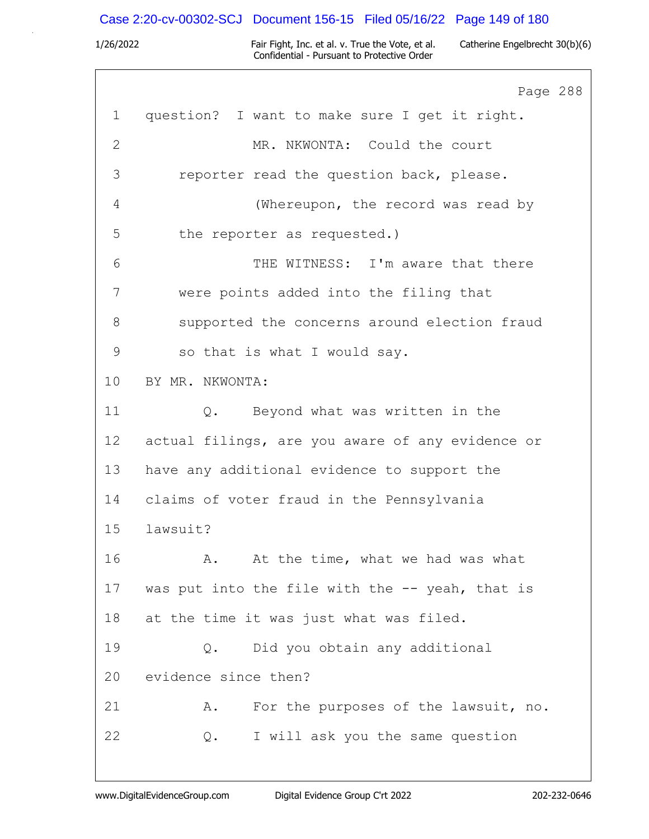# Case 2:20-cv-00302-SCJ Document 156-15 Filed 05/16/22 Page 149 of 180

|              | Page 288                                         |
|--------------|--------------------------------------------------|
| $\mathbf{1}$ | question? I want to make sure I get it right.    |
| $\mathbf{2}$ | MR. NKWONTA: Could the court                     |
| 3            | reporter read the question back, please.         |
| 4            | (Whereupon, the record was read by               |
| 5            | the reporter as requested.)                      |
| 6            | THE WITNESS: I'm aware that there                |
| 7            | were points added into the filing that           |
| 8            | supported the concerns around election fraud     |
| 9            | so that is what I would say.                     |
| 10           | BY MR. NKWONTA:                                  |
| 11           | Q. Beyond what was written in the                |
| 12           | actual filings, are you aware of any evidence or |
| 13           | have any additional evidence to support the      |
| 14           | claims of voter fraud in the Pennsylvania        |
| 15           | lawsuit?                                         |
| 16           | At the time, what we had was what<br>Α.          |
| 17           | was put into the file with the -- yeah, that is  |
| 18           | at the time it was just what was filed.          |
| 19           | Did you obtain any additional<br>$Q$ .           |
| 20           | evidence since then?                             |
| 21           | For the purposes of the lawsuit, no.<br>Α.       |
| 22           | I will ask you the same question<br>Q.           |
|              |                                                  |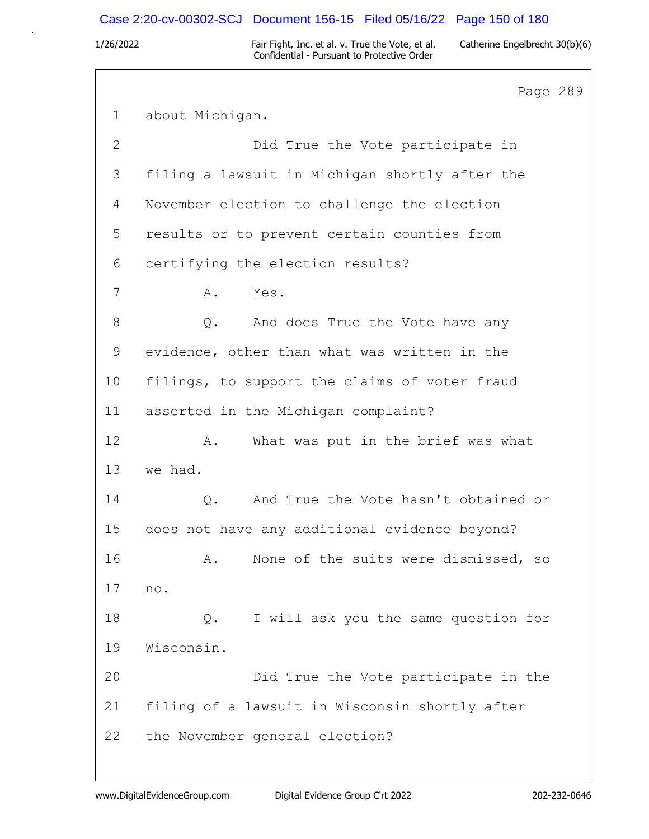### Case 2:20-cv-00302-SCJ Document 156-15 Filed 05/16/22 Page 150 of 180

1/26/2022 Fair Fight, Inc. et al. v. True the Vote, et al. Catherine Engelbrecht 30(b)(6) Confidential - Pursuant to Protective Order

Page 289 1 about Michigan. 2 Did True the Vote participate in 3 filing a lawsuit in Michigan shortly after the 4 November election to challenge the election 5 results or to prevent certain counties from 6 certifying the election results? 7 A. Yes. 8 Q. And does True the Vote have any 9 evidence, other than what was written in the 10 filings, to support the claims of voter fraud 11 asserted in the Michigan complaint? 12 A. What was put in the brief was what 13 we had. 14 Q. And True the Vote hasn't obtained or 15 does not have any additional evidence beyond? 16 A. None of the suits were dismissed, so 17 no. 18 Q. I will ask you the same question for 19 Wisconsin. 20 Did True the Vote participate in the 21 filing of a lawsuit in Wisconsin shortly after 22 the November general election?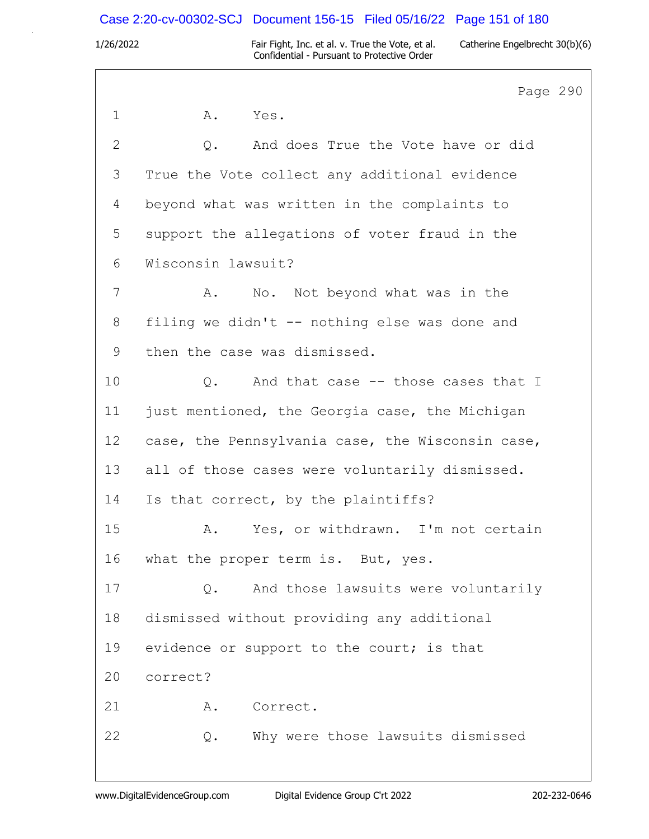## Case 2:20-cv-00302-SCJ Document 156-15 Filed 05/16/22 Page 151 of 180

1/26/2022 Fair Fight, Inc. et al. v. True the Vote, et al. Catherine Engelbrecht 30(b)(6) Confidential - Pursuant to Protective Order

Page 290 1 A. Yes. 2 Q. And does True the Vote have or did 3 True the Vote collect any additional evidence 4 beyond what was written in the complaints to 5 support the allegations of voter fraud in the 6 Wisconsin lawsuit? 7 A. No. Not beyond what was in the 8 filing we didn't -- nothing else was done and 9 then the case was dismissed. 10 0. And that case -- those cases that I 11 just mentioned, the Georgia case, the Michigan 12 case, the Pennsylvania case, the Wisconsin case, 13 all of those cases were voluntarily dismissed. 14 Is that correct, by the plaintiffs? 15 A. Yes, or withdrawn. I'm not certain 16 what the proper term is. But, yes. 17 Q. And those lawsuits were voluntarily 18 dismissed without providing any additional 19 evidence or support to the court; is that 20 correct? 21 A. Correct. 22 Q. Why were those lawsuits dismissed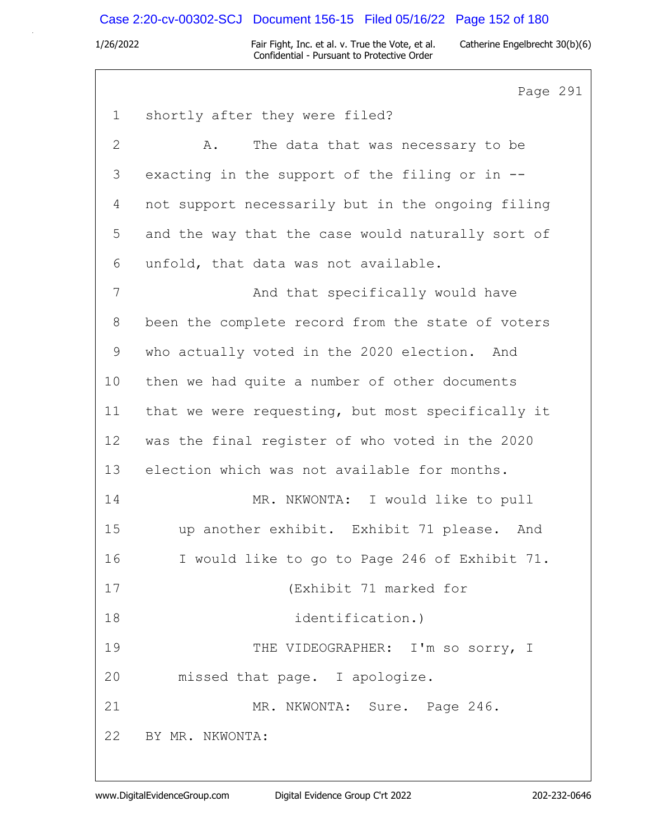### Case 2:20-cv-00302-SCJ Document 156-15 Filed 05/16/22 Page 152 of 180

1/26/2022 Fair Fight, Inc. et al. v. True the Vote, et al. Catherine Engelbrecht 30(b)(6) Confidential - Pursuant to Protective Order

Page 291 1 shortly after they were filed? 2 A. The data that was necessary to be 3 exacting in the support of the filing or in -- 4 not support necessarily but in the ongoing filing 5 and the way that the case would naturally sort of 6 unfold, that data was not available. 7 And that specifically would have 8 been the complete record from the state of voters 9 who actually voted in the 2020 election. And 10 then we had quite a number of other documents 11 that we were requesting, but most specifically it 12 was the final register of who voted in the 2020 13 election which was not available for months. 14 MR. NKWONTA: I would like to pull 15 up another exhibit. Exhibit 71 please. And 16 I would like to go to Page 246 of Exhibit 71. 17 (Exhibit 71 marked for 18 identification.) 19 THE VIDEOGRAPHER: I'm so sorry, I 20 missed that page. I apologize. 21 MR. NKWONTA: Sure. Page 246. 22 BY MR. NKWONTA: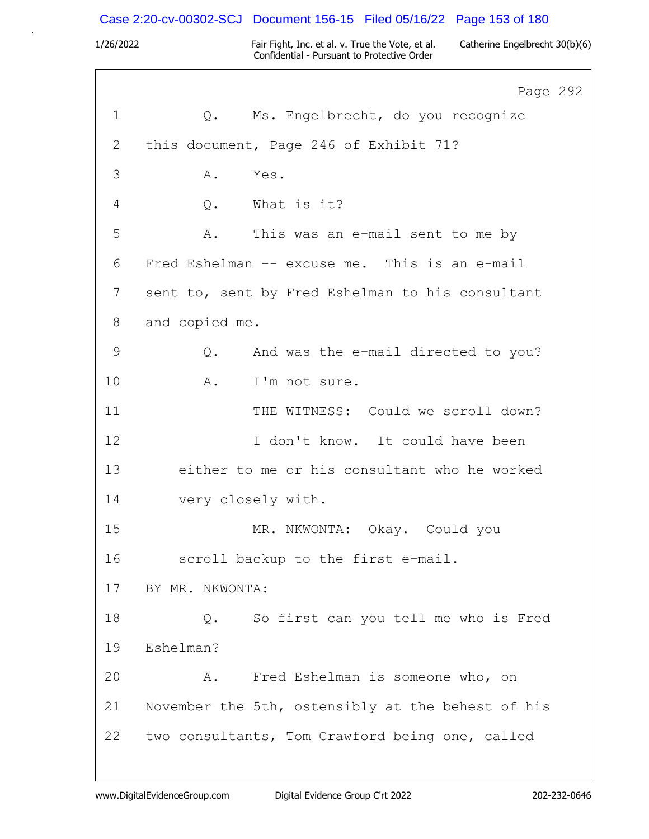### Case 2:20-cv-00302-SCJ Document 156-15 Filed 05/16/22 Page 153 of 180

1/26/2022 Fair Fight, Inc. et al. v. True the Vote, et al. Catherine Engelbrecht 30(b)(6) Confidential - Pursuant to Protective Order

Page 292 1 Q. Ms. Engelbrecht, do you recognize 2 this document, Page 246 of Exhibit 71? 3 A. Yes. 4 Q. What is it? 5 A. This was an e-mail sent to me by 6 Fred Eshelman -- excuse me. This is an e-mail 7 sent to, sent by Fred Eshelman to his consultant 8 and copied me. 9 Q. And was the e-mail directed to you? 10 A. I'm not sure. 11 THE WITNESS: Could we scroll down? 12 I don't know. It could have been 13 either to me or his consultant who he worked 14 very closely with. 15 MR. NKWONTA: Okay. Could you 16 scroll backup to the first e-mail. 17 BY MR. NKWONTA: 18 0. So first can you tell me who is Fred 19 Eshelman? 20 A. Fred Eshelman is someone who, on 21 November the 5th, ostensibly at the behest of his 22 two consultants, Tom Crawford being one, called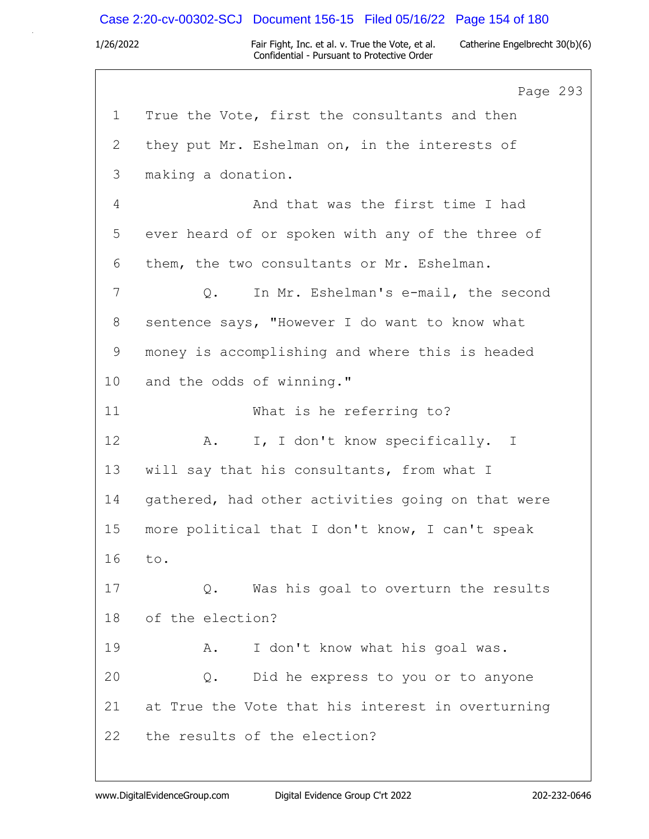### Case 2:20-cv-00302-SCJ Document 156-15 Filed 05/16/22 Page 154 of 180

1/26/2022 Fair Fight, Inc. et al. v. True the Vote, et al. Catherine Engelbrecht 30(b)(6) Confidential - Pursuant to Protective Order

Page 293 1 True the Vote, first the consultants and then 2 they put Mr. Eshelman on, in the interests of 3 making a donation. 4 And that was the first time I had 5 ever heard of or spoken with any of the three of 6 them, the two consultants or Mr. Eshelman. 7 Q. In Mr. Eshelman's e-mail, the second 8 sentence says, "However I do want to know what 9 money is accomplishing and where this is headed 10 and the odds of winning." 11 What is he referring to? 12 A. I, I don't know specifically. I 13 will say that his consultants, from what I 14 gathered, had other activities going on that were 15 more political that I don't know, I can't speak 16 to. 17 Q. Was his goal to overturn the results 18 of the election? 19 A. I don't know what his goal was. 20 Q. Did he express to you or to anyone 21 at True the Vote that his interest in overturning 22 the results of the election?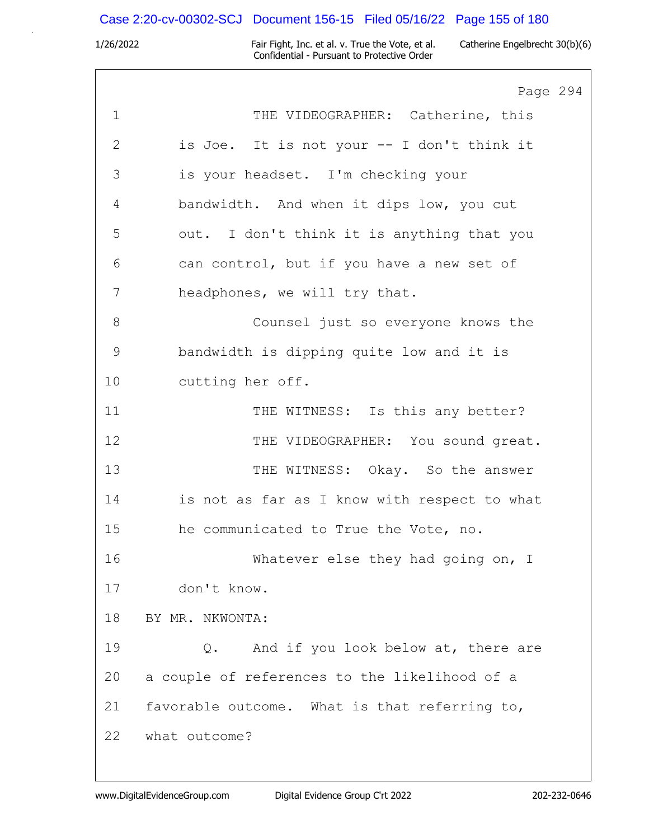# Case 2:20-cv-00302-SCJ Document 156-15 Filed 05/16/22 Page 155 of 180

|              | Page 294                                      |
|--------------|-----------------------------------------------|
| $\mathbf 1$  | THE VIDEOGRAPHER: Catherine, this             |
| $\mathbf{2}$ | is Joe. It is not your -- I don't think it    |
| 3            | is your headset. I'm checking your            |
| 4            | bandwidth. And when it dips low, you cut      |
| 5            | out. I don't think it is anything that you    |
| 6            | can control, but if you have a new set of     |
| 7            | headphones, we will try that.                 |
| 8            | Counsel just so everyone knows the            |
| $\mathsf 9$  | bandwidth is dipping quite low and it is      |
| 10           | cutting her off.                              |
| 11           | THE WITNESS: Is this any better?              |
| 12           | THE VIDEOGRAPHER: You sound great.            |
| 13           | THE WITNESS: Okay. So the answer              |
| 14           | is not as far as I know with respect to what  |
| 15           | he communicated to True the Vote, no.         |
| 16           | Whatever else they had going on, I            |
| 17           | don't know.                                   |
| 18           | BY MR. NKWONTA:                               |
| 19           | And if you look below at, there are<br>Q.     |
| 20           | a couple of references to the likelihood of a |
| 21           | favorable outcome. What is that referring to, |
| 22           | what outcome?                                 |
|              |                                               |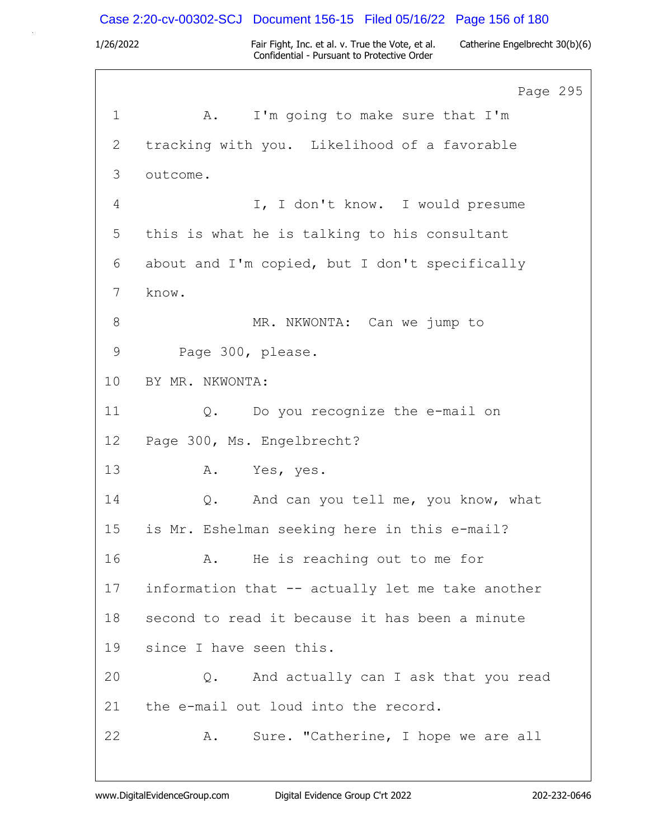# Case 2:20-cv-00302-SCJ Document 156-15 Filed 05/16/22 Page 156 of 180

|             | Page 295                                         |
|-------------|--------------------------------------------------|
| $\mathbf 1$ | I'm going to make sure that I'm<br>A.            |
| 2           | tracking with you. Likelihood of a favorable     |
| 3           | outcome.                                         |
| 4           | I, I don't know. I would presume                 |
| 5           | this is what he is talking to his consultant     |
| 6           | about and I'm copied, but I don't specifically   |
| 7           | know.                                            |
| 8           | MR. NKWONTA: Can we jump to                      |
| 9           | Page 300, please.                                |
| 10          | BY MR. NKWONTA:                                  |
| 11          | Q. Do you recognize the e-mail on                |
| 12          | Page 300, Ms. Engelbrecht?                       |
| 13          | A.<br>Yes, yes.                                  |
| 14          | And can you tell me, you know, what<br>Q.        |
| 15          | is Mr. Eshelman seeking here in this e-mail?     |
| 16          | He is reaching out to me for<br>Α.               |
| 17          | information that -- actually let me take another |
| 18          | second to read it because it has been a minute   |
| 19          | since I have seen this.                          |
| 20          | And actually can I ask that you read<br>Q.       |
| 21          | the e-mail out loud into the record.             |
| 22          | Sure. "Catherine, I hope we are all<br>Α.        |
|             |                                                  |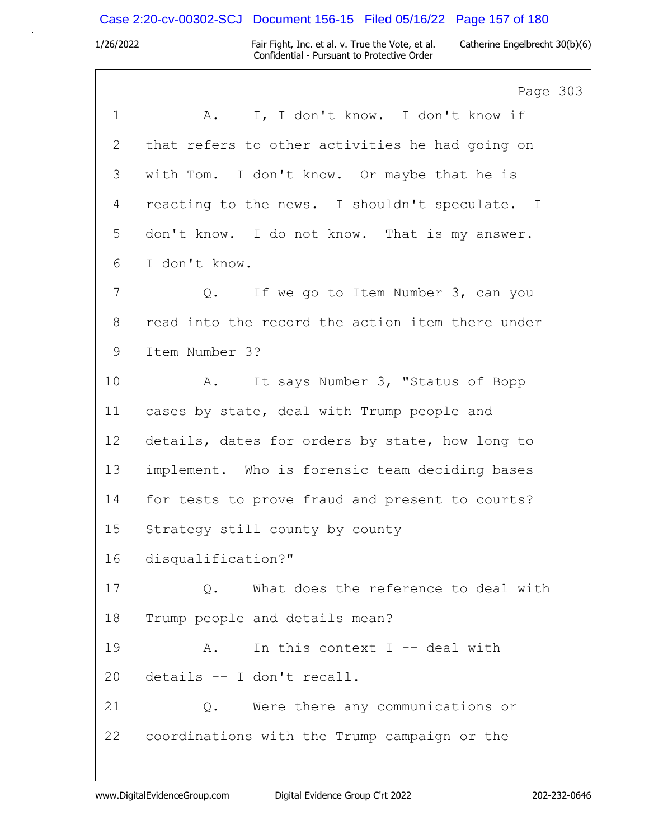# Case 2:20-cv-00302-SCJ Document 156-15 Filed 05/16/22 Page 157 of 180

|             | Page 303                                         |
|-------------|--------------------------------------------------|
| $\mathbf 1$ | I, I don't know. I don't know if<br>A.           |
| 2           | that refers to other activities he had going on  |
| 3           | with Tom. I don't know. Or maybe that he is      |
| 4           | reacting to the news. I shouldn't speculate. I   |
| 5           | don't know. I do not know. That is my answer.    |
| 6           | I don't know.                                    |
| 7           | If we go to Item Number 3, can you<br>$Q$ .      |
| 8           | read into the record the action item there under |
| 9           | Item Number 3?                                   |
| 10          | It says Number 3, "Status of Bopp<br>A.          |
| 11          | cases by state, deal with Trump people and       |
| 12          | details, dates for orders by state, how long to  |
| 13          | implement. Who is forensic team deciding bases   |
| 14          | for tests to prove fraud and present to courts?  |
| 15          | Strategy still county by county                  |
| 16          | disqualification?"                               |
| 17          | What does the reference to deal with<br>$Q$ .    |
| 18          | Trump people and details mean?                   |
| 19          | In this context $I$ -- deal with<br>Α.           |
| 20          | details -- I don't recall.                       |
| 21          | Were there any communications or<br>Q.           |
| 22          | coordinations with the Trump campaign or the     |
|             |                                                  |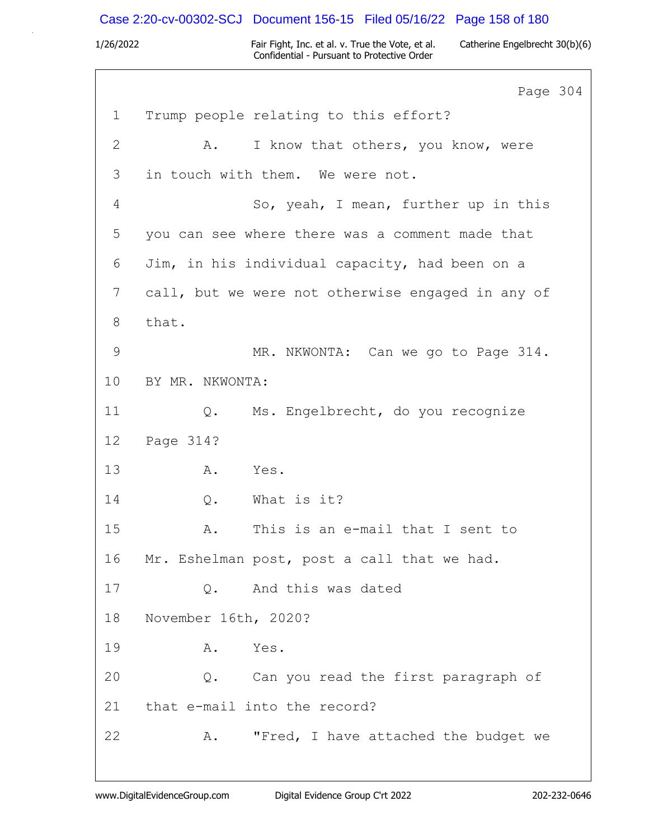# Case 2:20-cv-00302-SCJ Document 156-15 Filed 05/16/22 Page 158 of 180

|                | Page 304                                          |  |
|----------------|---------------------------------------------------|--|
| $\mathbf 1$    | Trump people relating to this effort?             |  |
| $\mathbf{2}$   | I know that others, you know, were<br>A.          |  |
| 3              | in touch with them. We were not.                  |  |
| 4              | So, yeah, I mean, further up in this              |  |
| 5              | you can see where there was a comment made that   |  |
| 6              | Jim, in his individual capacity, had been on a    |  |
| $\overline{7}$ | call, but we were not otherwise engaged in any of |  |
| 8              | that.                                             |  |
| $\mathcal{G}$  | MR. NKWONTA: Can we go to Page 314.               |  |
| 10             | BY MR. NKWONTA:                                   |  |
| 11             | Ms. Engelbrecht, do you recognize<br>Q.           |  |
| 12             | Page 314?                                         |  |
| 13             | Α.<br>Yes.                                        |  |
| 14             | What is it?<br>Q.                                 |  |
| 15             | This is an e-mail that I sent to<br>Α.            |  |
| 16             | Mr. Eshelman post, post a call that we had.       |  |
| 17             | And this was dated<br>Q.                          |  |
| 18             | November 16th, 2020?                              |  |
| 19             | Yes.<br>Α.                                        |  |
| 20             | Q. Can you read the first paragraph of            |  |
| 21             | that e-mail into the record?                      |  |
| 22             | "Fred, I have attached the budget we<br>Α.        |  |
|                |                                                   |  |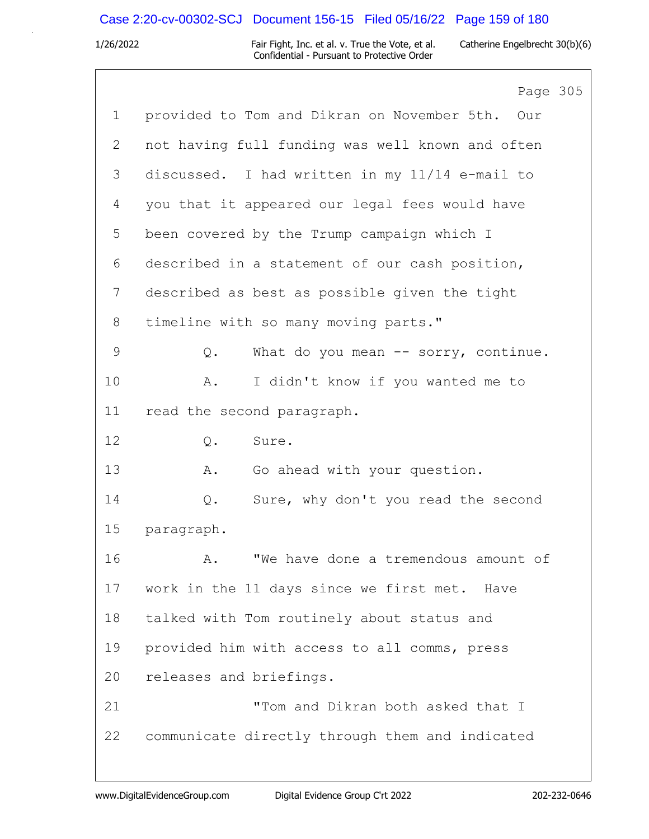# Case 2:20-cv-00302-SCJ Document 156-15 Filed 05/16/22 Page 159 of 180

|                | Page 305                                           |
|----------------|----------------------------------------------------|
| $\mathbf{1}$   | provided to Tom and Dikran on November 5th.<br>Our |
| $\overline{2}$ | not having full funding was well known and often   |
| 3              | discussed. I had written in my 11/14 e-mail to     |
| 4              | you that it appeared our legal fees would have     |
| 5              | been covered by the Trump campaign which I         |
| 6              | described in a statement of our cash position,     |
| 7              | described as best as possible given the tight      |
| 8              | timeline with so many moving parts."               |
| 9              | What do you mean $--$ sorry, continue.<br>Q.       |
| 10             | I didn't know if you wanted me to<br>Α.            |
| 11             | read the second paragraph.                         |
| 12             | Sure.<br>$Q$ .                                     |
| 13             | Go ahead with your question.<br>Α.                 |
| 14             | Sure, why don't you read the second<br>$Q$ .       |
| 15             | paragraph.                                         |
| 16             | "We have done a tremendous amount of<br>Α.         |
| 17             | work in the 11 days since we first met. Have       |
| 18             | talked with Tom routinely about status and         |
| 19             | provided him with access to all comms, press       |
| 20             | releases and briefings.                            |
| 21             | "Tom and Dikran both asked that I                  |
| 22             | communicate directly through them and indicated    |
|                |                                                    |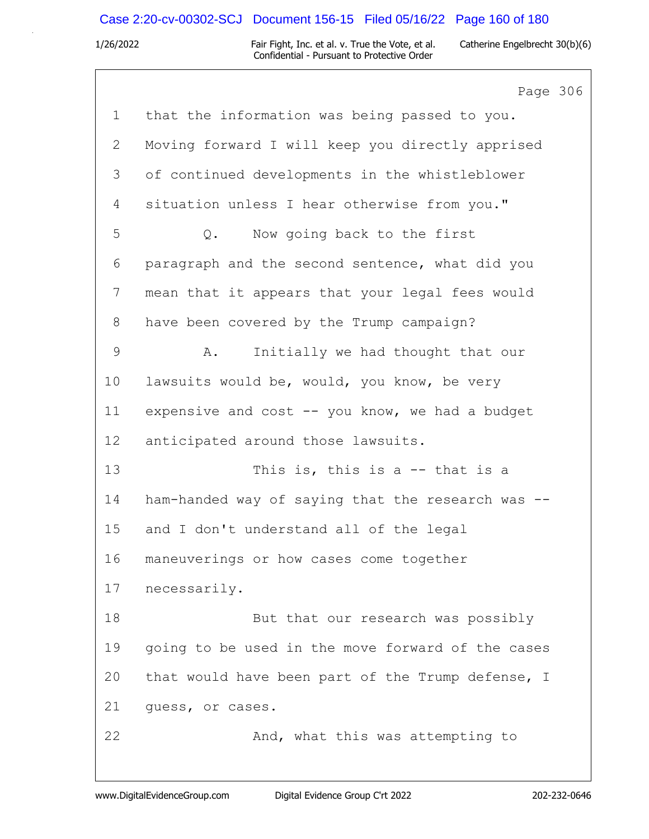# Case 2:20-cv-00302-SCJ Document 156-15 Filed 05/16/22 Page 160 of 180

|               | Page 306                                          |
|---------------|---------------------------------------------------|
| $\mathbf 1$   | that the information was being passed to you.     |
| $\mathbf{2}$  | Moving forward I will keep you directly apprised  |
| 3             | of continued developments in the whistleblower    |
| 4             | situation unless I hear otherwise from you."      |
| 5             | Now going back to the first<br>Q.                 |
| 6             | paragraph and the second sentence, what did you   |
| 7             | mean that it appears that your legal fees would   |
| 8             | have been covered by the Trump campaign?          |
| $\mathcal{G}$ | Initially we had thought that our<br>Α.           |
| 10            | lawsuits would be, would, you know, be very       |
| 11            | expensive and cost -- you know, we had a budget   |
| 12            | anticipated around those lawsuits.                |
| 13            | This is, this is a $-$ that is a                  |
| 14            | ham-handed way of saying that the research was -- |
| 15            | and I don't understand all of the legal           |
| 16            | maneuverings or how cases come together           |
| 17            | necessarily.                                      |
| 18            | But that our research was possibly                |
| 19            | going to be used in the move forward of the cases |
| 20            | that would have been part of the Trump defense, I |
| 21            | quess, or cases.                                  |
| 22            | And, what this was attempting to                  |
|               |                                                   |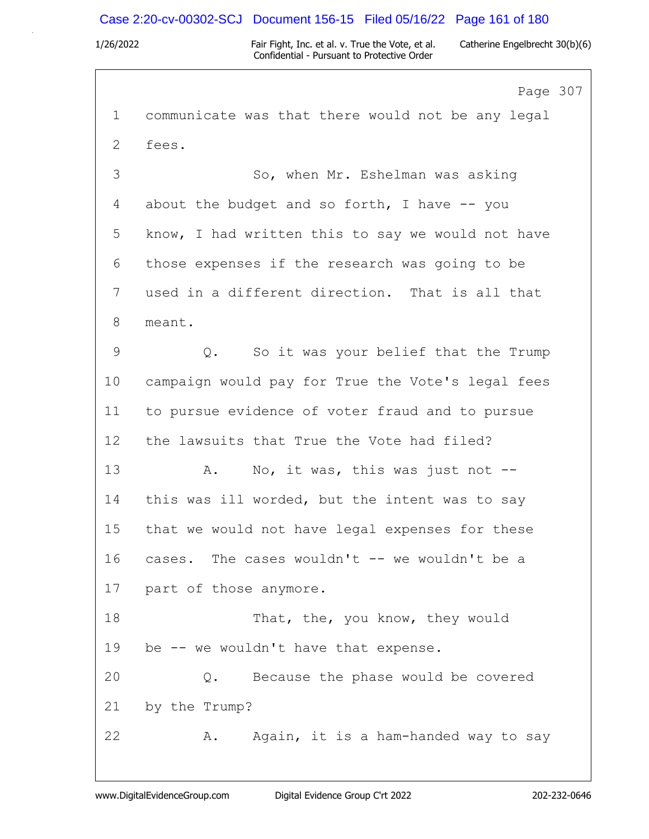## Case 2:20-cv-00302-SCJ Document 156-15 Filed 05/16/22 Page 161 of 180

1/26/2022 Fair Fight, Inc. et al. v. True the Vote, et al. Catherine Engelbrecht 30(b)(6) Confidential - Pursuant to Protective Order

Page 307 1 communicate was that there would not be any legal 2 fees. 3 So, when Mr. Eshelman was asking 4 about the budget and so forth, I have -- you 5 know, I had written this to say we would not have 6 those expenses if the research was going to be 7 used in a different direction. That is all that 8 meant. 9 Q. So it was your belief that the Trump 10 campaign would pay for True the Vote's legal fees 11 to pursue evidence of voter fraud and to pursue 12 the lawsuits that True the Vote had filed? 13 A. No, it was, this was just not --14 this was ill worded, but the intent was to say 15 that we would not have legal expenses for these 16 cases. The cases wouldn't -- we wouldn't be a 17 part of those anymore. 18 That, the, you know, they would 19 be -- we wouldn't have that expense. 20 Q. Because the phase would be covered 21 by the Trump? 22 A. Again, it is a ham-handed way to say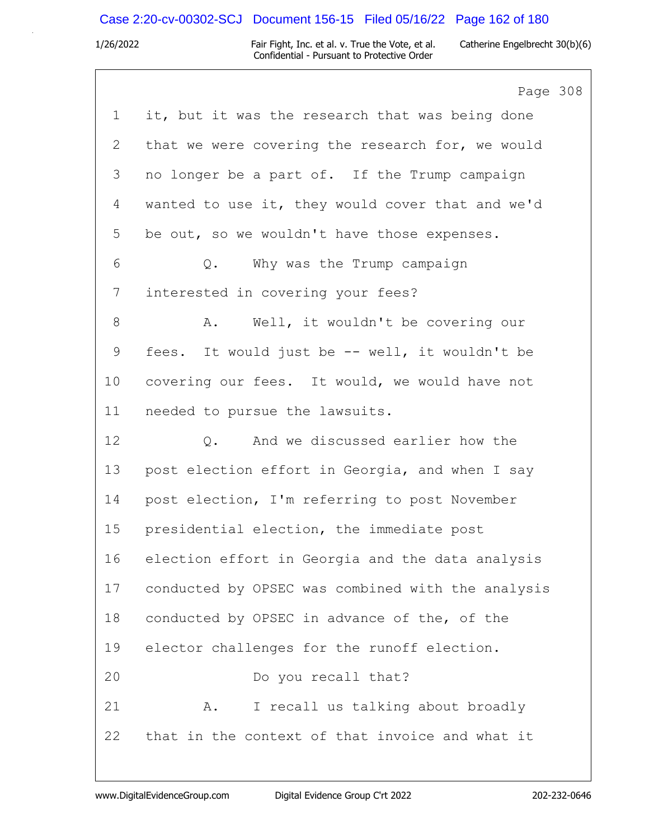## Case 2:20-cv-00302-SCJ Document 156-15 Filed 05/16/22 Page 162 of 180

1/26/2022 Fair Fight, Inc. et al. v. True the Vote, et al. Catherine Engelbrecht 30(b)(6) Confidential - Pursuant to Protective Order

Page 308 1 it, but it was the research that was being done 2 that we were covering the research for, we would 3 no longer be a part of. If the Trump campaign 4 wanted to use it, they would cover that and we'd 5 be out, so we wouldn't have those expenses. 6 Q. Why was the Trump campaign 7 interested in covering your fees? 8 A. Well, it wouldn't be covering our 9 fees. It would just be -- well, it wouldn't be 10 covering our fees. It would, we would have not 11 needed to pursue the lawsuits. 12 O. And we discussed earlier how the 13 post election effort in Georgia, and when I say 14 post election, I'm referring to post November 15 presidential election, the immediate post 16 election effort in Georgia and the data analysis 17 conducted by OPSEC was combined with the analysis 18 conducted by OPSEC in advance of the, of the 19 elector challenges for the runoff election. 20 Do you recall that? 21 A. I recall us talking about broadly 22 that in the context of that invoice and what it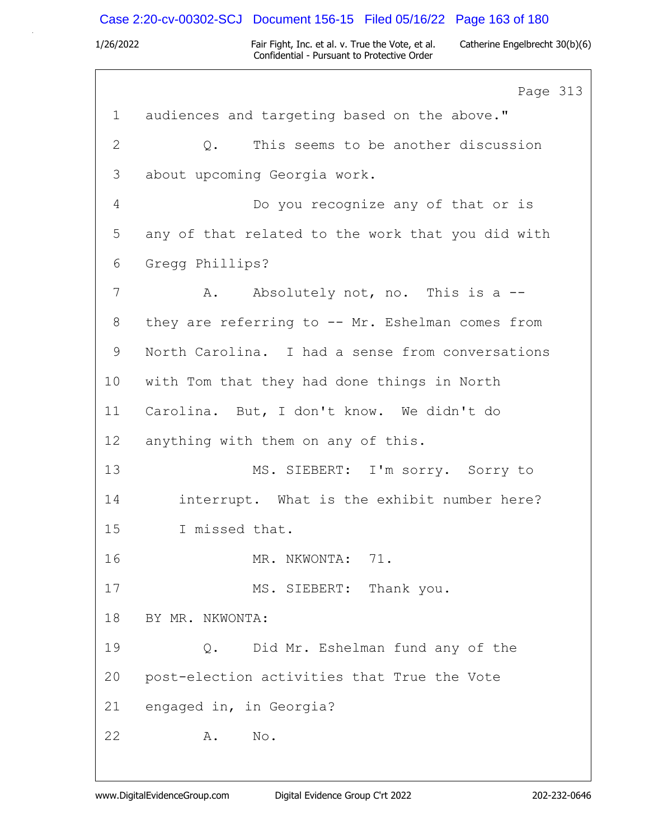## Case 2:20-cv-00302-SCJ Document 156-15 Filed 05/16/22 Page 163 of 180

1/26/2022 Fair Fight, Inc. et al. v. True the Vote, et al. Catherine Engelbrecht 30(b)(6) Confidential - Pursuant to Protective Order

Page 313 1 audiences and targeting based on the above." 2 Q. This seems to be another discussion 3 about upcoming Georgia work. 4 Do you recognize any of that or is 5 any of that related to the work that you did with 6 Gregg Phillips? 7 A. Absolutely not, no. This is a --8 they are referring to -- Mr. Eshelman comes from 9 North Carolina. I had a sense from conversations 10 with Tom that they had done things in North 11 Carolina. But, I don't know. We didn't do 12 anything with them on any of this. 13 MS. SIEBERT: I'm sorry. Sorry to 14 interrupt. What is the exhibit number here? 15 I missed that. 16 MR. NKWONTA: 71. 17 MS. SIEBERT: Thank you. 18 BY MR. NKWONTA: 19 Q. Did Mr. Eshelman fund any of the 20 post-election activities that True the Vote 21 engaged in, in Georgia? 22 A. No.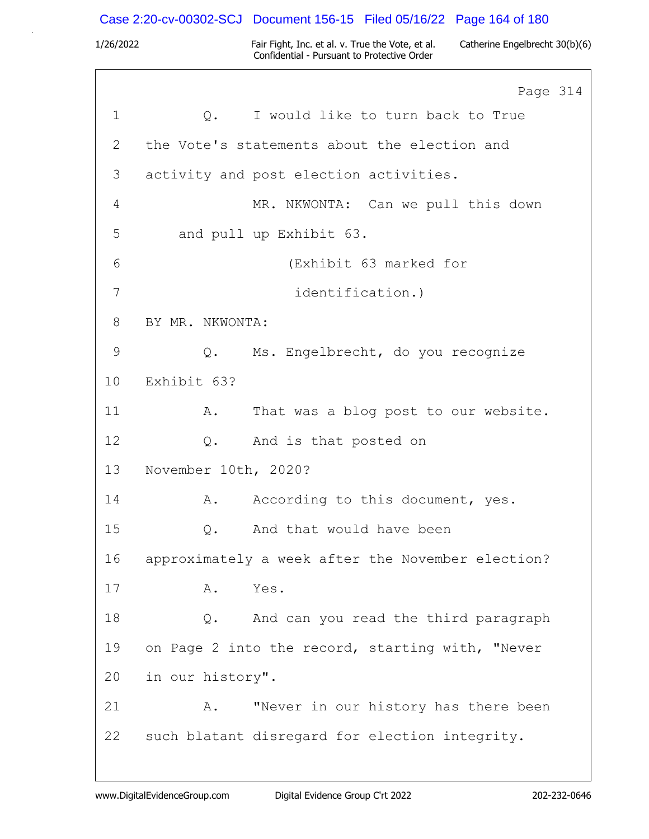Case 2:20-cv-00302-SCJ Document 156-15 Filed 05/16/22 Page 164 of 180

|             |                      | Page 314                                          |
|-------------|----------------------|---------------------------------------------------|
| $\mathbf 1$ |                      | Q. I would like to turn back to True              |
| 2           |                      | the Vote's statements about the election and      |
| 3           |                      | activity and post election activities.            |
| 4           |                      | MR. NKWONTA: Can we pull this down                |
| 5           |                      | and pull up Exhibit 63.                           |
| 6           |                      | (Exhibit 63 marked for                            |
| 7           |                      | identification.)                                  |
| 8           | BY MR. NKWONTA:      |                                                   |
| 9           |                      | Q. Ms. Engelbrecht, do you recognize              |
| 10          | Exhibit 63?          |                                                   |
| 11          | A.                   | That was a blog post to our website.              |
| 12          | Q.                   | And is that posted on                             |
| 13          | November 10th, 2020? |                                                   |
| 14          | Α.                   | According to this document, yes.                  |
| 15          | Q.                   | And that would have been                          |
| 16          |                      | approximately a week after the November election? |
| 17          | Α.                   | Yes.                                              |
| 18          | Q.                   | And can you read the third paragraph              |
| 19          |                      | on Page 2 into the record, starting with, "Never  |
| 20          | in our history".     |                                                   |
| 21          | Α.                   | "Never in our history has there been              |
| 22          |                      | such blatant disregard for election integrity.    |
|             |                      |                                                   |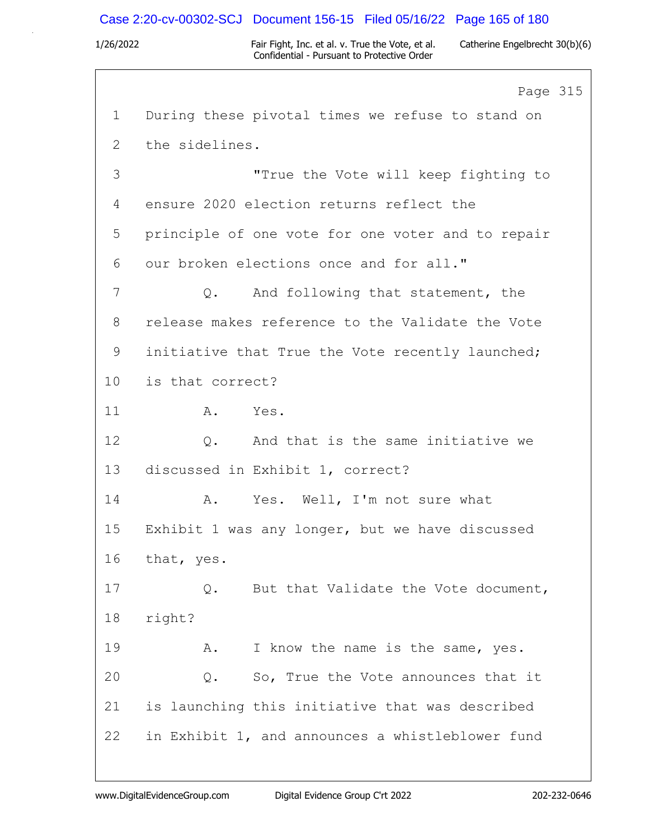## Case 2:20-cv-00302-SCJ Document 156-15 Filed 05/16/22 Page 165 of 180

1/26/2022 Fair Fight, Inc. et al. v. True the Vote, et al. Catherine Engelbrecht 30(b)(6) Confidential - Pursuant to Protective Order

Page 315 1 During these pivotal times we refuse to stand on 2 the sidelines. 3 "True the Vote will keep fighting to 4 ensure 2020 election returns reflect the 5 principle of one vote for one voter and to repair 6 our broken elections once and for all." 7 Q. And following that statement, the 8 release makes reference to the Validate the Vote 9 initiative that True the Vote recently launched; 10 is that correct? 11 A. Yes. 12 0. And that is the same initiative we 13 discussed in Exhibit 1, correct? 14 A. Yes. Well, I'm not sure what 15 Exhibit 1 was any longer, but we have discussed 16 that, yes. 17 Q. But that Validate the Vote document, 18 right? 19 A. I know the name is the same, yes. 20 0. So, True the Vote announces that it 21 is launching this initiative that was described 22 in Exhibit 1, and announces a whistleblower fund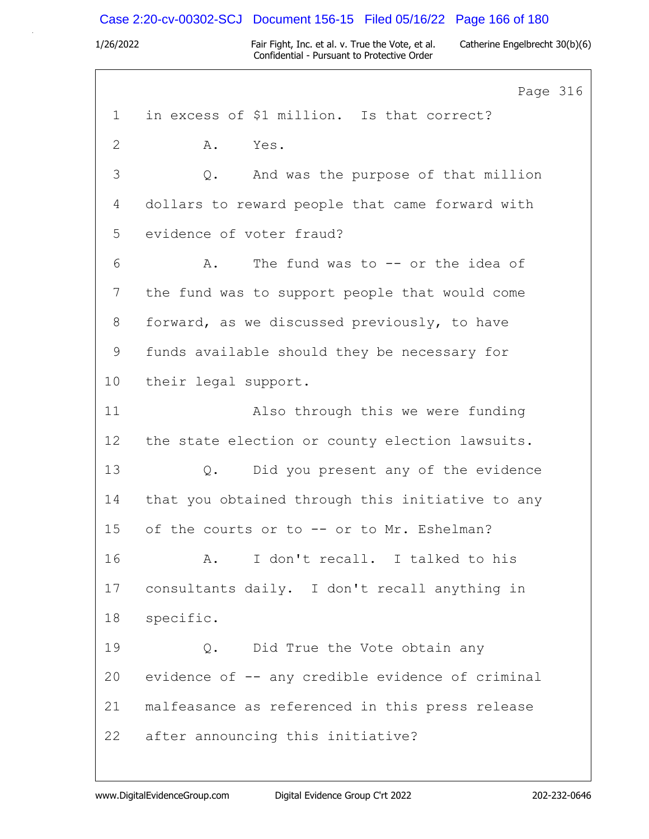### Case 2:20-cv-00302-SCJ Document 156-15 Filed 05/16/22 Page 166 of 180

1/26/2022 Fair Fight, Inc. et al. v. True the Vote, et al. Catherine Engelbrecht 30(b)(6) Confidential - Pursuant to Protective Order

Page 316 1 in excess of \$1 million. Is that correct? 2 A. Yes. 3 Q. And was the purpose of that million 4 dollars to reward people that came forward with 5 evidence of voter fraud? 6 A. The fund was to -- or the idea of 7 the fund was to support people that would come 8 forward, as we discussed previously, to have 9 funds available should they be necessary for 10 their legal support. 11 Also through this we were funding 12 the state election or county election lawsuits. 13 Q. Did you present any of the evidence 14 that you obtained through this initiative to any 15 of the courts or to -- or to Mr. Eshelman? 16 A. I don't recall. I talked to his 17 consultants daily. I don't recall anything in 18 specific. 19 Q. Did True the Vote obtain any 20 evidence of -- any credible evidence of criminal 21 malfeasance as referenced in this press release 22 after announcing this initiative?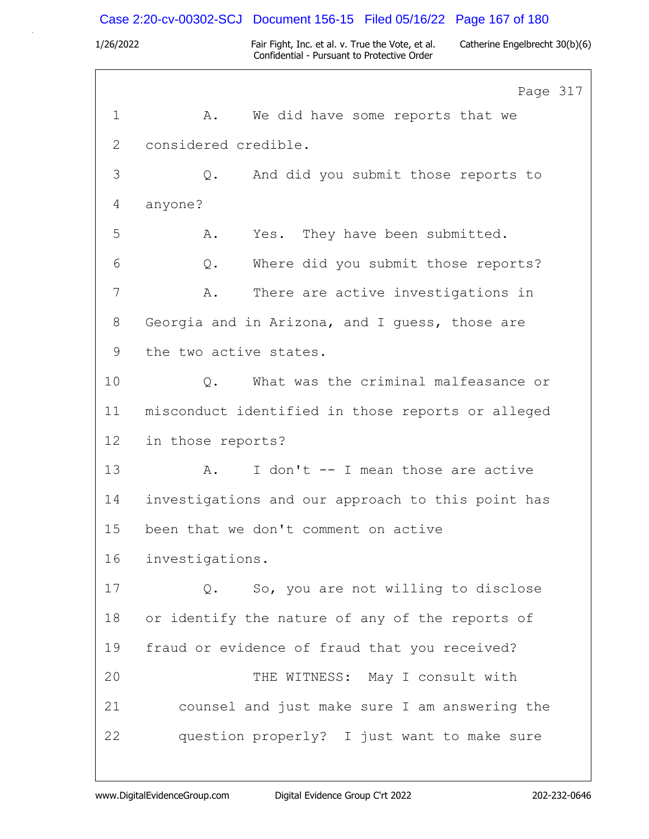Case 2:20-cv-00302-SCJ Document 156-15 Filed 05/16/22 Page 167 of 180

|              | Page 317                                          |
|--------------|---------------------------------------------------|
| $\mathbf 1$  | We did have some reports that we<br>Α.            |
| $\mathbf{2}$ | considered credible.                              |
| 3            | And did you submit those reports to<br>Q.         |
| 4            | anyone?                                           |
| 5            | Yes. They have been submitted.<br>Α.              |
| 6            | Where did you submit those reports?<br>Q.         |
| 7            | There are active investigations in<br>Α.          |
| 8            | Georgia and in Arizona, and I guess, those are    |
| 9            | the two active states.                            |
| 10           | What was the criminal malfeasance or<br>Q.        |
| 11           | misconduct identified in those reports or alleged |
| 12           | in those reports?                                 |
| 13           | I don't -- I mean those are active<br>Α.          |
| 14           | investigations and our approach to this point has |
| 15           | been that we don't comment on active              |
| 16           | investigations.                                   |
| 17           | So, you are not willing to disclose<br>$Q$ .      |
| 18           | or identify the nature of any of the reports of   |
| 19           | fraud or evidence of fraud that you received?     |
| 20           | THE WITNESS: May I consult with                   |
| 21           | counsel and just make sure I am answering the     |
| 22           | question properly? I just want to make sure       |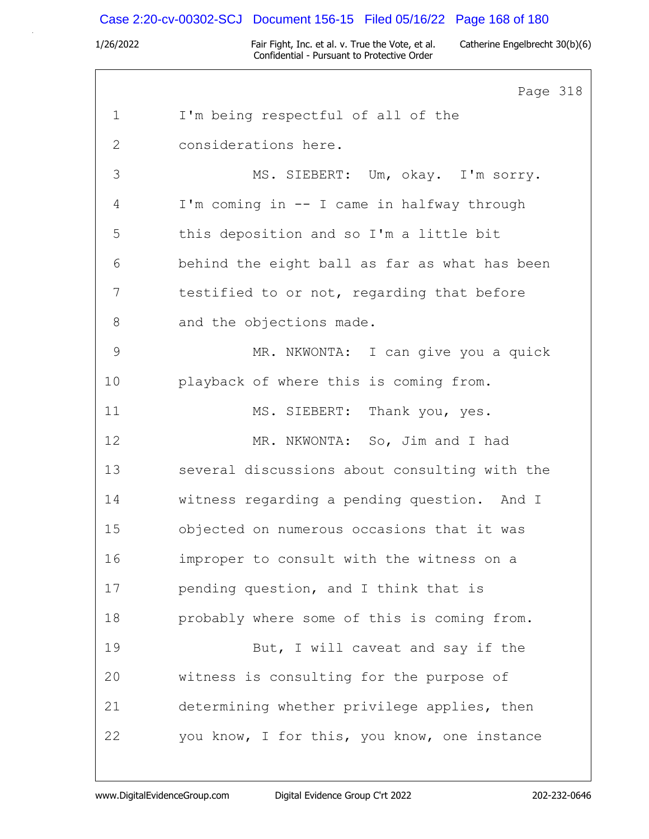# Case 2:20-cv-00302-SCJ Document 156-15 Filed 05/16/22 Page 168 of 180

|              | Page 318                                      |
|--------------|-----------------------------------------------|
| $\mathbf 1$  | I'm being respectful of all of the            |
| $\mathbf{2}$ | considerations here.                          |
| 3            | MS. SIEBERT: Um, okay. I'm sorry.             |
| 4            | I'm coming in -- I came in halfway through    |
| 5            | this deposition and so I'm a little bit       |
| 6            | behind the eight ball as far as what has been |
| 7            | testified to or not, regarding that before    |
| 8            | and the objections made.                      |
| 9            | MR. NKWONTA: I can give you a quick           |
| 10           | playback of where this is coming from.        |
| 11           | MS. SIEBERT: Thank you, yes.                  |
| 12           | MR. NKWONTA: So, Jim and I had                |
| 13           | several discussions about consulting with the |
| 14           | witness regarding a pending question. And I   |
| 15           | objected on numerous occasions that it was    |
| 16           | improper to consult with the witness on a     |
| 17           | pending question, and I think that is         |
| 18           | probably where some of this is coming from.   |
| 19           | But, I will caveat and say if the             |
| 20           | witness is consulting for the purpose of      |
| 21           | determining whether privilege applies, then   |
| 22           | you know, I for this, you know, one instance  |
|              |                                               |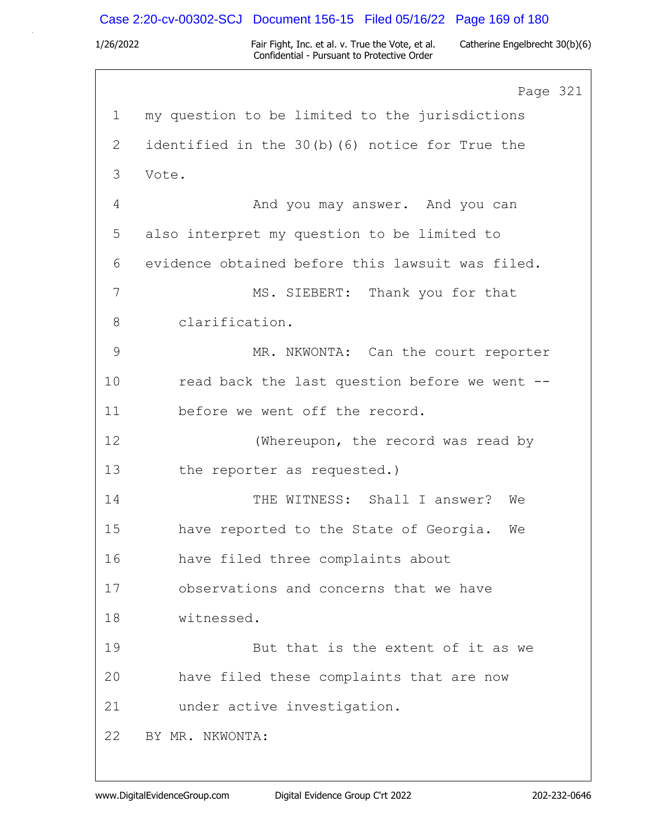## Case 2:20-cv-00302-SCJ Document 156-15 Filed 05/16/22 Page 169 of 180

1/26/2022 Fair Fight, Inc. et al. v. True the Vote, et al. Catherine Engelbrecht 30(b)(6) Confidential - Pursuant to Protective Order

Page 321 1 my question to be limited to the jurisdictions 2 identified in the 30(b)(6) notice for True the 3 Vote. 4 And you may answer. And you can 5 also interpret my question to be limited to 6 evidence obtained before this lawsuit was filed. 7 MS. SIEBERT: Thank you for that 8 clarification. 9 MR. NKWONTA: Can the court reporter 10 read back the last question before we went --11 before we went off the record. 12 (Whereupon, the record was read by 13 the reporter as requested.) 14 THE WITNESS: Shall I answer? We 15 have reported to the State of Georgia. We 16 have filed three complaints about 17 observations and concerns that we have 18 witnessed. 19 But that is the extent of it as we 20 have filed these complaints that are now 21 under active investigation. 22 BY MR. NKWONTA: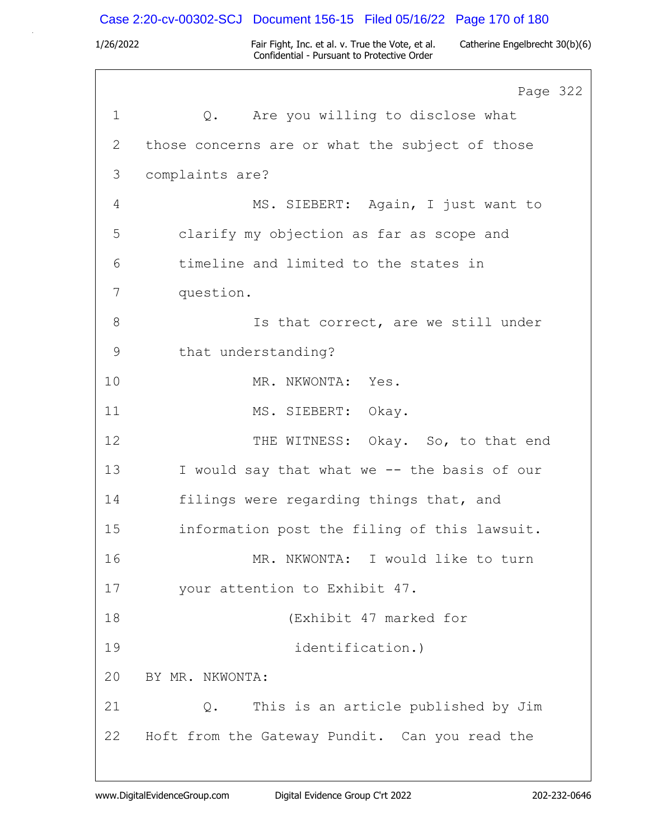# Case 2:20-cv-00302-SCJ Document 156-15 Filed 05/16/22 Page 170 of 180

|              | Page 322                                        |
|--------------|-------------------------------------------------|
| $\mathbf 1$  | Are you willing to disclose what<br>$Q$ .       |
| $\mathbf{2}$ | those concerns are or what the subject of those |
| 3            | complaints are?                                 |
| 4            | MS. SIEBERT: Again, I just want to              |
| 5            | clarify my objection as far as scope and        |
| 6            | timeline and limited to the states in           |
| 7            | question.                                       |
| 8            | Is that correct, are we still under             |
| 9            | that understanding?                             |
| 10           | MR. NKWONTA: Yes.                               |
| 11           | MS. SIEBERT: Okay.                              |
| 12           | THE WITNESS: Okay. So, to that end              |
| 13           | I would say that what we -- the basis of our    |
| 14           | filings were regarding things that, and         |
| 15           | information post the filing of this lawsuit.    |
| 16           | MR. NKWONTA: I would like to turn               |
| 17           | your attention to Exhibit 47.                   |
| 18           | (Exhibit 47 marked for                          |
| 19           | identification.)                                |
| 20           | BY MR. NKWONTA:                                 |
| 21           | This is an article published by Jim<br>Q.       |
| 22           | Hoft from the Gateway Pundit. Can you read the  |
|              |                                                 |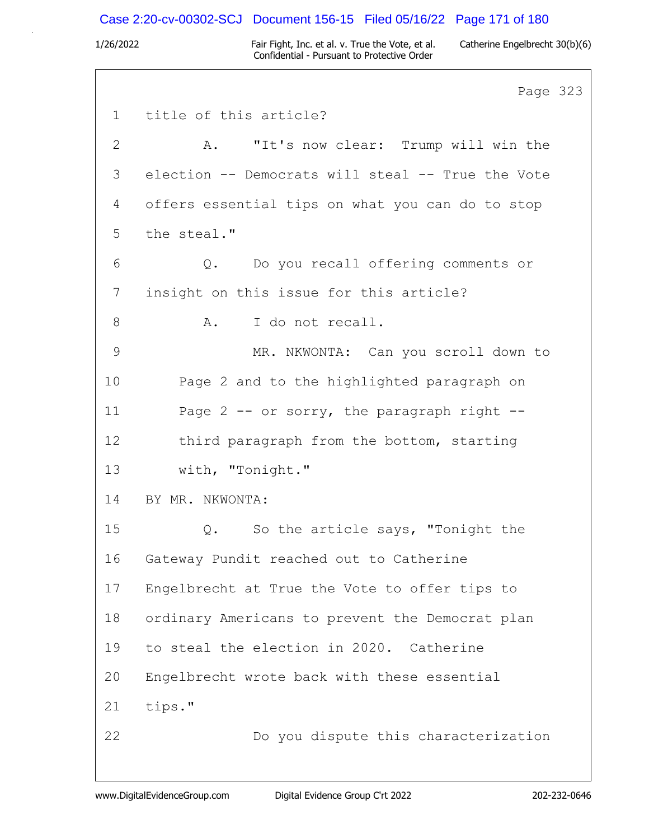### Case 2:20-cv-00302-SCJ Document 156-15 Filed 05/16/22 Page 171 of 180

1/26/2022 Fair Fight, Inc. et al. v. True the Vote, et al. Catherine Engelbrecht 30(b)(6) Confidential - Pursuant to Protective Order

Page 323 1 title of this article? 2 A. "It's now clear: Trump will win the 3 election -- Democrats will steal -- True the Vote 4 offers essential tips on what you can do to stop 5 the steal." 6 Q. Do you recall offering comments or 7 insight on this issue for this article? 8 A. I do not recall. 9 MR. NKWONTA: Can you scroll down to 10 Page 2 and to the highlighted paragraph on 11 Page 2 -- or sorry, the paragraph right --12 third paragraph from the bottom, starting 13 with, "Tonight." 14 BY MR. NKWONTA: 15 Q. So the article says, "Tonight the 16 Gateway Pundit reached out to Catherine 17 Engelbrecht at True the Vote to offer tips to 18 ordinary Americans to prevent the Democrat plan 19 to steal the election in 2020. Catherine 20 Engelbrecht wrote back with these essential 21 tips." 22 Do you dispute this characterization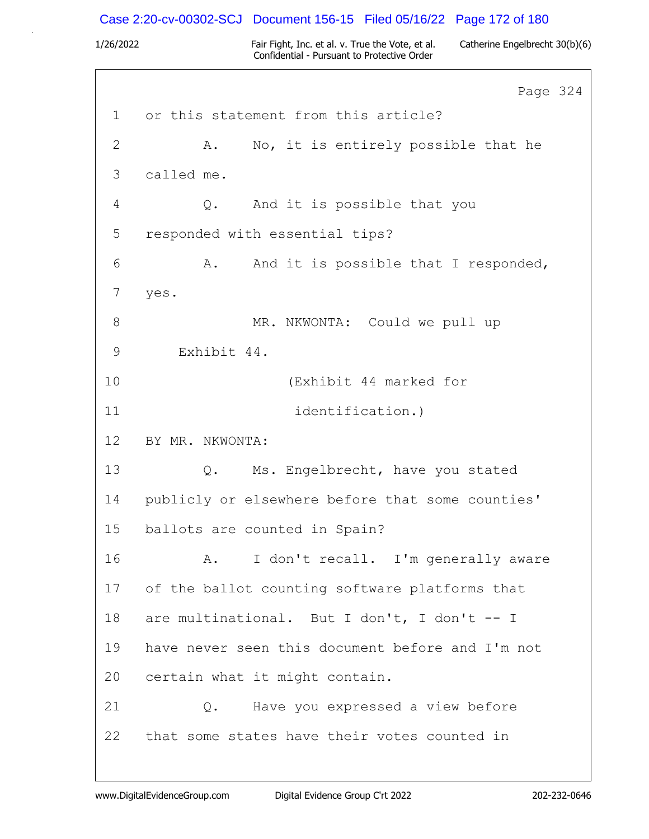# Case 2:20-cv-00302-SCJ Document 156-15 Filed 05/16/22 Page 172 of 180

|              | Page 324                                         |
|--------------|--------------------------------------------------|
| $\mathbf{1}$ | or this statement from this article?             |
| $\mathbf{2}$ | No, it is entirely possible that he<br>Α.        |
| 3            | called me.                                       |
| 4            | And it is possible that you<br>Q.                |
| 5            | responded with essential tips?                   |
| 6            | And it is possible that I responded,<br>Α.       |
| 7            | yes.                                             |
| 8            | MR. NKWONTA: Could we pull up                    |
| 9            | Exhibit 44.                                      |
| 10           | (Exhibit 44 marked for                           |
| 11           | identification.)                                 |
| 12           | BY MR. NKWONTA:                                  |
| 13           | Q. Ms. Engelbrecht, have you stated              |
| 14           | publicly or elsewhere before that some counties' |
| 15           | ballots are counted in Spain?                    |
| 16           | I don't recall. I'm generally aware<br>A.        |
| 17           | of the ballot counting software platforms that   |
| 18           | are multinational. But I don't, I don't -- I     |
| 19           | have never seen this document before and I'm not |
| 20           | certain what it might contain.                   |
| 21           | Have you expressed a view before<br>Q.           |
| 22           | that some states have their votes counted in     |
|              |                                                  |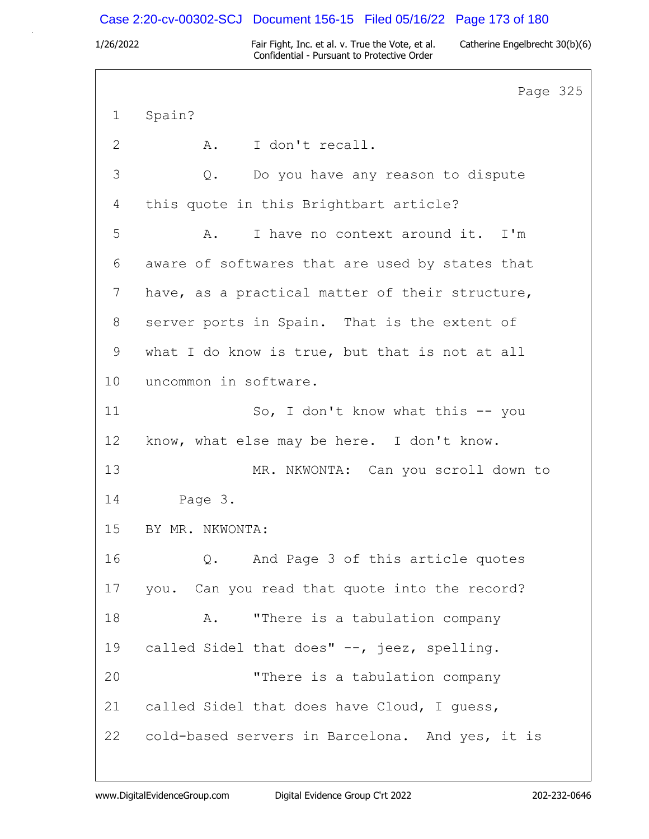## Case 2:20-cv-00302-SCJ Document 156-15 Filed 05/16/22 Page 173 of 180

1/26/2022 Fair Fight, Inc. et al. v. True the Vote, et al. Catherine Engelbrecht 30(b)(6) Confidential - Pursuant to Protective Order

Page 325 1 Spain? 2 A. I don't recall. 3 Q. Do you have any reason to dispute 4 this quote in this Brightbart article? 5 A. I have no context around it. I'm 6 aware of softwares that are used by states that 7 have, as a practical matter of their structure, 8 server ports in Spain. That is the extent of 9 what I do know is true, but that is not at all 10 uncommon in software. 11 So, I don't know what this -- you 12 know, what else may be here. I don't know. 13 MR. NKWONTA: Can you scroll down to 14 Page 3. 15 BY MR. NKWONTA: 16 Q. And Page 3 of this article quotes 17 you. Can you read that quote into the record? 18 A. "There is a tabulation company 19 called Sidel that does" --, jeez, spelling. 20 "There is a tabulation company 21 called Sidel that does have Cloud, I guess, 22 cold-based servers in Barcelona. And yes, it is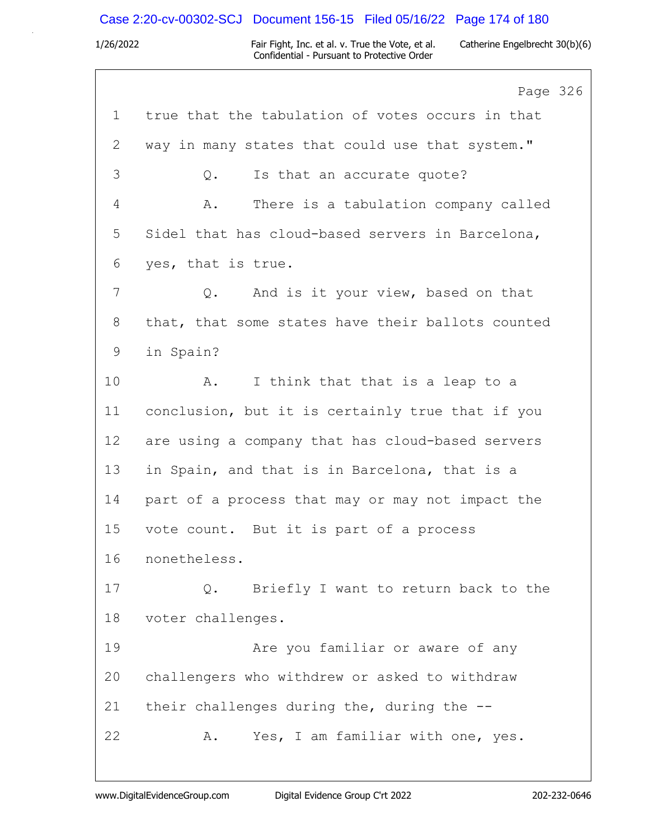# Case 2:20-cv-00302-SCJ Document 156-15 Filed 05/16/22 Page 174 of 180

1/26/2022 Fair Fight, Inc. et al. v. True the Vote, et al. Catherine Engelbrecht 30(b)(6) Confidential - Pursuant to Protective Order

6

|    | Page 32                                           |
|----|---------------------------------------------------|
| 1  | true that the tabulation of votes occurs in that  |
| 2  | way in many states that could use that system."   |
| 3  | Is that an accurate quote?<br>Q.                  |
| 4  | There is a tabulation company called<br>Α.        |
| 5  | Sidel that has cloud-based servers in Barcelona,  |
| 6  | yes, that is true.                                |
| 7  | And is it your view, based on that<br>$Q$ .       |
| 8  | that, that some states have their ballots counted |
| 9  | in Spain?                                         |
| 10 | I think that that is a leap to a<br>A.            |
| 11 | conclusion, but it is certainly true that if you  |
| 12 | are using a company that has cloud-based servers  |
| 13 | in Spain, and that is in Barcelona, that is a     |
| 14 | part of a process that may or may not impact the  |
| 15 | vote count. But it is part of a process           |
| 16 | nonetheless.                                      |
| 17 | Briefly I want to return back to the<br>Q.        |
| 18 | voter challenges.                                 |
| 19 | Are you familiar or aware of any                  |
| 20 | challengers who withdrew or asked to withdraw     |
| 21 | their challenges during the, during the $-$ -     |
| 22 | Yes, I am familiar with one, yes.<br>Α.           |
|    |                                                   |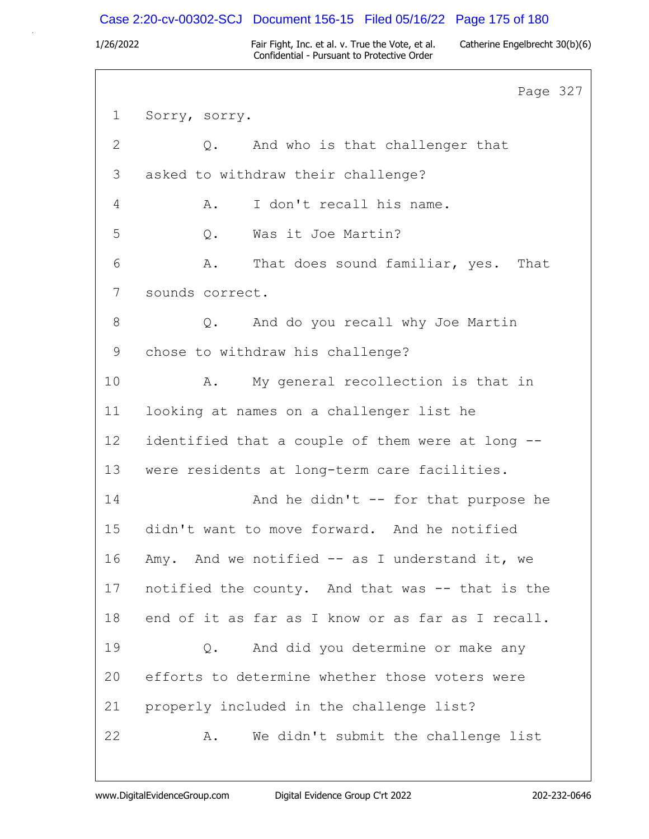## Case 2:20-cv-00302-SCJ Document 156-15 Filed 05/16/22 Page 175 of 180

1/26/2022 Fair Fight, Inc. et al. v. True the Vote, et al. Catherine Engelbrecht 30(b)(6) Confidential - Pursuant to Protective Order

Page 327 1 Sorry, sorry. 2 Q. And who is that challenger that 3 asked to withdraw their challenge? 4 A. I don't recall his name. 5 Q. Was it Joe Martin? 6 A. That does sound familiar, yes. That 7 sounds correct. 8 Q. And do you recall why Joe Martin 9 chose to withdraw his challenge? 10 A. My general recollection is that in 11 looking at names on a challenger list he 12 identified that a couple of them were at long -- 13 were residents at long-term care facilities. 14 And he didn't -- for that purpose he 15 didn't want to move forward. And he notified 16 Amy. And we notified -- as I understand it, we 17 notified the county. And that was -- that is the 18 end of it as far as I know or as far as I recall. 19 Q. And did you determine or make any 20 efforts to determine whether those voters were 21 properly included in the challenge list? 22 A. We didn't submit the challenge list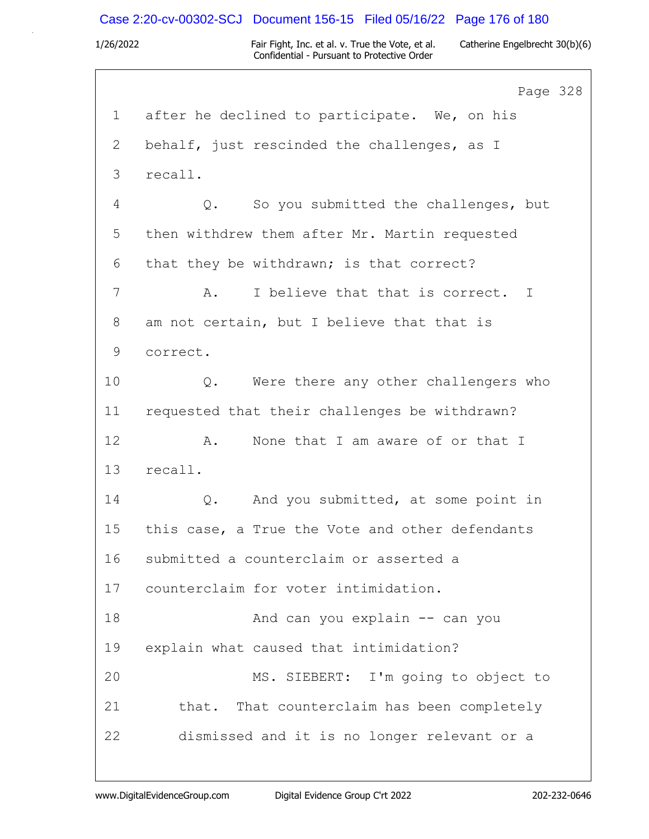## Case 2:20-cv-00302-SCJ Document 156-15 Filed 05/16/22 Page 176 of 180

1/26/2022 Fair Fight, Inc. et al. v. True the Vote, et al. Catherine Engelbrecht 30(b)(6) Confidential - Pursuant to Protective Order

Page 328 1 after he declined to participate. We, on his 2 behalf, just rescinded the challenges, as I 3 recall. 4 Q. So you submitted the challenges, but 5 then withdrew them after Mr. Martin requested 6 that they be withdrawn; is that correct? 7 A. I believe that that is correct. I 8 am not certain, but I believe that that is 9 correct. 10 Q. Were there any other challengers who 11 requested that their challenges be withdrawn? 12 A. None that I am aware of or that I 13 recall. 14 Q. And you submitted, at some point in 15 this case, a True the Vote and other defendants 16 submitted a counterclaim or asserted a 17 counterclaim for voter intimidation. 18 And can you explain -- can you 19 explain what caused that intimidation? 20 MS. SIEBERT: I'm going to object to 21 that. That counterclaim has been completely 22 dismissed and it is no longer relevant or a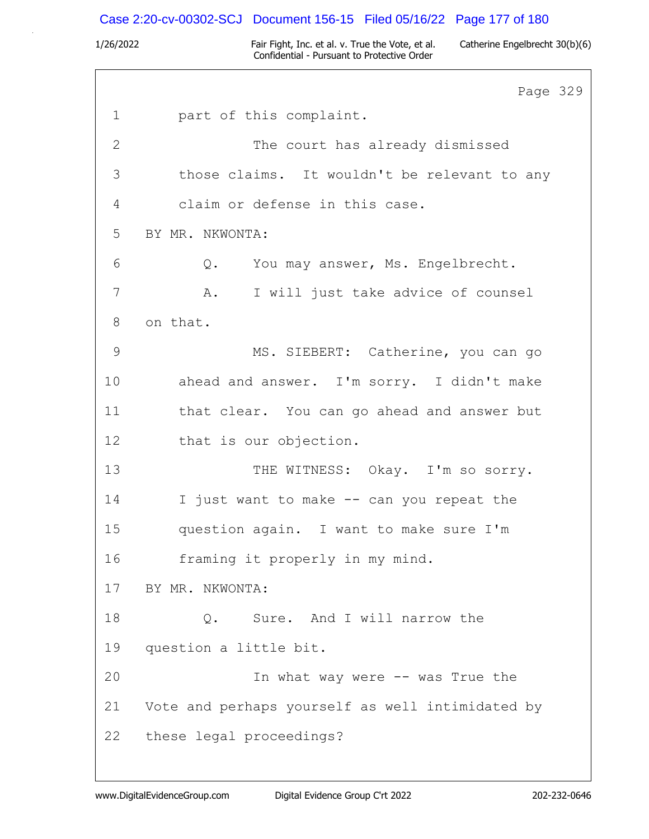### Case 2:20-cv-00302-SCJ Document 156-15 Filed 05/16/22 Page 177 of 180

1/26/2022 Fair Fight, Inc. et al. v. True the Vote, et al. Catherine Engelbrecht 30(b)(6) Confidential - Pursuant to Protective Order

Page 329 1 part of this complaint. 2 The court has already dismissed 3 those claims. It wouldn't be relevant to any 4 claim or defense in this case. 5 BY MR. NKWONTA: 6 Q. You may answer, Ms. Engelbrecht. 7 A. I will just take advice of counsel 8 on that. 9 MS. SIEBERT: Catherine, you can go 10 ahead and answer. I'm sorry. I didn't make 11 that clear. You can go ahead and answer but 12 that is our objection. 13 THE WITNESS: Okay. I'm so sorry. 14 I just want to make -- can you repeat the 15 question again. I want to make sure I'm 16 framing it properly in my mind. 17 BY MR. NKWONTA: 18 Q. Sure. And I will narrow the 19 question a little bit. 20 In what way were -- was True the 21 Vote and perhaps yourself as well intimidated by 22 these legal proceedings?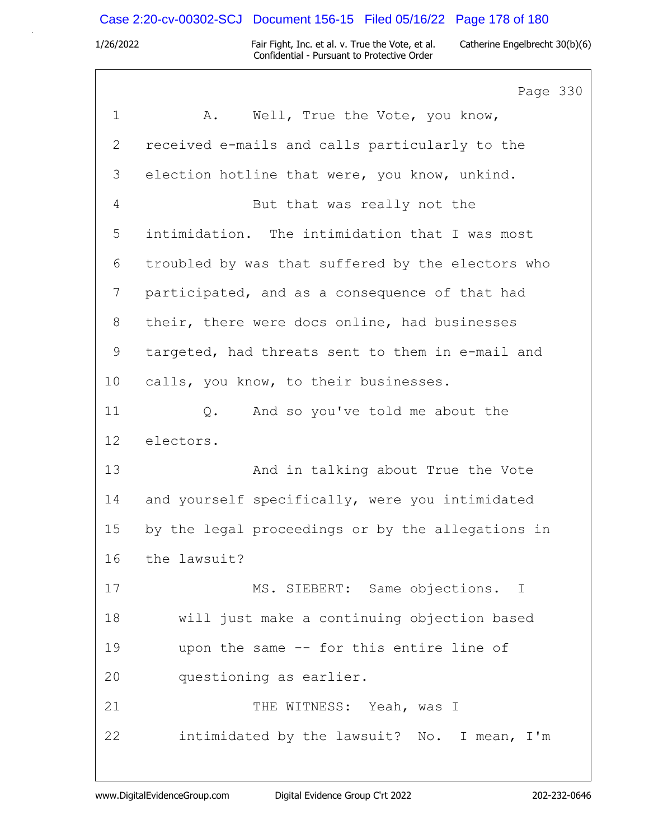## Case 2:20-cv-00302-SCJ Document 156-15 Filed 05/16/22 Page 178 of 180

1/26/2022 Fair Fight, Inc. et al. v. True the Vote, et al. Catherine Engelbrecht 30(b)(6) Confidential - Pursuant to Protective Order

Page 330 1 A. Well, True the Vote, you know, 2 received e-mails and calls particularly to the 3 election hotline that were, you know, unkind. 4 But that was really not the 5 intimidation. The intimidation that I was most 6 troubled by was that suffered by the electors who 7 participated, and as a consequence of that had 8 their, there were docs online, had businesses 9 targeted, had threats sent to them in e-mail and 10 calls, you know, to their businesses. 11 Q. And so you've told me about the 12 electors. 13 And in talking about True the Vote 14 and yourself specifically, were you intimidated 15 by the legal proceedings or by the allegations in 16 the lawsuit? 17 MS. SIEBERT: Same objections. I 18 will just make a continuing objection based 19 upon the same -- for this entire line of 20 questioning as earlier. 21 THE WITNESS: Yeah, was I 22 intimidated by the lawsuit? No. I mean, I'm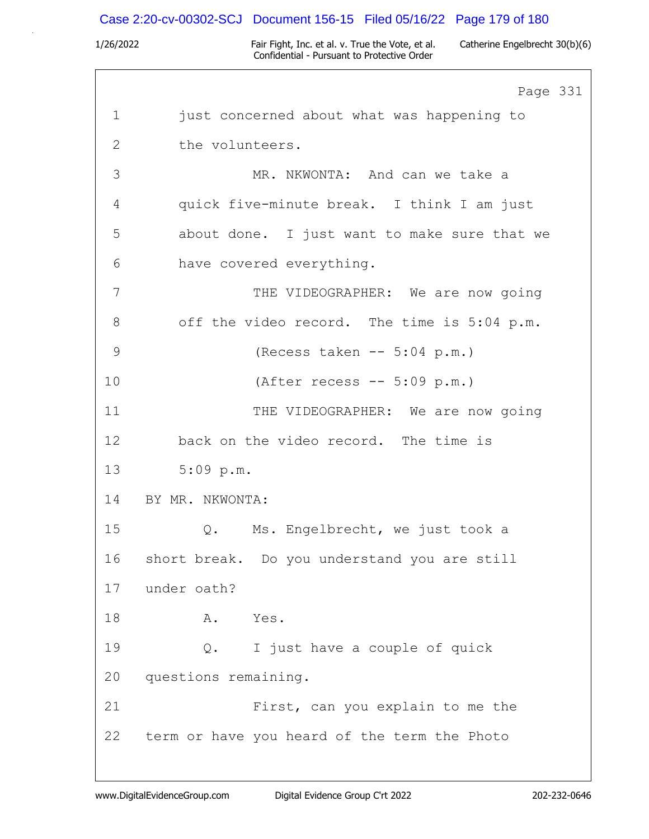# Case 2:20-cv-00302-SCJ Document 156-15 Filed 05/16/22 Page 179 of 180

|             | Page 331                                     |
|-------------|----------------------------------------------|
| $\mathbf 1$ | just concerned about what was happening to   |
| 2           | the volunteers.                              |
| 3           | MR. NKWONTA: And can we take a               |
| 4           | quick five-minute break. I think I am just   |
| 5           | about done. I just want to make sure that we |
| 6           | have covered everything.                     |
| 7           | THE VIDEOGRAPHER: We are now going           |
| 8           | off the video record. The time is 5:04 p.m.  |
| 9           | (Recess taken -- 5:04 p.m.)                  |
| 10          | (After recess $-- 5:09 p.m.$ )               |
| 11          | THE VIDEOGRAPHER: We are now going           |
| 12          | back on the video record. The time is        |
| 13          | $5:09$ p.m.                                  |
| 14          | BY MR. NKWONTA:                              |
| 15          | Ms. Engelbrecht, we just took a<br>$Q$ .     |
| 16          | short break. Do you understand you are still |
| 17          | under oath?                                  |
| 18          | Yes.<br>Α.                                   |
| 19          | I just have a couple of quick<br>$Q$ .       |
| 20          | questions remaining.                         |
| 21          | First, can you explain to me the             |
| 22          | term or have you heard of the term the Photo |
|             |                                              |